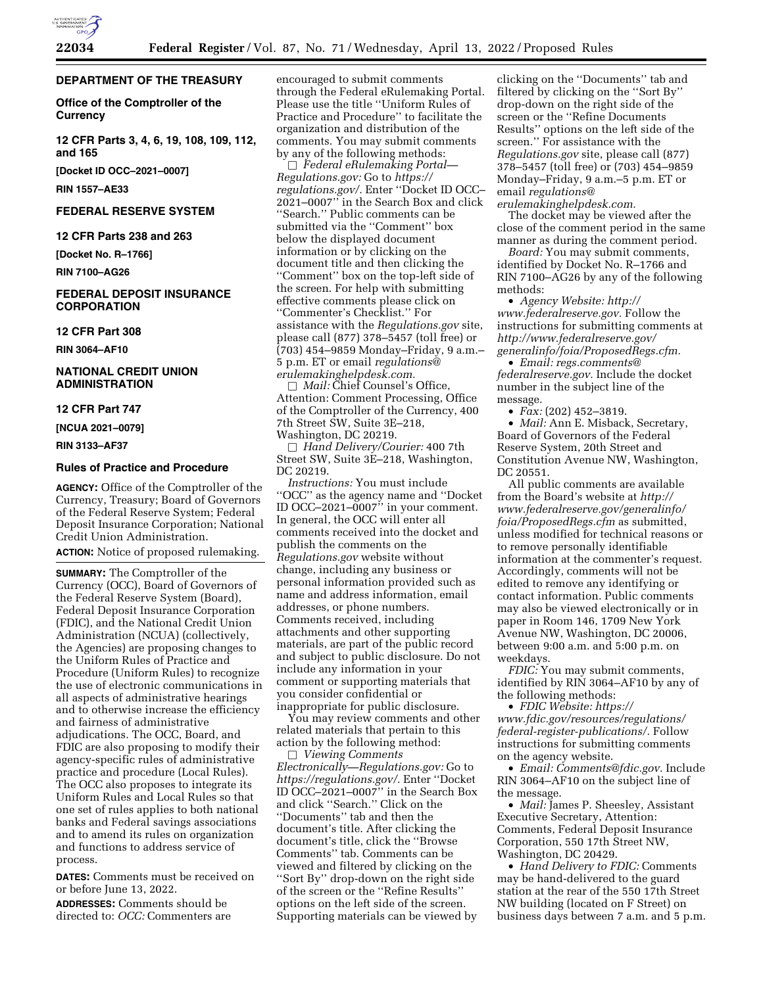

#### **DEPARTMENT OF THE TREASURY**

**Office of the Comptroller of the Currency** 

**12 CFR Parts 3, 4, 6, 19, 108, 109, 112, and 165** 

**[Docket ID OCC–2021–0007]** 

**RIN 1557–AE33** 

#### **FEDERAL RESERVE SYSTEM**

**12 CFR Parts 238 and 263** 

**[Docket No. R–1766]** 

**RIN 7100–AG26** 

#### **FEDERAL DEPOSIT INSURANCE CORPORATION**

**12 CFR Part 308** 

**RIN 3064–AF10** 

#### **NATIONAL CREDIT UNION ADMINISTRATION**

#### **12 CFR Part 747**

**[NCUA 2021–0079]** 

**RIN 3133–AF37** 

#### **Rules of Practice and Procedure**

**AGENCY:** Office of the Comptroller of the Currency, Treasury; Board of Governors of the Federal Reserve System; Federal Deposit Insurance Corporation; National Credit Union Administration.

**ACTION:** Notice of proposed rulemaking.

**SUMMARY:** The Comptroller of the Currency (OCC), Board of Governors of the Federal Reserve System (Board), Federal Deposit Insurance Corporation (FDIC), and the National Credit Union Administration (NCUA) (collectively, the Agencies) are proposing changes to the Uniform Rules of Practice and Procedure (Uniform Rules) to recognize the use of electronic communications in all aspects of administrative hearings and to otherwise increase the efficiency and fairness of administrative adjudications. The OCC, Board, and FDIC are also proposing to modify their agency-specific rules of administrative practice and procedure (Local Rules). The OCC also proposes to integrate its Uniform Rules and Local Rules so that one set of rules applies to both national banks and Federal savings associations and to amend its rules on organization and functions to address service of process.

**DATES:** Comments must be received on or before June 13, 2022.

**ADDRESSES:** Comments should be directed to: *OCC:* Commenters are encouraged to submit comments through the Federal eRulemaking Portal. Please use the title ''Uniform Rules of Practice and Procedure'' to facilitate the organization and distribution of the comments. You may submit comments by any of the following methods:

b *Federal eRulemaking Portal— Regulations.gov:* Go to *[https://](https://regulations.gov/) [regulations.gov/.](https://regulations.gov/)* Enter ''Docket ID OCC– 2021–0007'' in the Search Box and click ''Search.'' Public comments can be submitted via the ''Comment'' box below the displayed document information or by clicking on the document title and then clicking the ''Comment'' box on the top-left side of the screen. For help with submitting effective comments please click on ''Commenter's Checklist.'' For assistance with the *Regulations.gov* site, please call (877) 378–5457 (toll free) or (703) 454–9859 Monday–Friday, 9 a.m.– 5 p.m. ET or email *[regulations@](mailto:regulations@erulemakinghelpdesk.com) [erulemakinghelpdesk.com.](mailto:regulations@erulemakinghelpdesk.com)* 

□ *Mail:* Chief Counsel's Office, Attention: Comment Processing, Office of the Comptroller of the Currency, 400 7th Street SW, Suite 3E–218, Washington, DC 20219.

b *Hand Delivery/Courier:* 400 7th Street SW, Suite 3E–218, Washington, DC 20219.

*Instructions:* You must include ''OCC'' as the agency name and ''Docket ID OCC–2021–0007'' in your comment. In general, the OCC will enter all comments received into the docket and publish the comments on the *Regulations.gov* website without change, including any business or personal information provided such as name and address information, email addresses, or phone numbers. Comments received, including attachments and other supporting materials, are part of the public record and subject to public disclosure. Do not include any information in your comment or supporting materials that you consider confidential or inappropriate for public disclosure.

You may review comments and other related materials that pertain to this action by the following method:

b *Viewing Comments Electronically—Regulations.gov:* Go to *[https://regulations.gov/.](https://regulations.gov/)* Enter ''Docket ID OCC–2021–0007'' in the Search Box and click ''Search.'' Click on the ''Documents'' tab and then the document's title. After clicking the document's title, click the ''Browse Comments'' tab. Comments can be viewed and filtered by clicking on the ''Sort By'' drop-down on the right side of the screen or the ''Refine Results'' options on the left side of the screen. Supporting materials can be viewed by

clicking on the ''Documents'' tab and filtered by clicking on the ''Sort By'' drop-down on the right side of the screen or the ''Refine Documents Results'' options on the left side of the screen.'' For assistance with the *Regulations.gov* site, please call (877) 378–5457 (toll free) or (703) 454–9859 Monday–Friday, 9 a.m.–5 p.m. ET or email *[regulations@](mailto:regulations@erulemakinghelpdesk.com)*

*[erulemakinghelpdesk.com.](mailto:regulations@erulemakinghelpdesk.com)* 

The docket may be viewed after the close of the comment period in the same manner as during the comment period.

*Board:* You may submit comments, identified by Docket No. R–1766 and RIN 7100–AG26 by any of the following methods:

• *Agency Website: [http://](http://www.federalreserve.gov) [www.federalreserve.gov.](http://www.federalreserve.gov)* Follow the instructions for submitting comments at *[http://www.federalreserve.gov/](http://www.federalreserve.gov/generalinfo/foia/ProposedRegs.cfm)  [generalinfo/foia/ProposedRegs.cfm.](http://www.federalreserve.gov/generalinfo/foia/ProposedRegs.cfm)* 

• *Email: [regs.comments@](mailto:regs.comments@federalreserve.gov) [federalreserve.gov.](mailto:regs.comments@federalreserve.gov)* Include the docket number in the subject line of the message.

• *Fax:* (202) 452–3819.

• *Mail:* Ann E. Misback, Secretary, Board of Governors of the Federal Reserve System, 20th Street and Constitution Avenue NW, Washington, DC 20551.

All public comments are available from the Board's website at *[http://](http://www.federalreserve.gov/generalinfo/foia/ProposedRegs.cfm) [www.federalreserve.gov/generalinfo/](http://www.federalreserve.gov/generalinfo/foia/ProposedRegs.cfm) [foia/ProposedRegs.cfm](http://www.federalreserve.gov/generalinfo/foia/ProposedRegs.cfm)* as submitted, unless modified for technical reasons or to remove personally identifiable information at the commenter's request. Accordingly, comments will not be edited to remove any identifying or contact information. Public comments may also be viewed electronically or in paper in Room 146, 1709 New York Avenue NW, Washington, DC 20006, between 9:00 a.m. and 5:00 p.m. on weekdays.

*FDIC:* You may submit comments, identified by RIN 3064–AF10 by any of the following methods:

• *FDIC Website: [https://](https://www.fdic.gov/resources/regulations/federal-register-publications/) [www.fdic.gov/resources/regulations/](https://www.fdic.gov/resources/regulations/federal-register-publications/) [federal-register-publications/.](https://www.fdic.gov/resources/regulations/federal-register-publications/)* Follow instructions for submitting comments on the agency website.

• *Email: [Comments@fdic.gov.](mailto:Comments@fdic.gov)* Include RIN 3064–AF10 on the subject line of the message.

• *Mail:* James P. Sheesley, Assistant Executive Secretary, Attention: Comments, Federal Deposit Insurance Corporation, 550 17th Street NW, Washington, DC 20429.

• *Hand Delivery to FDIC:* Comments may be hand-delivered to the guard station at the rear of the 550 17th Street NW building (located on F Street) on business days between 7 a.m. and 5 p.m.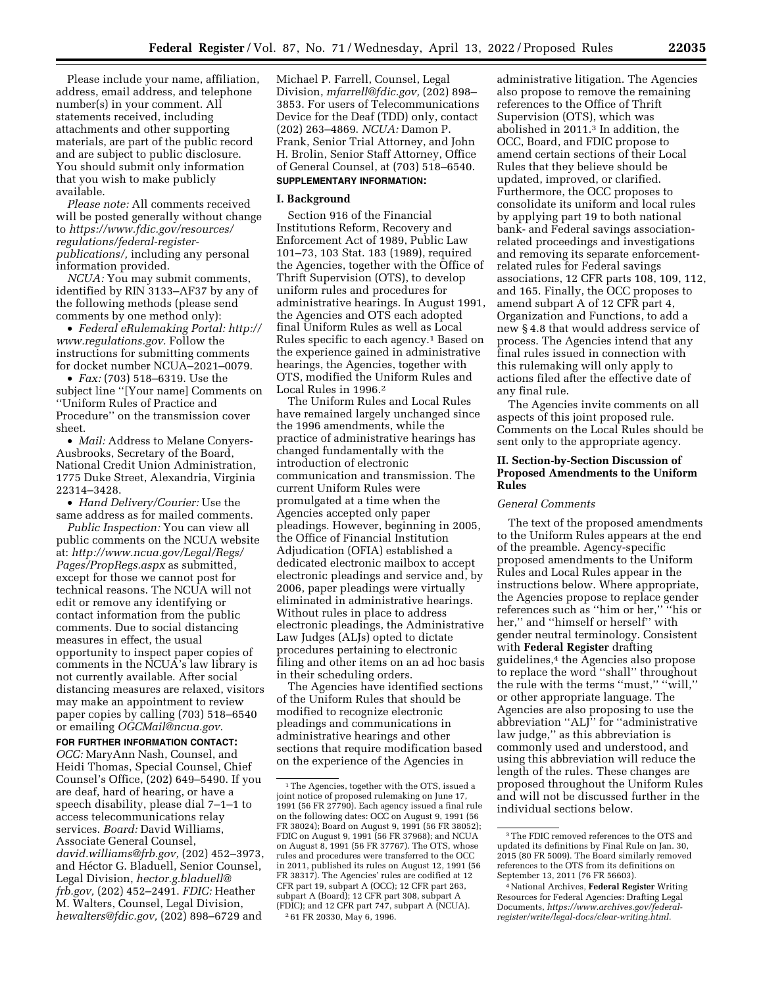Please include your name, affiliation, address, email address, and telephone number(s) in your comment. All statements received, including attachments and other supporting materials, are part of the public record and are subject to public disclosure. You should submit only information that you wish to make publicly available.

*Please note:* All comments received will be posted generally without change to *[https://www.fdic.gov/resources/](https://www.fdic.gov/resources/regulations/federal-register-publications/)  [regulations/federal-register](https://www.fdic.gov/resources/regulations/federal-register-publications/)[publications/,](https://www.fdic.gov/resources/regulations/federal-register-publications/)* including any personal information provided.

*NCUA:* You may submit comments, identified by RIN 3133–AF37 by any of the following methods (please send comments by one method only):

• *Federal eRulemaking Portal: [http://](http://www.regulations.gov)  [www.regulations.gov.](http://www.regulations.gov)* Follow the instructions for submitting comments for docket number NCUA–2021–0079.

• *Fax:* (703) 518–6319. Use the subject line ''[Your name] Comments on ''Uniform Rules of Practice and Procedure'' on the transmission cover sheet.

• *Mail:* Address to Melane Conyers-Ausbrooks, Secretary of the Board, National Credit Union Administration, 1775 Duke Street, Alexandria, Virginia 22314–3428.

• *Hand Delivery/Courier:* Use the same address as for mailed comments.

*Public Inspection:* You can view all public comments on the NCUA website at: *[http://www.ncua.gov/Legal/Regs/](http://www.ncua.gov/Legal/Regs/Pages/PropRegs.aspx)  [Pages/PropRegs.aspx](http://www.ncua.gov/Legal/Regs/Pages/PropRegs.aspx)* as submitted, except for those we cannot post for technical reasons. The NCUA will not edit or remove any identifying or contact information from the public comments. Due to social distancing measures in effect, the usual opportunity to inspect paper copies of comments in the NCUA's law library is not currently available. After social distancing measures are relaxed, visitors may make an appointment to review paper copies by calling (703) 518–6540 or emailing *[OGCMail@ncua.gov.](mailto:OGCMail@ncua.gov)* 

**FOR FURTHER INFORMATION CONTACT:** 

*OCC:* MaryAnn Nash, Counsel, and Heidi Thomas, Special Counsel, Chief Counsel's Office, (202) 649–5490. If you are deaf, hard of hearing, or have a speech disability, please dial 7–1–1 to access telecommunications relay services. *Board:* David Williams, Associate General Counsel, *[david.williams@frb.gov,](mailto:david.williams@frb.gov)* (202) 452–3973, and Héctor G. Bladuell, Senior Counsel, Legal Division, *[hector.g.bladuell@](mailto:hector.g.bladuell@frb.gov) [frb.gov,](mailto:hector.g.bladuell@frb.gov)* (202) 452–2491. *FDIC:* Heather M. Walters, Counsel, Legal Division, *[hewalters@fdic.gov,](mailto:hewalters@fdic.gov)* (202) 898–6729 and

Michael P. Farrell, Counsel, Legal Division, *[mfarrell@fdic.gov,](mailto:mfarrell@fdic.gov)* (202) 898– 3853. For users of Telecommunications Device for the Deaf (TDD) only, contact (202) 263–4869. *NCUA:* Damon P. Frank, Senior Trial Attorney, and John H. Brolin, Senior Staff Attorney, Office of General Counsel, at (703) 518–6540. **SUPPLEMENTARY INFORMATION:** 

#### **I. Background**

Section 916 of the Financial Institutions Reform, Recovery and Enforcement Act of 1989, Public Law 101–73, 103 Stat. 183 (1989), required the Agencies, together with the Office of Thrift Supervision (OTS), to develop uniform rules and procedures for administrative hearings. In August 1991, the Agencies and OTS each adopted final Uniform Rules as well as Local Rules specific to each agency.1 Based on the experience gained in administrative hearings, the Agencies, together with OTS, modified the Uniform Rules and Local Rules in 1996.2

The Uniform Rules and Local Rules have remained largely unchanged since the 1996 amendments, while the practice of administrative hearings has changed fundamentally with the introduction of electronic communication and transmission. The current Uniform Rules were promulgated at a time when the Agencies accepted only paper pleadings. However, beginning in 2005, the Office of Financial Institution Adjudication (OFIA) established a dedicated electronic mailbox to accept electronic pleadings and service and, by 2006, paper pleadings were virtually eliminated in administrative hearings. Without rules in place to address electronic pleadings, the Administrative Law Judges (ALJs) opted to dictate procedures pertaining to electronic filing and other items on an ad hoc basis in their scheduling orders.

The Agencies have identified sections of the Uniform Rules that should be modified to recognize electronic pleadings and communications in administrative hearings and other sections that require modification based on the experience of the Agencies in

administrative litigation. The Agencies also propose to remove the remaining references to the Office of Thrift Supervision (OTS), which was abolished in 2011.3 In addition, the OCC, Board, and FDIC propose to amend certain sections of their Local Rules that they believe should be updated, improved, or clarified. Furthermore, the OCC proposes to consolidate its uniform and local rules by applying part 19 to both national bank- and Federal savings associationrelated proceedings and investigations and removing its separate enforcementrelated rules for Federal savings associations, 12 CFR parts 108, 109, 112, and 165. Finally, the OCC proposes to amend subpart A of 12 CFR part 4, Organization and Functions, to add a new § 4.8 that would address service of process. The Agencies intend that any final rules issued in connection with this rulemaking will only apply to actions filed after the effective date of any final rule.

The Agencies invite comments on all aspects of this joint proposed rule. Comments on the Local Rules should be sent only to the appropriate agency.

#### **II. Section-by-Section Discussion of Proposed Amendments to the Uniform Rules**

#### *General Comments*

The text of the proposed amendments to the Uniform Rules appears at the end of the preamble. Agency-specific proposed amendments to the Uniform Rules and Local Rules appear in the instructions below. Where appropriate, the Agencies propose to replace gender references such as ''him or her,'' ''his or her,'' and ''himself or herself'' with gender neutral terminology. Consistent with **Federal Register** drafting guidelines,4 the Agencies also propose to replace the word ''shall'' throughout the rule with the terms "must," "will," or other appropriate language. The Agencies are also proposing to use the abbreviation ''ALJ'' for ''administrative law judge,'' as this abbreviation is commonly used and understood, and using this abbreviation will reduce the length of the rules. These changes are proposed throughout the Uniform Rules and will not be discussed further in the individual sections below.

<sup>1</sup>The Agencies, together with the OTS, issued a joint notice of proposed rulemaking on June 17, 1991 (56 FR 27790). Each agency issued a final rule on the following dates: OCC on August 9, 1991 (56 FR 38024); Board on August 9, 1991 (56 FR 38052); FDIC on August 9, 1991 (56 FR 37968); and NCUA on August 8, 1991 (56 FR 37767). The OTS, whose rules and procedures were transferred to the OCC in 2011, published its rules on August 12, 1991 (56 FR 38317). The Agencies' rules are codified at 12 CFR part 19, subpart A (OCC); 12 CFR part 263, subpart A (Board); 12 CFR part 308, subpart A (FDIC); and 12 CFR part 747, subpart A (NCUA). 2 61 FR 20330, May 6, 1996.

<sup>3</sup>The FDIC removed references to the OTS and updated its definitions by Final Rule on Jan. 30, 2015 (80 FR 5009). The Board similarly removed references to the OTS from its definitions on September 13, 2011 (76 FR 56603).

<sup>4</sup>National Archives, **Federal Register** Writing Resources for Federal Agencies: Drafting Legal Documents, *[https://www.archives.gov/federal](https://www.archives.gov/federal-register/write/legal-docs/clear-writing.html)[register/write/legal-docs/clear-writing.html.](https://www.archives.gov/federal-register/write/legal-docs/clear-writing.html)*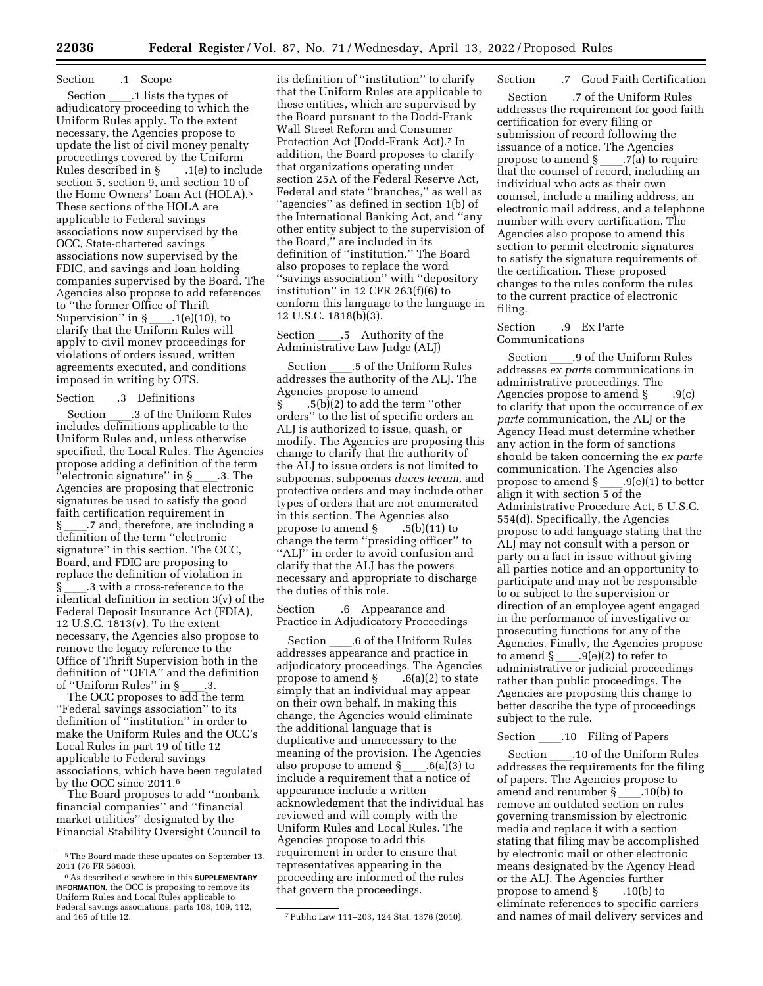# Section ll.1 Scope

Section \_\_\_\_.1 lists the types of<br>adjudicatory proceeding to which the Uniform Rules apply. To the extent necessary, the Agencies propose to update the list of civil money penalty proceedings covered by the Uniform Rules described in § \_\_\_\_.1(e) to include<br>section 5, section 9, and section 10 of the Home Owners' Loan Act (HOLA).5 These sections of the HOLA are applicable to Federal savings associations now supervised by the OCC, State-chartered savings associations now supervised by the FDIC, and savings and loan holding companies supervised by the Board. The Agencies also propose to add references to ''the former Office of Thrift Supervision'' in §\_\_\_\_.1(e)(10), to<br>clarify that the Uniform Rules will apply to civil money proceedings for violations of orders issued, written agreements executed, and conditions imposed in writing by OTS.

# Sectionll.3 Definitions

Section \_\_\_\_.3 of the Uniform Rules<br>includes definitions applicable to the Uniform Rules and, unless otherwise specified, the Local Rules. The Agencies propose adding a definition of the term  $\text{``electronic signature'' in } \S \_\_\_3.3. \text{ The} \ \text{Agencies are proposing that electronic}$ signatures be used to satisfy the good faith certification requirement in § ll.7 and, therefore, are including a definition of the term ''electronic signature'' in this section. The OCC, Board, and FDIC are proposing to replace the definition of violation in § \_\_\_\_.3 with a cross-reference to the<br>identical definition in section 3(v) of the Federal Deposit Insurance Act (FDIA), 12 U.S.C. 1813(v). To the extent necessary, the Agencies also propose to remove the legacy reference to the Office of Thrift Supervision both in the definition of "OFIA" and the definition<br>of "Uniform Rules" in  $\S$  .3. of ''Uniform Rules'' in §\_\_\_\_.3.<br>The OCC proposes to add the term

''Federal savings association'' to its definition of ''institution'' in order to make the Uniform Rules and the OCC's Local Rules in part 19 of title 12 applicable to Federal savings associations, which have been regulated by the OCC since 2011.<sup>6</sup>

The Board proposes to add ''nonbank financial companies'' and ''financial market utilities'' designated by the Financial Stability Oversight Council to

its definition of ''institution'' to clarify that the Uniform Rules are applicable to these entities, which are supervised by the Board pursuant to the Dodd-Frank Wall Street Reform and Consumer Protection Act (Dodd-Frank Act).7 In addition, the Board proposes to clarify that organizations operating under section 25A of the Federal Reserve Act, Federal and state ''branches,'' as well as ''agencies'' as defined in section 1(b) of the International Banking Act, and ''any other entity subject to the supervision of the Board,'' are included in its definition of ''institution.'' The Board also proposes to replace the word ''savings association'' with ''depository institution'' in 12 CFR 263(f)(6) to conform this language to the language in 12 U.S.C. 1818(b)(3).

## Section \_\_\_\_.5 Authority of the<br>Administrative Law Judge (ALJ)

Section ll.5 of the Uniform Rules addresses the authority of the ALJ. The Agencies propose to amend<br>§ .5(b)(2) to add the term "other § ll.5(b)(2) to add the term ''other orders'' to the list of specific orders an ALJ is authorized to issue, quash, or modify. The Agencies are proposing this change to clarify that the authority of the ALJ to issue orders is not limited to subpoenas, subpoenas *duces tecum,* and protective orders and may include other types of orders that are not enumerated in this section. The Agencies also propose to amend § \_\_\_\_.5(b)(11) to<br>change the term ''presiding officer'' to "ALJ" in order to avoid confusion and clarify that the ALJ has the powers necessary and appropriate to discharge the duties of this role.

Section \_\_\_\_.6 Appearance and<br>Practice in Adjudicatory Proceedings

Section \_\_\_\_.6 of the Uniform Rules<br>addresses appearance and practice in adjudicatory proceedings. The Agencies propose to amend § \_\_\_\_.6(a)(2) to state<br>simply that an individual may appear on their own behalf. In making this change, the Agencies would eliminate the additional language that is duplicative and unnecessary to the meaning of the provision. The Agencies also propose to amend §\_\_\_\_.6(a)(3) to<br>include a requirement that a notice of appearance include a written acknowledgment that the individual has reviewed and will comply with the Uniform Rules and Local Rules. The Agencies propose to add this requirement in order to ensure that representatives appearing in the proceeding are informed of the rules that govern the proceedings.

# Section \_\_\_\_.7 Good Faith Certification<br>Section \_\_\_\_.7 of the Uniform Rules

Section \_\_\_\_.7 of the Uniform Rules<br>addresses the requirement for good faith certification for every filing or submission of record following the issuance of a notice. The Agencies propose to amend § \_\_\_\_.7(a) to require<br>that the counsel of record, including an individual who acts as their own counsel, include a mailing address, an electronic mail address, and a telephone number with every certification. The Agencies also propose to amend this section to permit electronic signatures to satisfy the signature requirements of the certification. These proposed changes to the rules conform the rules to the current practice of electronic filing.

## Section \_\_\_\_.9 Ex Parte<br>Communications

Section ll.9 of the Uniform Rules addresses *ex parte* communications in administrative proceedings. The Agencies propose to amend  $\S$  ....9(c) to clarify that upon the occurrence of *ex parte* communication, the ALJ or the Agency Head must determine whether any action in the form of sanctions should be taken concerning the *ex parte*  communication. The Agencies also propose to amend § \_\_\_\_.9(e)(1) to better<br>align it with section 5 of the Administrative Procedure Act, 5 U.S.C. 554(d). Specifically, the Agencies propose to add language stating that the ALJ may not consult with a person or party on a fact in issue without giving all parties notice and an opportunity to participate and may not be responsible to or subject to the supervision or direction of an employee agent engaged in the performance of investigative or prosecuting functions for any of the Agencies. Finally, the Agencies propose to amend § \_\_\_\_.9(e)(2) to refer to<br>administrative or judicial proceedings rather than public proceedings. The Agencies are proposing this change to better describe the type of proceedings subject to the rule.

Section ll.10 Filing of Papers Section \_\_\_\_.10 of the Uniform Rules<br>addresses the requirements for the filing of papers. The Agencies propose to amend and renumber §\_\_\_\_.10(b) to<br>remove an outdated section on rules governing transmission by electronic media and replace it with a section stating that filing may be accomplished by electronic mail or other electronic means designated by the Agency Head or the ALJ. The Agencies further<br>propose to amend §\_\_\_\_\_.10(b) to propose to amend § \_\_\_\_.10(b) to<br>eliminate references to specific carriers and names of mail delivery services and

<sup>5</sup>The Board made these updates on September 13, 2011 (76 FR 56603).

<sup>6</sup>As described elsewhere in this **SUPPLEMENTARY INFORMATION,** the OCC is proposing to remove its Uniform Rules and Local Rules applicable to Federal savings associations, parts 108, 109, 112,

<sup>&</sup>lt;sup>7</sup> Public Law 111-203, 124 Stat. 1376 (2010).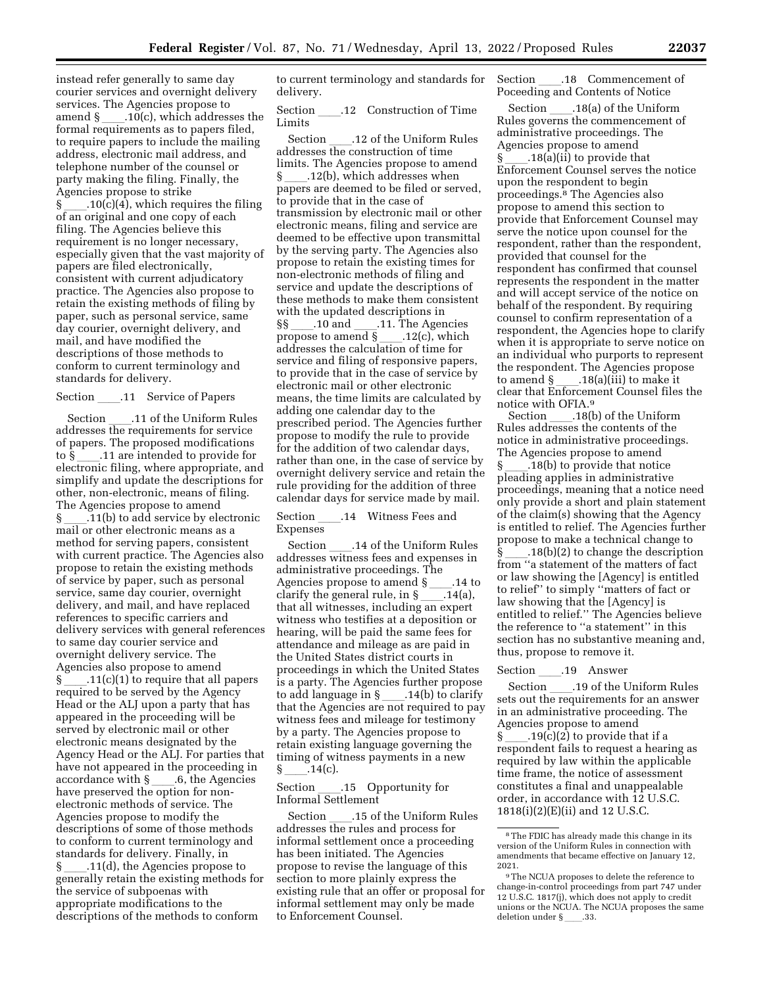instead refer generally to same day courier services and overnight delivery services. The Agencies propose to amend  $\S$  \_\_\_\_\_. 10(c), which addresses the formal requirements as to papers filed, to require papers to include the mailing address, electronic mail address, and telephone number of the counsel or party making the filing. Finally, the Agencies propose to strike

 $\S$  . 10(c)(4), which requires the filing of an original and one copy of each filing. The Agencies believe this requirement is no longer necessary, especially given that the vast majority of papers are filed electronically, consistent with current adjudicatory practice. The Agencies also propose to retain the existing methods of filing by paper, such as personal service, same day courier, overnight delivery, and mail, and have modified the descriptions of those methods to conform to current terminology and standards for delivery.

Section ll.11 Service of Papers Section \_\_\_\_\_.11 of the Uniform Rules<br>addresses the requirements for service of papers. The proposed modifications to  $\S$  .11 are intended to provide for electronic filing, where appropriate, and simplify and update the descriptions for other, non-electronic, means of filing. The Agencies propose to amend § 11(b) to add service by electronic

mail or other electronic means as a method for serving papers, consistent with current practice. The Agencies also propose to retain the existing methods of service by paper, such as personal service, same day courier, overnight delivery, and mail, and have replaced references to specific carriers and delivery services with general references to same day courier service and overnight delivery service. The Agencies also propose to amend  $\S$  .11(c)(1) to require that all papers required to be served by the Agency Head or the ALJ upon a party that has appeared in the proceeding will be served by electronic mail or other electronic means designated by the Agency Head or the ALJ. For parties that have not appeared in the proceeding in  $accordance$  with  $\S$  6, the Agencies accordance with §\_\_\_\_.6, the Agencies<br>have preserved the option for nonelectronic methods of service. The Agencies propose to modify the descriptions of some of those methods to conform to current terminology and standards for delivery. Finally, in § 11(d), the Agencies propose to generally retain the existing methods for the service of subpoenas with appropriate modifications to the descriptions of the methods to conform

to current terminology and standards for delivery.

Section .12 Construction of Time Limits

Section \_\_\_\_\_.12 of the Uniform Rules<br>addresses the construction of time limits. The Agencies propose to amend § 12(b), which addresses when papers are deemed to be filed or served, to provide that in the case of transmission by electronic mail or other electronic means, filing and service are deemed to be effective upon transmittal by the serving party. The Agencies also propose to retain the existing times for non-electronic methods of filing and service and update the descriptions of these methods to make them consistent with the updated descriptions in  $\S\$  \_\_\_\_\_.10 and \_\_\_\_\_.11. The Agencies<br>propose to amend  $\S$  \_\_\_\_\_\_\_\_\_.12(c), which propose to amend § \_\_\_\_.12(c), which<br>addresses the calculation of time for service and filing of responsive papers, to provide that in the case of service by electronic mail or other electronic means, the time limits are calculated by adding one calendar day to the prescribed period. The Agencies further propose to modify the rule to provide for the addition of two calendar days, rather than one, in the case of service by overnight delivery service and retain the rule providing for the addition of three calendar days for service made by mail.

Section .14 Witness Fees and Expenses

Section \_\_\_\_.14 of the Uniform Rules<br>addresses witness fees and expenses in administrative proceedings. The Agencies propose to amend §ll.14 to clarify the general rule, in § \_\_\_\_.14(a),<br>that all witnesses, including an expert witness who testifies at a deposition or hearing, will be paid the same fees for attendance and mileage as are paid in the United States district courts in proceedings in which the United States is a party. The Agencies further propose to add language in §\_\_\_\_.14(b) to clarify<br>that the Agencies are not required to pay witness fees and mileage for testimony by a party. The Agencies propose to retain existing language governing the timing of witness payments in a new § \_\_\_\_\_.14(c).<br>Section

#### .15 Opportunity for Informal Settlement

Section \_\_\_\_\_.15 of the Uniform Rules addresses the rules and process for informal settlement once a proceeding has been initiated. The Agencies propose to revise the language of this section to more plainly express the existing rule that an offer or proposal for informal settlement may only be made to Enforcement Counsel.

Section \_\_\_\_.18 Commencement of<br>Poceeding and Contents of Notice

Section ll.18(a) of the Uniform Rules governs the commencement of administrative proceedings. The Agencies propose to amend § \_\_\_\_.18(a)(ii) to provide that<br>Enforcement Counsel serves the notice upon the respondent to begin proceedings.8 The Agencies also propose to amend this section to provide that Enforcement Counsel may serve the notice upon counsel for the respondent, rather than the respondent, provided that counsel for the respondent has confirmed that counsel represents the respondent in the matter and will accept service of the notice on behalf of the respondent. By requiring counsel to confirm representation of a respondent, the Agencies hope to clarify when it is appropriate to serve notice on an individual who purports to represent the respondent. The Agencies propose to amend § \_\_\_\_.18(a)(iii) to make it<br>clear that Enforcement Counsel files the notice with OFIA.<sup>9</sup><br>Section .18(b) of the Uniform

Section \_\_\_\_.18(b) of the Uniform<br>Rules addresses the contents of the notice in administrative proceedings. The Agencies propose to amend § ll.18(b) to provide that notice pleading applies in administrative proceedings, meaning that a notice need only provide a short and plain statement of the claim(s) showing that the Agency is entitled to relief. The Agencies further propose to make a technical change to  $\S$  .18(b)(2) to change the description from ''a statement of the matters of fact or law showing the [Agency] is entitled to relief'' to simply ''matters of fact or law showing that the [Agency] is entitled to relief.'' The Agencies believe the reference to ''a statement'' in this section has no substantive meaning and, thus, propose to remove it.

Section \_\_\_\_.19 Answer<br>Section \_\_\_\_.19 of the Uniform Rules Section \_\_\_\_\_.19 of the Uniform Rules<br>sets out the requirements for an answer in an administrative proceeding. The Agencies propose to amend  $\S$  .19(c)(2) to provide that if a respondent fails to request a hearing as required by law within the applicable time frame, the notice of assessment constitutes a final and unappealable order, in accordance with 12 U.S.C. 1818(i)(2)(E)(ii) and 12 U.S.C.

<sup>8</sup>The FDIC has already made this change in its version of the Uniform Rules in connection with amendments that became effective on January 12, 2021.

<sup>9</sup>The NCUA proposes to delete the reference to change-in-control proceedings from part 747 under 12 U.S.C. 1817(j), which does not apply to credit unions or the NCUA. The NCUA proposes the same deletion under §\_\_\_\_.33.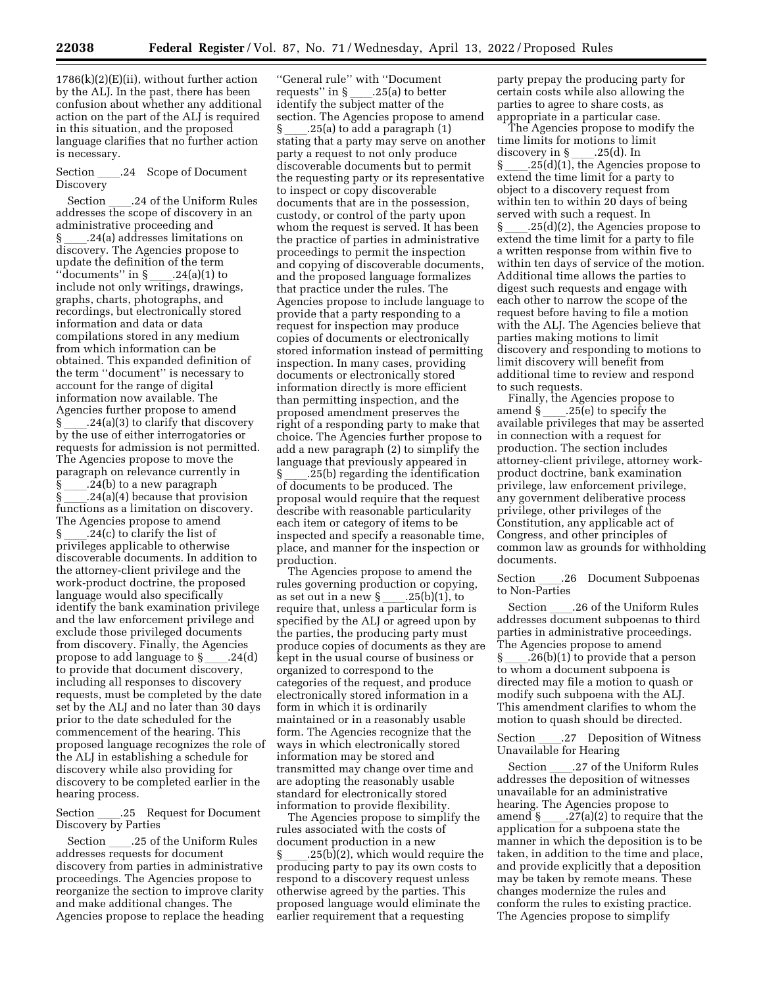$1786(k)(2)(E)(ii)$ , without further action by the ALJ. In the past, there has been confusion about whether any additional action on the part of the ALJ is required in this situation, and the proposed language clarifies that no further action is necessary.

#### Section .24 Scope of Document **Discovery**

Section \_\_\_\_\_.24 of the Uniform Rules<br>addresses the scope of discovery in an administrative proceeding and § ll.24(a) addresses limitations on discovery. The Agencies propose to update the definition of the term<br>"documents" in  $\gamma$  \_\_\_\_.24(a)(1) to ''documents'' in § ll.24(a)(1) to include not only writings, drawings, graphs, charts, photographs, and recordings, but electronically stored information and data or data compilations stored in any medium from which information can be obtained. This expanded definition of the term ''document'' is necessary to account for the range of digital information now available. The Agencies further propose to amend § ll.24(a)(3) to clarify that discovery by the use of either interrogatories or requests for admission is not permitted. The Agencies propose to move the paragraph on relevance currently in .24(b) to a new paragraph  $.24(a)(4)$  because that provision functions as a limitation on discovery. The Agencies propose to amend<br>§ .24(c) to clarify the list of § \_\_\_\_.24(c) to clarify the list of<br>privileges applicable to otherwise discoverable documents. In addition to the attorney-client privilege and the work-product doctrine, the proposed language would also specifically identify the bank examination privilege and the law enforcement privilege and exclude those privileged documents from discovery. Finally, the Agencies propose to add language to  $\S$  \_\_\_\_.24(d) to provide that document discovery, including all responses to discovery requests, must be completed by the date set by the ALJ and no later than 30 days prior to the date scheduled for the commencement of the hearing. This proposed language recognizes the role of the ALJ in establishing a schedule for discovery while also providing for discovery to be completed earlier in the hearing process.

Section \_\_\_.25 Request for Document Discovery by Parties

Section \_\_\_\_\_.25 of the Uniform Rules addresses requests for document discovery from parties in administrative proceedings. The Agencies propose to reorganize the section to improve clarity and make additional changes. The Agencies propose to replace the heading

''General rule'' with ''Document requests'' in §\_\_\_\_.25(a) to better<br>identify the subject matter of the section. The Agencies propose to amend § ll.25(a) to add a paragraph (1) stating that a party may serve on another party a request to not only produce discoverable documents but to permit the requesting party or its representative to inspect or copy discoverable documents that are in the possession, custody, or control of the party upon whom the request is served. It has been the practice of parties in administrative proceedings to permit the inspection and copying of discoverable documents, and the proposed language formalizes that practice under the rules. The Agencies propose to include language to provide that a party responding to a request for inspection may produce copies of documents or electronically stored information instead of permitting inspection. In many cases, providing documents or electronically stored information directly is more efficient than permitting inspection, and the proposed amendment preserves the right of a responding party to make that choice. The Agencies further propose to add a new paragraph (2) to simplify the language that previously appeared in § ll.25(b) regarding the identification of documents to be produced. The proposal would require that the request describe with reasonable particularity each item or category of items to be inspected and specify a reasonable time, place, and manner for the inspection or production.

The Agencies propose to amend the rules governing production or copying, as set out in a new §\_\_\_\_.25(b)(1), to<br>require that, unless a particular form is specified by the ALJ or agreed upon by the parties, the producing party must produce copies of documents as they are kept in the usual course of business or organized to correspond to the categories of the request, and produce electronically stored information in a form in which it is ordinarily maintained or in a reasonably usable form. The Agencies recognize that the ways in which electronically stored information may be stored and transmitted may change over time and are adopting the reasonably usable standard for electronically stored information to provide flexibility.

The Agencies propose to simplify the rules associated with the costs of document production in a new  $.25(b)(2)$ , which would require the producing party to pay its own costs to respond to a discovery request unless otherwise agreed by the parties. This proposed language would eliminate the earlier requirement that a requesting

party prepay the producing party for certain costs while also allowing the parties to agree to share costs, as appropriate in a particular case.

The Agencies propose to modify the time limits for motions to limit discovery in § \_\_\_.25(d). In<br>§ . ...25(d)(1). the Agencies § \_\_\_\_.25(d)(1), the Agencies propose to<br>extend the time limit for a party to extend the time limit for a party to object to a discovery request from within ten to within 20 days of being served with such a request. In  $\S$  \_\_\_\_\_.25(d)(2), the Agencies propose to extend the time limit for a party to file a written response from within five to within ten days of service of the motion. Additional time allows the parties to digest such requests and engage with each other to narrow the scope of the request before having to file a motion with the ALJ. The Agencies believe that parties making motions to limit discovery and responding to motions to limit discovery will benefit from additional time to review and respond to such requests.

Finally, the Agencies propose to amend § \_\_\_\_.25(e) to specify the<br>available privileges that may be asserted in connection with a request for production. The section includes attorney-client privilege, attorney workproduct doctrine, bank examination privilege, law enforcement privilege, any government deliberative process privilege, other privileges of the Constitution, any applicable act of Congress, and other principles of common law as grounds for withholding documents.

Section .26 Document Subpoenas to Non-Parties

Section ll.26 of the Uniform Rules addresses document subpoenas to third parties in administrative proceedings. The Agencies propose to amend  $\S$  \_\_\_\_\_.26(b)(1) to provide that a person to whom a document subpoena is directed may file a motion to quash or modify such subpoena with the ALJ. This amendment clarifies to whom the motion to quash should be directed.

Section .27 Deposition of Witness Unavailable for Hearing

Section ll.27 of the Uniform Rules addresses the deposition of witnesses unavailable for an administrative hearing. The Agencies propose to amend § \_\_\_\_.27(a)(2) to require that the<br>application for a subpoena state the manner in which the deposition is to be taken, in addition to the time and place, and provide explicitly that a deposition may be taken by remote means. These changes modernize the rules and conform the rules to existing practice. The Agencies propose to simplify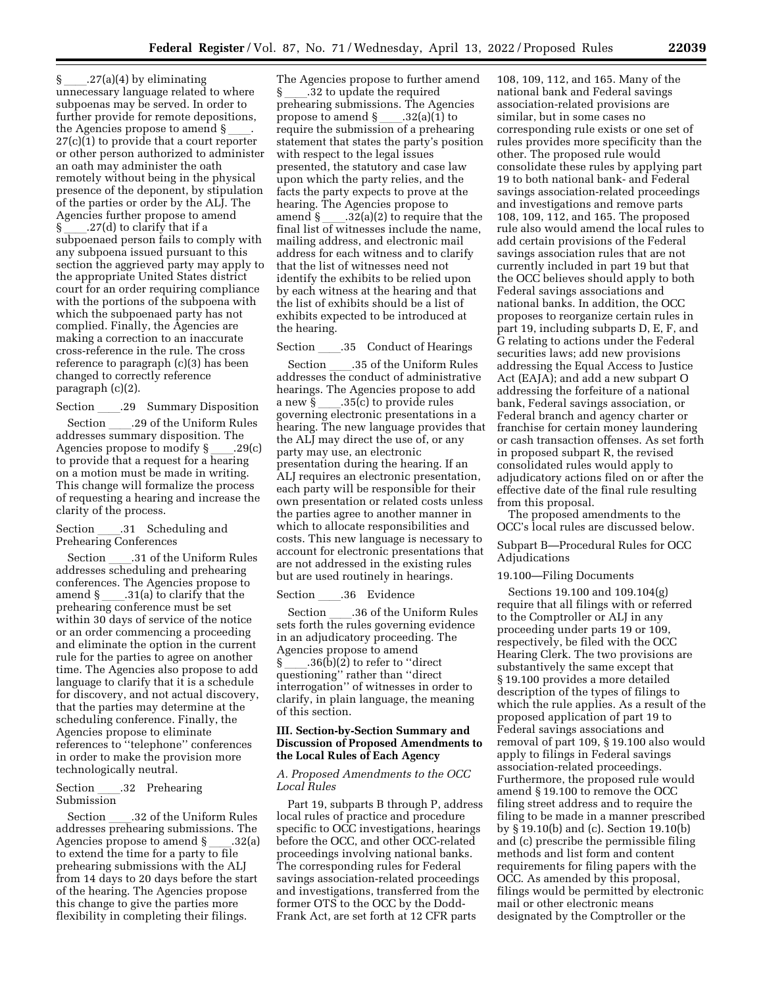$\S$  .27(a)(4) by eliminating unnecessary language related to where subpoenas may be served. In order to further provide for remote depositions, the Agencies propose to amend  $\S$ 27(c)(1) to provide that a court reporter or other person authorized to administer an oath may administer the oath remotely without being in the physical presence of the deponent, by stipulation of the parties or order by the ALJ. The Agencies further propose to amend § \_\_\_\_.27(d) to clarify that if a<br>subpoenaed person fails to comply with any subpoena issued pursuant to this section the aggrieved party may apply to the appropriate United States district court for an order requiring compliance with the portions of the subpoena with which the subpoenaed party has not complied. Finally, the Agencies are making a correction to an inaccurate cross-reference in the rule. The cross reference to paragraph (c)(3) has been changed to correctly reference paragraph (c)(2).

Section \_\_\_\_.29 Summary Disposition<br>Section \_\_\_\_.29 of the Uniform Rules

Section \_\_\_\_.29 of the Uniform Rules<br>addresses summary disposition. The Agencies propose to modify § \_\_\_\_.29(c)<br>to provide that a request for a hearing on a motion must be made in writing. This change will formalize the process of requesting a hearing and increase the clarity of the process.

#### Section .31 Scheduling and Prehearing Conferences

Section ll.31 of the Uniform Rules addresses scheduling and prehearing conferences. The Agencies propose to<br>amend  $\S$  .31(a) to clarify that the amend § \_\_\_\_.31(a) to clarify that the<br>prehearing conference must be set within 30 days of service of the notice or an order commencing a proceeding and eliminate the option in the current rule for the parties to agree on another time. The Agencies also propose to add language to clarify that it is a schedule for discovery, and not actual discovery, that the parties may determine at the scheduling conference. Finally, the Agencies propose to eliminate references to ''telephone'' conferences in order to make the provision more technologically neutral.

#### Section \_\_\_\_.32 Prehearing Submission

Section ll.32 of the Uniform Rules addresses prehearing submissions. The Agencies propose to amend  $\S$  \_\_\_\_.32(a) to extend the time for a party to file prehearing submissions with the ALJ from 14 days to 20 days before the start of the hearing. The Agencies propose this change to give the parties more flexibility in completing their filings.

The Agencies propose to further amend § \_\_\_\_.32 to update the required<br>prehearing submissions. The Agencies propose to amend § \_\_\_\_.32(a)(1) to<br>require the submission of a prehearing statement that states the party's position with respect to the legal issues presented, the statutory and case law upon which the party relies, and the facts the party expects to prove at the hearing. The Agencies propose to<br>amend § .32(a)(2) to require that the amend § \_\_\_\_.32(a)(2) to require that the<br>final list of witnesses include the name, mailing address, and electronic mail address for each witness and to clarify that the list of witnesses need not identify the exhibits to be relied upon by each witness at the hearing and that the list of exhibits should be a list of exhibits expected to be introduced at the hearing.

# Section \_\_\_\_.35 Conduct of Hearings<br>Section \_\_\_\_.35 of the Uniform Rules

Section \_\_\_\_.35 of the Uniform Rules<br>addresses the conduct of administrative hearings. The Agencies propose to add a new § \_\_\_\_.35(c) to provide rules<br>governing electronic presentations in a hearing. The new language provides that the ALJ may direct the use of, or any party may use, an electronic presentation during the hearing. If an ALJ requires an electronic presentation, each party will be responsible for their own presentation or related costs unless the parties agree to another manner in which to allocate responsibilities and costs. This new language is necessary to account for electronic presentations that are not addressed in the existing rules but are used routinely in hearings.

Section \_\_\_\_.36 Evidence<br>Section \_\_\_.36 of the Uniform Rules Section \_\_\_\_.36 of the Uniform Rules<br>sets forth the rules governing evidence in an adjudicatory proceeding. The Agencies propose to amend § \_\_\_\_.36(b)(2) to refer to ''direct<br>questioning'' rather than ''direct interrogation'' of witnesses in order to clarify, in plain language, the meaning of this section.

#### **III. Section-by-Section Summary and Discussion of Proposed Amendments to the Local Rules of Each Agency**

#### *A. Proposed Amendments to the OCC Local Rules*

Part 19, subparts B through P, address local rules of practice and procedure specific to OCC investigations, hearings before the OCC, and other OCC-related proceedings involving national banks. The corresponding rules for Federal savings association-related proceedings and investigations, transferred from the former OTS to the OCC by the Dodd-Frank Act, are set forth at 12 CFR parts

108, 109, 112, and 165. Many of the national bank and Federal savings association-related provisions are similar, but in some cases no corresponding rule exists or one set of rules provides more specificity than the other. The proposed rule would consolidate these rules by applying part 19 to both national bank- and Federal savings association-related proceedings and investigations and remove parts 108, 109, 112, and 165. The proposed rule also would amend the local rules to add certain provisions of the Federal savings association rules that are not currently included in part 19 but that the OCC believes should apply to both Federal savings associations and national banks. In addition, the OCC proposes to reorganize certain rules in part 19, including subparts D, E, F, and G relating to actions under the Federal securities laws; add new provisions addressing the Equal Access to Justice Act (EAJA); and add a new subpart O addressing the forfeiture of a national bank, Federal savings association, or Federal branch and agency charter or franchise for certain money laundering or cash transaction offenses. As set forth in proposed subpart R, the revised consolidated rules would apply to adjudicatory actions filed on or after the effective date of the final rule resulting from this proposal.

The proposed amendments to the OCC's local rules are discussed below.

Subpart B—Procedural Rules for OCC Adjudications

19.100—Filing Documents

Sections 19.100 and 109.104(g) require that all filings with or referred to the Comptroller or ALJ in any proceeding under parts 19 or 109, respectively, be filed with the OCC Hearing Clerk. The two provisions are substantively the same except that § 19.100 provides a more detailed description of the types of filings to which the rule applies. As a result of the proposed application of part 19 to Federal savings associations and removal of part 109, § 19.100 also would apply to filings in Federal savings association-related proceedings. Furthermore, the proposed rule would amend § 19.100 to remove the OCC filing street address and to require the filing to be made in a manner prescribed by § 19.10(b) and (c). Section 19.10(b) and (c) prescribe the permissible filing methods and list form and content requirements for filing papers with the OCC. As amended by this proposal, filings would be permitted by electronic mail or other electronic means designated by the Comptroller or the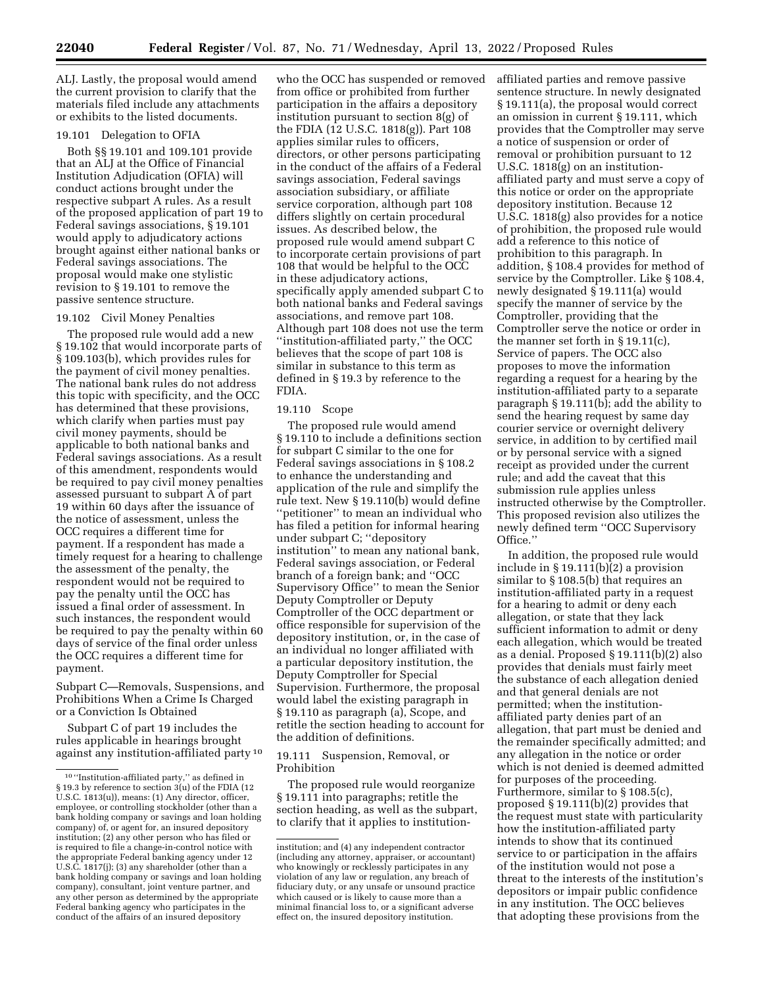ALJ. Lastly, the proposal would amend the current provision to clarify that the materials filed include any attachments or exhibits to the listed documents.

#### 19.101 Delegation to OFIA

Both §§ 19.101 and 109.101 provide that an ALJ at the Office of Financial Institution Adjudication (OFIA) will conduct actions brought under the respective subpart A rules. As a result of the proposed application of part 19 to Federal savings associations, § 19.101 would apply to adjudicatory actions brought against either national banks or Federal savings associations. The proposal would make one stylistic revision to § 19.101 to remove the passive sentence structure.

#### 19.102 Civil Money Penalties

The proposed rule would add a new § 19.102 that would incorporate parts of § 109.103(b), which provides rules for the payment of civil money penalties. The national bank rules do not address this topic with specificity, and the OCC has determined that these provisions, which clarify when parties must pay civil money payments, should be applicable to both national banks and Federal savings associations. As a result of this amendment, respondents would be required to pay civil money penalties assessed pursuant to subpart A of part 19 within 60 days after the issuance of the notice of assessment, unless the OCC requires a different time for payment. If a respondent has made a timely request for a hearing to challenge the assessment of the penalty, the respondent would not be required to pay the penalty until the OCC has issued a final order of assessment. In such instances, the respondent would be required to pay the penalty within 60 days of service of the final order unless the OCC requires a different time for payment.

Subpart C—Removals, Suspensions, and Prohibitions When a Crime Is Charged or a Conviction Is Obtained

Subpart C of part 19 includes the rules applicable in hearings brought against any institution-affiliated party 10

who the OCC has suspended or removed from office or prohibited from further participation in the affairs a depository institution pursuant to section 8(g) of the FDIA (12 U.S.C. 1818(g)). Part 108 applies similar rules to officers, directors, or other persons participating in the conduct of the affairs of a Federal savings association, Federal savings association subsidiary, or affiliate service corporation, although part 108 differs slightly on certain procedural issues. As described below, the proposed rule would amend subpart C to incorporate certain provisions of part 108 that would be helpful to the OCC in these adjudicatory actions, specifically apply amended subpart C to both national banks and Federal savings associations, and remove part 108. Although part 108 does not use the term ''institution-affiliated party,'' the OCC believes that the scope of part 108 is similar in substance to this term as defined in § 19.3 by reference to the FDIA.

#### 19.110 Scope

The proposed rule would amend § 19.110 to include a definitions section for subpart C similar to the one for Federal savings associations in § 108.2 to enhance the understanding and application of the rule and simplify the rule text. New § 19.110(b) would define 'petitioner" to mean an individual who has filed a petition for informal hearing under subpart C; ''depository institution'' to mean any national bank, Federal savings association, or Federal branch of a foreign bank; and ''OCC Supervisory Office'' to mean the Senior Deputy Comptroller or Deputy Comptroller of the OCC department or office responsible for supervision of the depository institution, or, in the case of an individual no longer affiliated with a particular depository institution, the Deputy Comptroller for Special Supervision. Furthermore, the proposal would label the existing paragraph in § 19.110 as paragraph (a), Scope, and retitle the section heading to account for the addition of definitions.

19.111 Suspension, Removal, or Prohibition

The proposed rule would reorganize § 19.111 into paragraphs; retitle the section heading, as well as the subpart, to clarify that it applies to institutionaffiliated parties and remove passive sentence structure. In newly designated § 19.111(a), the proposal would correct an omission in current § 19.111, which provides that the Comptroller may serve a notice of suspension or order of removal or prohibition pursuant to 12 U.S.C. 1818(g) on an institutionaffiliated party and must serve a copy of this notice or order on the appropriate depository institution. Because 12 U.S.C. 1818(g) also provides for a notice of prohibition, the proposed rule would add a reference to this notice of prohibition to this paragraph. In addition, § 108.4 provides for method of service by the Comptroller. Like § 108.4, newly designated § 19.111(a) would specify the manner of service by the Comptroller, providing that the Comptroller serve the notice or order in the manner set forth in § 19.11(c), Service of papers. The OCC also proposes to move the information regarding a request for a hearing by the institution-affiliated party to a separate paragraph § 19.111(b); add the ability to send the hearing request by same day courier service or overnight delivery service, in addition to by certified mail or by personal service with a signed receipt as provided under the current rule; and add the caveat that this submission rule applies unless instructed otherwise by the Comptroller. This proposed revision also utilizes the newly defined term ''OCC Supervisory Office.''

In addition, the proposed rule would include in § 19.111(b)(2) a provision similar to § 108.5(b) that requires an institution-affiliated party in a request for a hearing to admit or deny each allegation, or state that they lack sufficient information to admit or deny each allegation, which would be treated as a denial. Proposed § 19.111(b)(2) also provides that denials must fairly meet the substance of each allegation denied and that general denials are not permitted; when the institutionaffiliated party denies part of an allegation, that part must be denied and the remainder specifically admitted; and any allegation in the notice or order which is not denied is deemed admitted for purposes of the proceeding. Furthermore, similar to § 108.5(c), proposed § 19.111(b)(2) provides that the request must state with particularity how the institution-affiliated party intends to show that its continued service to or participation in the affairs of the institution would not pose a threat to the interests of the institution's depositors or impair public confidence in any institution. The OCC believes that adopting these provisions from the

 $^{\rm 10\,\prime\prime}$  Institution-affiliated party," as defined in § 19.3 by reference to section 3(u) of the FDIA (12 U.S.C. 1813(u)), means: (1) Any director, officer, employee, or controlling stockholder (other than a bank holding company or savings and loan holding company) of, or agent for, an insured depository institution; (2) any other person who has filed or is required to file a change-in-control notice with the appropriate Federal banking agency under 12 U.S.C. 1817(j); (3) any shareholder (other than a bank holding company or savings and loan holding company), consultant, joint venture partner, and any other person as determined by the appropriate Federal banking agency who participates in the conduct of the affairs of an insured depository

institution; and (4) any independent contractor (including any attorney, appraiser, or accountant) who knowingly or recklessly participates in any violation of any law or regulation, any breach of fiduciary duty, or any unsafe or unsound practice which caused or is likely to cause more than a minimal financial loss to, or a significant adverse effect on, the insured depository institution.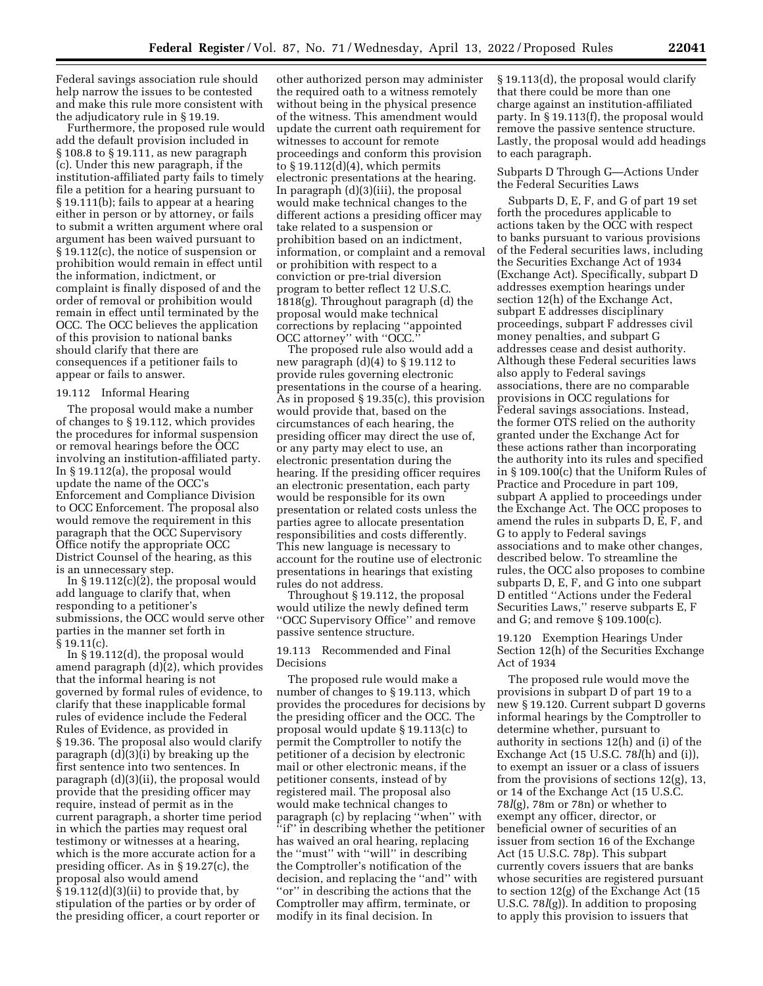Federal savings association rule should help narrow the issues to be contested and make this rule more consistent with the adjudicatory rule in § 19.19.

Furthermore, the proposed rule would add the default provision included in § 108.8 to § 19.111, as new paragraph (c). Under this new paragraph, if the institution-affiliated party fails to timely file a petition for a hearing pursuant to § 19.111(b); fails to appear at a hearing either in person or by attorney, or fails to submit a written argument where oral argument has been waived pursuant to § 19.112(c), the notice of suspension or prohibition would remain in effect until the information, indictment, or complaint is finally disposed of and the order of removal or prohibition would remain in effect until terminated by the OCC. The OCC believes the application of this provision to national banks should clarify that there are consequences if a petitioner fails to appear or fails to answer.

#### 19.112 Informal Hearing

The proposal would make a number of changes to § 19.112, which provides the procedures for informal suspension or removal hearings before the OCC involving an institution-affiliated party. In § 19.112(a), the proposal would update the name of the OCC's Enforcement and Compliance Division to OCC Enforcement. The proposal also would remove the requirement in this paragraph that the OCC Supervisory Office notify the appropriate OCC District Counsel of the hearing, as this is an unnecessary step.

In  $\S 19.112(c)(2)$ , the proposal would add language to clarify that, when responding to a petitioner's submissions, the OCC would serve other parties in the manner set forth in § 19.11(c).

In § 19.112(d), the proposal would amend paragraph (d)(2), which provides that the informal hearing is not governed by formal rules of evidence, to clarify that these inapplicable formal rules of evidence include the Federal Rules of Evidence, as provided in § 19.36. The proposal also would clarify paragraph (d)(3)(i) by breaking up the first sentence into two sentences. In paragraph (d)(3)(ii), the proposal would provide that the presiding officer may require, instead of permit as in the current paragraph, a shorter time period in which the parties may request oral testimony or witnesses at a hearing, which is the more accurate action for a presiding officer. As in § 19.27(c), the proposal also would amend  $§ 19.112(d)(3)(ii)$  to provide that, by stipulation of the parties or by order of the presiding officer, a court reporter or

other authorized person may administer the required oath to a witness remotely without being in the physical presence of the witness. This amendment would update the current oath requirement for witnesses to account for remote proceedings and conform this provision to § 19.112(d)(4), which permits electronic presentations at the hearing. In paragraph (d)(3)(iii), the proposal would make technical changes to the different actions a presiding officer may take related to a suspension or prohibition based on an indictment, information, or complaint and a removal or prohibition with respect to a conviction or pre-trial diversion program to better reflect 12 U.S.C. 1818(g). Throughout paragraph (d) the proposal would make technical corrections by replacing ''appointed OCC attorney'' with ''OCC.''

The proposed rule also would add a new paragraph (d)(4) to § 19.112 to provide rules governing electronic presentations in the course of a hearing. As in proposed § 19.35(c), this provision would provide that, based on the circumstances of each hearing, the presiding officer may direct the use of, or any party may elect to use, an electronic presentation during the hearing. If the presiding officer requires an electronic presentation, each party would be responsible for its own presentation or related costs unless the parties agree to allocate presentation responsibilities and costs differently. This new language is necessary to account for the routine use of electronic presentations in hearings that existing rules do not address.

Throughout § 19.112, the proposal would utilize the newly defined term ''OCC Supervisory Office'' and remove passive sentence structure.

#### 19.113 Recommended and Final Decisions

The proposed rule would make a number of changes to § 19.113, which provides the procedures for decisions by the presiding officer and the OCC. The proposal would update § 19.113(c) to permit the Comptroller to notify the petitioner of a decision by electronic mail or other electronic means, if the petitioner consents, instead of by registered mail. The proposal also would make technical changes to paragraph (c) by replacing ''when'' with ''if'' in describing whether the petitioner has waived an oral hearing, replacing the ''must'' with ''will'' in describing the Comptroller's notification of the decision, and replacing the ''and'' with ''or'' in describing the actions that the Comptroller may affirm, terminate, or modify in its final decision. In

§ 19.113(d), the proposal would clarify that there could be more than one charge against an institution-affiliated party. In § 19.113(f), the proposal would remove the passive sentence structure. Lastly, the proposal would add headings to each paragraph.

#### Subparts D Through G—Actions Under the Federal Securities Laws

Subparts D, E, F, and G of part 19 set forth the procedures applicable to actions taken by the OCC with respect to banks pursuant to various provisions of the Federal securities laws, including the Securities Exchange Act of 1934 (Exchange Act). Specifically, subpart D addresses exemption hearings under section 12(h) of the Exchange Act, subpart E addresses disciplinary proceedings, subpart F addresses civil money penalties, and subpart G addresses cease and desist authority. Although these Federal securities laws also apply to Federal savings associations, there are no comparable provisions in OCC regulations for Federal savings associations. Instead, the former OTS relied on the authority granted under the Exchange Act for these actions rather than incorporating the authority into its rules and specified in § 109.100(c) that the Uniform Rules of Practice and Procedure in part 109, subpart A applied to proceedings under the Exchange Act. The OCC proposes to amend the rules in subparts D, E, F, and G to apply to Federal savings associations and to make other changes, described below. To streamline the rules, the OCC also proposes to combine subparts D, E, F, and G into one subpart D entitled ''Actions under the Federal Securities Laws,'' reserve subparts E, F and G; and remove § 109.100(c).

19.120 Exemption Hearings Under Section 12(h) of the Securities Exchange Act of 1934

The proposed rule would move the provisions in subpart D of part 19 to a new § 19.120. Current subpart D governs informal hearings by the Comptroller to determine whether, pursuant to authority in sections 12(h) and (i) of the Exchange Act (15 U.S.C. 78*l*(h) and (i)), to exempt an issuer or a class of issuers from the provisions of sections 12(g), 13, or 14 of the Exchange Act (15 U.S.C. 78*l*(g), 78m or 78n) or whether to exempt any officer, director, or beneficial owner of securities of an issuer from section 16 of the Exchange Act (15 U.S.C. 78p). This subpart currently covers issuers that are banks whose securities are registered pursuant to section 12(g) of the Exchange Act (15 U.S.C. 78*l*(g)). In addition to proposing to apply this provision to issuers that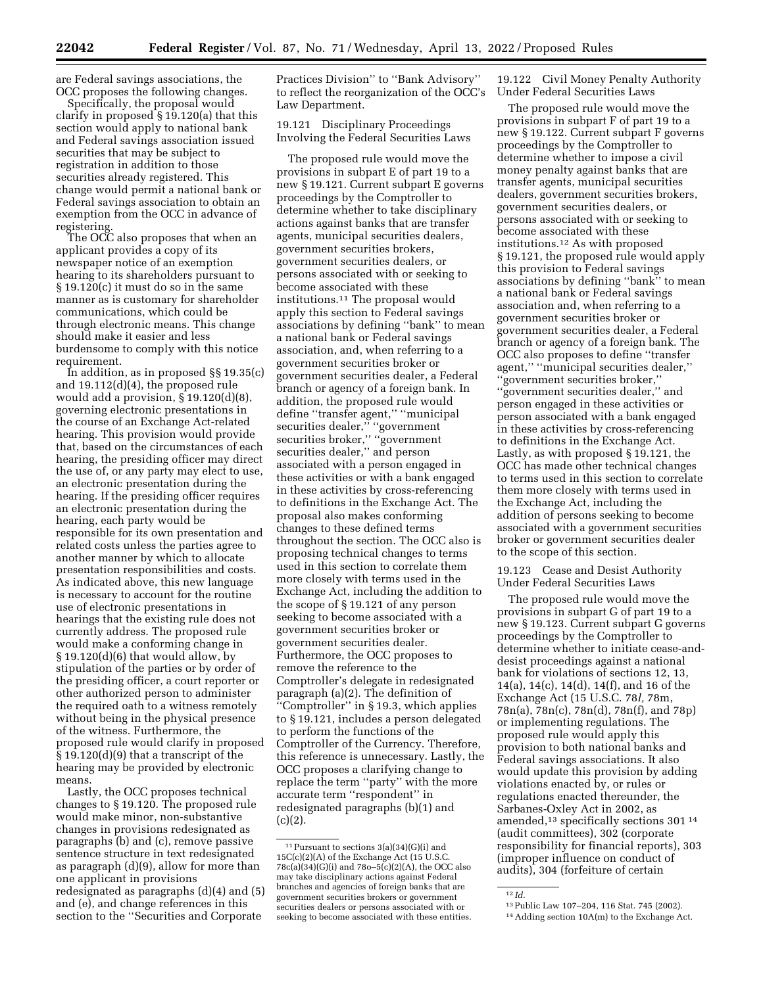are Federal savings associations, the OCC proposes the following changes.

Specifically, the proposal would clarify in proposed § 19.120(a) that this section would apply to national bank and Federal savings association issued securities that may be subject to registration in addition to those securities already registered. This change would permit a national bank or Federal savings association to obtain an exemption from the OCC in advance of registering.

The OCC also proposes that when an applicant provides a copy of its newspaper notice of an exemption hearing to its shareholders pursuant to § 19.120(c) it must do so in the same manner as is customary for shareholder communications, which could be through electronic means. This change should make it easier and less burdensome to comply with this notice requirement.

In addition, as in proposed §§ 19.35(c) and 19.112(d)(4), the proposed rule would add a provision, § 19.120(d)(8), governing electronic presentations in the course of an Exchange Act-related hearing. This provision would provide that, based on the circumstances of each hearing, the presiding officer may direct the use of, or any party may elect to use, an electronic presentation during the hearing. If the presiding officer requires an electronic presentation during the hearing, each party would be responsible for its own presentation and related costs unless the parties agree to another manner by which to allocate presentation responsibilities and costs. As indicated above, this new language is necessary to account for the routine use of electronic presentations in hearings that the existing rule does not currently address. The proposed rule would make a conforming change in  $§ 19.120(d)(6)$  that would allow, by stipulation of the parties or by order of the presiding officer, a court reporter or other authorized person to administer the required oath to a witness remotely without being in the physical presence of the witness. Furthermore, the proposed rule would clarify in proposed § 19.120(d)(9) that a transcript of the hearing may be provided by electronic means.

Lastly, the OCC proposes technical changes to § 19.120. The proposed rule would make minor, non-substantive changes in provisions redesignated as paragraphs (b) and (c), remove passive sentence structure in text redesignated as paragraph (d)(9), allow for more than one applicant in provisions redesignated as paragraphs (d)(4) and (5) and (e), and change references in this section to the ''Securities and Corporate

Practices Division'' to ''Bank Advisory'' to reflect the reorganization of the OCC's Law Department.

19.121 Disciplinary Proceedings Involving the Federal Securities Laws

The proposed rule would move the provisions in subpart E of part 19 to a new § 19.121. Current subpart E governs proceedings by the Comptroller to determine whether to take disciplinary actions against banks that are transfer agents, municipal securities dealers, government securities brokers, government securities dealers, or persons associated with or seeking to become associated with these institutions.11 The proposal would apply this section to Federal savings associations by defining ''bank'' to mean a national bank or Federal savings association, and, when referring to a government securities broker or government securities dealer, a Federal branch or agency of a foreign bank. In addition, the proposed rule would define ''transfer agent,'' ''municipal securities dealer,'' ''government securities broker,'' ''government securities dealer,'' and person associated with a person engaged in these activities or with a bank engaged in these activities by cross-referencing to definitions in the Exchange Act. The proposal also makes conforming changes to these defined terms throughout the section. The OCC also is proposing technical changes to terms used in this section to correlate them more closely with terms used in the Exchange Act, including the addition to the scope of § 19.121 of any person seeking to become associated with a government securities broker or government securities dealer. Furthermore, the OCC proposes to remove the reference to the Comptroller's delegate in redesignated paragraph (a)(2). The definition of ''Comptroller'' in § 19.3, which applies to § 19.121, includes a person delegated to perform the functions of the Comptroller of the Currency. Therefore, this reference is unnecessary. Lastly, the OCC proposes a clarifying change to replace the term ''party'' with the more accurate term ''respondent'' in redesignated paragraphs (b)(1) and  $(c)(2).$ 

19.122 Civil Money Penalty Authority Under Federal Securities Laws

The proposed rule would move the provisions in subpart F of part 19 to a new § 19.122. Current subpart F governs proceedings by the Comptroller to determine whether to impose a civil money penalty against banks that are transfer agents, municipal securities dealers, government securities brokers, government securities dealers, or persons associated with or seeking to become associated with these institutions.12 As with proposed § 19.121, the proposed rule would apply this provision to Federal savings associations by defining ''bank'' to mean a national bank or Federal savings association and, when referring to a government securities broker or government securities dealer, a Federal branch or agency of a foreign bank. The OCC also proposes to define ''transfer agent,'' ''municipal securities dealer,'' ''government securities broker,'' ''government securities dealer,'' and person engaged in these activities or person associated with a bank engaged in these activities by cross-referencing to definitions in the Exchange Act. Lastly, as with proposed § 19.121, the OCC has made other technical changes to terms used in this section to correlate them more closely with terms used in the Exchange Act, including the addition of persons seeking to become associated with a government securities broker or government securities dealer to the scope of this section.

19.123 Cease and Desist Authority Under Federal Securities Laws

The proposed rule would move the provisions in subpart G of part 19 to a new § 19.123. Current subpart G governs proceedings by the Comptroller to determine whether to initiate cease-anddesist proceedings against a national bank for violations of sections 12, 13, 14(a), 14(c), 14(d), 14(f), and 16 of the Exchange Act (15 U.S.C. 78*l,* 78m, 78n(a), 78n(c), 78n(d), 78n(f), and 78p) or implementing regulations. The proposed rule would apply this provision to both national banks and Federal savings associations. It also would update this provision by adding violations enacted by, or rules or regulations enacted thereunder, the Sarbanes-Oxley Act in 2002, as amended,13 specifically sections 301 14 (audit committees), 302 (corporate responsibility for financial reports), 303 (improper influence on conduct of audits), 304 (forfeiture of certain

 $^{11}$  Pursuant to sections 3(a)(34)(G)(i) and 15C(c)(2)(A) of the Exchange Act (15 U.S.C. 78c(a)(34)(G)(i) and 78o–5(c)(2)(A), the OCC also may take disciplinary actions against Federal branches and agencies of foreign banks that are government securities brokers or government securities dealers or persons associated with or seeking to become associated with these entities.

<sup>&</sup>lt;sup>12</sup> *Id.* **12** *Id.* **13** Public Law 107–204, 116 Stat. 745 (2002).

 $14$  Adding section  $10A(m)$  to the Exchange Act.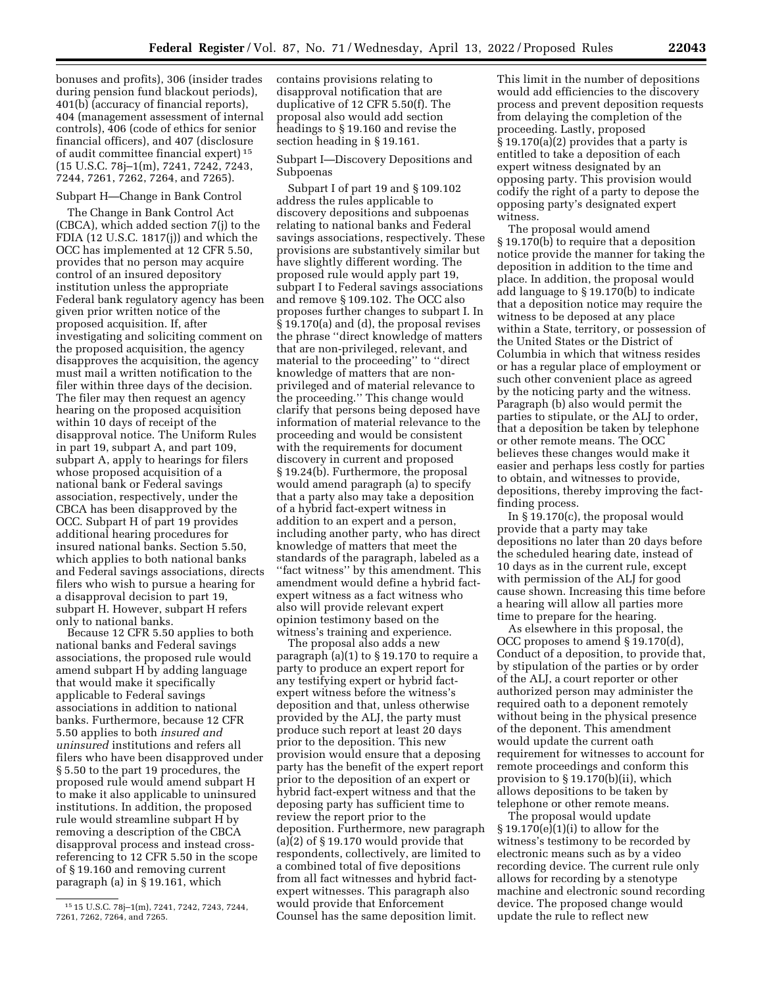bonuses and profits), 306 (insider trades during pension fund blackout periods), 401(b) (accuracy of financial reports), 404 (management assessment of internal controls), 406 (code of ethics for senior financial officers), and 407 (disclosure of audit committee financial expert) 15 (15 U.S.C. 78j–1(m), 7241, 7242, 7243, 7244, 7261, 7262, 7264, and 7265).

#### Subpart H—Change in Bank Control

The Change in Bank Control Act (CBCA), which added section 7(j) to the FDIA (12 U.S.C. 1817(j)) and which the OCC has implemented at 12 CFR 5.50, provides that no person may acquire control of an insured depository institution unless the appropriate Federal bank regulatory agency has been given prior written notice of the proposed acquisition. If, after investigating and soliciting comment on the proposed acquisition, the agency disapproves the acquisition, the agency must mail a written notification to the filer within three days of the decision. The filer may then request an agency hearing on the proposed acquisition within 10 days of receipt of the disapproval notice. The Uniform Rules in part 19, subpart A, and part 109, subpart A, apply to hearings for filers whose proposed acquisition of a national bank or Federal savings association, respectively, under the CBCA has been disapproved by the OCC. Subpart H of part 19 provides additional hearing procedures for insured national banks. Section 5.50, which applies to both national banks and Federal savings associations, directs filers who wish to pursue a hearing for a disapproval decision to part 19, subpart H. However, subpart H refers only to national banks.

Because 12 CFR 5.50 applies to both national banks and Federal savings associations, the proposed rule would amend subpart H by adding language that would make it specifically applicable to Federal savings associations in addition to national banks. Furthermore, because 12 CFR 5.50 applies to both *insured and uninsured* institutions and refers all filers who have been disapproved under § 5.50 to the part 19 procedures, the proposed rule would amend subpart H to make it also applicable to uninsured institutions. In addition, the proposed rule would streamline subpart H by removing a description of the CBCA disapproval process and instead crossreferencing to 12 CFR 5.50 in the scope of § 19.160 and removing current paragraph (a) in § 19.161, which

contains provisions relating to disapproval notification that are duplicative of 12 CFR 5.50(f). The proposal also would add section headings to § 19.160 and revise the section heading in § 19.161.

Subpart I—Discovery Depositions and Subpoenas

Subpart I of part 19 and § 109.102 address the rules applicable to discovery depositions and subpoenas relating to national banks and Federal savings associations, respectively. These provisions are substantively similar but have slightly different wording. The proposed rule would apply part 19, subpart I to Federal savings associations and remove § 109.102. The OCC also proposes further changes to subpart I. In § 19.170(a) and (d), the proposal revises the phrase ''direct knowledge of matters that are non-privileged, relevant, and material to the proceeding'' to ''direct knowledge of matters that are nonprivileged and of material relevance to the proceeding.'' This change would clarify that persons being deposed have information of material relevance to the proceeding and would be consistent with the requirements for document discovery in current and proposed § 19.24(b). Furthermore, the proposal would amend paragraph (a) to specify that a party also may take a deposition of a hybrid fact-expert witness in addition to an expert and a person, including another party, who has direct knowledge of matters that meet the standards of the paragraph, labeled as a "fact witness" by this amendment. This amendment would define a hybrid factexpert witness as a fact witness who also will provide relevant expert opinion testimony based on the witness's training and experience.

The proposal also adds a new paragraph (a)(1) to § 19.170 to require a party to produce an expert report for any testifying expert or hybrid factexpert witness before the witness's deposition and that, unless otherwise provided by the ALJ, the party must produce such report at least 20 days prior to the deposition. This new provision would ensure that a deposing party has the benefit of the expert report prior to the deposition of an expert or hybrid fact-expert witness and that the deposing party has sufficient time to review the report prior to the deposition. Furthermore, new paragraph (a)(2) of § 19.170 would provide that respondents, collectively, are limited to a combined total of five depositions from all fact witnesses and hybrid factexpert witnesses. This paragraph also would provide that Enforcement Counsel has the same deposition limit.

This limit in the number of depositions would add efficiencies to the discovery process and prevent deposition requests from delaying the completion of the proceeding. Lastly, proposed  $§ 19.170(a)(2)$  provides that a party is entitled to take a deposition of each expert witness designated by an opposing party. This provision would codify the right of a party to depose the opposing party's designated expert witness.

The proposal would amend § 19.170(b) to require that a deposition notice provide the manner for taking the deposition in addition to the time and place. In addition, the proposal would add language to § 19.170(b) to indicate that a deposition notice may require the witness to be deposed at any place within a State, territory, or possession of the United States or the District of Columbia in which that witness resides or has a regular place of employment or such other convenient place as agreed by the noticing party and the witness. Paragraph (b) also would permit the parties to stipulate, or the ALJ to order, that a deposition be taken by telephone or other remote means. The OCC believes these changes would make it easier and perhaps less costly for parties to obtain, and witnesses to provide, depositions, thereby improving the factfinding process.

In § 19.170(c), the proposal would provide that a party may take depositions no later than 20 days before the scheduled hearing date, instead of 10 days as in the current rule, except with permission of the ALJ for good cause shown. Increasing this time before a hearing will allow all parties more time to prepare for the hearing.

As elsewhere in this proposal, the OCC proposes to amend § 19.170(d), Conduct of a deposition, to provide that, by stipulation of the parties or by order of the ALJ, a court reporter or other authorized person may administer the required oath to a deponent remotely without being in the physical presence of the deponent. This amendment would update the current oath requirement for witnesses to account for remote proceedings and conform this provision to § 19.170(b)(ii), which allows depositions to be taken by telephone or other remote means.

The proposal would update § 19.170(e)(1)(i) to allow for the witness's testimony to be recorded by electronic means such as by a video recording device. The current rule only allows for recording by a stenotype machine and electronic sound recording device. The proposed change would update the rule to reflect new

<sup>15</sup> 15 U.S.C. 78j–1(m), 7241, 7242, 7243, 7244, 7261, 7262, 7264, and 7265.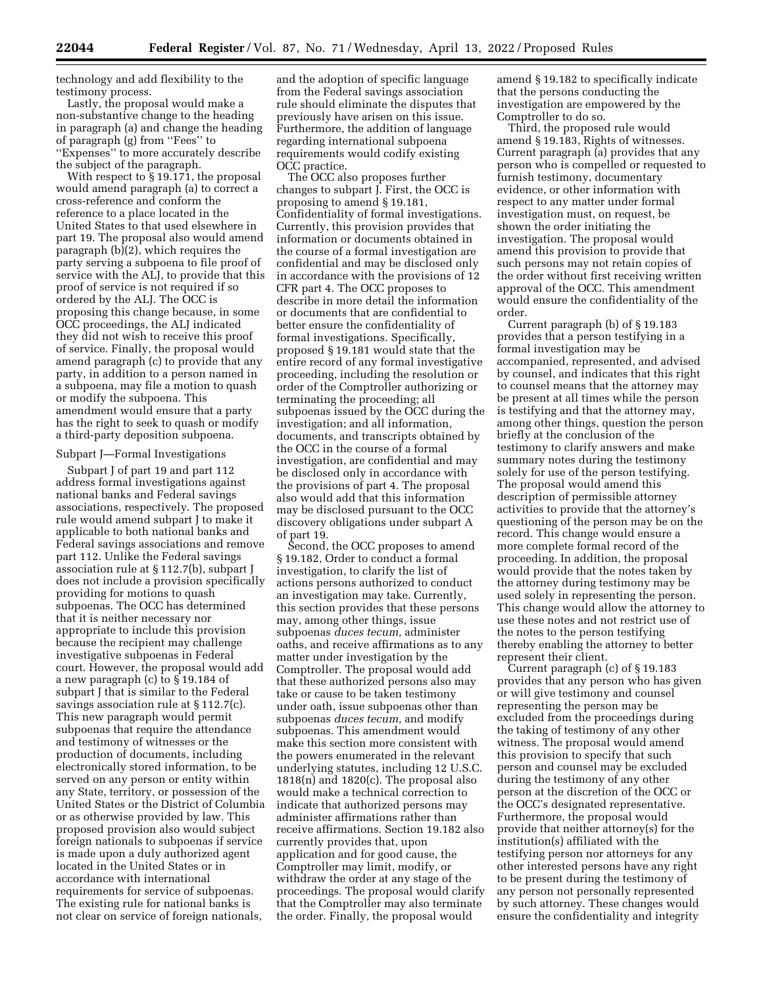technology and add flexibility to the testimony process.

Lastly, the proposal would make a non-substantive change to the heading in paragraph (a) and change the heading of paragraph (g) from ''Fees'' to ''Expenses'' to more accurately describe the subject of the paragraph.

With respect to § 19.171, the proposal would amend paragraph (a) to correct a cross-reference and conform the reference to a place located in the United States to that used elsewhere in part 19. The proposal also would amend paragraph  $(b)(2)$ , which requires the party serving a subpoena to file proof of service with the ALJ, to provide that this proof of service is not required if so ordered by the ALJ. The OCC is proposing this change because, in some OCC proceedings, the ALJ indicated they did not wish to receive this proof of service. Finally, the proposal would amend paragraph (c) to provide that any party, in addition to a person named in a subpoena, may file a motion to quash or modify the subpoena. This amendment would ensure that a party has the right to seek to quash or modify a third-party deposition subpoena.

#### Subpart J—Formal Investigations

Subpart J of part 19 and part 112 address formal investigations against national banks and Federal savings associations, respectively. The proposed rule would amend subpart J to make it applicable to both national banks and Federal savings associations and remove part 112. Unlike the Federal savings association rule at § 112.7(b), subpart J does not include a provision specifically providing for motions to quash subpoenas. The OCC has determined that it is neither necessary nor appropriate to include this provision because the recipient may challenge investigative subpoenas in Federal court. However, the proposal would add a new paragraph (c) to § 19.184 of subpart J that is similar to the Federal savings association rule at § 112.7(c). This new paragraph would permit subpoenas that require the attendance and testimony of witnesses or the production of documents, including electronically stored information, to be served on any person or entity within any State, territory, or possession of the United States or the District of Columbia or as otherwise provided by law. This proposed provision also would subject foreign nationals to subpoenas if service is made upon a duly authorized agent located in the United States or in accordance with international requirements for service of subpoenas. The existing rule for national banks is not clear on service of foreign nationals,

and the adoption of specific language from the Federal savings association rule should eliminate the disputes that previously have arisen on this issue. Furthermore, the addition of language regarding international subpoena requirements would codify existing OCC practice.

The OCC also proposes further changes to subpart J. First, the OCC is proposing to amend § 19.181, Confidentiality of formal investigations. Currently, this provision provides that information or documents obtained in the course of a formal investigation are confidential and may be disclosed only in accordance with the provisions of 12 CFR part 4. The OCC proposes to describe in more detail the information or documents that are confidential to better ensure the confidentiality of formal investigations. Specifically, proposed § 19.181 would state that the entire record of any formal investigative proceeding, including the resolution or order of the Comptroller authorizing or terminating the proceeding; all subpoenas issued by the OCC during the investigation; and all information, documents, and transcripts obtained by the OCC in the course of a formal investigation, are confidential and may be disclosed only in accordance with the provisions of part 4. The proposal also would add that this information may be disclosed pursuant to the OCC discovery obligations under subpart A of part 19.

Second, the OCC proposes to amend § 19.182, Order to conduct a formal investigation, to clarify the list of actions persons authorized to conduct an investigation may take. Currently, this section provides that these persons may, among other things, issue subpoenas *duces tecum,* administer oaths, and receive affirmations as to any matter under investigation by the Comptroller. The proposal would add that these authorized persons also may take or cause to be taken testimony under oath, issue subpoenas other than subpoenas *duces tecum,* and modify subpoenas. This amendment would make this section more consistent with the powers enumerated in the relevant underlying statutes, including 12 U.S.C. 1818(n) and 1820(c). The proposal also would make a technical correction to indicate that authorized persons may administer affirmations rather than receive affirmations. Section 19.182 also currently provides that, upon application and for good cause, the Comptroller may limit, modify, or withdraw the order at any stage of the proceedings. The proposal would clarify that the Comptroller may also terminate the order. Finally, the proposal would

amend § 19.182 to specifically indicate that the persons conducting the investigation are empowered by the Comptroller to do so.

Third, the proposed rule would amend § 19.183, Rights of witnesses. Current paragraph (a) provides that any person who is compelled or requested to furnish testimony, documentary evidence, or other information with respect to any matter under formal investigation must, on request, be shown the order initiating the investigation. The proposal would amend this provision to provide that such persons may not retain copies of the order without first receiving written approval of the OCC. This amendment would ensure the confidentiality of the order.

Current paragraph (b) of § 19.183 provides that a person testifying in a formal investigation may be accompanied, represented, and advised by counsel, and indicates that this right to counsel means that the attorney may be present at all times while the person is testifying and that the attorney may, among other things, question the person briefly at the conclusion of the testimony to clarify answers and make summary notes during the testimony solely for use of the person testifying. The proposal would amend this description of permissible attorney activities to provide that the attorney's questioning of the person may be on the record. This change would ensure a more complete formal record of the proceeding. In addition, the proposal would provide that the notes taken by the attorney during testimony may be used solely in representing the person. This change would allow the attorney to use these notes and not restrict use of the notes to the person testifying thereby enabling the attorney to better represent their client.

Current paragraph (c) of § 19.183 provides that any person who has given or will give testimony and counsel representing the person may be excluded from the proceedings during the taking of testimony of any other witness. The proposal would amend this provision to specify that such person and counsel may be excluded during the testimony of any other person at the discretion of the OCC or the OCC's designated representative. Furthermore, the proposal would provide that neither attorney(s) for the institution(s) affiliated with the testifying person nor attorneys for any other interested persons have any right to be present during the testimony of any person not personally represented by such attorney. These changes would ensure the confidentiality and integrity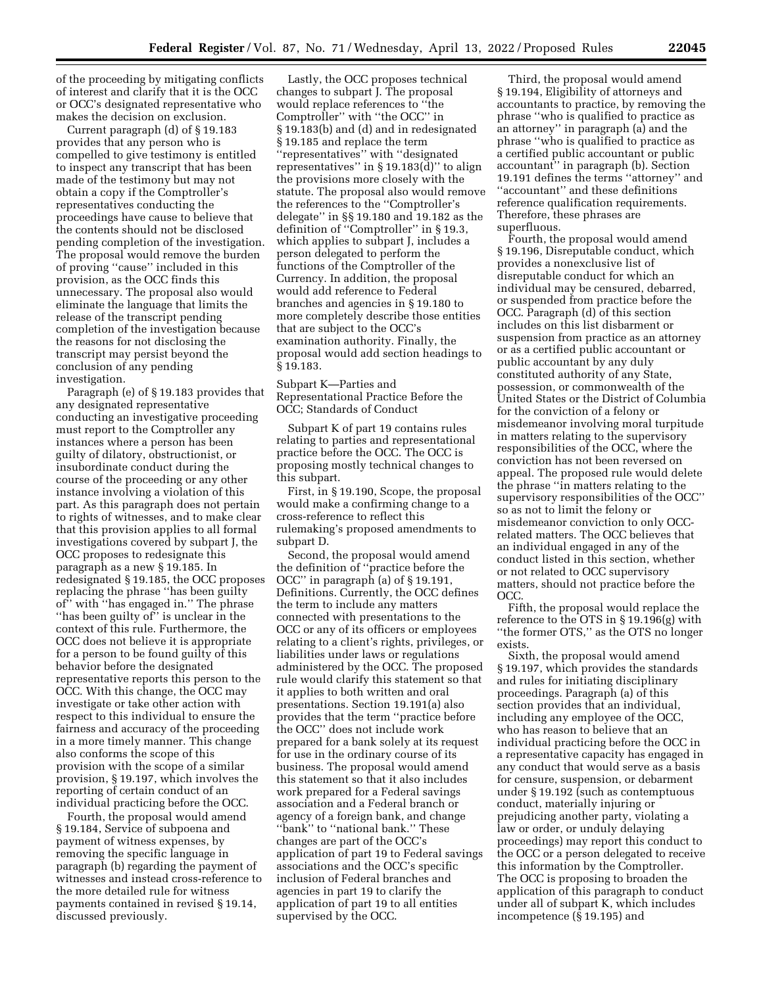of the proceeding by mitigating conflicts of interest and clarify that it is the OCC or OCC's designated representative who makes the decision on exclusion.

Current paragraph (d) of § 19.183 provides that any person who is compelled to give testimony is entitled to inspect any transcript that has been made of the testimony but may not obtain a copy if the Comptroller's representatives conducting the proceedings have cause to believe that the contents should not be disclosed pending completion of the investigation. The proposal would remove the burden of proving ''cause'' included in this provision, as the OCC finds this unnecessary. The proposal also would eliminate the language that limits the release of the transcript pending completion of the investigation because the reasons for not disclosing the transcript may persist beyond the conclusion of any pending investigation.

Paragraph (e) of § 19.183 provides that any designated representative conducting an investigative proceeding must report to the Comptroller any instances where a person has been guilty of dilatory, obstructionist, or insubordinate conduct during the course of the proceeding or any other instance involving a violation of this part. As this paragraph does not pertain to rights of witnesses, and to make clear that this provision applies to all formal investigations covered by subpart J, the OCC proposes to redesignate this paragraph as a new § 19.185. In redesignated § 19.185, the OCC proposes replacing the phrase ''has been guilty of'' with ''has engaged in.'' The phrase "has been guilty of" is unclear in the context of this rule. Furthermore, the OCC does not believe it is appropriate for a person to be found guilty of this behavior before the designated representative reports this person to the OCC. With this change, the OCC may investigate or take other action with respect to this individual to ensure the fairness and accuracy of the proceeding in a more timely manner. This change also conforms the scope of this provision with the scope of a similar provision, § 19.197, which involves the reporting of certain conduct of an individual practicing before the OCC.

Fourth, the proposal would amend § 19.184, Service of subpoena and payment of witness expenses, by removing the specific language in paragraph (b) regarding the payment of witnesses and instead cross-reference to the more detailed rule for witness payments contained in revised § 19.14, discussed previously.

Lastly, the OCC proposes technical changes to subpart J. The proposal would replace references to ''the Comptroller'' with ''the OCC'' in § 19.183(b) and (d) and in redesignated § 19.185 and replace the term ''representatives'' with ''designated representatives'' in § 19.183(d)'' to align the provisions more closely with the statute. The proposal also would remove the references to the ''Comptroller's delegate'' in §§ 19.180 and 19.182 as the definition of ''Comptroller'' in § 19.3, which applies to subpart J, includes a person delegated to perform the functions of the Comptroller of the Currency. In addition, the proposal would add reference to Federal branches and agencies in § 19.180 to more completely describe those entities that are subject to the OCC's examination authority. Finally, the proposal would add section headings to § 19.183.

Subpart K—Parties and Representational Practice Before the OCC; Standards of Conduct

Subpart K of part 19 contains rules relating to parties and representational practice before the OCC. The OCC is proposing mostly technical changes to this subpart.

First, in § 19.190, Scope, the proposal would make a confirming change to a cross-reference to reflect this rulemaking's proposed amendments to subpart D.

Second, the proposal would amend the definition of ''practice before the OCC'' in paragraph (a) of § 19.191, Definitions. Currently, the OCC defines the term to include any matters connected with presentations to the OCC or any of its officers or employees relating to a client's rights, privileges, or liabilities under laws or regulations administered by the OCC. The proposed rule would clarify this statement so that it applies to both written and oral presentations. Section 19.191(a) also provides that the term ''practice before the OCC'' does not include work prepared for a bank solely at its request for use in the ordinary course of its business. The proposal would amend this statement so that it also includes work prepared for a Federal savings association and a Federal branch or agency of a foreign bank, and change ''bank'' to ''national bank.'' These changes are part of the OCC's application of part 19 to Federal savings associations and the OCC's specific inclusion of Federal branches and agencies in part 19 to clarify the application of part 19 to all entities supervised by the OCC.

Third, the proposal would amend § 19.194, Eligibility of attorneys and accountants to practice, by removing the phrase ''who is qualified to practice as an attorney'' in paragraph (a) and the phrase ''who is qualified to practice as a certified public accountant or public accountant'' in paragraph (b). Section 19.191 defines the terms ''attorney'' and ''accountant'' and these definitions reference qualification requirements. Therefore, these phrases are superfluous.

Fourth, the proposal would amend § 19.196, Disreputable conduct, which provides a nonexclusive list of disreputable conduct for which an individual may be censured, debarred, or suspended from practice before the OCC. Paragraph (d) of this section includes on this list disbarment or suspension from practice as an attorney or as a certified public accountant or public accountant by any duly constituted authority of any State, possession, or commonwealth of the United States or the District of Columbia for the conviction of a felony or misdemeanor involving moral turpitude in matters relating to the supervisory responsibilities of the OCC, where the conviction has not been reversed on appeal. The proposed rule would delete the phrase ''in matters relating to the supervisory responsibilities of the OCC'' so as not to limit the felony or misdemeanor conviction to only OCCrelated matters. The OCC believes that an individual engaged in any of the conduct listed in this section, whether or not related to OCC supervisory matters, should not practice before the OCC.

Fifth, the proposal would replace the reference to the OTS in § 19.196(g) with ''the former OTS,'' as the OTS no longer exists.

Sixth, the proposal would amend § 19.197, which provides the standards and rules for initiating disciplinary proceedings. Paragraph (a) of this section provides that an individual, including any employee of the OCC, who has reason to believe that an individual practicing before the OCC in a representative capacity has engaged in any conduct that would serve as a basis for censure, suspension, or debarment under § 19.192 (such as contemptuous conduct, materially injuring or prejudicing another party, violating a law or order, or unduly delaying proceedings) may report this conduct to the OCC or a person delegated to receive this information by the Comptroller. The OCC is proposing to broaden the application of this paragraph to conduct under all of subpart K, which includes incompetence (§ 19.195) and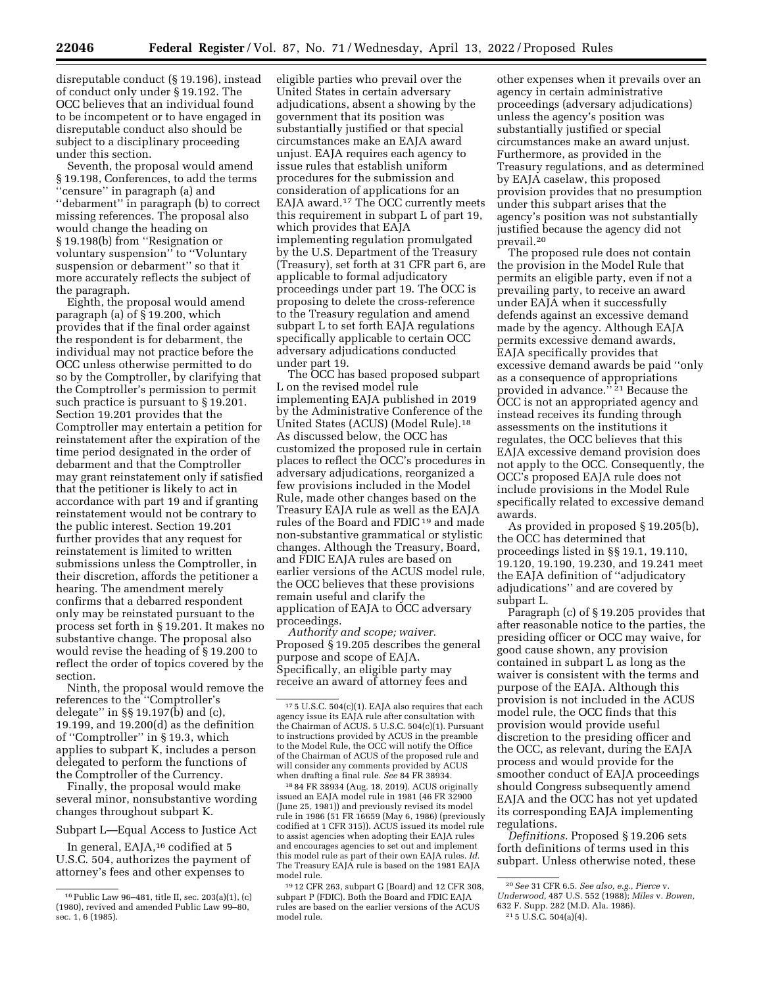disreputable conduct (§ 19.196), instead of conduct only under § 19.192. The OCC believes that an individual found to be incompetent or to have engaged in disreputable conduct also should be subject to a disciplinary proceeding under this section.

Seventh, the proposal would amend § 19.198, Conferences, to add the terms ''censure'' in paragraph (a) and ''debarment'' in paragraph (b) to correct missing references. The proposal also would change the heading on § 19.198(b) from ''Resignation or voluntary suspension'' to ''Voluntary suspension or debarment'' so that it more accurately reflects the subject of the paragraph.

Eighth, the proposal would amend paragraph (a) of § 19.200, which provides that if the final order against the respondent is for debarment, the individual may not practice before the OCC unless otherwise permitted to do so by the Comptroller, by clarifying that the Comptroller's permission to permit such practice is pursuant to § 19.201. Section 19.201 provides that the Comptroller may entertain a petition for reinstatement after the expiration of the time period designated in the order of debarment and that the Comptroller may grant reinstatement only if satisfied that the petitioner is likely to act in accordance with part 19 and if granting reinstatement would not be contrary to the public interest. Section 19.201 further provides that any request for reinstatement is limited to written submissions unless the Comptroller, in their discretion, affords the petitioner a hearing. The amendment merely confirms that a debarred respondent only may be reinstated pursuant to the process set forth in § 19.201. It makes no substantive change. The proposal also would revise the heading of § 19.200 to reflect the order of topics covered by the section.

Ninth, the proposal would remove the references to the ''Comptroller's delegate'' in §§ 19.197(b) and (c), 19.199, and 19.200(d) as the definition of ''Comptroller'' in § 19.3, which applies to subpart K, includes a person delegated to perform the functions of the Comptroller of the Currency.

Finally, the proposal would make several minor, nonsubstantive wording changes throughout subpart K.

Subpart L—Equal Access to Justice Act

In general, EAJA,<sup>16</sup> codified at 5 U.S.C. 504, authorizes the payment of attorney's fees and other expenses to

eligible parties who prevail over the United States in certain adversary adjudications, absent a showing by the government that its position was substantially justified or that special circumstances make an EAJA award unjust. EAJA requires each agency to issue rules that establish uniform procedures for the submission and consideration of applications for an EAJA award.17 The OCC currently meets this requirement in subpart L of part 19, which provides that EAJA implementing regulation promulgated by the U.S. Department of the Treasury (Treasury), set forth at 31 CFR part 6, are applicable to formal adjudicatory proceedings under part 19. The OCC is proposing to delete the cross-reference to the Treasury regulation and amend subpart L to set forth EAJA regulations specifically applicable to certain OCC adversary adjudications conducted under part 19.

The OCC has based proposed subpart L on the revised model rule implementing EAJA published in 2019 by the Administrative Conference of the United States (ACUS) (Model Rule).18 As discussed below, the OCC has customized the proposed rule in certain places to reflect the OCC's procedures in adversary adjudications, reorganized a few provisions included in the Model Rule, made other changes based on the Treasury EAJA rule as well as the EAJA rules of the Board and FDIC 19 and made non-substantive grammatical or stylistic changes. Although the Treasury, Board, and FDIC EAJA rules are based on earlier versions of the ACUS model rule, the OCC believes that these provisions remain useful and clarify the application of EAJA to OCC adversary proceedings.

*Authority and scope; waiver.*  Proposed § 19.205 describes the general purpose and scope of EAJA. Specifically, an eligible party may receive an award of attorney fees and

18 84 FR 38934 (Aug. 18, 2019). ACUS originally issued an EAJA model rule in 1981 (46 FR 32900 (June 25, 1981)) and previously revised its model rule in 1986 (51 FR 16659 (May 6, 1986) (previously codified at 1 CFR 315)). ACUS issued its model rule to assist agencies when adopting their EAJA rules and encourages agencies to set out and implement this model rule as part of their own EAJA rules. *Id.*  The Treasury EAJA rule is based on the 1981 EAJA model rule.

19 12 CFR 263, subpart G (Board) and 12 CFR 308, subpart P (FDIC). Both the Board and FDIC EAJA rules are based on the earlier versions of the ACUS model rule.

other expenses when it prevails over an agency in certain administrative proceedings (adversary adjudications) unless the agency's position was substantially justified or special circumstances make an award unjust. Furthermore, as provided in the Treasury regulations, and as determined by EAJA caselaw, this proposed provision provides that no presumption under this subpart arises that the agency's position was not substantially justified because the agency did not prevail.20

The proposed rule does not contain the provision in the Model Rule that permits an eligible party, even if not a prevailing party, to receive an award under EAJA when it successfully defends against an excessive demand made by the agency. Although EAJA permits excessive demand awards, EAJA specifically provides that excessive demand awards be paid ''only as a consequence of appropriations provided in advance.'' 21 Because the OCC is not an appropriated agency and instead receives its funding through assessments on the institutions it regulates, the OCC believes that this EAJA excessive demand provision does not apply to the OCC. Consequently, the OCC's proposed EAJA rule does not include provisions in the Model Rule specifically related to excessive demand awards.

As provided in proposed § 19.205(b), the OCC has determined that proceedings listed in §§ 19.1, 19.110, 19.120, 19.190, 19.230, and 19.241 meet the EAJA definition of ''adjudicatory adjudications'' and are covered by subpart L.

Paragraph (c) of § 19.205 provides that after reasonable notice to the parties, the presiding officer or OCC may waive, for good cause shown, any provision contained in subpart L as long as the waiver is consistent with the terms and purpose of the EAJA. Although this provision is not included in the ACUS model rule, the OCC finds that this provision would provide useful discretion to the presiding officer and the OCC, as relevant, during the EAJA process and would provide for the smoother conduct of EAJA proceedings should Congress subsequently amend EAJA and the OCC has not yet updated its corresponding EAJA implementing regulations.

*Definitions.* Proposed § 19.206 sets forth definitions of terms used in this subpart. Unless otherwise noted, these

<sup>16</sup>Public Law 96–481, title II, sec. 203(a)(1), (c) (1980), revived and amended Public Law 99–80, sec. 1, 6 (1985).

<sup>17</sup> 5 U.S.C. 504(c)(1). EAJA also requires that each agency issue its EAJA rule after consultation with the Chairman of ACUS. 5 U.S.C. 504(c)(1). Pursuant to instructions provided by ACUS in the preamble to the Model Rule, the OCC will notify the Office of the Chairman of ACUS of the proposed rule and will consider any comments provided by ACUS when drafting a final rule. *See* 84 FR 38934.

<sup>20</sup>*See* 31 CFR 6.5. *See also, e.g., Pierce* v.

*Underwood,* 487 U.S. 552 (1988); *Miles* v. *Bowen,*  632 F. Supp. 282 (M.D. Ala. 1986).

<sup>21</sup> 5 U.S.C. 504(a)(4).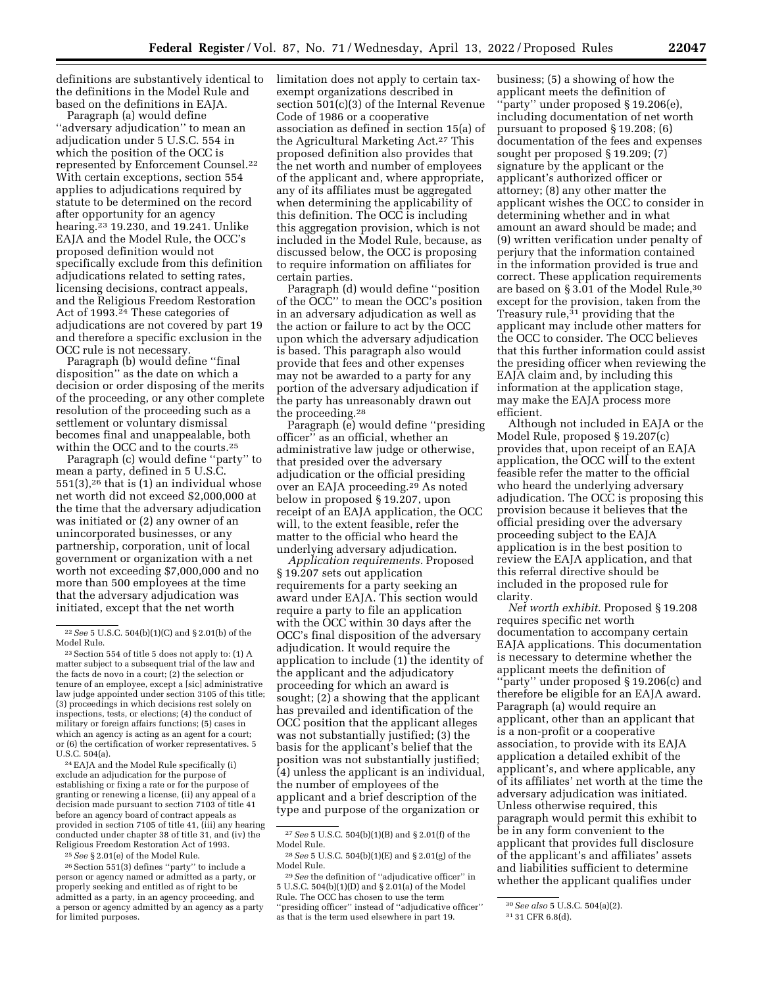definitions are substantively identical to the definitions in the Model Rule and based on the definitions in EAJA.

Paragraph (a) would define ''adversary adjudication'' to mean an adjudication under 5 U.S.C. 554 in which the position of the OCC is represented by Enforcement Counsel.22 With certain exceptions, section 554 applies to adjudications required by statute to be determined on the record after opportunity for an agency hearing.23 19.230, and 19.241. Unlike EAJA and the Model Rule, the OCC's proposed definition would not specifically exclude from this definition adjudications related to setting rates, licensing decisions, contract appeals, and the Religious Freedom Restoration Act of 1993.<sup>24</sup> These categories of adjudications are not covered by part 19 and therefore a specific exclusion in the OCC rule is not necessary.

Paragraph (b) would define ''final disposition'' as the date on which a decision or order disposing of the merits of the proceeding, or any other complete resolution of the proceeding such as a settlement or voluntary dismissal becomes final and unappealable, both within the OCC and to the courts.25

Paragraph (c) would define ''party'' to mean a party, defined in 5 U.S.C.  $551(3)$ ,<sup>26</sup> that is (1) an individual whose net worth did not exceed \$2,000,000 at the time that the adversary adjudication was initiated or (2) any owner of an unincorporated businesses, or any partnership, corporation, unit of local government or organization with a net worth not exceeding \$7,000,000 and no more than 500 employees at the time that the adversary adjudication was initiated, except that the net worth

24EAJA and the Model Rule specifically (i) exclude an adjudication for the purpose of establishing or fixing a rate or for the purpose of granting or renewing a license, (ii) any appeal of a decision made pursuant to section 7103 of title 41 before an agency board of contract appeals as provided in section 7105 of title 41, (iii) any hearing conducted under chapter 38 of title 31, and (iv) the Religious Freedom Restoration Act of 1993.

 $^{26}\rm{Section}$  551(3) defines ''party'' to include a person or agency named or admitted as a party, or properly seeking and entitled as of right to be admitted as a party, in an agency proceeding, and a person or agency admitted by an agency as a party for limited purposes.

limitation does not apply to certain taxexempt organizations described in section 501(c)(3) of the Internal Revenue Code of 1986 or a cooperative association as defined in section 15(a) of the Agricultural Marketing Act.27 This proposed definition also provides that the net worth and number of employees of the applicant and, where appropriate, any of its affiliates must be aggregated when determining the applicability of this definition. The OCC is including this aggregation provision, which is not included in the Model Rule, because, as discussed below, the OCC is proposing to require information on affiliates for certain parties.

Paragraph (d) would define ''position of the OCC'' to mean the OCC's position in an adversary adjudication as well as the action or failure to act by the OCC upon which the adversary adjudication is based. This paragraph also would provide that fees and other expenses may not be awarded to a party for any portion of the adversary adjudication if the party has unreasonably drawn out the proceeding.28

Paragraph (e) would define "presiding officer'' as an official, whether an administrative law judge or otherwise, that presided over the adversary adjudication or the official presiding over an EAJA proceeding.29 As noted below in proposed § 19.207, upon receipt of an EAJA application, the OCC will, to the extent feasible, refer the matter to the official who heard the underlying adversary adjudication.

*Application requirements.* Proposed § 19.207 sets out application requirements for a party seeking an award under EAJA. This section would require a party to file an application with the OCC within 30 days after the OCC's final disposition of the adversary adjudication. It would require the application to include (1) the identity of the applicant and the adjudicatory proceeding for which an award is sought; (2) a showing that the applicant has prevailed and identification of the OCC position that the applicant alleges was not substantially justified; (3) the basis for the applicant's belief that the position was not substantially justified; (4) unless the applicant is an individual, the number of employees of the applicant and a brief description of the type and purpose of the organization or

29*See* the definition of ''adjudicative officer'' in 5 U.S.C. 504(b)(1)(D) and § 2.01(a) of the Model Rule. The OCC has chosen to use the term ''presiding officer'' instead of ''adjudicative officer'' as that is the term used elsewhere in part 19.

business; (5) a showing of how the applicant meets the definition of ''party'' under proposed § 19.206(e), including documentation of net worth pursuant to proposed § 19.208; (6) documentation of the fees and expenses sought per proposed § 19.209; (7) signature by the applicant or the applicant's authorized officer or attorney; (8) any other matter the applicant wishes the OCC to consider in determining whether and in what amount an award should be made; and (9) written verification under penalty of perjury that the information contained in the information provided is true and correct. These application requirements are based on § 3.01 of the Model Rule,30 except for the provision, taken from the Treasury rule, $31$  providing that the applicant may include other matters for the OCC to consider. The OCC believes that this further information could assist the presiding officer when reviewing the EAJA claim and, by including this information at the application stage, may make the EAJA process more efficient.

Although not included in EAJA or the Model Rule, proposed § 19.207(c) provides that, upon receipt of an EAJA application, the OCC will to the extent feasible refer the matter to the official who heard the underlying adversary adjudication. The OCC is proposing this provision because it believes that the official presiding over the adversary proceeding subject to the EAJA application is in the best position to review the EAJA application, and that this referral directive should be included in the proposed rule for clarity.

*Net worth exhibit.* Proposed § 19.208 requires specific net worth documentation to accompany certain EAJA applications. This documentation is necessary to determine whether the applicant meets the definition of ''party'' under proposed § 19.206(c) and therefore be eligible for an EAJA award. Paragraph (a) would require an applicant, other than an applicant that is a non-profit or a cooperative association, to provide with its EAJA application a detailed exhibit of the applicant's, and where applicable, any of its affiliates' net worth at the time the adversary adjudication was initiated. Unless otherwise required, this paragraph would permit this exhibit to be in any form convenient to the applicant that provides full disclosure of the applicant's and affiliates' assets and liabilities sufficient to determine whether the applicant qualifies under

<sup>22</sup>*See* 5 U.S.C. 504(b)(1)(C) and § 2.01(b) of the Model Rule.

<sup>23</sup>Section 554 of title 5 does not apply to: (1) A matter subject to a subsequent trial of the law and the facts de novo in a court; (2) the selection or tenure of an employee, except a [sic] administrative law judge appointed under section 3105 of this title; (3) proceedings in which decisions rest solely on inspections, tests, or elections; (4) the conduct of military or foreign affairs functions; (5) cases in which an agency is acting as an agent for a court; or (6) the certification of worker representatives. 5 U.S.C. 504(a).

<sup>25</sup>*See* § 2.01(e) of the Model Rule.

<sup>27</sup>*See* 5 U.S.C. 504(b)(1)(B) and § 2.01(f) of the Model Rule.

<sup>28</sup>*See* 5 U.S.C. 504(b)(1)(E) and § 2.01(g) of the Model Rule.

<sup>30</sup>*See also* 5 U.S.C. 504(a)(2).

<sup>31</sup> 31 CFR 6.8(d).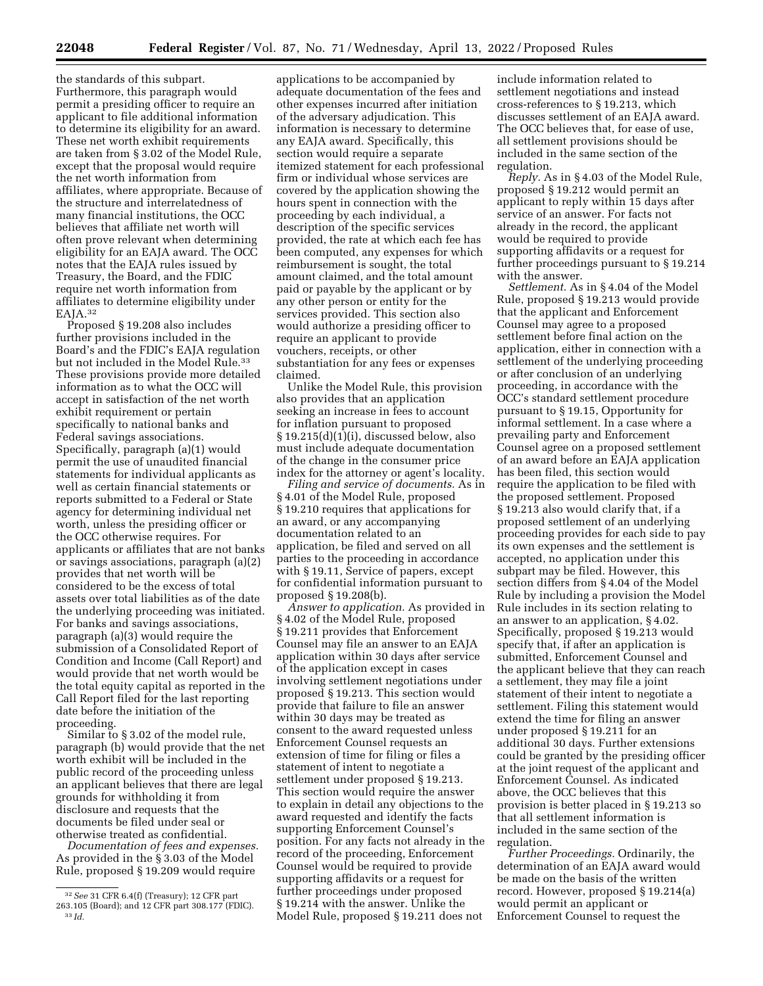the standards of this subpart. Furthermore, this paragraph would permit a presiding officer to require an applicant to file additional information to determine its eligibility for an award. These net worth exhibit requirements are taken from § 3.02 of the Model Rule, except that the proposal would require the net worth information from affiliates, where appropriate. Because of the structure and interrelatedness of many financial institutions, the OCC believes that affiliate net worth will often prove relevant when determining eligibility for an EAJA award. The OCC notes that the EAJA rules issued by Treasury, the Board, and the FDIC require net worth information from affiliates to determine eligibility under

EAJA.32 Proposed § 19.208 also includes further provisions included in the Board's and the FDIC's EAJA regulation but not included in the Model Rule.<sup>33</sup> These provisions provide more detailed information as to what the OCC will accept in satisfaction of the net worth exhibit requirement or pertain specifically to national banks and Federal savings associations. Specifically, paragraph (a)(1) would permit the use of unaudited financial statements for individual applicants as well as certain financial statements or reports submitted to a Federal or State agency for determining individual net worth, unless the presiding officer or the OCC otherwise requires. For applicants or affiliates that are not banks or savings associations, paragraph (a)(2) provides that net worth will be considered to be the excess of total assets over total liabilities as of the date the underlying proceeding was initiated. For banks and savings associations, paragraph (a)(3) would require the submission of a Consolidated Report of Condition and Income (Call Report) and would provide that net worth would be the total equity capital as reported in the Call Report filed for the last reporting date before the initiation of the proceeding.

Similar to § 3.02 of the model rule, paragraph (b) would provide that the net worth exhibit will be included in the public record of the proceeding unless an applicant believes that there are legal grounds for withholding it from disclosure and requests that the documents be filed under seal or otherwise treated as confidential.

*Documentation of fees and expenses.*  As provided in the § 3.03 of the Model Rule, proposed § 19.209 would require

applications to be accompanied by adequate documentation of the fees and other expenses incurred after initiation of the adversary adjudication. This information is necessary to determine any EAJA award. Specifically, this section would require a separate itemized statement for each professional firm or individual whose services are covered by the application showing the hours spent in connection with the proceeding by each individual, a description of the specific services provided, the rate at which each fee has been computed, any expenses for which reimbursement is sought, the total amount claimed, and the total amount paid or payable by the applicant or by any other person or entity for the services provided. This section also would authorize a presiding officer to require an applicant to provide vouchers, receipts, or other substantiation for any fees or expenses claimed.

Unlike the Model Rule, this provision also provides that an application seeking an increase in fees to account for inflation pursuant to proposed § 19.215(d)(1)(i), discussed below, also must include adequate documentation of the change in the consumer price index for the attorney or agent's locality.

*Filing and service of documents.* As in § 4.01 of the Model Rule, proposed § 19.210 requires that applications for an award, or any accompanying documentation related to an application, be filed and served on all parties to the proceeding in accordance with § 19.11, Service of papers, except for confidential information pursuant to proposed § 19.208(b).

*Answer to application.* As provided in § 4.02 of the Model Rule, proposed § 19.211 provides that Enforcement Counsel may file an answer to an EAJA application within 30 days after service of the application except in cases involving settlement negotiations under proposed § 19.213. This section would provide that failure to file an answer within 30 days may be treated as consent to the award requested unless Enforcement Counsel requests an extension of time for filing or files a statement of intent to negotiate a settlement under proposed § 19.213. This section would require the answer to explain in detail any objections to the award requested and identify the facts supporting Enforcement Counsel's position. For any facts not already in the record of the proceeding, Enforcement Counsel would be required to provide supporting affidavits or a request for further proceedings under proposed § 19.214 with the answer. Unlike the Model Rule, proposed § 19.211 does not

include information related to settlement negotiations and instead cross-references to § 19.213, which discusses settlement of an EAJA award. The OCC believes that, for ease of use, all settlement provisions should be included in the same section of the regulation.

*Reply.* As in § 4.03 of the Model Rule, proposed § 19.212 would permit an applicant to reply within 15 days after service of an answer. For facts not already in the record, the applicant would be required to provide supporting affidavits or a request for further proceedings pursuant to § 19.214 with the answer.

*Settlement.* As in § 4.04 of the Model Rule, proposed § 19.213 would provide that the applicant and Enforcement Counsel may agree to a proposed settlement before final action on the application, either in connection with a settlement of the underlying proceeding or after conclusion of an underlying proceeding, in accordance with the OCC's standard settlement procedure pursuant to § 19.15, Opportunity for informal settlement. In a case where a prevailing party and Enforcement Counsel agree on a proposed settlement of an award before an EAJA application has been filed, this section would require the application to be filed with the proposed settlement. Proposed § 19.213 also would clarify that, if a proposed settlement of an underlying proceeding provides for each side to pay its own expenses and the settlement is accepted, no application under this subpart may be filed. However, this section differs from § 4.04 of the Model Rule by including a provision the Model Rule includes in its section relating to an answer to an application, § 4.02. Specifically, proposed § 19.213 would specify that, if after an application is submitted, Enforcement Counsel and the applicant believe that they can reach a settlement, they may file a joint statement of their intent to negotiate a settlement. Filing this statement would extend the time for filing an answer under proposed § 19.211 for an additional 30 days. Further extensions could be granted by the presiding officer at the joint request of the applicant and Enforcement Counsel. As indicated above, the OCC believes that this provision is better placed in § 19.213 so that all settlement information is included in the same section of the regulation.

*Further Proceedings.* Ordinarily, the determination of an EAJA award would be made on the basis of the written record. However, proposed § 19.214(a) would permit an applicant or Enforcement Counsel to request the

<sup>32</sup>*See* 31 CFR 6.4(f) (Treasury); 12 CFR part 263.105 (Board); and 12 CFR part 308.177 (FDIC). 33 *Id.*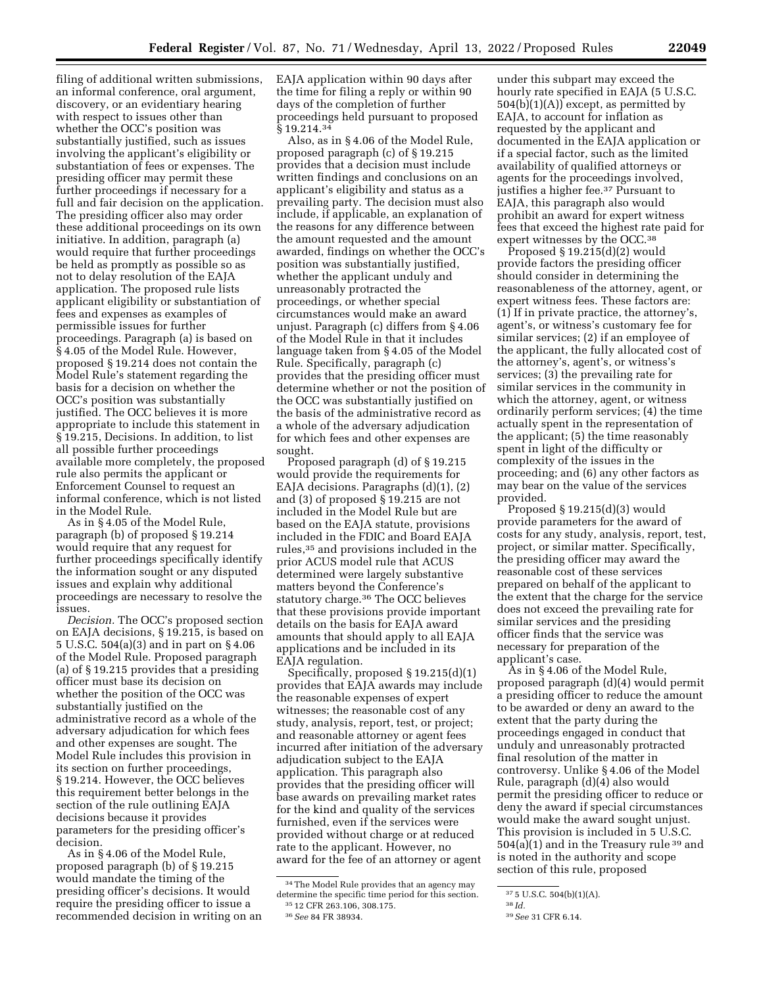filing of additional written submissions, an informal conference, oral argument, discovery, or an evidentiary hearing with respect to issues other than whether the OCC's position was substantially justified, such as issues involving the applicant's eligibility or substantiation of fees or expenses. The presiding officer may permit these further proceedings if necessary for a full and fair decision on the application. The presiding officer also may order these additional proceedings on its own initiative. In addition, paragraph (a) would require that further proceedings be held as promptly as possible so as not to delay resolution of the EAJA application. The proposed rule lists applicant eligibility or substantiation of fees and expenses as examples of permissible issues for further proceedings. Paragraph (a) is based on § 4.05 of the Model Rule. However, proposed § 19.214 does not contain the Model Rule's statement regarding the basis for a decision on whether the OCC's position was substantially justified. The OCC believes it is more appropriate to include this statement in § 19.215, Decisions. In addition, to list all possible further proceedings available more completely, the proposed rule also permits the applicant or Enforcement Counsel to request an informal conference, which is not listed in the Model Rule.

As in § 4.05 of the Model Rule, paragraph (b) of proposed § 19.214 would require that any request for further proceedings specifically identify the information sought or any disputed issues and explain why additional proceedings are necessary to resolve the issues.

*Decision.* The OCC's proposed section on EAJA decisions, § 19.215, is based on 5 U.S.C. 504(a)(3) and in part on § 4.06 of the Model Rule. Proposed paragraph (a) of § 19.215 provides that a presiding officer must base its decision on whether the position of the OCC was substantially justified on the administrative record as a whole of the adversary adjudication for which fees and other expenses are sought. The Model Rule includes this provision in its section on further proceedings, § 19.214. However, the OCC believes this requirement better belongs in the section of the rule outlining EAJA decisions because it provides parameters for the presiding officer's decision.

As in § 4.06 of the Model Rule, proposed paragraph (b) of § 19.215 would mandate the timing of the presiding officer's decisions. It would require the presiding officer to issue a recommended decision in writing on an EAJA application within 90 days after the time for filing a reply or within 90 days of the completion of further proceedings held pursuant to proposed  $§ 19.214.<sup>34</sup>$ 

Also, as in § 4.06 of the Model Rule, proposed paragraph (c) of § 19.215 provides that a decision must include written findings and conclusions on an applicant's eligibility and status as a prevailing party. The decision must also include, if applicable, an explanation of the reasons for any difference between the amount requested and the amount awarded, findings on whether the OCC's position was substantially justified, whether the applicant unduly and unreasonably protracted the proceedings, or whether special circumstances would make an award unjust. Paragraph (c) differs from § 4.06 of the Model Rule in that it includes language taken from § 4.05 of the Model Rule. Specifically, paragraph (c) provides that the presiding officer must determine whether or not the position of the OCC was substantially justified on the basis of the administrative record as a whole of the adversary adjudication for which fees and other expenses are sought.

Proposed paragraph (d) of § 19.215 would provide the requirements for EAJA decisions. Paragraphs (d)(1), (2) and (3) of proposed § 19.215 are not included in the Model Rule but are based on the EAJA statute, provisions included in the FDIC and Board EAJA rules,35 and provisions included in the prior ACUS model rule that ACUS determined were largely substantive matters beyond the Conference's statutory charge.36 The OCC believes that these provisions provide important details on the basis for EAJA award amounts that should apply to all EAJA applications and be included in its EAJA regulation.

Specifically, proposed § 19.215(d)(1) provides that EAJA awards may include the reasonable expenses of expert witnesses; the reasonable cost of any study, analysis, report, test, or project; and reasonable attorney or agent fees incurred after initiation of the adversary adjudication subject to the EAJA application. This paragraph also provides that the presiding officer will base awards on prevailing market rates for the kind and quality of the services furnished, even if the services were provided without charge or at reduced rate to the applicant. However, no award for the fee of an attorney or agent

under this subpart may exceed the hourly rate specified in EAJA (5 U.S.C.  $504(b)(1)(A)$  except, as permitted by EAJA, to account for inflation as requested by the applicant and documented in the EAJA application or if a special factor, such as the limited availability of qualified attorneys or agents for the proceedings involved, justifies a higher fee.37 Pursuant to EAJA, this paragraph also would prohibit an award for expert witness fees that exceed the highest rate paid for expert witnesses by the OCC.38

Proposed § 19.215(d)(2) would provide factors the presiding officer should consider in determining the reasonableness of the attorney, agent, or expert witness fees. These factors are: (1) If in private practice, the attorney's, agent's, or witness's customary fee for similar services; (2) if an employee of the applicant, the fully allocated cost of the attorney's, agent's, or witness's services; (3) the prevailing rate for similar services in the community in which the attorney, agent, or witness ordinarily perform services; (4) the time actually spent in the representation of the applicant; (5) the time reasonably spent in light of the difficulty or complexity of the issues in the proceeding; and (6) any other factors as may bear on the value of the services provided.

Proposed § 19.215(d)(3) would provide parameters for the award of costs for any study, analysis, report, test, project, or similar matter. Specifically, the presiding officer may award the reasonable cost of these services prepared on behalf of the applicant to the extent that the charge for the service does not exceed the prevailing rate for similar services and the presiding officer finds that the service was necessary for preparation of the applicant's case.

As in § 4.06 of the Model Rule, proposed paragraph (d)(4) would permit a presiding officer to reduce the amount to be awarded or deny an award to the extent that the party during the proceedings engaged in conduct that unduly and unreasonably protracted final resolution of the matter in controversy. Unlike § 4.06 of the Model Rule, paragraph (d)(4) also would permit the presiding officer to reduce or deny the award if special circumstances would make the award sought unjust. This provision is included in 5 U.S.C. 504(a)(1) and in the Treasury rule 39 and is noted in the authority and scope section of this rule, proposed

<sup>34</sup>The Model Rule provides that an agency may determine the specific time period for this section. 35 12 CFR 263.106, 308.175.

<sup>36</sup>*See* 84 FR 38934.

<sup>37</sup> 5 U.S.C. 504(b)(1)(A).

<sup>38</sup> *Id.* 

<sup>39</sup>*See* 31 CFR 6.14.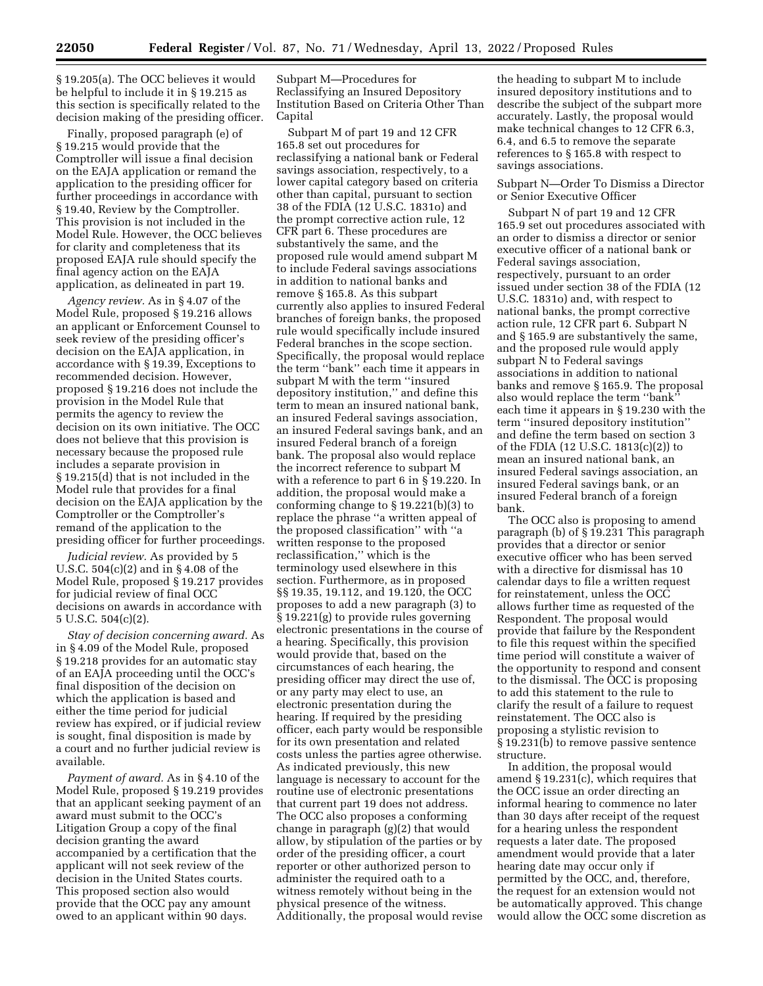§ 19.205(a). The OCC believes it would be helpful to include it in § 19.215 as this section is specifically related to the decision making of the presiding officer.

Finally, proposed paragraph (e) of § 19.215 would provide that the Comptroller will issue a final decision on the EAJA application or remand the application to the presiding officer for further proceedings in accordance with § 19.40, Review by the Comptroller. This provision is not included in the Model Rule. However, the OCC believes for clarity and completeness that its proposed EAJA rule should specify the final agency action on the EAJA application, as delineated in part 19.

*Agency review.* As in § 4.07 of the Model Rule, proposed § 19.216 allows an applicant or Enforcement Counsel to seek review of the presiding officer's decision on the EAJA application, in accordance with § 19.39, Exceptions to recommended decision. However, proposed § 19.216 does not include the provision in the Model Rule that permits the agency to review the decision on its own initiative. The OCC does not believe that this provision is necessary because the proposed rule includes a separate provision in § 19.215(d) that is not included in the Model rule that provides for a final decision on the EAJA application by the Comptroller or the Comptroller's remand of the application to the presiding officer for further proceedings.

*Judicial review.* As provided by 5 U.S.C. 504(c)(2) and in § 4.08 of the Model Rule, proposed § 19.217 provides for judicial review of final OCC decisions on awards in accordance with 5 U.S.C. 504(c)(2).

*Stay of decision concerning award.* As in § 4.09 of the Model Rule, proposed § 19.218 provides for an automatic stay of an EAJA proceeding until the OCC's final disposition of the decision on which the application is based and either the time period for judicial review has expired, or if judicial review is sought, final disposition is made by a court and no further judicial review is available.

*Payment of award.* As in § 4.10 of the Model Rule, proposed § 19.219 provides that an applicant seeking payment of an award must submit to the OCC's Litigation Group a copy of the final decision granting the award accompanied by a certification that the applicant will not seek review of the decision in the United States courts. This proposed section also would provide that the OCC pay any amount owed to an applicant within 90 days.

Subpart M—Procedures for Reclassifying an Insured Depository Institution Based on Criteria Other Than Capital

Subpart M of part 19 and 12 CFR 165.8 set out procedures for reclassifying a national bank or Federal savings association, respectively, to a lower capital category based on criteria other than capital, pursuant to section 38 of the FDIA (12 U.S.C. 1831o) and the prompt corrective action rule, 12 CFR part 6. These procedures are substantively the same, and the proposed rule would amend subpart M to include Federal savings associations in addition to national banks and remove § 165.8. As this subpart currently also applies to insured Federal branches of foreign banks, the proposed rule would specifically include insured Federal branches in the scope section. Specifically, the proposal would replace the term ''bank'' each time it appears in subpart M with the term ''insured depository institution,'' and define this term to mean an insured national bank, an insured Federal savings association, an insured Federal savings bank, and an insured Federal branch of a foreign bank. The proposal also would replace the incorrect reference to subpart M with a reference to part 6 in § 19.220. In addition, the proposal would make a conforming change to § 19.221(b)(3) to replace the phrase ''a written appeal of the proposed classification'' with ''a written response to the proposed reclassification,'' which is the terminology used elsewhere in this section. Furthermore, as in proposed §§ 19.35, 19.112, and 19.120, the OCC proposes to add a new paragraph (3) to § 19.221(g) to provide rules governing electronic presentations in the course of a hearing. Specifically, this provision would provide that, based on the circumstances of each hearing, the presiding officer may direct the use of, or any party may elect to use, an electronic presentation during the hearing. If required by the presiding officer, each party would be responsible for its own presentation and related costs unless the parties agree otherwise. As indicated previously, this new language is necessary to account for the routine use of electronic presentations that current part 19 does not address. The OCC also proposes a conforming change in paragraph (g)(2) that would allow, by stipulation of the parties or by order of the presiding officer, a court reporter or other authorized person to administer the required oath to a witness remotely without being in the physical presence of the witness. Additionally, the proposal would revise

the heading to subpart M to include insured depository institutions and to describe the subject of the subpart more accurately. Lastly, the proposal would make technical changes to 12 CFR 6.3, 6.4, and 6.5 to remove the separate references to § 165.8 with respect to savings associations.

#### Subpart N—Order To Dismiss a Director or Senior Executive Officer

Subpart N of part 19 and 12 CFR 165.9 set out procedures associated with an order to dismiss a director or senior executive officer of a national bank or Federal savings association, respectively, pursuant to an order issued under section 38 of the FDIA (12 U.S.C. 1831o) and, with respect to national banks, the prompt corrective action rule, 12 CFR part 6. Subpart N and § 165.9 are substantively the same, and the proposed rule would apply subpart N to Federal savings associations in addition to national banks and remove § 165.9. The proposal also would replace the term ''bank'' each time it appears in § 19.230 with the term ''insured depository institution'' and define the term based on section 3 of the FDIA (12 U.S.C. 1813(c)(2)) to mean an insured national bank, an insured Federal savings association, an insured Federal savings bank, or an insured Federal branch of a foreign bank.

The OCC also is proposing to amend paragraph (b) of § 19.231 This paragraph provides that a director or senior executive officer who has been served with a directive for dismissal has 10 calendar days to file a written request for reinstatement, unless the OCC allows further time as requested of the Respondent. The proposal would provide that failure by the Respondent to file this request within the specified time period will constitute a waiver of the opportunity to respond and consent to the dismissal. The OCC is proposing to add this statement to the rule to clarify the result of a failure to request reinstatement. The OCC also is proposing a stylistic revision to § 19.231(b) to remove passive sentence structure.

In addition, the proposal would amend § 19.231(c), which requires that the OCC issue an order directing an informal hearing to commence no later than 30 days after receipt of the request for a hearing unless the respondent requests a later date. The proposed amendment would provide that a later hearing date may occur only if permitted by the OCC, and, therefore, the request for an extension would not be automatically approved. This change would allow the OCC some discretion as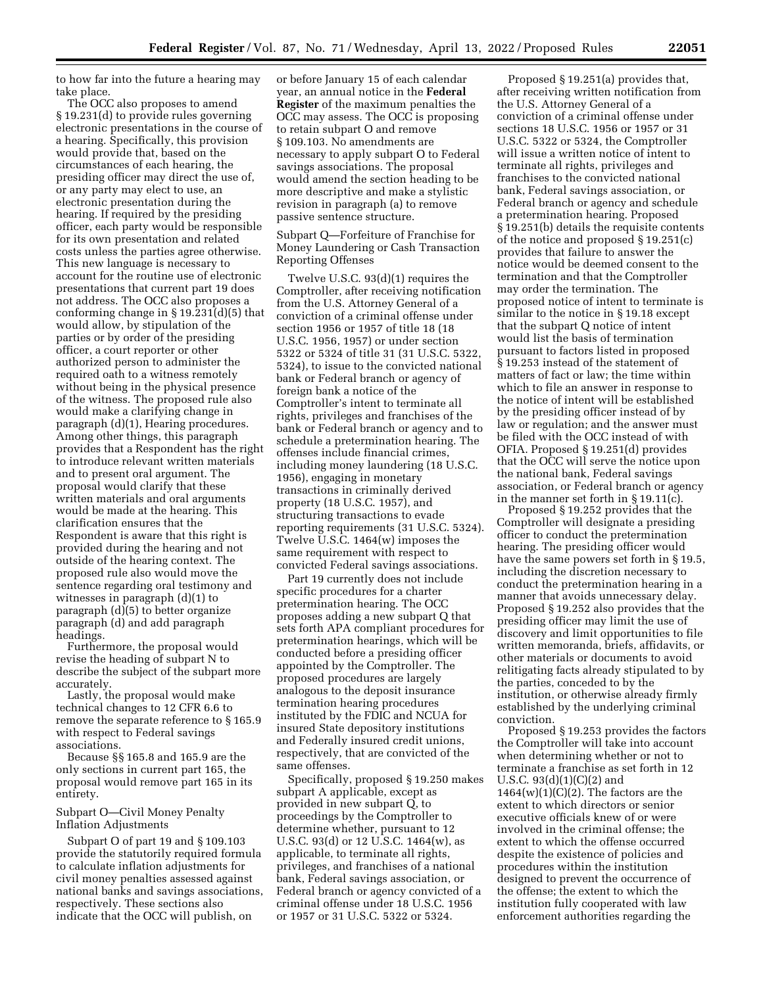to how far into the future a hearing may take place.

The OCC also proposes to amend § 19.231(d) to provide rules governing electronic presentations in the course of a hearing. Specifically, this provision would provide that, based on the circumstances of each hearing, the presiding officer may direct the use of, or any party may elect to use, an electronic presentation during the hearing. If required by the presiding officer, each party would be responsible for its own presentation and related costs unless the parties agree otherwise. This new language is necessary to account for the routine use of electronic presentations that current part 19 does not address. The OCC also proposes a conforming change in § 19.231(d)(5) that would allow, by stipulation of the parties or by order of the presiding officer, a court reporter or other authorized person to administer the required oath to a witness remotely without being in the physical presence of the witness. The proposed rule also would make a clarifying change in paragraph (d)(1), Hearing procedures. Among other things, this paragraph provides that a Respondent has the right to introduce relevant written materials and to present oral argument. The proposal would clarify that these written materials and oral arguments would be made at the hearing. This clarification ensures that the Respondent is aware that this right is provided during the hearing and not outside of the hearing context. The proposed rule also would move the sentence regarding oral testimony and witnesses in paragraph (d)(1) to paragraph (d)(5) to better organize paragraph (d) and add paragraph headings.

Furthermore, the proposal would revise the heading of subpart N to describe the subject of the subpart more accurately.

Lastly, the proposal would make technical changes to 12 CFR 6.6 to remove the separate reference to § 165.9 with respect to Federal savings associations.

Because §§ 165.8 and 165.9 are the only sections in current part 165, the proposal would remove part 165 in its entirety.

Subpart O—Civil Money Penalty Inflation Adjustments

Subpart O of part 19 and § 109.103 provide the statutorily required formula to calculate inflation adjustments for civil money penalties assessed against national banks and savings associations, respectively. These sections also indicate that the OCC will publish, on

or before January 15 of each calendar year, an annual notice in the **Federal Register** of the maximum penalties the OCC may assess. The OCC is proposing to retain subpart O and remove § 109.103. No amendments are necessary to apply subpart O to Federal savings associations. The proposal would amend the section heading to be more descriptive and make a stylistic revision in paragraph (a) to remove passive sentence structure.

Subpart Q—Forfeiture of Franchise for Money Laundering or Cash Transaction Reporting Offenses

Twelve U.S.C. 93(d)(1) requires the Comptroller, after receiving notification from the U.S. Attorney General of a conviction of a criminal offense under section 1956 or 1957 of title 18 (18 U.S.C. 1956, 1957) or under section 5322 or 5324 of title 31 (31 U.S.C. 5322, 5324), to issue to the convicted national bank or Federal branch or agency of foreign bank a notice of the Comptroller's intent to terminate all rights, privileges and franchises of the bank or Federal branch or agency and to schedule a pretermination hearing. The offenses include financial crimes, including money laundering (18 U.S.C. 1956), engaging in monetary transactions in criminally derived property (18 U.S.C. 1957), and structuring transactions to evade reporting requirements (31 U.S.C. 5324). Twelve U.S.C. 1464(w) imposes the same requirement with respect to convicted Federal savings associations.

Part 19 currently does not include specific procedures for a charter pretermination hearing. The OCC proposes adding a new subpart Q that sets forth APA compliant procedures for pretermination hearings, which will be conducted before a presiding officer appointed by the Comptroller. The proposed procedures are largely analogous to the deposit insurance termination hearing procedures instituted by the FDIC and NCUA for insured State depository institutions and Federally insured credit unions, respectively, that are convicted of the same offenses.

Specifically, proposed § 19.250 makes subpart A applicable, except as provided in new subpart Q, to proceedings by the Comptroller to determine whether, pursuant to 12 U.S.C. 93(d) or 12 U.S.C. 1464(w), as applicable, to terminate all rights, privileges, and franchises of a national bank, Federal savings association, or Federal branch or agency convicted of a criminal offense under 18 U.S.C. 1956 or 1957 or 31 U.S.C. 5322 or 5324.

Proposed § 19.251(a) provides that, after receiving written notification from the U.S. Attorney General of a conviction of a criminal offense under sections 18 U.S.C. 1956 or 1957 or 31 U.S.C. 5322 or 5324, the Comptroller will issue a written notice of intent to terminate all rights, privileges and franchises to the convicted national bank, Federal savings association, or Federal branch or agency and schedule a pretermination hearing. Proposed § 19.251(b) details the requisite contents of the notice and proposed § 19.251(c) provides that failure to answer the notice would be deemed consent to the termination and that the Comptroller may order the termination. The proposed notice of intent to terminate is similar to the notice in § 19.18 except that the subpart Q notice of intent would list the basis of termination pursuant to factors listed in proposed § 19.253 instead of the statement of matters of fact or law; the time within which to file an answer in response to the notice of intent will be established by the presiding officer instead of by law or regulation; and the answer must be filed with the OCC instead of with OFIA. Proposed § 19.251(d) provides that the OCC will serve the notice upon the national bank, Federal savings association, or Federal branch or agency in the manner set forth in § 19.11(c).

Proposed § 19.252 provides that the Comptroller will designate a presiding officer to conduct the pretermination hearing. The presiding officer would have the same powers set forth in § 19.5, including the discretion necessary to conduct the pretermination hearing in a manner that avoids unnecessary delay. Proposed § 19.252 also provides that the presiding officer may limit the use of discovery and limit opportunities to file written memoranda, briefs, affidavits, or other materials or documents to avoid relitigating facts already stipulated to by the parties, conceded to by the institution, or otherwise already firmly established by the underlying criminal conviction.

Proposed § 19.253 provides the factors the Comptroller will take into account when determining whether or not to terminate a franchise as set forth in 12 U.S.C. 93(d)(1)(C)(2) and  $1464(w)(1)(C)(2)$ . The factors are the extent to which directors or senior executive officials knew of or were involved in the criminal offense; the extent to which the offense occurred despite the existence of policies and procedures within the institution designed to prevent the occurrence of the offense; the extent to which the institution fully cooperated with law enforcement authorities regarding the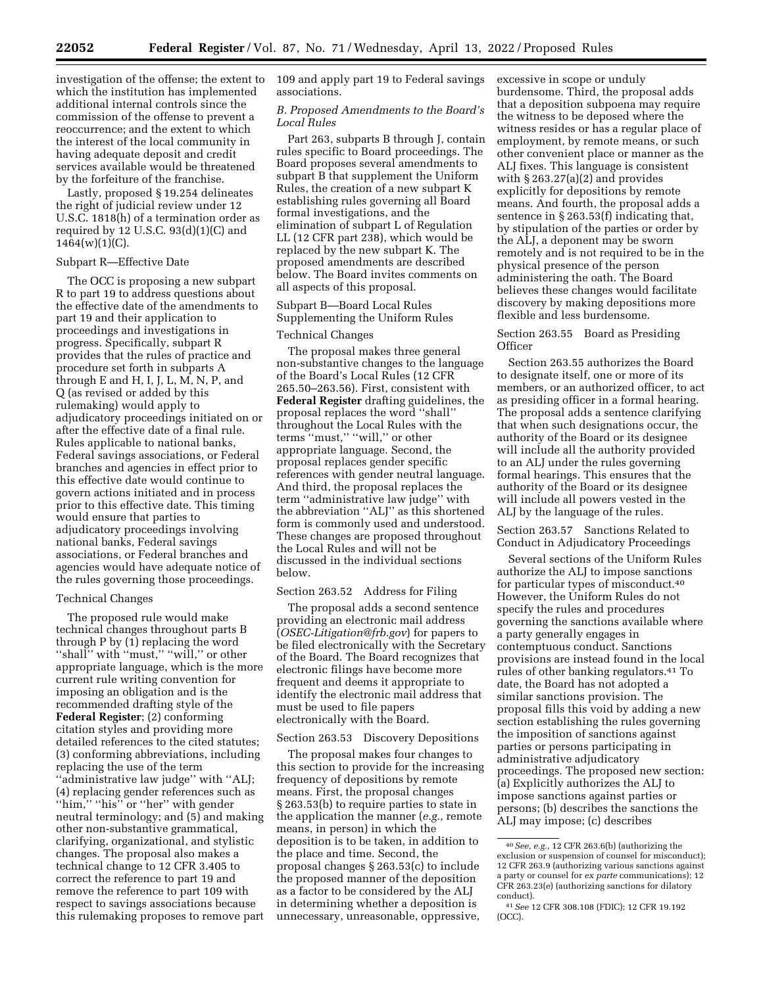investigation of the offense; the extent to which the institution has implemented additional internal controls since the commission of the offense to prevent a reoccurrence; and the extent to which the interest of the local community in having adequate deposit and credit services available would be threatened by the forfeiture of the franchise.

Lastly, proposed § 19.254 delineates the right of judicial review under 12 U.S.C. 1818(h) of a termination order as required by  $12$  U.S.C.  $93(d)(1)(C)$  and  $1464(w)(1)(C)$ .

#### Subpart R—Effective Date

The OCC is proposing a new subpart R to part 19 to address questions about the effective date of the amendments to part 19 and their application to proceedings and investigations in progress. Specifically, subpart R provides that the rules of practice and procedure set forth in subparts A through E and H, I, J, L, M, N, P, and Q (as revised or added by this rulemaking) would apply to adjudicatory proceedings initiated on or after the effective date of a final rule. Rules applicable to national banks, Federal savings associations, or Federal branches and agencies in effect prior to this effective date would continue to govern actions initiated and in process prior to this effective date. This timing would ensure that parties to adjudicatory proceedings involving national banks, Federal savings associations, or Federal branches and agencies would have adequate notice of the rules governing those proceedings.

#### Technical Changes

The proposed rule would make technical changes throughout parts B through P by (1) replacing the word ''shall'' with ''must,'' ''will,'' or other appropriate language, which is the more current rule writing convention for imposing an obligation and is the recommended drafting style of the **Federal Register**; (2) conforming citation styles and providing more detailed references to the cited statutes; (3) conforming abbreviations, including replacing the use of the term ''administrative law judge'' with ''ALJ; (4) replacing gender references such as "him," "his" or "her" with gender neutral terminology; and (5) and making other non-substantive grammatical, clarifying, organizational, and stylistic changes. The proposal also makes a technical change to 12 CFR 3.405 to correct the reference to part 19 and remove the reference to part 109 with respect to savings associations because this rulemaking proposes to remove part

109 and apply part 19 to Federal savings associations.

#### *B. Proposed Amendments to the Board's Local Rules*

Part 263, subparts B through J, contain rules specific to Board proceedings. The Board proposes several amendments to subpart B that supplement the Uniform Rules, the creation of a new subpart K establishing rules governing all Board formal investigations, and the elimination of subpart L of Regulation LL (12 CFR part 238), which would be replaced by the new subpart K. The proposed amendments are described below. The Board invites comments on all aspects of this proposal.

Subpart B—Board Local Rules Supplementing the Uniform Rules

#### Technical Changes

The proposal makes three general non-substantive changes to the language of the Board's Local Rules (12 CFR 265.50–263.56). First, consistent with **Federal Register** drafting guidelines, the proposal replaces the word ''shall'' throughout the Local Rules with the terms ''must,'' ''will,'' or other appropriate language. Second, the proposal replaces gender specific references with gender neutral language. And third, the proposal replaces the term ''administrative law judge'' with the abbreviation ''ALJ'' as this shortened form is commonly used and understood. These changes are proposed throughout the Local Rules and will not be discussed in the individual sections below.

#### Section 263.52 Address for Filing

The proposal adds a second sentence providing an electronic mail address (*[OSEC-Litigation@frb.gov](mailto:OSEC-Litigation@frb.gov)*) for papers to be filed electronically with the Secretary of the Board. The Board recognizes that electronic filings have become more frequent and deems it appropriate to identify the electronic mail address that must be used to file papers electronically with the Board.

#### Section 263.53 Discovery Depositions

The proposal makes four changes to this section to provide for the increasing frequency of depositions by remote means. First, the proposal changes § 263.53(b) to require parties to state in the application the manner (*e.g.,* remote means, in person) in which the deposition is to be taken, in addition to the place and time. Second, the proposal changes § 263.53(c) to include the proposed manner of the deposition as a factor to be considered by the ALJ in determining whether a deposition is unnecessary, unreasonable, oppressive,

excessive in scope or unduly burdensome. Third, the proposal adds that a deposition subpoena may require the witness to be deposed where the witness resides or has a regular place of employment, by remote means, or such other convenient place or manner as the ALJ fixes. This language is consistent with § 263.27(a)(2) and provides explicitly for depositions by remote means. And fourth, the proposal adds a sentence in § 263.53(f) indicating that, by stipulation of the parties or order by the ALJ, a deponent may be sworn remotely and is not required to be in the physical presence of the person administering the oath. The Board believes these changes would facilitate discovery by making depositions more flexible and less burdensome.

#### Section 263.55 Board as Presiding **Officer**

Section 263.55 authorizes the Board to designate itself, one or more of its members, or an authorized officer, to act as presiding officer in a formal hearing. The proposal adds a sentence clarifying that when such designations occur, the authority of the Board or its designee will include all the authority provided to an ALJ under the rules governing formal hearings. This ensures that the authority of the Board or its designee will include all powers vested in the ALJ by the language of the rules.

Section 263.57 Sanctions Related to Conduct in Adjudicatory Proceedings

Several sections of the Uniform Rules authorize the ALJ to impose sanctions for particular types of misconduct.40 However, the Uniform Rules do not specify the rules and procedures governing the sanctions available where a party generally engages in contemptuous conduct. Sanctions provisions are instead found in the local rules of other banking regulators.41 To date, the Board has not adopted a similar sanctions provision. The proposal fills this void by adding a new section establishing the rules governing the imposition of sanctions against parties or persons participating in administrative adjudicatory proceedings. The proposed new section: (a) Explicitly authorizes the ALJ to impose sanctions against parties or persons; (b) describes the sanctions the ALJ may impose; (c) describes

<sup>40</sup>*See, e.g.,* 12 CFR 263.6(b) (authorizing the exclusion or suspension of counsel for misconduct); 12 CFR 263.9 (authorizing various sanctions against a party or counsel for *ex parte* communications); 12 CFR 263.23(e) (authorizing sanctions for dilatory conduct).

<sup>41</sup>*See* 12 CFR 308.108 (FDIC); 12 CFR 19.192 (OCC).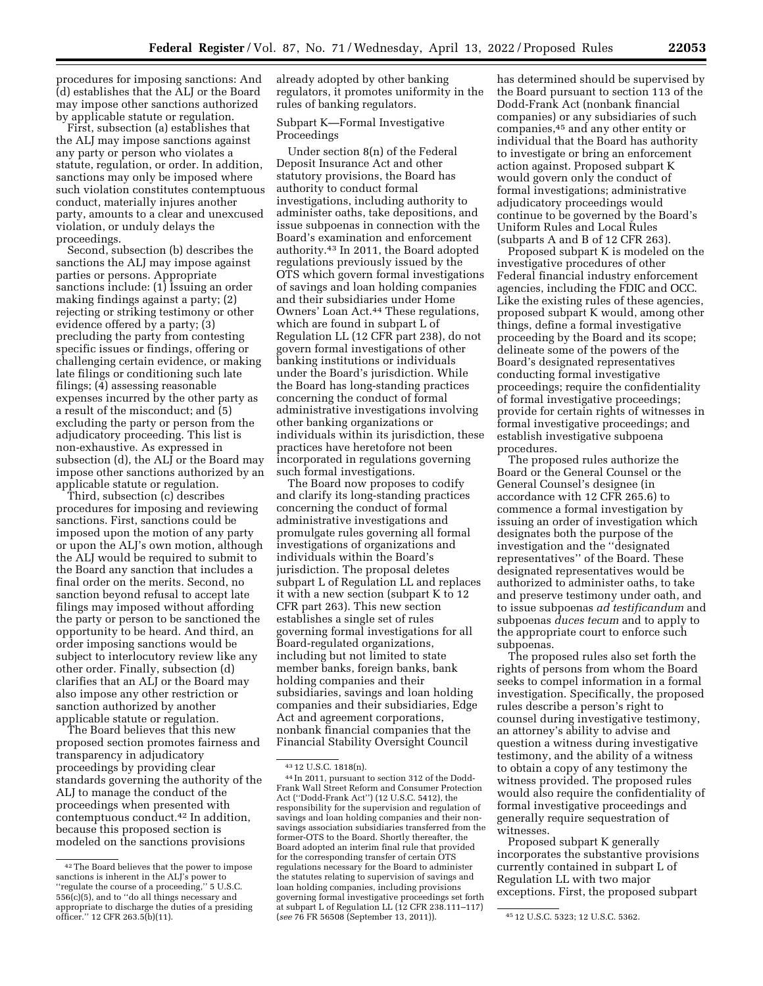procedures for imposing sanctions: And (d) establishes that the ALJ or the Board may impose other sanctions authorized by applicable statute or regulation.

First, subsection (a) establishes that the ALJ may impose sanctions against any party or person who violates a statute, regulation, or order. In addition, sanctions may only be imposed where such violation constitutes contemptuous conduct, materially injures another party, amounts to a clear and unexcused violation, or unduly delays the proceedings.

Second, subsection (b) describes the sanctions the ALJ may impose against parties or persons. Appropriate sanctions include: (1) Issuing an order making findings against a party; (2) rejecting or striking testimony or other evidence offered by a party; (3) precluding the party from contesting specific issues or findings, offering or challenging certain evidence, or making late filings or conditioning such late filings; (4) assessing reasonable expenses incurred by the other party as a result of the misconduct; and (5) excluding the party or person from the adjudicatory proceeding. This list is non-exhaustive. As expressed in subsection (d), the ALJ or the Board may impose other sanctions authorized by an applicable statute or regulation.

Third, subsection (c) describes procedures for imposing and reviewing sanctions. First, sanctions could be imposed upon the motion of any party or upon the ALJ's own motion, although the ALJ would be required to submit to the Board any sanction that includes a final order on the merits. Second, no sanction beyond refusal to accept late filings may imposed without affording the party or person to be sanctioned the opportunity to be heard. And third, an order imposing sanctions would be subject to interlocutory review like any other order. Finally, subsection (d) clarifies that an ALJ or the Board may also impose any other restriction or sanction authorized by another applicable statute or regulation.

The Board believes that this new proposed section promotes fairness and transparency in adjudicatory proceedings by providing clear standards governing the authority of the ALJ to manage the conduct of the proceedings when presented with contemptuous conduct.42 In addition, because this proposed section is modeled on the sanctions provisions

already adopted by other banking regulators, it promotes uniformity in the rules of banking regulators.

Subpart K—Formal Investigative Proceedings

Under section 8(n) of the Federal Deposit Insurance Act and other statutory provisions, the Board has authority to conduct formal investigations, including authority to administer oaths, take depositions, and issue subpoenas in connection with the Board's examination and enforcement authority.43 In 2011, the Board adopted regulations previously issued by the OTS which govern formal investigations of savings and loan holding companies and their subsidiaries under Home Owners' Loan Act.44 These regulations, which are found in subpart L of Regulation LL (12 CFR part 238), do not govern formal investigations of other banking institutions or individuals under the Board's jurisdiction. While the Board has long-standing practices concerning the conduct of formal administrative investigations involving other banking organizations or individuals within its jurisdiction, these practices have heretofore not been incorporated in regulations governing such formal investigations.

The Board now proposes to codify and clarify its long-standing practices concerning the conduct of formal administrative investigations and promulgate rules governing all formal investigations of organizations and individuals within the Board's jurisdiction. The proposal deletes subpart L of Regulation LL and replaces it with a new section (subpart K to 12 CFR part 263). This new section establishes a single set of rules governing formal investigations for all Board-regulated organizations, including but not limited to state member banks, foreign banks, bank holding companies and their subsidiaries, savings and loan holding companies and their subsidiaries, Edge Act and agreement corporations, nonbank financial companies that the Financial Stability Oversight Council

has determined should be supervised by the Board pursuant to section 113 of the Dodd-Frank Act (nonbank financial companies) or any subsidiaries of such companies,45 and any other entity or individual that the Board has authority to investigate or bring an enforcement action against. Proposed subpart K would govern only the conduct of formal investigations; administrative adjudicatory proceedings would continue to be governed by the Board's Uniform Rules and Local Rules (subparts A and B of 12 CFR 263).

Proposed subpart K is modeled on the investigative procedures of other Federal financial industry enforcement agencies, including the FDIC and OCC. Like the existing rules of these agencies, proposed subpart K would, among other things, define a formal investigative proceeding by the Board and its scope; delineate some of the powers of the Board's designated representatives conducting formal investigative proceedings; require the confidentiality of formal investigative proceedings; provide for certain rights of witnesses in formal investigative proceedings; and establish investigative subpoena procedures.

The proposed rules authorize the Board or the General Counsel or the General Counsel's designee (in accordance with 12 CFR 265.6) to commence a formal investigation by issuing an order of investigation which designates both the purpose of the investigation and the ''designated representatives'' of the Board. These designated representatives would be authorized to administer oaths, to take and preserve testimony under oath, and to issue subpoenas *ad testificandum* and subpoenas *duces tecum* and to apply to the appropriate court to enforce such subpoenas.

The proposed rules also set forth the rights of persons from whom the Board seeks to compel information in a formal investigation. Specifically, the proposed rules describe a person's right to counsel during investigative testimony, an attorney's ability to advise and question a witness during investigative testimony, and the ability of a witness to obtain a copy of any testimony the witness provided. The proposed rules would also require the confidentiality of formal investigative proceedings and generally require sequestration of witnesses.

Proposed subpart K generally incorporates the substantive provisions currently contained in subpart L of Regulation LL with two major exceptions. First, the proposed subpart

<sup>42</sup>The Board believes that the power to impose sanctions is inherent in the ALJ's power to ''regulate the course of a proceeding,'' 5 U.S.C. 556(c)(5), and to ''do all things necessary and appropriate to discharge the duties of a presiding officer.'' 12 CFR 263.5(b)(11).

<sup>43</sup> 12 U.S.C. 1818(n).

<sup>44</sup> In 2011, pursuant to section 312 of the Dodd-Frank Wall Street Reform and Consumer Protection Act (''Dodd-Frank Act'') (12 U.S.C. 5412), the responsibility for the supervision and regulation of savings and loan holding companies and their nonsavings association subsidiaries transferred from the former-OTS to the Board. Shortly thereafter, the Board adopted an interim final rule that provided for the corresponding transfer of certain OTS regulations necessary for the Board to administer the statutes relating to supervision of savings and loan holding companies, including provisions governing formal investigative proceedings set forth at subpart L of Regulation LL (12 CFR 238.111–117) (*see* 76 FR 56508 (September 13, 2011)). 45 12 U.S.C. 5323; 12 U.S.C. 5362.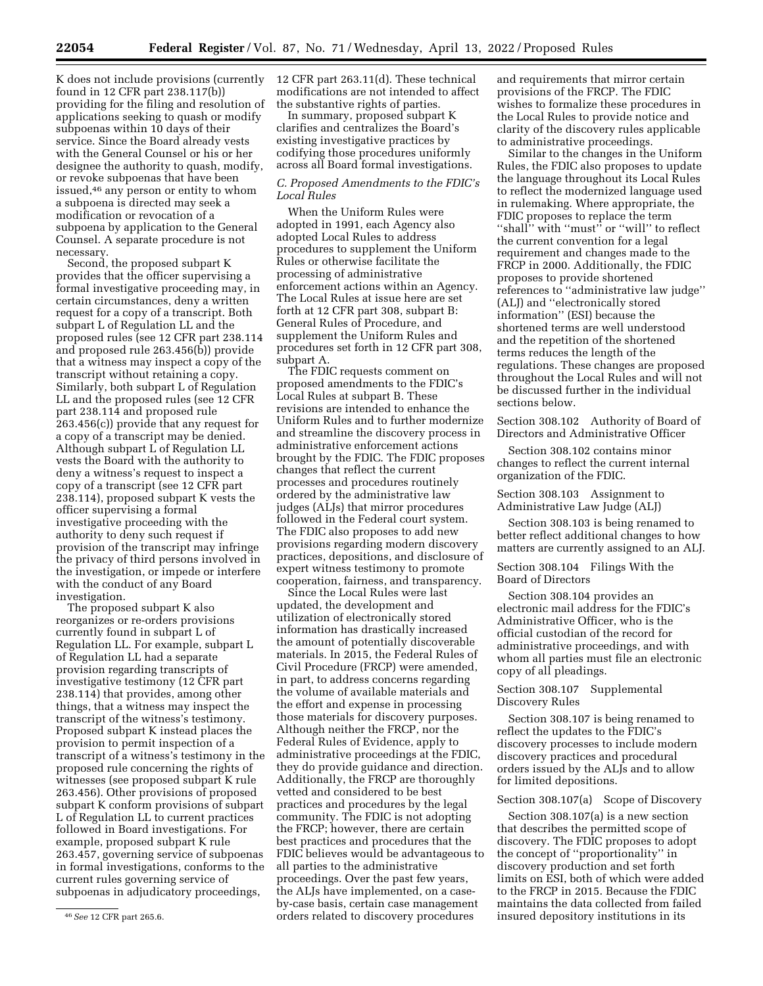K does not include provisions (currently found in 12 CFR part 238.117(b)) providing for the filing and resolution of applications seeking to quash or modify subpoenas within 10 days of their service. Since the Board already vests with the General Counsel or his or her designee the authority to quash, modify, or revoke subpoenas that have been issued,46 any person or entity to whom a subpoena is directed may seek a modification or revocation of a subpoena by application to the General Counsel. A separate procedure is not necessary.

Second, the proposed subpart K provides that the officer supervising a formal investigative proceeding may, in certain circumstances, deny a written request for a copy of a transcript. Both subpart L of Regulation LL and the proposed rules (see 12 CFR part 238.114 and proposed rule 263.456(b)) provide that a witness may inspect a copy of the transcript without retaining a copy. Similarly, both subpart L of Regulation LL and the proposed rules (see 12 CFR part 238.114 and proposed rule 263.456(c)) provide that any request for a copy of a transcript may be denied. Although subpart L of Regulation LL vests the Board with the authority to deny a witness's request to inspect a copy of a transcript (see 12 CFR part 238.114), proposed subpart K vests the officer supervising a formal investigative proceeding with the authority to deny such request if provision of the transcript may infringe the privacy of third persons involved in the investigation, or impede or interfere with the conduct of any Board investigation.

The proposed subpart K also reorganizes or re-orders provisions currently found in subpart L of Regulation LL. For example, subpart L of Regulation LL had a separate provision regarding transcripts of investigative testimony (12 CFR part 238.114) that provides, among other things, that a witness may inspect the transcript of the witness's testimony. Proposed subpart K instead places the provision to permit inspection of a transcript of a witness's testimony in the proposed rule concerning the rights of witnesses (see proposed subpart K rule 263.456). Other provisions of proposed subpart K conform provisions of subpart L of Regulation LL to current practices followed in Board investigations. For example, proposed subpart K rule 263.457, governing service of subpoenas in formal investigations, conforms to the current rules governing service of subpoenas in adjudicatory proceedings,

12 CFR part 263.11(d). These technical modifications are not intended to affect the substantive rights of parties.

In summary, proposed subpart K clarifies and centralizes the Board's existing investigative practices by codifying those procedures uniformly across all Board formal investigations.

#### *C. Proposed Amendments to the FDIC's Local Rules*

When the Uniform Rules were adopted in 1991, each Agency also adopted Local Rules to address procedures to supplement the Uniform Rules or otherwise facilitate the processing of administrative enforcement actions within an Agency. The Local Rules at issue here are set forth at 12 CFR part 308, subpart B: General Rules of Procedure, and supplement the Uniform Rules and procedures set forth in 12 CFR part 308, subpart A.

The FDIC requests comment on proposed amendments to the FDIC's Local Rules at subpart B. These revisions are intended to enhance the Uniform Rules and to further modernize and streamline the discovery process in administrative enforcement actions brought by the FDIC. The FDIC proposes changes that reflect the current processes and procedures routinely ordered by the administrative law judges (ALJs) that mirror procedures followed in the Federal court system. The FDIC also proposes to add new provisions regarding modern discovery practices, depositions, and disclosure of expert witness testimony to promote cooperation, fairness, and transparency.

Since the Local Rules were last updated, the development and utilization of electronically stored information has drastically increased the amount of potentially discoverable materials. In 2015, the Federal Rules of Civil Procedure (FRCP) were amended, in part, to address concerns regarding the volume of available materials and the effort and expense in processing those materials for discovery purposes. Although neither the FRCP, nor the Federal Rules of Evidence, apply to administrative proceedings at the FDIC, they do provide guidance and direction. Additionally, the FRCP are thoroughly vetted and considered to be best practices and procedures by the legal community. The FDIC is not adopting the FRCP; however, there are certain best practices and procedures that the FDIC believes would be advantageous to all parties to the administrative proceedings. Over the past few years, the ALJs have implemented, on a caseby-case basis, certain case management orders related to discovery procedures

and requirements that mirror certain provisions of the FRCP. The FDIC wishes to formalize these procedures in the Local Rules to provide notice and clarity of the discovery rules applicable to administrative proceedings.

Similar to the changes in the Uniform Rules, the FDIC also proposes to update the language throughout its Local Rules to reflect the modernized language used in rulemaking. Where appropriate, the FDIC proposes to replace the term ''shall'' with ''must'' or ''will'' to reflect the current convention for a legal requirement and changes made to the FRCP in 2000. Additionally, the FDIC proposes to provide shortened references to ''administrative law judge'' (ALJ) and ''electronically stored information'' (ESI) because the shortened terms are well understood and the repetition of the shortened terms reduces the length of the regulations. These changes are proposed throughout the Local Rules and will not be discussed further in the individual sections below.

Section 308.102 Authority of Board of Directors and Administrative Officer

Section 308.102 contains minor changes to reflect the current internal organization of the FDIC.

Section 308.103 Assignment to Administrative Law Judge (ALJ)

Section 308.103 is being renamed to better reflect additional changes to how matters are currently assigned to an ALJ.

Section 308.104 Filings With the Board of Directors

Section 308.104 provides an electronic mail address for the FDIC's Administrative Officer, who is the official custodian of the record for administrative proceedings, and with whom all parties must file an electronic copy of all pleadings.

Section 308.107 Supplemental Discovery Rules

Section 308.107 is being renamed to reflect the updates to the FDIC's discovery processes to include modern discovery practices and procedural orders issued by the ALJs and to allow for limited depositions.

#### Section 308.107(a) Scope of Discovery

Section 308.107(a) is a new section that describes the permitted scope of discovery. The FDIC proposes to adopt the concept of ''proportionality'' in discovery production and set forth limits on ESI, both of which were added to the FRCP in 2015. Because the FDIC maintains the data collected from failed insured depository institutions in its

<sup>46</sup>*See* 12 CFR part 265.6.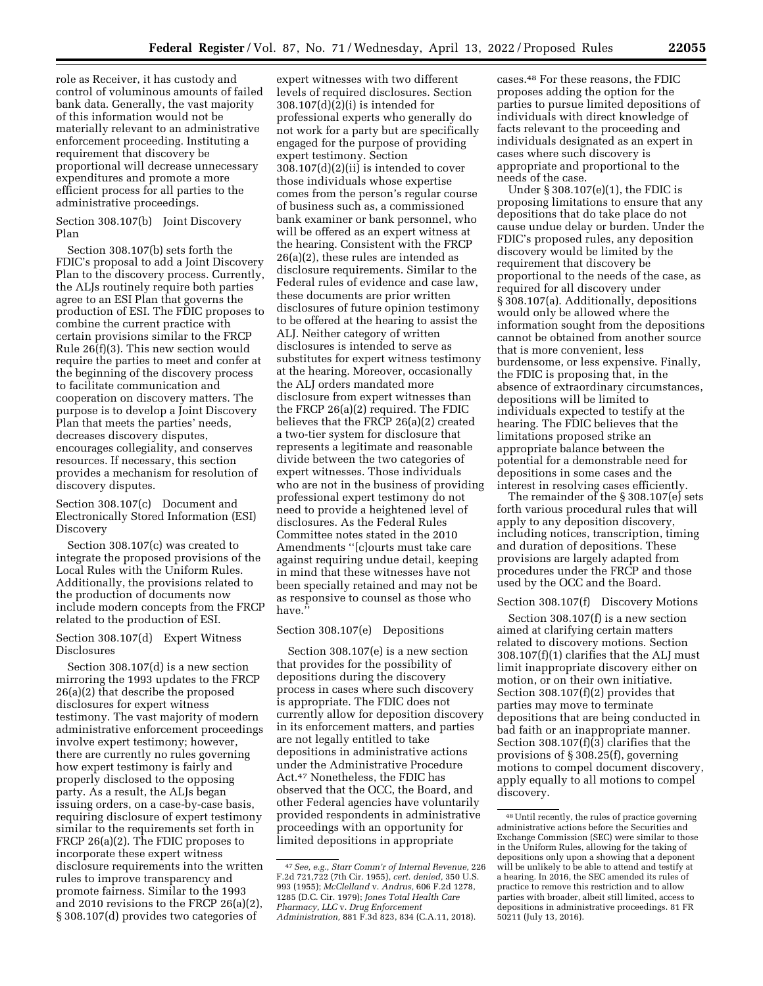role as Receiver, it has custody and control of voluminous amounts of failed bank data. Generally, the vast majority of this information would not be materially relevant to an administrative enforcement proceeding. Instituting a requirement that discovery be proportional will decrease unnecessary expenditures and promote a more efficient process for all parties to the administrative proceedings.

Section 308.107(b) Joint Discovery Plan

Section 308.107(b) sets forth the FDIC's proposal to add a Joint Discovery Plan to the discovery process. Currently, the ALJs routinely require both parties agree to an ESI Plan that governs the production of ESI. The FDIC proposes to combine the current practice with certain provisions similar to the FRCP Rule  $26(f)(3)$ . This new section would require the parties to meet and confer at the beginning of the discovery process to facilitate communication and cooperation on discovery matters. The purpose is to develop a Joint Discovery Plan that meets the parties' needs, decreases discovery disputes, encourages collegiality, and conserves resources. If necessary, this section provides a mechanism for resolution of discovery disputes.

Section 308.107(c) Document and Electronically Stored Information (ESI) Discovery

Section 308.107(c) was created to integrate the proposed provisions of the Local Rules with the Uniform Rules. Additionally, the provisions related to the production of documents now include modern concepts from the FRCP related to the production of ESI.

Section 308.107(d) Expert Witness Disclosures

Section 308.107(d) is a new section mirroring the 1993 updates to the FRCP 26(a)(2) that describe the proposed disclosures for expert witness testimony. The vast majority of modern administrative enforcement proceedings involve expert testimony; however, there are currently no rules governing how expert testimony is fairly and properly disclosed to the opposing party. As a result, the ALJs began issuing orders, on a case-by-case basis, requiring disclosure of expert testimony similar to the requirements set forth in FRCP 26(a)(2). The FDIC proposes to incorporate these expert witness disclosure requirements into the written rules to improve transparency and promote fairness. Similar to the 1993 and 2010 revisions to the FRCP 26(a)(2), § 308.107(d) provides two categories of

expert witnesses with two different levels of required disclosures. Section 308.107(d)(2)(i) is intended for professional experts who generally do not work for a party but are specifically engaged for the purpose of providing expert testimony. Section 308.107(d)(2)(ii) is intended to cover those individuals whose expertise comes from the person's regular course of business such as, a commissioned bank examiner or bank personnel, who will be offered as an expert witness at the hearing. Consistent with the FRCP 26(a)(2), these rules are intended as disclosure requirements. Similar to the Federal rules of evidence and case law, these documents are prior written disclosures of future opinion testimony to be offered at the hearing to assist the ALJ. Neither category of written disclosures is intended to serve as substitutes for expert witness testimony at the hearing. Moreover, occasionally the ALJ orders mandated more disclosure from expert witnesses than the FRCP 26(a)(2) required. The FDIC believes that the FRCP 26(a)(2) created a two-tier system for disclosure that represents a legitimate and reasonable divide between the two categories of expert witnesses. Those individuals who are not in the business of providing professional expert testimony do not need to provide a heightened level of disclosures. As the Federal Rules Committee notes stated in the 2010 Amendments ''[c]ourts must take care against requiring undue detail, keeping in mind that these witnesses have not been specially retained and may not be as responsive to counsel as those who have.''

#### Section 308.107(e) Depositions

Section 308.107(e) is a new section that provides for the possibility of depositions during the discovery process in cases where such discovery is appropriate. The FDIC does not currently allow for deposition discovery in its enforcement matters, and parties are not legally entitled to take depositions in administrative actions under the Administrative Procedure Act.47 Nonetheless, the FDIC has observed that the OCC, the Board, and other Federal agencies have voluntarily provided respondents in administrative proceedings with an opportunity for limited depositions in appropriate

cases.48 For these reasons, the FDIC proposes adding the option for the parties to pursue limited depositions of individuals with direct knowledge of facts relevant to the proceeding and individuals designated as an expert in cases where such discovery is appropriate and proportional to the needs of the case.

Under § 308.107(e)(1), the FDIC is proposing limitations to ensure that any depositions that do take place do not cause undue delay or burden. Under the FDIC's proposed rules, any deposition discovery would be limited by the requirement that discovery be proportional to the needs of the case, as required for all discovery under § 308.107(a). Additionally, depositions would only be allowed where the information sought from the depositions cannot be obtained from another source that is more convenient, less burdensome, or less expensive. Finally, the FDIC is proposing that, in the absence of extraordinary circumstances, depositions will be limited to individuals expected to testify at the hearing. The FDIC believes that the limitations proposed strike an appropriate balance between the potential for a demonstrable need for depositions in some cases and the interest in resolving cases efficiently.

The remainder of the § 308.107(e) sets forth various procedural rules that will apply to any deposition discovery, including notices, transcription, timing and duration of depositions. These provisions are largely adapted from procedures under the FRCP and those used by the OCC and the Board.

#### Section 308.107(f) Discovery Motions

Section 308.107(f) is a new section aimed at clarifying certain matters related to discovery motions. Section 308.107(f)(1) clarifies that the ALJ must limit inappropriate discovery either on motion, or on their own initiative. Section 308.107(f)(2) provides that parties may move to terminate depositions that are being conducted in bad faith or an inappropriate manner. Section 308.107(f)(3) clarifies that the provisions of § 308.25(f), governing motions to compel document discovery, apply equally to all motions to compel discovery.

<sup>47</sup>*See, e.g., Starr Comm'r of Internal Revenue,* 226 F.2d 721,722 (7th Cir. 1955), *cert. denied,* 350 U.S. 993 (1955); *McClelland* v. *Andrus,* 606 F.2d 1278, 1285 (D.C. Cir. 1979); *Jones Total Health Care Pharmacy, LLC* v. *Drug Enforcement Administration,* 881 F.3d 823, 834 (C.A.11, 2018).

<sup>48</sup>Until recently, the rules of practice governing administrative actions before the Securities and Exchange Commission (SEC) were similar to those in the Uniform Rules, allowing for the taking of depositions only upon a showing that a deponent will be unlikely to be able to attend and testify at a hearing. In 2016, the SEC amended its rules of practice to remove this restriction and to allow parties with broader, albeit still limited, access to depositions in administrative proceedings. 81 FR 50211 (July 13, 2016).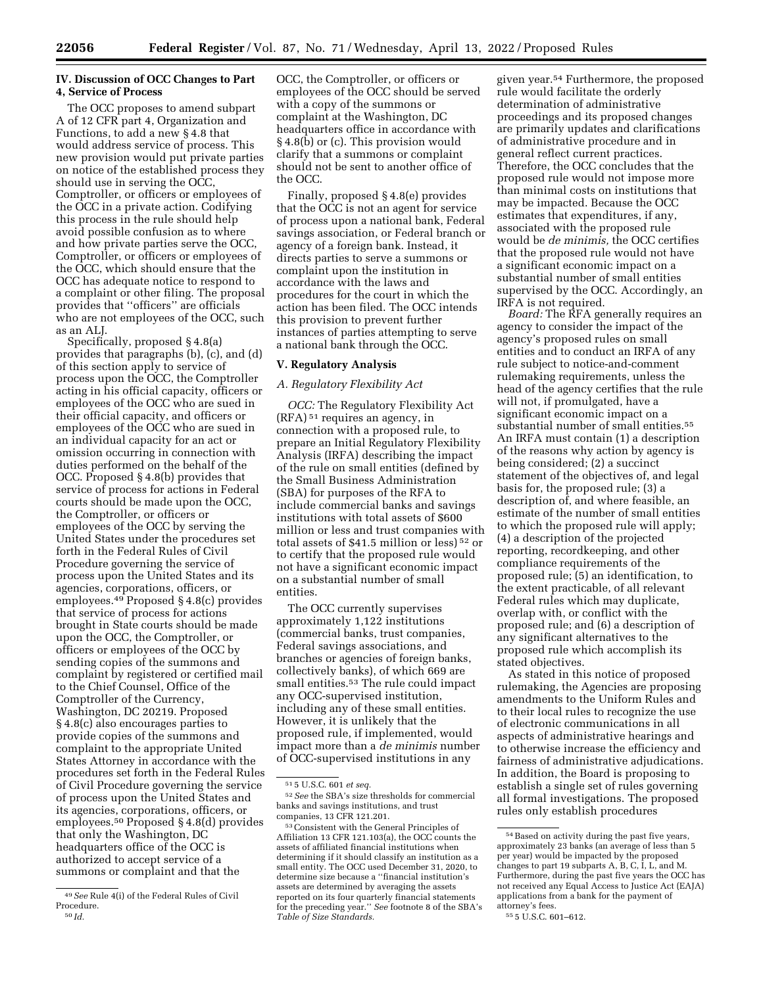#### **IV. Discussion of OCC Changes to Part 4, Service of Process**

The OCC proposes to amend subpart A of 12 CFR part 4, Organization and Functions, to add a new § 4.8 that would address service of process. This new provision would put private parties on notice of the established process they should use in serving the OCC, Comptroller, or officers or employees of the OCC in a private action. Codifying this process in the rule should help avoid possible confusion as to where and how private parties serve the OCC, Comptroller, or officers or employees of the OCC, which should ensure that the OCC has adequate notice to respond to a complaint or other filing. The proposal provides that ''officers'' are officials who are not employees of the OCC, such as an ALJ.

Specifically, proposed § 4.8(a) provides that paragraphs (b), (c), and (d) of this section apply to service of process upon the OCC, the Comptroller acting in his official capacity, officers or employees of the OCC who are sued in their official capacity, and officers or employees of the OCC who are sued in an individual capacity for an act or omission occurring in connection with duties performed on the behalf of the OCC. Proposed § 4.8(b) provides that service of process for actions in Federal courts should be made upon the OCC, the Comptroller, or officers or employees of the OCC by serving the United States under the procedures set forth in the Federal Rules of Civil Procedure governing the service of process upon the United States and its agencies, corporations, officers, or employees.49 Proposed § 4.8(c) provides that service of process for actions brought in State courts should be made upon the OCC, the Comptroller, or officers or employees of the OCC by sending copies of the summons and complaint by registered or certified mail to the Chief Counsel, Office of the Comptroller of the Currency, Washington, DC 20219. Proposed § 4.8(c) also encourages parties to provide copies of the summons and complaint to the appropriate United States Attorney in accordance with the procedures set forth in the Federal Rules of Civil Procedure governing the service of process upon the United States and its agencies, corporations, officers, or employees.50 Proposed § 4.8(d) provides that only the Washington, DC headquarters office of the OCC is authorized to accept service of a summons or complaint and that the

OCC, the Comptroller, or officers or employees of the OCC should be served with a copy of the summons or complaint at the Washington, DC headquarters office in accordance with § 4.8(b) or (c). This provision would clarify that a summons or complaint should not be sent to another office of the OCC.

Finally, proposed § 4.8(e) provides that the OCC is not an agent for service of process upon a national bank, Federal savings association, or Federal branch or agency of a foreign bank. Instead, it directs parties to serve a summons or complaint upon the institution in accordance with the laws and procedures for the court in which the action has been filed. The OCC intends this provision to prevent further instances of parties attempting to serve a national bank through the OCC.

#### **V. Regulatory Analysis**

#### *A. Regulatory Flexibility Act*

*OCC:* The Regulatory Flexibility Act (RFA) 51 requires an agency, in connection with a proposed rule, to prepare an Initial Regulatory Flexibility Analysis (IRFA) describing the impact of the rule on small entities (defined by the Small Business Administration (SBA) for purposes of the RFA to include commercial banks and savings institutions with total assets of \$600 million or less and trust companies with total assets of \$41.5 million or less) 52 or to certify that the proposed rule would not have a significant economic impact on a substantial number of small entities.

The OCC currently supervises approximately 1,122 institutions (commercial banks, trust companies, Federal savings associations, and branches or agencies of foreign banks, collectively banks), of which 669 are small entities.<sup>53</sup> The rule could impact any OCC-supervised institution, including any of these small entities. However, it is unlikely that the proposed rule, if implemented, would impact more than a *de minimis* number of OCC-supervised institutions in any

given year.54 Furthermore, the proposed rule would facilitate the orderly determination of administrative proceedings and its proposed changes are primarily updates and clarifications of administrative procedure and in general reflect current practices. Therefore, the OCC concludes that the proposed rule would not impose more than minimal costs on institutions that may be impacted. Because the OCC estimates that expenditures, if any, associated with the proposed rule would be *de minimis,* the OCC certifies that the proposed rule would not have a significant economic impact on a substantial number of small entities supervised by the OCC. Accordingly, an IRFA is not required.

*Board:* The RFA generally requires an agency to consider the impact of the agency's proposed rules on small entities and to conduct an IRFA of any rule subject to notice-and-comment rulemaking requirements, unless the head of the agency certifies that the rule will not, if promulgated, have a significant economic impact on a substantial number of small entities.55 An IRFA must contain (1) a description of the reasons why action by agency is being considered; (2) a succinct statement of the objectives of, and legal basis for, the proposed rule; (3) a description of, and where feasible, an estimate of the number of small entities to which the proposed rule will apply; (4) a description of the projected reporting, recordkeeping, and other compliance requirements of the proposed rule; (5) an identification, to the extent practicable, of all relevant Federal rules which may duplicate, overlap with, or conflict with the proposed rule; and (6) a description of any significant alternatives to the proposed rule which accomplish its stated objectives.

As stated in this notice of proposed rulemaking, the Agencies are proposing amendments to the Uniform Rules and to their local rules to recognize the use of electronic communications in all aspects of administrative hearings and to otherwise increase the efficiency and fairness of administrative adjudications. In addition, the Board is proposing to establish a single set of rules governing all formal investigations. The proposed rules only establish procedures

<sup>49</sup>*See* Rule 4(i) of the Federal Rules of Civil Procedure.<br><sup>50</sup>*Id.* 

<sup>51</sup> 5 U.S.C. 601 *et seq.* 

<sup>52</sup>*See* the SBA's size thresholds for commercial banks and savings institutions, and trust companies, 13 CFR 121.201.

<sup>53</sup>Consistent with the General Principles of Affiliation 13 CFR 121.103(a), the OCC counts the assets of affiliated financial institutions when determining if it should classify an institution as a small entity. The OCC used December 31, 2020, to determine size because a ''financial institution's assets are determined by averaging the assets reported on its four quarterly financial statements for the preceding year.'' *See* footnote 8 of the SBA's *Table of Size Standards.* 

 $^{\rm 54}\, {\rm Based}$  on activity during the past five years, approximately 23 banks (an average of less than 5 per year) would be impacted by the proposed changes to part 19 subparts A, B, C, I, L, and M. Furthermore, during the past five years the OCC has not received any Equal Access to Justice Act (EAJA) applications from a bank for the payment of attorney's fees.

<sup>55</sup> 5 U.S.C. 601–612.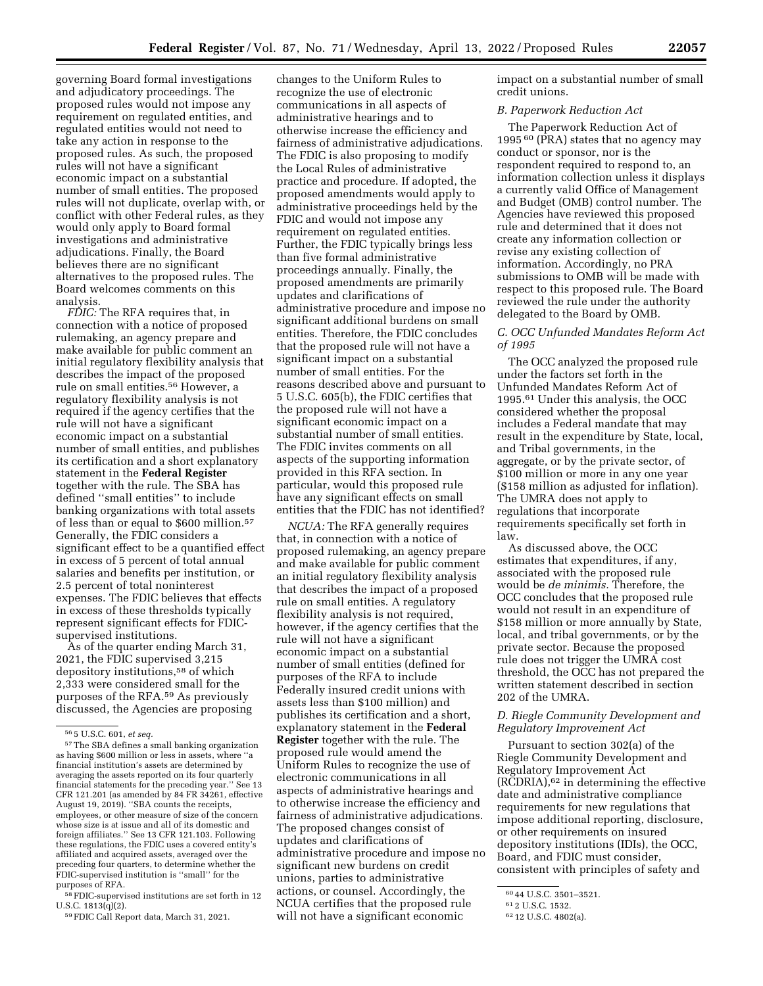governing Board formal investigations and adjudicatory proceedings. The proposed rules would not impose any requirement on regulated entities, and regulated entities would not need to take any action in response to the proposed rules. As such, the proposed rules will not have a significant economic impact on a substantial number of small entities. The proposed rules will not duplicate, overlap with, or conflict with other Federal rules, as they would only apply to Board formal investigations and administrative adjudications. Finally, the Board believes there are no significant

Board welcomes comments on this analysis. *FDIC:* The RFA requires that, in connection with a notice of proposed rulemaking, an agency prepare and make available for public comment an initial regulatory flexibility analysis that describes the impact of the proposed rule on small entities.56 However, a regulatory flexibility analysis is not required if the agency certifies that the rule will not have a significant economic impact on a substantial number of small entities, and publishes its certification and a short explanatory statement in the **Federal Register**  together with the rule. The SBA has defined ''small entities'' to include banking organizations with total assets of less than or equal to \$600 million.57 Generally, the FDIC considers a significant effect to be a quantified effect in excess of 5 percent of total annual salaries and benefits per institution, or 2.5 percent of total noninterest expenses. The FDIC believes that effects in excess of these thresholds typically represent significant effects for FDICsupervised institutions.

alternatives to the proposed rules. The

As of the quarter ending March 31, 2021, the FDIC supervised 3,215 depository institutions,58 of which 2,333 were considered small for the purposes of the RFA.59 As previously discussed, the Agencies are proposing

58FDIC-supervised institutions are set forth in 12 U.S.C. 1813(q)(2).

59FDIC Call Report data, March 31, 2021.

changes to the Uniform Rules to recognize the use of electronic communications in all aspects of administrative hearings and to otherwise increase the efficiency and fairness of administrative adjudications. The FDIC is also proposing to modify the Local Rules of administrative practice and procedure. If adopted, the proposed amendments would apply to administrative proceedings held by the FDIC and would not impose any requirement on regulated entities. Further, the FDIC typically brings less than five formal administrative proceedings annually. Finally, the proposed amendments are primarily updates and clarifications of administrative procedure and impose no significant additional burdens on small entities. Therefore, the FDIC concludes that the proposed rule will not have a significant impact on a substantial number of small entities. For the reasons described above and pursuant to 5 U.S.C. 605(b), the FDIC certifies that the proposed rule will not have a significant economic impact on a substantial number of small entities. The FDIC invites comments on all aspects of the supporting information provided in this RFA section. In particular, would this proposed rule have any significant effects on small entities that the FDIC has not identified?

*NCUA:* The RFA generally requires that, in connection with a notice of proposed rulemaking, an agency prepare and make available for public comment an initial regulatory flexibility analysis that describes the impact of a proposed rule on small entities. A regulatory flexibility analysis is not required, however, if the agency certifies that the rule will not have a significant economic impact on a substantial number of small entities (defined for purposes of the RFA to include Federally insured credit unions with assets less than \$100 million) and publishes its certification and a short, explanatory statement in the **Federal Register** together with the rule. The proposed rule would amend the Uniform Rules to recognize the use of electronic communications in all aspects of administrative hearings and to otherwise increase the efficiency and fairness of administrative adjudications. The proposed changes consist of updates and clarifications of administrative procedure and impose no significant new burdens on credit unions, parties to administrative actions, or counsel. Accordingly, the NCUA certifies that the proposed rule will not have a significant economic

impact on a substantial number of small credit unions.

#### *B. Paperwork Reduction Act*

The Paperwork Reduction Act of 1995 60 (PRA) states that no agency may conduct or sponsor, nor is the respondent required to respond to, an information collection unless it displays a currently valid Office of Management and Budget (OMB) control number. The Agencies have reviewed this proposed rule and determined that it does not create any information collection or revise any existing collection of information. Accordingly, no PRA submissions to OMB will be made with respect to this proposed rule. The Board reviewed the rule under the authority delegated to the Board by OMB.

#### *C. OCC Unfunded Mandates Reform Act of 1995*

The OCC analyzed the proposed rule under the factors set forth in the Unfunded Mandates Reform Act of 1995.61 Under this analysis, the OCC considered whether the proposal includes a Federal mandate that may result in the expenditure by State, local, and Tribal governments, in the aggregate, or by the private sector, of \$100 million or more in any one year (\$158 million as adjusted for inflation). The UMRA does not apply to regulations that incorporate requirements specifically set forth in law.

As discussed above, the OCC estimates that expenditures, if any, associated with the proposed rule would be *de minimis.* Therefore, the OCC concludes that the proposed rule would not result in an expenditure of \$158 million or more annually by State, local, and tribal governments, or by the private sector. Because the proposed rule does not trigger the UMRA cost threshold, the OCC has not prepared the written statement described in section 202 of the UMRA.

#### *D. Riegle Community Development and Regulatory Improvement Act*

Pursuant to section 302(a) of the Riegle Community Development and Regulatory Improvement Act (RCDRIA),62 in determining the effective date and administrative compliance requirements for new regulations that impose additional reporting, disclosure, or other requirements on insured depository institutions (IDIs), the OCC, Board, and FDIC must consider, consistent with principles of safety and

<sup>56</sup> 5 U.S.C. 601, *et seq.* 

<sup>57</sup>The SBA defines a small banking organization as having \$600 million or less in assets, where ''a financial institution's assets are determined by averaging the assets reported on its four quarterly financial statements for the preceding year.'' See 13 CFR 121.201 (as amended by 84 FR  $34261$ , effective August 19, 2019). ''SBA counts the receipts, employees, or other measure of size of the concern whose size is at issue and all of its domestic and foreign affiliates.'' See 13 CFR 121.103. Following these regulations, the FDIC uses a covered entity's affiliated and acquired assets, averaged over the preceding four quarters, to determine whether the FDIC-supervised institution is ''small'' for the purposes of RFA.

<sup>60</sup> 44 U.S.C. 3501–3521.

<sup>61</sup> 2 U.S.C. 1532.

<sup>62</sup> 12 U.S.C. 4802(a).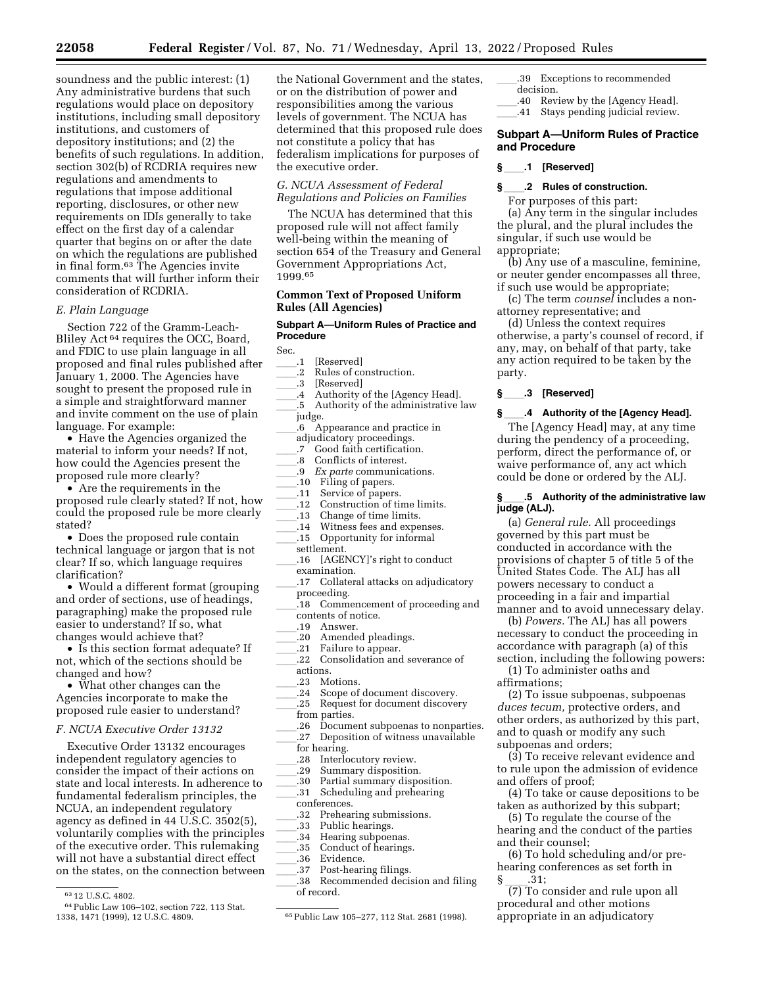soundness and the public interest: (1) Any administrative burdens that such regulations would place on depository institutions, including small depository institutions, and customers of depository institutions; and (2) the benefits of such regulations. In addition, section 302(b) of RCDRIA requires new regulations and amendments to regulations that impose additional reporting, disclosures, or other new requirements on IDIs generally to take effect on the first day of a calendar quarter that begins on or after the date on which the regulations are published in final form.63 The Agencies invite comments that will further inform their consideration of RCDRIA.

#### *E. Plain Language*

Section 722 of the Gramm-Leach-Bliley Act 64 requires the OCC, Board, and FDIC to use plain language in all proposed and final rules published after January 1, 2000. The Agencies have sought to present the proposed rule in a simple and straightforward manner and invite comment on the use of plain language. For example:

• Have the Agencies organized the material to inform your needs? If not, how could the Agencies present the proposed rule more clearly?

• Are the requirements in the proposed rule clearly stated? If not, how could the proposed rule be more clearly stated?

• Does the proposed rule contain technical language or jargon that is not clear? If so, which language requires clarification?

• Would a different format (grouping and order of sections, use of headings, paragraphing) make the proposed rule easier to understand? If so, what changes would achieve that?

• Is this section format adequate? If not, which of the sections should be changed and how?

• What other changes can the Agencies incorporate to make the proposed rule easier to understand?

#### *F. NCUA Executive Order 13132*

Executive Order 13132 encourages independent regulatory agencies to consider the impact of their actions on state and local interests. In adherence to fundamental federalism principles, the NCUA, an independent regulatory agency as defined in 44 U.S.C. 3502(5), voluntarily complies with the principles of the executive order. This rulemaking will not have a substantial direct effect on the states, on the connection between

the National Government and the states, or on the distribution of power and responsibilities among the various levels of government. The NCUA has determined that this proposed rule does not constitute a policy that has federalism implications for purposes of the executive order.

*G. NCUA Assessment of Federal Regulations and Policies on Families* 

The NCUA has determined that this proposed rule will not affect family well-being within the meaning of section 654 of the Treasury and General Government Appropriations Act, 1999.65

#### **Common Text of Proposed Uniform Rules (All Agencies)**

#### **Subpart A—Uniform Rules of Practice and Procedure**

Sec.

- <sub>-</sub>.1 [Reserved]<br>.2 Rules of co
- .2 Rules of construction.<br>.3 [Reserved]
- .3 [Reserved]<br>4 Authority o
- 4 Authority of the [Agency Head].<br>5 Authority of the administrative 1
- .5 Authority of the administrative law judge.
- .6 Appearance and practice in
- adjudicatory proceedings.<br>7 Good faith certification .7 Good faith certification.<br>.8 Conflicts of interest.
- $\frac{1}{\sqrt{9}}$ .8 Conflicts of interest.
- <sup>9</sup> *Ex parte* communications.<br>10 Filing of papers
- 
- \_.10 Filing of papers.<br>\_.11 Service of papers 11 Service of papers.<br>12 Construction of times
- .12 Construction of time limits.<br>.13 Change of time limits.
- .13 Change of time limits.<br>.14 Witness fees and expe
- 
- 14 Witness fees and expenses.<br>15 Opportunity for informal Opportunity for informal settlement.
- .16 [AGENCY]'s right to conduct examination.
- .17 Collateral attacks on adjudicatory proceeding.
- ll.18 Commencement of proceeding and contents of notice.
- 19 Answer.<br>20 Amende
- .20 Amended pleadings.<br>.21 Failure to annear.
- Failure to appear.
- .22 Consolidation and severance of actions.
- .23 Motions.<br>.24 Scope of
- $\frac{1.24}{25}$  Scope of document discovery.
- Request for document discovery
- from parties.
- 26 Document subpoenas to nonparties.<br>27 Deposition of witness unavailable. Deposition of witness unavailable
- for hearing.
- .28 Interlocutory review.<br>.29 Summary disposition
- .29 Summary disposition.<br>.30 Partial summary dispo
- $\frac{130}{131}$  Partial summary disposition. Scheduling and prehearing
- conferences.
- 
- .32 Prehearing submissions.<br>.33 Public hearings.
- .33 Public hearings.<br>.34 Hearing subpoer
- .34 Hearing subpoenas.<br>.35 Conduct of hearings
- .35 Conduct of hearings.<br>.36 Evidence.
- .37 Post-hearing filings.
- 37 Post-hearing filings.<br>38 Recommended decis ll.38 Recommended decision and filing of record.
- .39 Exceptions to recommended decision.
- .40 Review by the [Agency Head].<br>.41 Stavs pending judicial review.
- Stays pending judicial review.

#### **Subpart A—Uniform Rules of Practice and Procedure**

#### **§**ll**.1 [Reserved]**

#### **§**ll**.2 Rules of construction.**

For purposes of this part:

(a) Any term in the singular includes the plural, and the plural includes the singular, if such use would be appropriate;

(b) Any use of a masculine, feminine, or neuter gender encompasses all three, if such use would be appropriate;

(c) The term *counsel* includes a nonattorney representative; and

(d) Unless the context requires otherwise, a party's counsel of record, if any, may, on behalf of that party, take any action required to be taken by the party.

#### **§**ll**.3 [Reserved]**

**§**ll**.4 Authority of the [Agency Head].**  The [Agency Head] may, at any time during the pendency of a proceeding, perform, direct the performance of, or waive performance of, any act which could be done or ordered by the ALJ.

#### **§**ll**.5 Authority of the administrative law judge (ALJ).**

(a) *General rule.* All proceedings governed by this part must be conducted in accordance with the provisions of chapter 5 of title 5 of the United States Code. The ALJ has all powers necessary to conduct a proceeding in a fair and impartial manner and to avoid unnecessary delay.

(b) *Powers.* The ALJ has all powers necessary to conduct the proceeding in accordance with paragraph (a) of this section, including the following powers:

(1) To administer oaths and affirmations;

(2) To issue subpoenas, subpoenas *duces tecum,* protective orders, and other orders, as authorized by this part, and to quash or modify any such subpoenas and orders;

(3) To receive relevant evidence and to rule upon the admission of evidence and offers of proof;

(4) To take or cause depositions to be taken as authorized by this subpart;

(5) To regulate the course of the hearing and the conduct of the parties and their counsel;

(6) To hold scheduling and/or prehearing conferences as set forth in

 $\frac{\S}{\S}$  ...31;<br>(7) To consider and rule upon all procedural and other motions appropriate in an adjudicatory

<sup>63</sup> 12 U.S.C. 4802.

<sup>&</sup>lt;sup>64</sup> Public Law 106–102, section 722, 113 Stat.<br>1338, 1471 (1999), 12 U.S.C. 4809.

<sup>65</sup> Public Law 105-277, 112 Stat. 2681 (1998).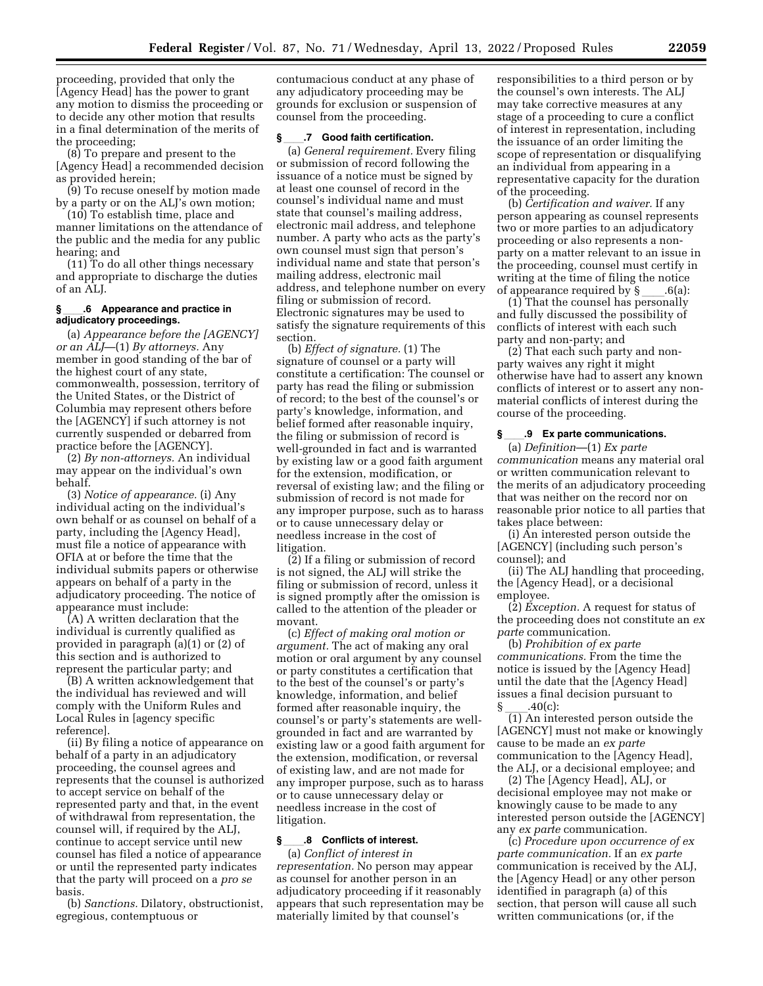proceeding, provided that only the [Agency Head] has the power to grant any motion to dismiss the proceeding or to decide any other motion that results in a final determination of the merits of the proceeding;

(8) To prepare and present to the [Agency Head] a recommended decision as provided herein;

(9) To recuse oneself by motion made by a party or on the ALJ's own motion;

(10) To establish time, place and manner limitations on the attendance of the public and the media for any public hearing; and

(11) To do all other things necessary and appropriate to discharge the duties of an ALJ.

#### **§**ll**.6 Appearance and practice in adjudicatory proceedings.**

(a) *Appearance before the [AGENCY] or an ALJ*—(1) *By attorneys.* Any member in good standing of the bar of the highest court of any state, commonwealth, possession, territory of the United States, or the District of Columbia may represent others before the [AGENCY] if such attorney is not currently suspended or debarred from practice before the [AGENCY].

(2) *By non-attorneys.* An individual may appear on the individual's own behalf.

(3) *Notice of appearance.* (i) Any individual acting on the individual's own behalf or as counsel on behalf of a party, including the [Agency Head], must file a notice of appearance with OFIA at or before the time that the individual submits papers or otherwise appears on behalf of a party in the adjudicatory proceeding. The notice of appearance must include:

(A) A written declaration that the individual is currently qualified as provided in paragraph (a)(1) or (2) of this section and is authorized to represent the particular party; and

(B) A written acknowledgement that the individual has reviewed and will comply with the Uniform Rules and Local Rules in [agency specific reference].

(ii) By filing a notice of appearance on behalf of a party in an adjudicatory proceeding, the counsel agrees and represents that the counsel is authorized to accept service on behalf of the represented party and that, in the event of withdrawal from representation, the counsel will, if required by the ALJ, continue to accept service until new counsel has filed a notice of appearance or until the represented party indicates that the party will proceed on a *pro se*  basis.

(b) *Sanctions.* Dilatory, obstructionist, egregious, contemptuous or

contumacious conduct at any phase of any adjudicatory proceeding may be grounds for exclusion or suspension of counsel from the proceeding.

#### **§**ll**.7 Good faith certification.**

(a) *General requirement.* Every filing or submission of record following the issuance of a notice must be signed by at least one counsel of record in the counsel's individual name and must state that counsel's mailing address, electronic mail address, and telephone number. A party who acts as the party's own counsel must sign that person's individual name and state that person's mailing address, electronic mail address, and telephone number on every filing or submission of record. Electronic signatures may be used to satisfy the signature requirements of this section.

(b) *Effect of signature.* (1) The signature of counsel or a party will constitute a certification: The counsel or party has read the filing or submission of record; to the best of the counsel's or party's knowledge, information, and belief formed after reasonable inquiry, the filing or submission of record is well-grounded in fact and is warranted by existing law or a good faith argument for the extension, modification, or reversal of existing law; and the filing or submission of record is not made for any improper purpose, such as to harass or to cause unnecessary delay or needless increase in the cost of litigation.

(2) If a filing or submission of record is not signed, the ALJ will strike the filing or submission of record, unless it is signed promptly after the omission is called to the attention of the pleader or movant.

(c) *Effect of making oral motion or argument.* The act of making any oral motion or oral argument by any counsel or party constitutes a certification that to the best of the counsel's or party's knowledge, information, and belief formed after reasonable inquiry, the counsel's or party's statements are wellgrounded in fact and are warranted by existing law or a good faith argument for the extension, modification, or reversal of existing law, and are not made for any improper purpose, such as to harass or to cause unnecessary delay or needless increase in the cost of litigation.

#### §\_\_\_\_\_.8 Conflicts of interest.

(a) *Conflict of interest in representation.* No person may appear as counsel for another person in an adjudicatory proceeding if it reasonably appears that such representation may be materially limited by that counsel's

responsibilities to a third person or by the counsel's own interests. The ALJ may take corrective measures at any stage of a proceeding to cure a conflict of interest in representation, including the issuance of an order limiting the scope of representation or disqualifying an individual from appearing in a representative capacity for the duration of the proceeding.

(b) *Certification and waiver.* If any person appearing as counsel represents two or more parties to an adjudicatory proceeding or also represents a nonparty on a matter relevant to an issue in the proceeding, counsel must certify in writing at the time of filing the notice

of appearance required by §\_\_\_\_.6(a):<br>(1) That the counsel has personally and fully discussed the possibility of conflicts of interest with each such party and non-party; and

(2) That each such party and nonparty waives any right it might otherwise have had to assert any known conflicts of interest or to assert any nonmaterial conflicts of interest during the course of the proceeding.

#### **§**ll**.9 Ex parte communications.**

(a) *Definition*—(1) *Ex parte communication* means any material oral or written communication relevant to the merits of an adjudicatory proceeding that was neither on the record nor on reasonable prior notice to all parties that takes place between:

(i) An interested person outside the [AGENCY] (including such person's counsel); and

(ii) The ALJ handling that proceeding, the [Agency Head], or a decisional employee.

(2) *Exception.* A request for status of the proceeding does not constitute an *ex parte* communication.

(b) *Prohibition of ex parte communications.* From the time the notice is issued by the [Agency Head] until the date that the [Agency Head] issues a final decision pursuant to

 $\frac{\S}{\S(1)}$ .40(c):<br>(1) An interested person outside the [AGENCY] must not make or knowingly cause to be made an *ex parte*  communication to the [Agency Head], the ALJ, or a decisional employee; and

(2) The [Agency Head], ALJ, or decisional employee may not make or knowingly cause to be made to any interested person outside the [AGENCY] any *ex parte* communication.

(c) *Procedure upon occurrence of ex parte communication.* If an *ex parte*  communication is received by the ALJ, the [Agency Head] or any other person identified in paragraph (a) of this section, that person will cause all such written communications (or, if the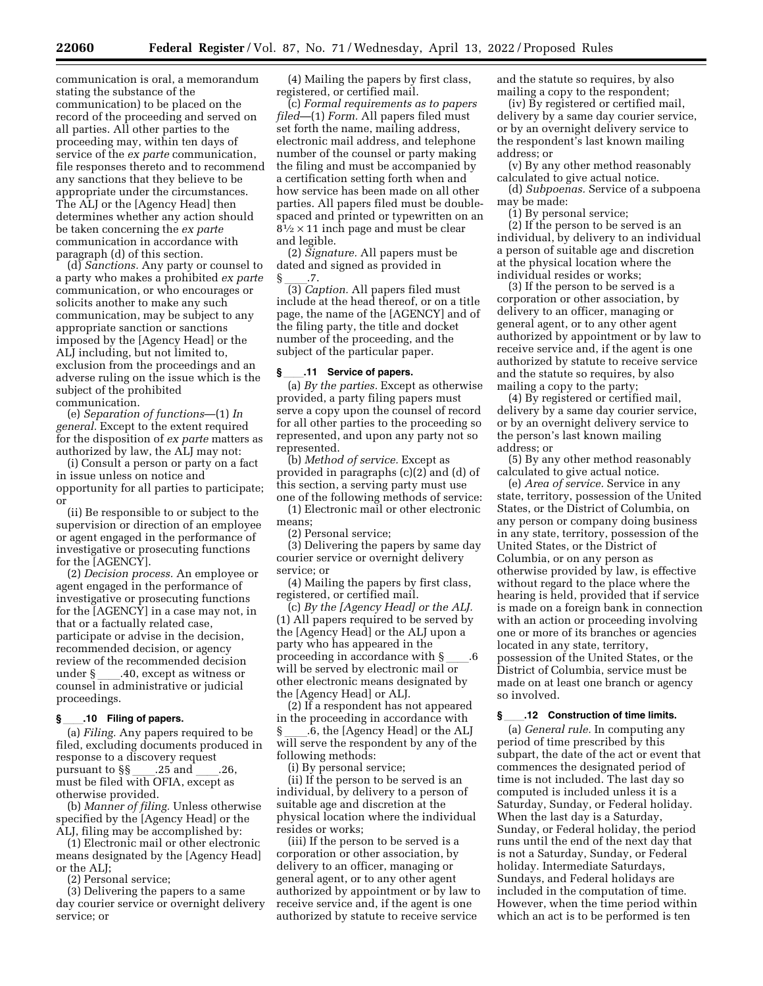communication is oral, a memorandum stating the substance of the communication) to be placed on the record of the proceeding and served on all parties. All other parties to the proceeding may, within ten days of service of the *ex parte* communication, file responses thereto and to recommend any sanctions that they believe to be appropriate under the circumstances. The ALJ or the [Agency Head] then determines whether any action should be taken concerning the *ex parte*  communication in accordance with paragraph (d) of this section.

(d) *Sanctions.* Any party or counsel to a party who makes a prohibited *ex parte*  communication, or who encourages or solicits another to make any such communication, may be subject to any appropriate sanction or sanctions imposed by the [Agency Head] or the ALJ including, but not limited to, exclusion from the proceedings and an adverse ruling on the issue which is the subject of the prohibited communication.

(e) *Separation of functions*—(1) *In general.* Except to the extent required for the disposition of *ex parte* matters as authorized by law, the ALJ may not:

(i) Consult a person or party on a fact in issue unless on notice and opportunity for all parties to participate; or

(ii) Be responsible to or subject to the supervision or direction of an employee or agent engaged in the performance of investigative or prosecuting functions for the [AGENCY].

(2) *Decision process.* An employee or agent engaged in the performance of investigative or prosecuting functions for the [AGENCY] in a case may not, in that or a factually related case, participate or advise in the decision, recommended decision, or agency review of the recommended decision under § \_\_\_\_.40, except as witness or<br>counsel in administrative or judicial proceedings.

#### **§**ll**.10 Filing of papers.**

(a) *Filing.* Any papers required to be filed, excluding documents produced in response to a discovery request pursuant to §§ \_\_\_\_.25 and \_\_\_\_.26,<br>must be filed with OFIA, except as otherwise provided.

(b) *Manner of filing.* Unless otherwise specified by the [Agency Head] or the ALJ, filing may be accomplished by:

(1) Electronic mail or other electronic means designated by the [Agency Head] or the ALJ;

(2) Personal service;

(3) Delivering the papers to a same day courier service or overnight delivery service; or

(4) Mailing the papers by first class, registered, or certified mail.

(c) *Formal requirements as to papers filed*—(1) *Form.* All papers filed must set forth the name, mailing address, electronic mail address, and telephone number of the counsel or party making the filing and must be accompanied by a certification setting forth when and how service has been made on all other parties. All papers filed must be doublespaced and printed or typewritten on an  $8\frac{1}{2} \times 11$  inch page and must be clear and legible.

(2) *Signature.* All papers must be dated and signed as provided in

§ \_\_\_\_.7.<br>(3) *Caption.* All papers filed must include at the head thereof, or on a title page, the name of the [AGENCY] and of the filing party, the title and docket number of the proceeding, and the subject of the particular paper.

#### **§**ll**.11 Service of papers.**

(a) *By the parties.* Except as otherwise provided, a party filing papers must serve a copy upon the counsel of record for all other parties to the proceeding so represented, and upon any party not so represented.

(b) *Method of service.* Except as provided in paragraphs (c)(2) and (d) of this section, a serving party must use one of the following methods of service:

(1) Electronic mail or other electronic means;

(2) Personal service;

(3) Delivering the papers by same day courier service or overnight delivery service; or

(4) Mailing the papers by first class, registered, or certified mail.

(c) *By the [Agency Head] or the ALJ.*  (1) All papers required to be served by the [Agency Head] or the ALJ upon a party who has appeared in the proceeding in accordance with  $\S$ will be served by electronic mail or other electronic means designated by the [Agency Head] or ALJ.

(2) If a respondent has not appeared in the proceeding in accordance with § 6, the [Agency Head] or the ALJ will serve the respondent by any of the following methods:

(i) By personal service;

(ii) If the person to be served is an individual, by delivery to a person of suitable age and discretion at the physical location where the individual resides or works;

(iii) If the person to be served is a corporation or other association, by delivery to an officer, managing or general agent, or to any other agent authorized by appointment or by law to receive service and, if the agent is one authorized by statute to receive service

and the statute so requires, by also mailing a copy to the respondent;

(iv) By registered or certified mail, delivery by a same day courier service, or by an overnight delivery service to the respondent's last known mailing address; or

(v) By any other method reasonably calculated to give actual notice.

(d) *Subpoenas.* Service of a subpoena may be made:

(1) By personal service;

(2) If the person to be served is an individual, by delivery to an individual a person of suitable age and discretion at the physical location where the individual resides or works;

(3) If the person to be served is a corporation or other association, by delivery to an officer, managing or general agent, or to any other agent authorized by appointment or by law to receive service and, if the agent is one authorized by statute to receive service and the statute so requires, by also mailing a copy to the party;

(4) By registered or certified mail, delivery by a same day courier service, or by an overnight delivery service to the person's last known mailing address; or

(5) By any other method reasonably calculated to give actual notice.

(e) *Area of service.* Service in any state, territory, possession of the United States, or the District of Columbia, on any person or company doing business in any state, territory, possession of the United States, or the District of Columbia, or on any person as otherwise provided by law, is effective without regard to the place where the hearing is held, provided that if service is made on a foreign bank in connection with an action or proceeding involving one or more of its branches or agencies located in any state, territory, possession of the United States, or the District of Columbia, service must be made on at least one branch or agency so involved.

#### **§**ll**.12 Construction of time limits.**

(a) *General rule.* In computing any period of time prescribed by this subpart, the date of the act or event that commences the designated period of time is not included. The last day so computed is included unless it is a Saturday, Sunday, or Federal holiday. When the last day is a Saturday, Sunday, or Federal holiday, the period runs until the end of the next day that is not a Saturday, Sunday, or Federal holiday. Intermediate Saturdays, Sundays, and Federal holidays are included in the computation of time. However, when the time period within which an act is to be performed is ten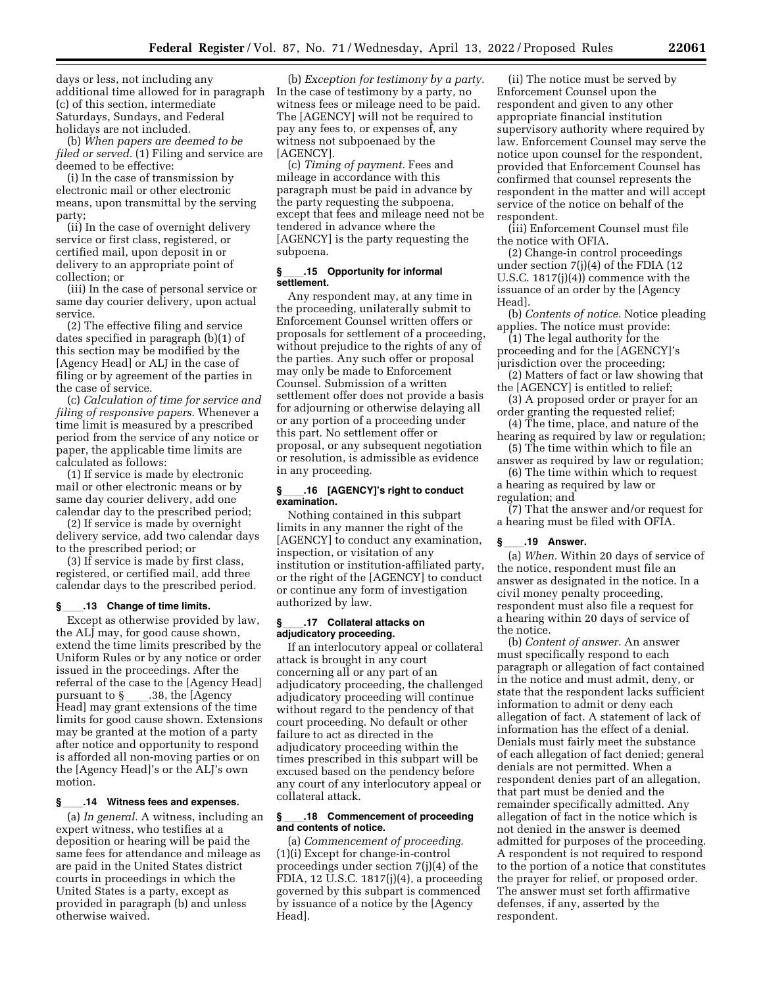days or less, not including any additional time allowed for in paragraph In the case of testimony by a party, no (c) of this section, intermediate Saturdays, Sundays, and Federal holidays are not included.

(b) *When papers are deemed to be filed or served.* (1) Filing and service are deemed to be effective:

(i) In the case of transmission by electronic mail or other electronic means, upon transmittal by the serving party;

(ii) In the case of overnight delivery service or first class, registered, or certified mail, upon deposit in or delivery to an appropriate point of collection; or

(iii) In the case of personal service or same day courier delivery, upon actual service.

(2) The effective filing and service dates specified in paragraph (b)(1) of this section may be modified by the [Agency Head] or ALJ in the case of filing or by agreement of the parties in the case of service.

(c) *Calculation of time for service and filing of responsive papers.* Whenever a time limit is measured by a prescribed period from the service of any notice or paper, the applicable time limits are calculated as follows:

(1) If service is made by electronic mail or other electronic means or by same day courier delivery, add one calendar day to the prescribed period;

(2) If service is made by overnight delivery service, add two calendar days to the prescribed period; or

(3) If service is made by first class, registered, or certified mail, add three calendar days to the prescribed period.

#### **§**ll**.13 Change of time limits.**

Except as otherwise provided by law, the ALJ may, for good cause shown, extend the time limits prescribed by the Uniform Rules or by any notice or order issued in the proceedings. After the referral of the case to the [Agency Head] pursuant to §\_\_\_\_.38, the [Agency<br>Head] may grant extensions of the time limits for good cause shown. Extensions may be granted at the motion of a party after notice and opportunity to respond is afforded all non-moving parties or on the [Agency Head]'s or the ALJ's own motion.

#### **§**ll**.14 Witness fees and expenses.**

(a) *In general.* A witness, including an expert witness, who testifies at a deposition or hearing will be paid the same fees for attendance and mileage as are paid in the United States district courts in proceedings in which the United States is a party, except as provided in paragraph (b) and unless otherwise waived.

(b) *Exception for testimony by a party.*  witness fees or mileage need to be paid. The [AGENCY] will not be required to pay any fees to, or expenses of, any witness not subpoenaed by the [AGENCY].

(c) *Timing of payment.* Fees and mileage in accordance with this paragraph must be paid in advance by the party requesting the subpoena, except that fees and mileage need not be tendered in advance where the [AGENCY] is the party requesting the subpoena.

#### **§**ll**.15 Opportunity for informal settlement.**

Any respondent may, at any time in the proceeding, unilaterally submit to Enforcement Counsel written offers or proposals for settlement of a proceeding, without prejudice to the rights of any of the parties. Any such offer or proposal may only be made to Enforcement Counsel. Submission of a written settlement offer does not provide a basis for adjourning or otherwise delaying all or any portion of a proceeding under this part. No settlement offer or proposal, or any subsequent negotiation or resolution, is admissible as evidence in any proceeding.

#### **§**ll**.16 [AGENCY]'s right to conduct examination.**

Nothing contained in this subpart limits in any manner the right of the [AGENCY] to conduct any examination, inspection, or visitation of any institution or institution-affiliated party, or the right of the [AGENCY] to conduct or continue any form of investigation authorized by law.

#### **§**ll**.17 Collateral attacks on adjudicatory proceeding.**

If an interlocutory appeal or collateral attack is brought in any court concerning all or any part of an adjudicatory proceeding, the challenged adjudicatory proceeding will continue without regard to the pendency of that court proceeding. No default or other failure to act as directed in the adjudicatory proceeding within the times prescribed in this subpart will be excused based on the pendency before any court of any interlocutory appeal or collateral attack.

#### **§**ll**.18 Commencement of proceeding and contents of notice.**

(a) *Commencement of proceeding.*  (1)(i) Except for change-in-control proceedings under section 7(j)(4) of the FDIA, 12 U.S.C. 1817(j)(4), a proceeding governed by this subpart is commenced by issuance of a notice by the [Agency Head].

(ii) The notice must be served by Enforcement Counsel upon the respondent and given to any other appropriate financial institution supervisory authority where required by law. Enforcement Counsel may serve the notice upon counsel for the respondent, provided that Enforcement Counsel has confirmed that counsel represents the respondent in the matter and will accept service of the notice on behalf of the respondent.

(iii) Enforcement Counsel must file the notice with OFIA.

(2) Change-in control proceedings under section 7(j)(4) of the FDIA (12 U.S.C. 1817(j)(4)) commence with the issuance of an order by the [Agency Head].

(b) *Contents of notice.* Notice pleading applies. The notice must provide:

(1) The legal authority for the proceeding and for the [AGENCY]'s jurisdiction over the proceeding;

- (2) Matters of fact or law showing that the [AGENCY] is entitled to relief;
- (3) A proposed order or prayer for an order granting the requested relief;
- (4) The time, place, and nature of the hearing as required by law or regulation;

(5) The time within which to file an answer as required by law or regulation;

(6) The time within which to request a hearing as required by law or regulation; and

(7) That the answer and/or request for a hearing must be filed with OFIA.

#### **§**ll**.19 Answer.**

(a) *When.* Within 20 days of service of the notice, respondent must file an answer as designated in the notice. In a civil money penalty proceeding, respondent must also file a request for a hearing within 20 days of service of the notice.

(b) *Content of answer.* An answer must specifically respond to each paragraph or allegation of fact contained in the notice and must admit, deny, or state that the respondent lacks sufficient information to admit or deny each allegation of fact. A statement of lack of information has the effect of a denial. Denials must fairly meet the substance of each allegation of fact denied; general denials are not permitted. When a respondent denies part of an allegation, that part must be denied and the remainder specifically admitted. Any allegation of fact in the notice which is not denied in the answer is deemed admitted for purposes of the proceeding. A respondent is not required to respond to the portion of a notice that constitutes the prayer for relief, or proposed order. The answer must set forth affirmative defenses, if any, asserted by the respondent.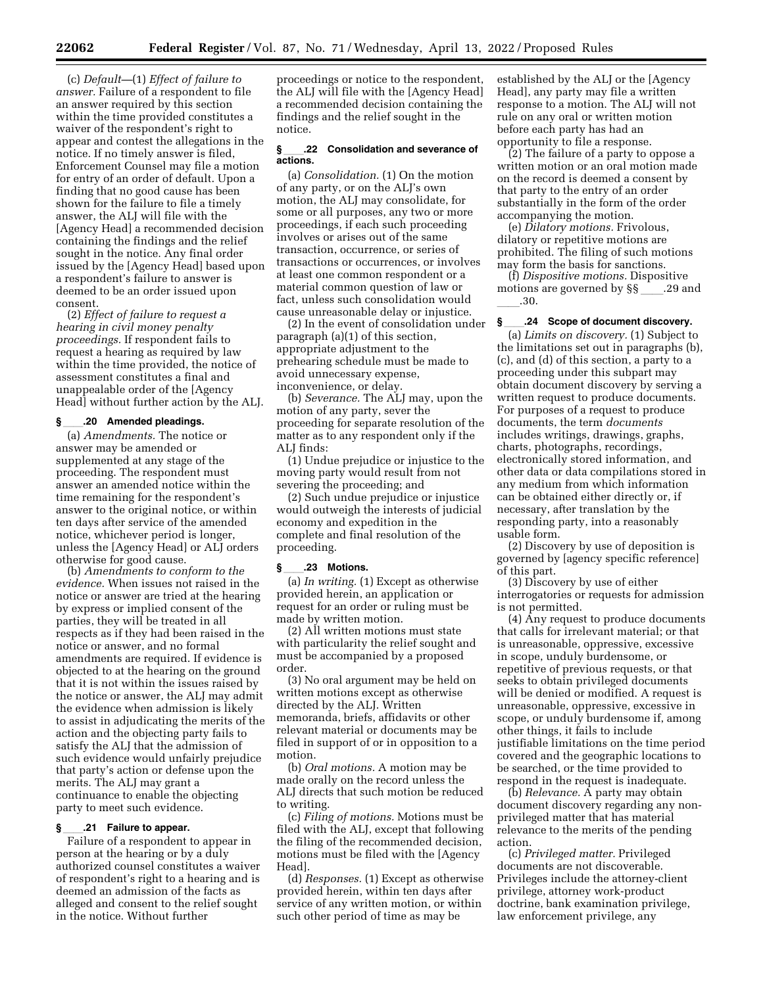(c) *Default—*(1) *Effect of failure to answer.* Failure of a respondent to file an answer required by this section within the time provided constitutes a waiver of the respondent's right to appear and contest the allegations in the notice. If no timely answer is filed, Enforcement Counsel may file a motion for entry of an order of default. Upon a finding that no good cause has been shown for the failure to file a timely answer, the ALJ will file with the [Agency Head] a recommended decision containing the findings and the relief sought in the notice. Any final order issued by the [Agency Head] based upon a respondent's failure to answer is deemed to be an order issued upon consent.

(2) *Effect of failure to request a hearing in civil money penalty proceedings.* If respondent fails to request a hearing as required by law within the time provided, the notice of assessment constitutes a final and unappealable order of the [Agency Head] without further action by the ALJ.

#### **§**ll**.20 Amended pleadings.**

(a) *Amendments.* The notice or answer may be amended or supplemented at any stage of the proceeding. The respondent must answer an amended notice within the time remaining for the respondent's answer to the original notice, or within ten days after service of the amended notice, whichever period is longer, unless the [Agency Head] or ALJ orders otherwise for good cause.

(b) *Amendments to conform to the evidence.* When issues not raised in the notice or answer are tried at the hearing by express or implied consent of the parties, they will be treated in all respects as if they had been raised in the notice or answer, and no formal amendments are required. If evidence is objected to at the hearing on the ground that it is not within the issues raised by the notice or answer, the ALJ may admit the evidence when admission is likely to assist in adjudicating the merits of the action and the objecting party fails to satisfy the ALJ that the admission of such evidence would unfairly prejudice that party's action or defense upon the merits. The ALJ may grant a continuance to enable the objecting party to meet such evidence.

#### § .21 Failure to appear.

Failure of a respondent to appear in person at the hearing or by a duly authorized counsel constitutes a waiver of respondent's right to a hearing and is deemed an admission of the facts as alleged and consent to the relief sought in the notice. Without further

proceedings or notice to the respondent, the ALJ will file with the [Agency Head] a recommended decision containing the findings and the relief sought in the notice.

#### **§**ll**.22 Consolidation and severance of actions.**

(a) *Consolidation.* (1) On the motion of any party, or on the ALJ's own motion, the ALJ may consolidate, for some or all purposes, any two or more proceedings, if each such proceeding involves or arises out of the same transaction, occurrence, or series of transactions or occurrences, or involves at least one common respondent or a material common question of law or fact, unless such consolidation would cause unreasonable delay or injustice.

(2) In the event of consolidation under paragraph (a)(1) of this section, appropriate adjustment to the prehearing schedule must be made to avoid unnecessary expense, inconvenience, or delay.

(b) *Severance.* The ALJ may, upon the motion of any party, sever the proceeding for separate resolution of the matter as to any respondent only if the ALJ finds:

(1) Undue prejudice or injustice to the moving party would result from not severing the proceeding; and

(2) Such undue prejudice or injustice would outweigh the interests of judicial economy and expedition in the complete and final resolution of the proceeding.

#### **§**ll**.23 Motions.**

(a) *In writing.* (1) Except as otherwise provided herein, an application or request for an order or ruling must be made by written motion.

(2) All written motions must state with particularity the relief sought and must be accompanied by a proposed order.

(3) No oral argument may be held on written motions except as otherwise directed by the ALJ. Written memoranda, briefs, affidavits or other relevant material or documents may be filed in support of or in opposition to a motion.

(b) *Oral motions.* A motion may be made orally on the record unless the ALJ directs that such motion be reduced to writing.

(c) *Filing of motions.* Motions must be filed with the ALJ, except that following the filing of the recommended decision, motions must be filed with the [Agency Head].

(d) *Responses.* (1) Except as otherwise provided herein, within ten days after service of any written motion, or within such other period of time as may be

established by the ALJ or the [Agency Head], any party may file a written response to a motion. The ALJ will not rule on any oral or written motion before each party has had an opportunity to file a response.

(2) The failure of a party to oppose a written motion or an oral motion made on the record is deemed a consent by that party to the entry of an order substantially in the form of the order accompanying the motion.

(e) *Dilatory motions.* Frivolous, dilatory or repetitive motions are prohibited. The filing of such motions may form the basis for sanctions.

(f) *Dispositive motions.* Dispositive motions are governed by §§\_\_\_\_.29 and ll.30.

#### **§**ll**.24 Scope of document discovery.**

(a) *Limits on discovery.* (1) Subject to the limitations set out in paragraphs (b), (c), and (d) of this section, a party to a proceeding under this subpart may obtain document discovery by serving a written request to produce documents. For purposes of a request to produce documents, the term *documents*  includes writings, drawings, graphs, charts, photographs, recordings, electronically stored information, and other data or data compilations stored in any medium from which information can be obtained either directly or, if necessary, after translation by the responding party, into a reasonably usable form.

(2) Discovery by use of deposition is governed by [agency specific reference] of this part.

(3) Discovery by use of either interrogatories or requests for admission is not permitted.

(4) Any request to produce documents that calls for irrelevant material; or that is unreasonable, oppressive, excessive in scope, unduly burdensome, or repetitive of previous requests, or that seeks to obtain privileged documents will be denied or modified. A request is unreasonable, oppressive, excessive in scope, or unduly burdensome if, among other things, it fails to include justifiable limitations on the time period covered and the geographic locations to be searched, or the time provided to respond in the request is inadequate.

(b) *Relevance.* A party may obtain document discovery regarding any nonprivileged matter that has material relevance to the merits of the pending action.

(c) *Privileged matter.* Privileged documents are not discoverable. Privileges include the attorney-client privilege, attorney work-product doctrine, bank examination privilege, law enforcement privilege, any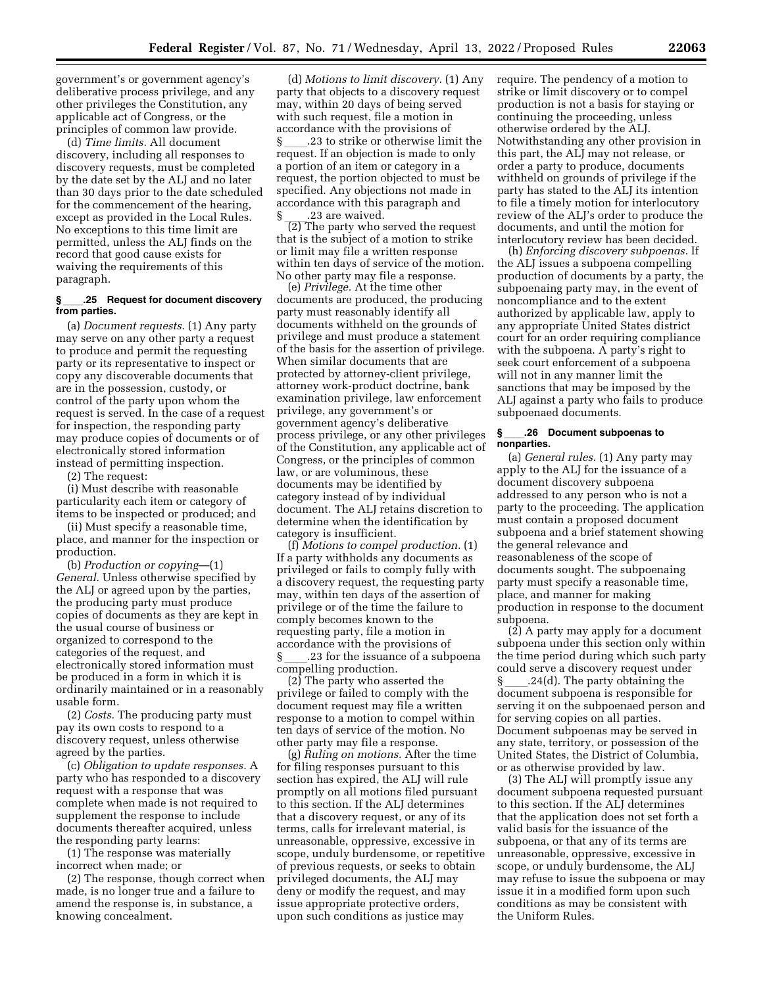government's or government agency's deliberative process privilege, and any other privileges the Constitution, any applicable act of Congress, or the principles of common law provide.

(d) *Time limits.* All document discovery, including all responses to discovery requests, must be completed by the date set by the ALJ and no later than 30 days prior to the date scheduled for the commencement of the hearing, except as provided in the Local Rules. No exceptions to this time limit are permitted, unless the ALJ finds on the record that good cause exists for waiving the requirements of this paragraph.

#### **§**ll**.25 Request for document discovery from parties.**

(a) *Document requests.* (1) Any party may serve on any other party a request to produce and permit the requesting party or its representative to inspect or copy any discoverable documents that are in the possession, custody, or control of the party upon whom the request is served. In the case of a request for inspection, the responding party may produce copies of documents or of electronically stored information instead of permitting inspection.

(2) The request:

(i) Must describe with reasonable particularity each item or category of items to be inspected or produced; and

(ii) Must specify a reasonable time, place, and manner for the inspection or production.

(b) *Production or copying*—(1) *General.* Unless otherwise specified by the ALJ or agreed upon by the parties, the producing party must produce copies of documents as they are kept in the usual course of business or organized to correspond to the categories of the request, and electronically stored information must be produced in a form in which it is ordinarily maintained or in a reasonably usable form.

(2) *Costs.* The producing party must pay its own costs to respond to a discovery request, unless otherwise agreed by the parties.

(c) *Obligation to update responses.* A party who has responded to a discovery request with a response that was complete when made is not required to supplement the response to include documents thereafter acquired, unless the responding party learns:

(1) The response was materially incorrect when made; or

(2) The response, though correct when made, is no longer true and a failure to amend the response is, in substance, a knowing concealment.

(d) *Motions to limit discovery.* (1) Any party that objects to a discovery request may, within 20 days of being served with such request, file a motion in accordance with the provisions of

§ 23 to strike or otherwise limit the request. If an objection is made to only a portion of an item or category in a request, the portion objected to must be specified. Any objections not made in accordance with this paragraph and

 $\frac{1}{2}$  .23 are waived.<br>(2) The party who served the request that is the subject of a motion to strike or limit may file a written response within ten days of service of the motion. No other party may file a response.

(e) *Privilege.* At the time other documents are produced, the producing party must reasonably identify all documents withheld on the grounds of privilege and must produce a statement of the basis for the assertion of privilege. When similar documents that are protected by attorney-client privilege, attorney work-product doctrine, bank examination privilege, law enforcement privilege, any government's or government agency's deliberative process privilege, or any other privileges of the Constitution, any applicable act of Congress, or the principles of common law, or are voluminous, these documents may be identified by category instead of by individual document. The ALJ retains discretion to determine when the identification by category is insufficient.

(f) *Motions to compel production.* (1) If a party withholds any documents as privileged or fails to comply fully with a discovery request, the requesting party may, within ten days of the assertion of privilege or of the time the failure to comply becomes known to the requesting party, file a motion in accordance with the provisions of § 23 for the issuance of a subpoena compelling production.

(2) The party who asserted the privilege or failed to comply with the document request may file a written response to a motion to compel within ten days of service of the motion. No other party may file a response.

(g) *Ruling on motions.* After the time for filing responses pursuant to this section has expired, the ALJ will rule promptly on all motions filed pursuant to this section. If the ALJ determines that a discovery request, or any of its terms, calls for irrelevant material, is unreasonable, oppressive, excessive in scope, unduly burdensome, or repetitive of previous requests, or seeks to obtain privileged documents, the ALJ may deny or modify the request, and may issue appropriate protective orders, upon such conditions as justice may

require. The pendency of a motion to strike or limit discovery or to compel production is not a basis for staying or continuing the proceeding, unless otherwise ordered by the ALJ. Notwithstanding any other provision in this part, the ALJ may not release, or order a party to produce, documents withheld on grounds of privilege if the party has stated to the ALJ its intention to file a timely motion for interlocutory review of the ALJ's order to produce the documents, and until the motion for interlocutory review has been decided.

(h) *Enforcing discovery subpoenas.* If the ALJ issues a subpoena compelling production of documents by a party, the subpoenaing party may, in the event of noncompliance and to the extent authorized by applicable law, apply to any appropriate United States district court for an order requiring compliance with the subpoena. A party's right to seek court enforcement of a subpoena will not in any manner limit the sanctions that may be imposed by the ALJ against a party who fails to produce subpoenaed documents.

#### **§**ll**.26 Document subpoenas to nonparties.**

(a) *General rules.* (1) Any party may apply to the ALJ for the issuance of a document discovery subpoena addressed to any person who is not a party to the proceeding. The application must contain a proposed document subpoena and a brief statement showing the general relevance and reasonableness of the scope of documents sought. The subpoenaing party must specify a reasonable time, place, and manner for making production in response to the document subpoena.

(2) A party may apply for a document subpoena under this section only within the time period during which such party could serve a discovery request under § ll.24(d). The party obtaining the document subpoena is responsible for serving it on the subpoenaed person and for serving copies on all parties. Document subpoenas may be served in any state, territory, or possession of the United States, the District of Columbia, or as otherwise provided by law.

(3) The ALJ will promptly issue any document subpoena requested pursuant to this section. If the ALJ determines that the application does not set forth a valid basis for the issuance of the subpoena, or that any of its terms are unreasonable, oppressive, excessive in scope, or unduly burdensome, the ALJ may refuse to issue the subpoena or may issue it in a modified form upon such conditions as may be consistent with the Uniform Rules.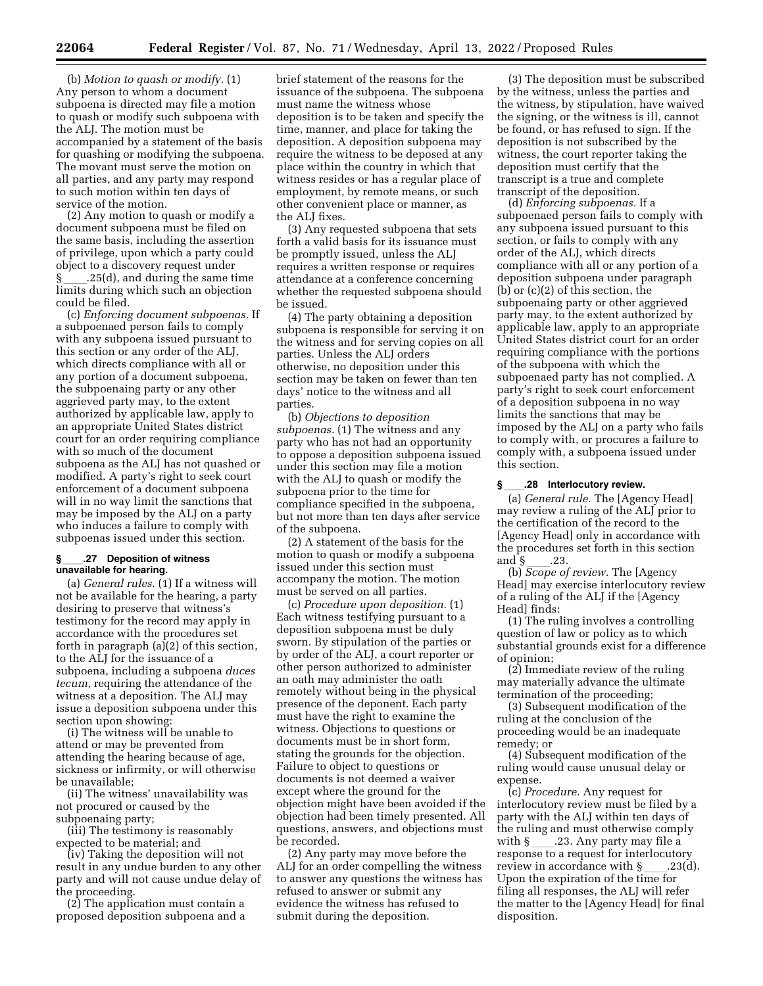(b) *Motion to quash or modify.* (1) Any person to whom a document subpoena is directed may file a motion to quash or modify such subpoena with the ALJ. The motion must be accompanied by a statement of the basis for quashing or modifying the subpoena. The movant must serve the motion on all parties, and any party may respond to such motion within ten days of service of the motion.

(2) Any motion to quash or modify a document subpoena must be filed on the same basis, including the assertion of privilege, upon which a party could object to a discovery request under § ll.25(d), and during the same time limits during which such an objection could be filed.

(c) *Enforcing document subpoenas.* If a subpoenaed person fails to comply with any subpoena issued pursuant to this section or any order of the ALJ, which directs compliance with all or any portion of a document subpoena, the subpoenaing party or any other aggrieved party may, to the extent authorized by applicable law, apply to an appropriate United States district court for an order requiring compliance with so much of the document subpoena as the ALJ has not quashed or modified. A party's right to seek court enforcement of a document subpoena will in no way limit the sanctions that may be imposed by the ALJ on a party who induces a failure to comply with subpoenas issued under this section.

#### **§**ll**.27 Deposition of witness unavailable for hearing.**

(a) *General rules.* (1) If a witness will not be available for the hearing, a party desiring to preserve that witness's testimony for the record may apply in accordance with the procedures set forth in paragraph (a)(2) of this section, to the ALJ for the issuance of a subpoena, including a subpoena *duces tecum,* requiring the attendance of the witness at a deposition. The ALJ may issue a deposition subpoena under this section upon showing:

(i) The witness will be unable to attend or may be prevented from attending the hearing because of age, sickness or infirmity, or will otherwise be unavailable;

(ii) The witness' unavailability was not procured or caused by the subpoenaing party;

(iii) The testimony is reasonably expected to be material; and

(iv) Taking the deposition will not result in any undue burden to any other party and will not cause undue delay of the proceeding.

(2) The application must contain a proposed deposition subpoena and a

brief statement of the reasons for the issuance of the subpoena. The subpoena must name the witness whose deposition is to be taken and specify the time, manner, and place for taking the deposition. A deposition subpoena may require the witness to be deposed at any place within the country in which that witness resides or has a regular place of employment, by remote means, or such other convenient place or manner, as the ALJ fixes.

(3) Any requested subpoena that sets forth a valid basis for its issuance must be promptly issued, unless the ALJ requires a written response or requires attendance at a conference concerning whether the requested subpoena should be issued.

(4) The party obtaining a deposition subpoena is responsible for serving it on the witness and for serving copies on all parties. Unless the ALJ orders otherwise, no deposition under this section may be taken on fewer than ten days' notice to the witness and all parties.

(b) *Objections to deposition subpoenas.* (1) The witness and any party who has not had an opportunity to oppose a deposition subpoena issued under this section may file a motion with the ALJ to quash or modify the subpoena prior to the time for compliance specified in the subpoena, but not more than ten days after service of the subpoena.

(2) A statement of the basis for the motion to quash or modify a subpoena issued under this section must accompany the motion. The motion must be served on all parties.

(c) *Procedure upon deposition.* (1) Each witness testifying pursuant to a deposition subpoena must be duly sworn. By stipulation of the parties or by order of the ALJ, a court reporter or other person authorized to administer an oath may administer the oath remotely without being in the physical presence of the deponent. Each party must have the right to examine the witness. Objections to questions or documents must be in short form, stating the grounds for the objection. Failure to object to questions or documents is not deemed a waiver except where the ground for the objection might have been avoided if the objection had been timely presented. All questions, answers, and objections must be recorded.

(2) Any party may move before the ALJ for an order compelling the witness to answer any questions the witness has refused to answer or submit any evidence the witness has refused to submit during the deposition.

(3) The deposition must be subscribed by the witness, unless the parties and the witness, by stipulation, have waived the signing, or the witness is ill, cannot be found, or has refused to sign. If the deposition is not subscribed by the witness, the court reporter taking the deposition must certify that the transcript is a true and complete transcript of the deposition.

(d) *Enforcing subpoenas.* If a subpoenaed person fails to comply with any subpoena issued pursuant to this section, or fails to comply with any order of the ALJ, which directs compliance with all or any portion of a deposition subpoena under paragraph (b) or (c)(2) of this section, the subpoenaing party or other aggrieved party may, to the extent authorized by applicable law, apply to an appropriate United States district court for an order requiring compliance with the portions of the subpoena with which the subpoenaed party has not complied. A party's right to seek court enforcement of a deposition subpoena in no way limits the sanctions that may be imposed by the ALJ on a party who fails to comply with, or procures a failure to comply with, a subpoena issued under this section.

#### **§**ll**.28 Interlocutory review.**

(a) *General rule.* The [Agency Head] may review a ruling of the ALJ prior to the certification of the record to the [Agency Head] only in accordance with the procedures set forth in this section

and § \_\_\_.23.<br>(b) *Scope of review.* The [Agency Head] may exercise interlocutory review of a ruling of the ALJ if the [Agency Head] finds:

(1) The ruling involves a controlling question of law or policy as to which substantial grounds exist for a difference of opinion;

(2) Immediate review of the ruling may materially advance the ultimate termination of the proceeding;

(3) Subsequent modification of the ruling at the conclusion of the proceeding would be an inadequate remedy; or

(4) Subsequent modification of the ruling would cause unusual delay or expense.

(c) *Procedure.* Any request for interlocutory review must be filed by a party with the ALJ within ten days of the ruling and must otherwise comply with  $\S$  \_\_\_\_\_.23. Any party may file a response to a request for interlocutory review in accordance with  $\S$  .23(d). Upon the expiration of the time for filing all responses, the ALJ will refer the matter to the [Agency Head] for final disposition.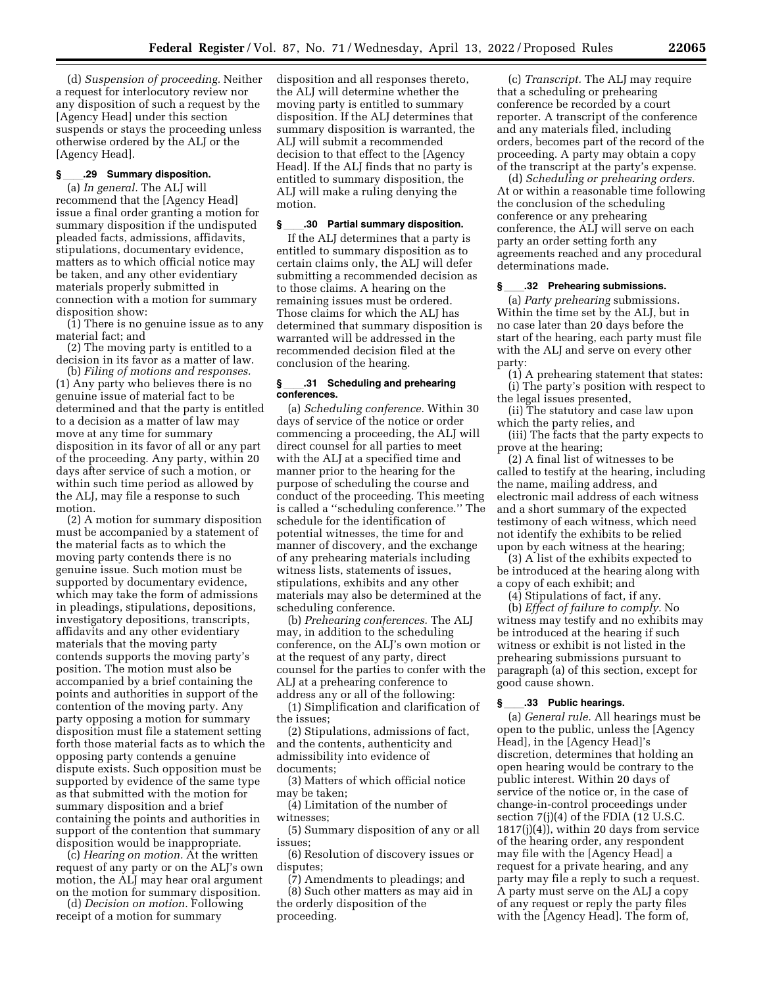(d) *Suspension of proceeding.* Neither a request for interlocutory review nor any disposition of such a request by the [Agency Head] under this section suspends or stays the proceeding unless otherwise ordered by the ALJ or the [Agency Head].

#### **§**ll**.29 Summary disposition.**

(a) *In general.* The ALJ will recommend that the [Agency Head] issue a final order granting a motion for summary disposition if the undisputed pleaded facts, admissions, affidavits, stipulations, documentary evidence, matters as to which official notice may be taken, and any other evidentiary materials properly submitted in connection with a motion for summary disposition show:

(1) There is no genuine issue as to any material fact; and

(2) The moving party is entitled to a decision in its favor as a matter of law.

(b) *Filing of motions and responses.*  (1) Any party who believes there is no genuine issue of material fact to be determined and that the party is entitled to a decision as a matter of law may move at any time for summary disposition in its favor of all or any part of the proceeding. Any party, within 20 days after service of such a motion, or within such time period as allowed by the ALJ, may file a response to such motion.

(2) A motion for summary disposition must be accompanied by a statement of the material facts as to which the moving party contends there is no genuine issue. Such motion must be supported by documentary evidence, which may take the form of admissions in pleadings, stipulations, depositions, investigatory depositions, transcripts, affidavits and any other evidentiary materials that the moving party contends supports the moving party's position. The motion must also be accompanied by a brief containing the points and authorities in support of the contention of the moving party. Any party opposing a motion for summary disposition must file a statement setting forth those material facts as to which the opposing party contends a genuine dispute exists. Such opposition must be supported by evidence of the same type as that submitted with the motion for summary disposition and a brief containing the points and authorities in support of the contention that summary disposition would be inappropriate.

(c) *Hearing on motion.* At the written request of any party or on the ALJ's own motion, the ALJ may hear oral argument on the motion for summary disposition.

(d) *Decision on motion.* Following receipt of a motion for summary

disposition and all responses thereto, the ALJ will determine whether the moving party is entitled to summary disposition. If the ALJ determines that summary disposition is warranted, the ALJ will submit a recommended decision to that effect to the [Agency Head]. If the ALJ finds that no party is entitled to summary disposition, the ALJ will make a ruling denying the motion.

#### **§**ll**.30 Partial summary disposition.**

If the ALJ determines that a party is entitled to summary disposition as to certain claims only, the ALJ will defer submitting a recommended decision as to those claims. A hearing on the remaining issues must be ordered. Those claims for which the ALJ has determined that summary disposition is warranted will be addressed in the recommended decision filed at the conclusion of the hearing.

#### **§**ll**.31 Scheduling and prehearing conferences.**

(a) *Scheduling conference.* Within 30 days of service of the notice or order commencing a proceeding, the ALJ will direct counsel for all parties to meet with the ALJ at a specified time and manner prior to the hearing for the purpose of scheduling the course and conduct of the proceeding. This meeting is called a ''scheduling conference.'' The schedule for the identification of potential witnesses, the time for and manner of discovery, and the exchange of any prehearing materials including witness lists, statements of issues, stipulations, exhibits and any other materials may also be determined at the scheduling conference.

(b) *Prehearing conferences.* The ALJ may, in addition to the scheduling conference, on the ALJ's own motion or at the request of any party, direct counsel for the parties to confer with the ALJ at a prehearing conference to address any or all of the following:

(1) Simplification and clarification of the issues;

(2) Stipulations, admissions of fact, and the contents, authenticity and admissibility into evidence of documents;

(3) Matters of which official notice may be taken;

(4) Limitation of the number of witnesses;

(5) Summary disposition of any or all issues;

(6) Resolution of discovery issues or disputes;

(7) Amendments to pleadings; and (8) Such other matters as may aid in the orderly disposition of the proceeding.

(c) *Transcript.* The ALJ may require that a scheduling or prehearing conference be recorded by a court reporter. A transcript of the conference and any materials filed, including orders, becomes part of the record of the proceeding. A party may obtain a copy of the transcript at the party's expense.

(d) *Scheduling or prehearing orders.*  At or within a reasonable time following the conclusion of the scheduling conference or any prehearing conference, the ALJ will serve on each party an order setting forth any agreements reached and any procedural determinations made.

#### **§**ll**.32 Prehearing submissions.**

(a) *Party prehearing* submissions. Within the time set by the ALJ, but in no case later than 20 days before the start of the hearing, each party must file with the ALJ and serve on every other party:

(1) A prehearing statement that states: (i) The party's position with respect to the legal issues presented,

(ii) The statutory and case law upon which the party relies, and

(iii) The facts that the party expects to prove at the hearing;

(2) A final list of witnesses to be called to testify at the hearing, including the name, mailing address, and electronic mail address of each witness and a short summary of the expected testimony of each witness, which need not identify the exhibits to be relied upon by each witness at the hearing;

(3) A list of the exhibits expected to be introduced at the hearing along with a copy of each exhibit; and

(4) Stipulations of fact, if any.

(b) *Effect of failure to comply.* No witness may testify and no exhibits may be introduced at the hearing if such witness or exhibit is not listed in the prehearing submissions pursuant to paragraph (a) of this section, except for good cause shown.

#### **§**ll**.33 Public hearings.**

(a) *General rule.* All hearings must be open to the public, unless the [Agency Head], in the [Agency Head]'s discretion, determines that holding an open hearing would be contrary to the public interest. Within 20 days of service of the notice or, in the case of change-in-control proceedings under section 7(j)(4) of the FDIA (12 U.S.C. 1817(j)(4)), within 20 days from service of the hearing order, any respondent may file with the [Agency Head] a request for a private hearing, and any party may file a reply to such a request. A party must serve on the ALJ a copy of any request or reply the party files with the [Agency Head]. The form of,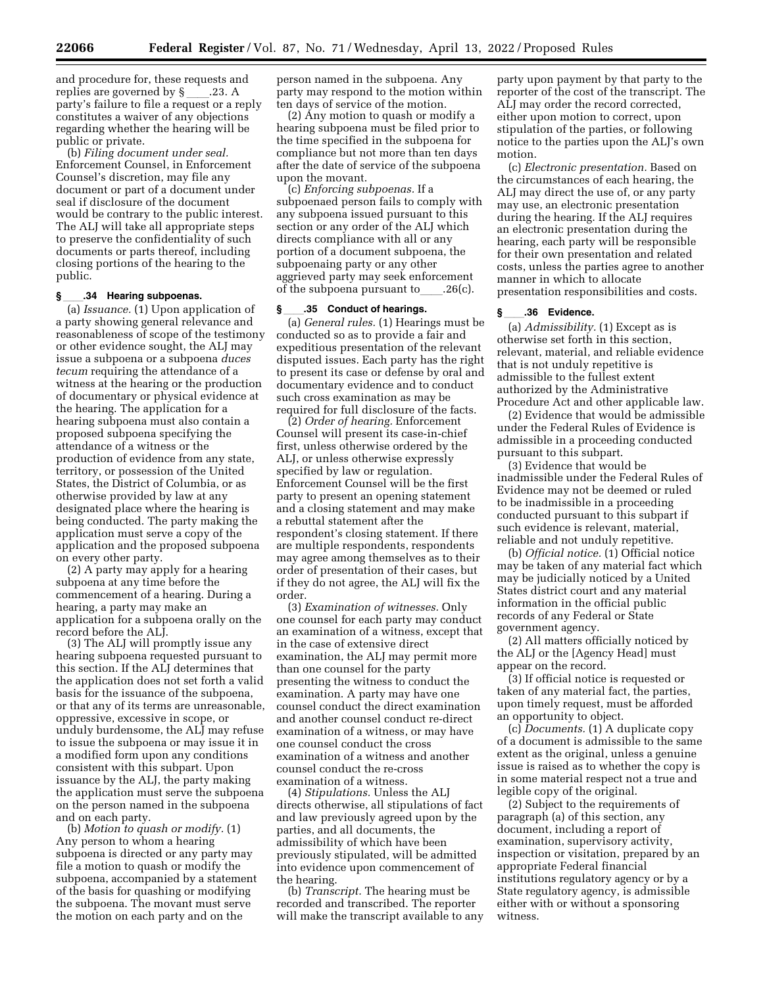and procedure for, these requests and<br>replies are governed by  $\S$  .23. A replies are governed by §\_\_\_\_.23. A<br>party's failure to file a request or a reply constitutes a waiver of any objections regarding whether the hearing will be public or private.

(b) *Filing document under seal.*  Enforcement Counsel, in Enforcement Counsel's discretion, may file any document or part of a document under seal if disclosure of the document would be contrary to the public interest. The ALJ will take all appropriate steps to preserve the confidentiality of such documents or parts thereof, including closing portions of the hearing to the public.

#### **§**ll**.34 Hearing subpoenas.**

(a) *Issuance.* (1) Upon application of a party showing general relevance and reasonableness of scope of the testimony or other evidence sought, the ALJ may issue a subpoena or a subpoena *duces tecum* requiring the attendance of a witness at the hearing or the production of documentary or physical evidence at the hearing. The application for a hearing subpoena must also contain a proposed subpoena specifying the attendance of a witness or the production of evidence from any state, territory, or possession of the United States, the District of Columbia, or as otherwise provided by law at any designated place where the hearing is being conducted. The party making the application must serve a copy of the application and the proposed subpoena on every other party.

(2) A party may apply for a hearing subpoena at any time before the commencement of a hearing. During a hearing, a party may make an application for a subpoena orally on the record before the ALJ.

(3) The ALJ will promptly issue any hearing subpoena requested pursuant to this section. If the ALJ determines that the application does not set forth a valid basis for the issuance of the subpoena, or that any of its terms are unreasonable, oppressive, excessive in scope, or unduly burdensome, the ALJ may refuse to issue the subpoena or may issue it in a modified form upon any conditions consistent with this subpart. Upon issuance by the ALJ, the party making the application must serve the subpoena on the person named in the subpoena and on each party.

(b) *Motion to quash or modify.* (1) Any person to whom a hearing subpoena is directed or any party may file a motion to quash or modify the subpoena, accompanied by a statement of the basis for quashing or modifying the subpoena. The movant must serve the motion on each party and on the

person named in the subpoena. Any party may respond to the motion within ten days of service of the motion.

(2) Any motion to quash or modify a hearing subpoena must be filed prior to the time specified in the subpoena for compliance but not more than ten days after the date of service of the subpoena upon the movant.

(c) *Enforcing subpoenas.* If a subpoenaed person fails to comply with any subpoena issued pursuant to this section or any order of the ALJ which directs compliance with all or any portion of a document subpoena, the subpoenaing party or any other aggrieved party may seek enforcement of the subpoena pursuant to  $.26(c)$ .

#### **§**ll**.35 Conduct of hearings.**

(a) *General rules.* (1) Hearings must be conducted so as to provide a fair and expeditious presentation of the relevant disputed issues. Each party has the right to present its case or defense by oral and documentary evidence and to conduct such cross examination as may be required for full disclosure of the facts.

(2) *Order of hearing.* Enforcement Counsel will present its case-in-chief first, unless otherwise ordered by the ALJ, or unless otherwise expressly specified by law or regulation. Enforcement Counsel will be the first party to present an opening statement and a closing statement and may make a rebuttal statement after the respondent's closing statement. If there are multiple respondents, respondents may agree among themselves as to their order of presentation of their cases, but if they do not agree, the ALJ will fix the order.

(3) *Examination of witnesses.* Only one counsel for each party may conduct an examination of a witness, except that in the case of extensive direct examination, the ALJ may permit more than one counsel for the party presenting the witness to conduct the examination. A party may have one counsel conduct the direct examination and another counsel conduct re-direct examination of a witness, or may have one counsel conduct the cross examination of a witness and another counsel conduct the re-cross examination of a witness.

(4) *Stipulations.* Unless the ALJ directs otherwise, all stipulations of fact and law previously agreed upon by the parties, and all documents, the admissibility of which have been previously stipulated, will be admitted into evidence upon commencement of the hearing.

(b) *Transcript.* The hearing must be recorded and transcribed. The reporter will make the transcript available to any

party upon payment by that party to the reporter of the cost of the transcript. The ALJ may order the record corrected, either upon motion to correct, upon stipulation of the parties, or following notice to the parties upon the ALJ's own motion.

(c) *Electronic presentation.* Based on the circumstances of each hearing, the ALJ may direct the use of, or any party may use, an electronic presentation during the hearing. If the ALJ requires an electronic presentation during the hearing, each party will be responsible for their own presentation and related costs, unless the parties agree to another manner in which to allocate presentation responsibilities and costs.

#### **§**ll**.36 Evidence.**

(a) *Admissibility.* (1) Except as is otherwise set forth in this section, relevant, material, and reliable evidence that is not unduly repetitive is admissible to the fullest extent authorized by the Administrative Procedure Act and other applicable law.

(2) Evidence that would be admissible under the Federal Rules of Evidence is admissible in a proceeding conducted pursuant to this subpart.

(3) Evidence that would be inadmissible under the Federal Rules of Evidence may not be deemed or ruled to be inadmissible in a proceeding conducted pursuant to this subpart if such evidence is relevant, material, reliable and not unduly repetitive.

(b) *Official notice.* (1) Official notice may be taken of any material fact which may be judicially noticed by a United States district court and any material information in the official public records of any Federal or State government agency.

(2) All matters officially noticed by the ALJ or the [Agency Head] must appear on the record.

(3) If official notice is requested or taken of any material fact, the parties, upon timely request, must be afforded an opportunity to object.

(c) *Documents.* (1) A duplicate copy of a document is admissible to the same extent as the original, unless a genuine issue is raised as to whether the copy is in some material respect not a true and legible copy of the original.

(2) Subject to the requirements of paragraph (a) of this section, any document, including a report of examination, supervisory activity, inspection or visitation, prepared by an appropriate Federal financial institutions regulatory agency or by a State regulatory agency, is admissible either with or without a sponsoring witness.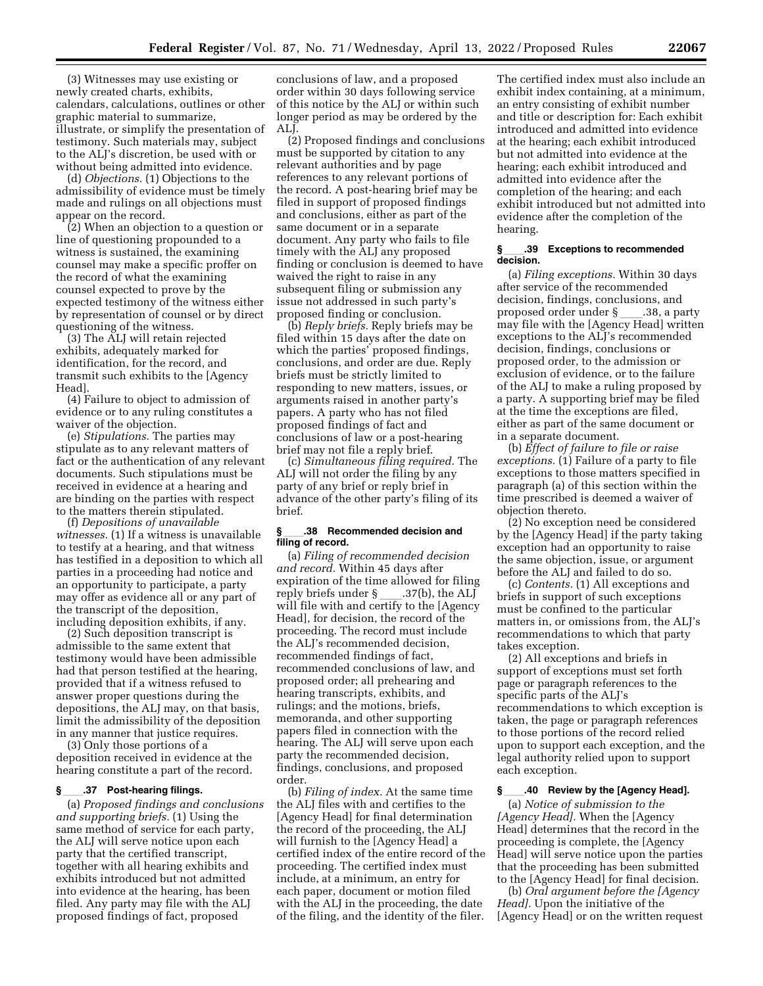(3) Witnesses may use existing or newly created charts, exhibits, calendars, calculations, outlines or other graphic material to summarize, illustrate, or simplify the presentation of testimony. Such materials may, subject to the ALJ's discretion, be used with or without being admitted into evidence.

(d) *Objections.* (1) Objections to the admissibility of evidence must be timely made and rulings on all objections must appear on the record.

(2) When an objection to a question or line of questioning propounded to a witness is sustained, the examining counsel may make a specific proffer on the record of what the examining counsel expected to prove by the expected testimony of the witness either by representation of counsel or by direct questioning of the witness.

(3) The ALJ will retain rejected exhibits, adequately marked for identification, for the record, and transmit such exhibits to the [Agency Head].

(4) Failure to object to admission of evidence or to any ruling constitutes a waiver of the objection.

(e) *Stipulations.* The parties may stipulate as to any relevant matters of fact or the authentication of any relevant documents. Such stipulations must be received in evidence at a hearing and are binding on the parties with respect to the matters therein stipulated.

(f) *Depositions of unavailable witnesses.* (1) If a witness is unavailable to testify at a hearing, and that witness has testified in a deposition to which all parties in a proceeding had notice and an opportunity to participate, a party may offer as evidence all or any part of the transcript of the deposition, including deposition exhibits, if any.

(2) Such deposition transcript is admissible to the same extent that testimony would have been admissible had that person testified at the hearing, provided that if a witness refused to answer proper questions during the depositions, the ALJ may, on that basis, limit the admissibility of the deposition in any manner that justice requires.

(3) Only those portions of a deposition received in evidence at the hearing constitute a part of the record.

#### **§**ll**.37 Post-hearing filings.**

(a) *Proposed findings and conclusions and supporting briefs.* (1) Using the same method of service for each party, the ALJ will serve notice upon each party that the certified transcript, together with all hearing exhibits and exhibits introduced but not admitted into evidence at the hearing, has been filed. Any party may file with the ALJ proposed findings of fact, proposed

conclusions of law, and a proposed order within 30 days following service of this notice by the ALJ or within such longer period as may be ordered by the ALJ.

(2) Proposed findings and conclusions must be supported by citation to any relevant authorities and by page references to any relevant portions of the record. A post-hearing brief may be filed in support of proposed findings and conclusions, either as part of the same document or in a separate document. Any party who fails to file timely with the ALJ any proposed finding or conclusion is deemed to have waived the right to raise in any subsequent filing or submission any issue not addressed in such party's proposed finding or conclusion.

(b) *Reply briefs.* Reply briefs may be filed within 15 days after the date on which the parties' proposed findings, conclusions, and order are due. Reply briefs must be strictly limited to responding to new matters, issues, or arguments raised in another party's papers. A party who has not filed proposed findings of fact and conclusions of law or a post-hearing brief may not file a reply brief.

(c) *Simultaneous filing required.* The ALJ will not order the filing by any party of any brief or reply brief in advance of the other party's filing of its brief.

#### **§**ll**.38 Recommended decision and filing of record.**

(a) *Filing of recommended decision and record.* Within 45 days after expiration of the time allowed for filing reply briefs under § \_\_\_\_.37(b), the ALJ<br>will file with and certify to the [Agency Head], for decision, the record of the proceeding. The record must include the ALJ's recommended decision, recommended findings of fact, recommended conclusions of law, and proposed order; all prehearing and hearing transcripts, exhibits, and rulings; and the motions, briefs, memoranda, and other supporting papers filed in connection with the hearing. The ALJ will serve upon each party the recommended decision, findings, conclusions, and proposed order.

(b) *Filing of index.* At the same time the ALJ files with and certifies to the [Agency Head] for final determination the record of the proceeding, the ALJ will furnish to the [Agency Head] a certified index of the entire record of the proceeding. The certified index must include, at a minimum, an entry for each paper, document or motion filed with the ALJ in the proceeding, the date of the filing, and the identity of the filer.

The certified index must also include an exhibit index containing, at a minimum, an entry consisting of exhibit number and title or description for: Each exhibit introduced and admitted into evidence at the hearing; each exhibit introduced but not admitted into evidence at the hearing; each exhibit introduced and admitted into evidence after the completion of the hearing; and each exhibit introduced but not admitted into evidence after the completion of the hearing.

#### **§**ll**.39 Exceptions to recommended decision.**

(a) *Filing exceptions.* Within 30 days after service of the recommended decision, findings, conclusions, and proposed order under § \_\_\_\_.38, a party<br>may file with the [Agency Head] written exceptions to the ALJ's recommended decision, findings, conclusions or proposed order, to the admission or exclusion of evidence, or to the failure of the ALJ to make a ruling proposed by a party. A supporting brief may be filed at the time the exceptions are filed, either as part of the same document or in a separate document.

(b) *Effect of failure to file or raise exceptions.* (1) Failure of a party to file exceptions to those matters specified in paragraph (a) of this section within the time prescribed is deemed a waiver of objection thereto.

(2) No exception need be considered by the [Agency Head] if the party taking exception had an opportunity to raise the same objection, issue, or argument before the ALJ and failed to do so.

(c) *Contents.* (1) All exceptions and briefs in support of such exceptions must be confined to the particular matters in, or omissions from, the ALJ's recommendations to which that party takes exception.

(2) All exceptions and briefs in support of exceptions must set forth page or paragraph references to the specific parts of the ALJ's recommendations to which exception is taken, the page or paragraph references to those portions of the record relied upon to support each exception, and the legal authority relied upon to support each exception.

#### **§**ll**.40 Review by the [Agency Head].**

(a) *Notice of submission to the [Agency Head].* When the [Agency Head] determines that the record in the proceeding is complete, the [Agency Head] will serve notice upon the parties that the proceeding has been submitted to the [Agency Head] for final decision.

(b) *Oral argument before the [Agency Head].* Upon the initiative of the [Agency Head] or on the written request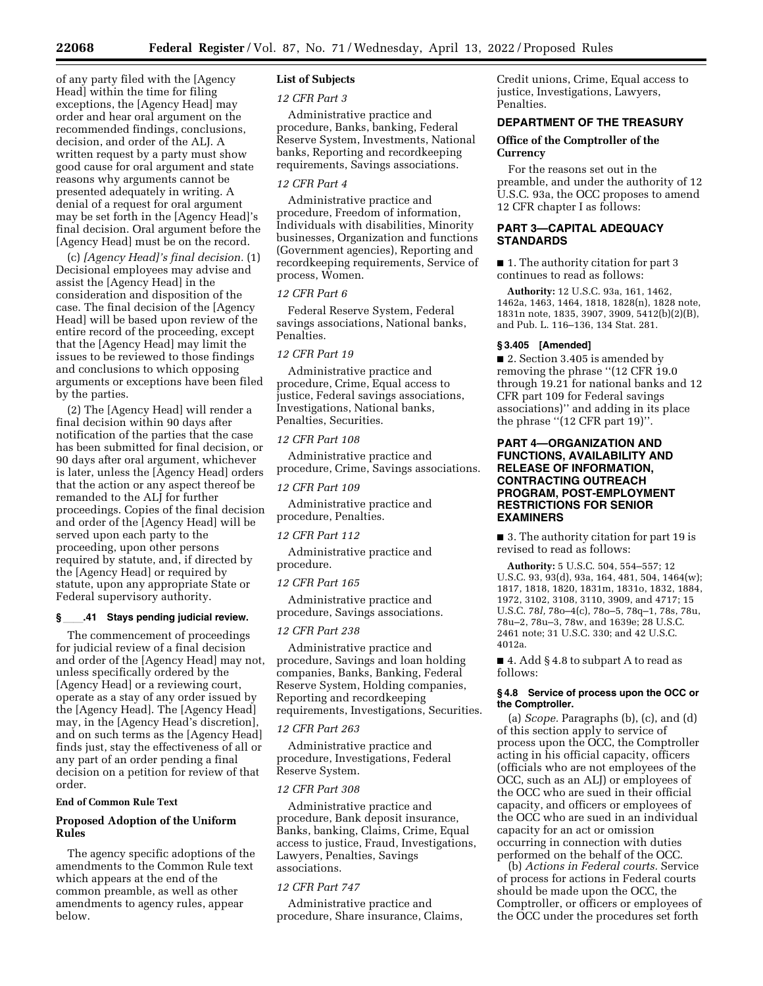of any party filed with the [Agency Head] within the time for filing exceptions, the [Agency Head] may order and hear oral argument on the recommended findings, conclusions, decision, and order of the ALJ. A written request by a party must show good cause for oral argument and state reasons why arguments cannot be presented adequately in writing. A denial of a request for oral argument may be set forth in the [Agency Head]'s final decision. Oral argument before the [Agency Head] must be on the record.

(c) *[Agency Head]'s final decision.* (1) Decisional employees may advise and assist the [Agency Head] in the consideration and disposition of the case. The final decision of the [Agency Head] will be based upon review of the entire record of the proceeding, except that the [Agency Head] may limit the issues to be reviewed to those findings and conclusions to which opposing arguments or exceptions have been filed by the parties.

(2) The [Agency Head] will render a final decision within 90 days after notification of the parties that the case has been submitted for final decision, or 90 days after oral argument, whichever is later, unless the [Agency Head] orders that the action or any aspect thereof be remanded to the ALJ for further proceedings. Copies of the final decision and order of the [Agency Head] will be served upon each party to the proceeding, upon other persons required by statute, and, if directed by the [Agency Head] or required by statute, upon any appropriate State or Federal supervisory authority.

#### **§**ll**.41 Stays pending judicial review.**

The commencement of proceedings for judicial review of a final decision and order of the [Agency Head] may not, unless specifically ordered by the [Agency Head] or a reviewing court, operate as a stay of any order issued by the [Agency Head]. The [Agency Head] may, in the [Agency Head's discretion], and on such terms as the [Agency Head] finds just, stay the effectiveness of all or any part of an order pending a final decision on a petition for review of that order.

#### **End of Common Rule Text**

#### **Proposed Adoption of the Uniform Rules**

The agency specific adoptions of the amendments to the Common Rule text which appears at the end of the common preamble, as well as other amendments to agency rules, appear below.

#### **List of Subjects**

#### *12 CFR Part 3*

Administrative practice and procedure, Banks, banking, Federal Reserve System, Investments, National banks, Reporting and recordkeeping requirements, Savings associations.

#### *12 CFR Part 4*

Administrative practice and procedure, Freedom of information, Individuals with disabilities, Minority businesses, Organization and functions (Government agencies), Reporting and recordkeeping requirements, Service of process, Women.

#### *12 CFR Part 6*

Federal Reserve System, Federal savings associations, National banks, Penalties.

#### *12 CFR Part 19*

Administrative practice and procedure, Crime, Equal access to justice, Federal savings associations, Investigations, National banks, Penalties, Securities.

#### *12 CFR Part 108*

Administrative practice and procedure, Crime, Savings associations.

#### *12 CFR Part 109*

Administrative practice and procedure, Penalties.

#### *12 CFR Part 112*

Administrative practice and procedure.

#### *12 CFR Part 165*

Administrative practice and procedure, Savings associations.

#### *12 CFR Part 238*

Administrative practice and procedure, Savings and loan holding companies, Banks, Banking, Federal Reserve System, Holding companies, Reporting and recordkeeping requirements, Investigations, Securities.

#### *12 CFR Part 263*

Administrative practice and procedure, Investigations, Federal Reserve System.

#### *12 CFR Part 308*

Administrative practice and procedure, Bank deposit insurance, Banks, banking, Claims, Crime, Equal access to justice, Fraud, Investigations, Lawyers, Penalties, Savings associations.

#### *12 CFR Part 747*

Administrative practice and procedure, Share insurance, Claims, Credit unions, Crime, Equal access to justice, Investigations, Lawyers, Penalties.

#### **DEPARTMENT OF THE TREASURY**

#### **Office of the Comptroller of the Currency**

For the reasons set out in the preamble, and under the authority of 12 U.S.C. 93a, the OCC proposes to amend 12 CFR chapter I as follows:

#### **PART 3—CAPITAL ADEQUACY STANDARDS**

■ 1. The authority citation for part 3 continues to read as follows:

**Authority:** 12 U.S.C. 93a, 161, 1462, 1462a, 1463, 1464, 1818, 1828(n), 1828 note, 1831n note, 1835, 3907, 3909, 5412(b)(2)(B), and Pub. L. 116–136, 134 Stat. 281.

#### **§ 3.405 [Amended]**

■ 2. Section 3.405 is amended by removing the phrase "(12 CFR 19.0) through 19.21 for national banks and 12 CFR part 109 for Federal savings associations)'' and adding in its place the phrase ''(12 CFR part 19)''.

#### **PART 4—ORGANIZATION AND FUNCTIONS, AVAILABILITY AND RELEASE OF INFORMATION, CONTRACTING OUTREACH PROGRAM, POST-EMPLOYMENT RESTRICTIONS FOR SENIOR EXAMINERS**

■ 3. The authority citation for part 19 is revised to read as follows:

**Authority:** 5 U.S.C. 504, 554–557; 12 U.S.C. 93, 93(d), 93a, 164, 481, 504, 1464(w); 1817, 1818, 1820, 1831m, 1831o, 1832, 1884, 1972, 3102, 3108, 3110, 3909, and 4717; 15 U.S.C. 78*l,* 78o–4(c), 78o–5, 78q–1, 78s, 78u, 78u–2, 78u–3, 78w, and 1639e; 28 U.S.C. 2461 note; 31 U.S.C. 330; and 42 U.S.C. 4012a.

■ 4. Add § 4.8 to subpart A to read as follows:

#### **§ 4.8 Service of process upon the OCC or the Comptroller.**

(a) *Scope.* Paragraphs (b), (c), and (d) of this section apply to service of process upon the OCC, the Comptroller acting in his official capacity, officers (officials who are not employees of the OCC, such as an ALJ) or employees of the OCC who are sued in their official capacity, and officers or employees of the OCC who are sued in an individual capacity for an act or omission occurring in connection with duties performed on the behalf of the OCC.

(b) *Actions in Federal courts.* Service of process for actions in Federal courts should be made upon the OCC, the Comptroller, or officers or employees of the OCC under the procedures set forth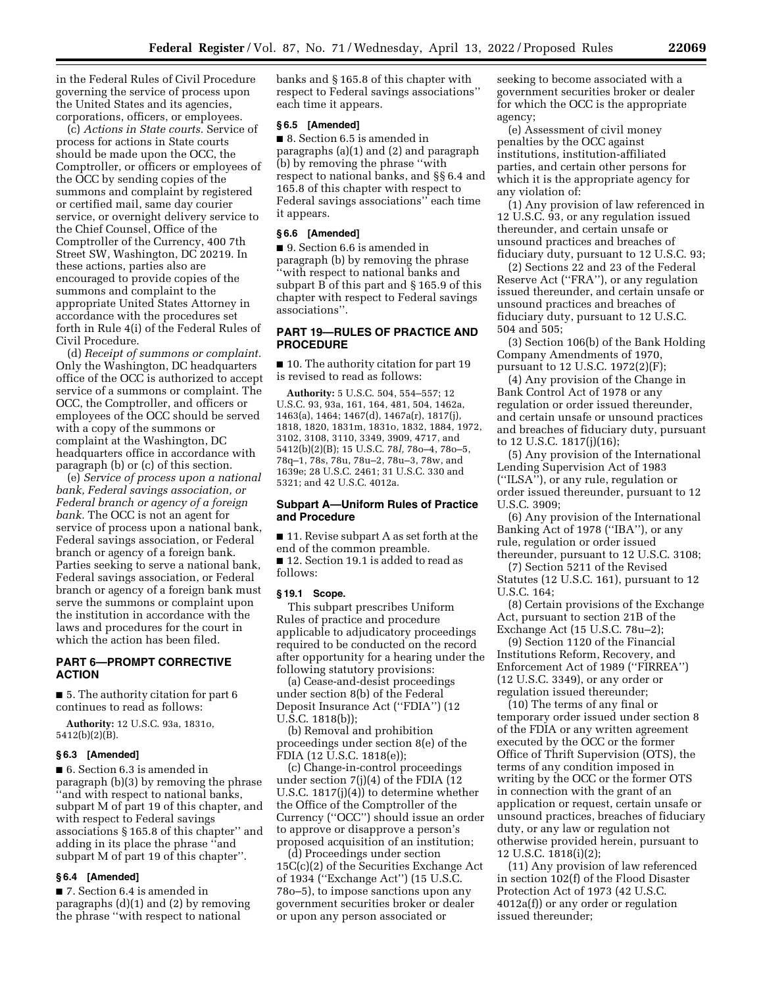in the Federal Rules of Civil Procedure governing the service of process upon the United States and its agencies, corporations, officers, or employees.

(c) *Actions in State courts.* Service of process for actions in State courts should be made upon the OCC, the Comptroller, or officers or employees of the OCC by sending copies of the summons and complaint by registered or certified mail, same day courier service, or overnight delivery service to the Chief Counsel, Office of the Comptroller of the Currency, 400 7th Street SW, Washington, DC 20219. In these actions, parties also are encouraged to provide copies of the summons and complaint to the appropriate United States Attorney in accordance with the procedures set forth in Rule 4(i) of the Federal Rules of Civil Procedure.

(d) *Receipt of summons or complaint.*  Only the Washington, DC headquarters office of the OCC is authorized to accept service of a summons or complaint. The OCC, the Comptroller, and officers or employees of the OCC should be served with a copy of the summons or complaint at the Washington, DC headquarters office in accordance with paragraph (b) or (c) of this section.

(e) *Service of process upon a national bank, Federal savings association, or Federal branch or agency of a foreign bank.* The OCC is not an agent for service of process upon a national bank, Federal savings association, or Federal branch or agency of a foreign bank. Parties seeking to serve a national bank, Federal savings association, or Federal branch or agency of a foreign bank must serve the summons or complaint upon the institution in accordance with the laws and procedures for the court in which the action has been filed.

### **PART 6—PROMPT CORRECTIVE ACTION**

■ 5. The authority citation for part 6 continues to read as follows:

**Authority:** 12 U.S.C. 93a, 1831o, 5412(b)(2)(B).

#### **§ 6.3 [Amended]**

■ 6. Section 6.3 is amended in paragraph (b)(3) by removing the phrase ''and with respect to national banks, subpart M of part 19 of this chapter, and with respect to Federal savings associations § 165.8 of this chapter'' and adding in its place the phrase ''and subpart M of part 19 of this chapter''.

#### **§ 6.4 [Amended]**

■ 7. Section 6.4 is amended in paragraphs (d)(1) and (2) by removing the phrase ''with respect to national

banks and § 165.8 of this chapter with respect to Federal savings associations'' each time it appears.

#### **§ 6.5 [Amended]**

■ 8. Section 6.5 is amended in paragraphs (a)(1) and (2) and paragraph (b) by removing the phrase ''with respect to national banks, and §§ 6.4 and 165.8 of this chapter with respect to Federal savings associations'' each time it appears.

#### **§ 6.6 [Amended]**

■ 9. Section 6.6 is amended in paragraph (b) by removing the phrase ''with respect to national banks and subpart B of this part and § 165.9 of this chapter with respect to Federal savings associations''.

#### **PART 19—RULES OF PRACTICE AND PROCEDURE**

■ 10. The authority citation for part 19 is revised to read as follows:

**Authority:** 5 U.S.C. 504, 554–557; 12 U.S.C. 93, 93a, 161, 164, 481, 504, 1462a, 1463(a), 1464; 1467(d), 1467a(r), 1817(j), 1818, 1820, 1831m, 1831o, 1832, 1884, 1972, 3102, 3108, 3110, 3349, 3909, 4717, and 5412(b)(2)(B); 15 U.S.C. 78*l,* 78o–4, 78o–5, 78q–1, 78s, 78u, 78u–2, 78u–3, 78w, and 1639e; 28 U.S.C. 2461; 31 U.S.C. 330 and 5321; and 42 U.S.C. 4012a.

#### **Subpart A—Uniform Rules of Practice and Procedure**

■ 11. Revise subpart A as set forth at the end of the common preamble.

■ 12. Section 19.1 is added to read as follows:

#### **§ 19.1 Scope.**

This subpart prescribes Uniform Rules of practice and procedure applicable to adjudicatory proceedings required to be conducted on the record after opportunity for a hearing under the following statutory provisions:

(a) Cease-and-desist proceedings under section 8(b) of the Federal Deposit Insurance Act (''FDIA'') (12 U.S.C. 1818(b));

(b) Removal and prohibition proceedings under section 8(e) of the FDIA (12 U.S.C. 1818(e));

(c) Change-in-control proceedings under section 7(j)(4) of the FDIA (12 U.S.C. 1817(j)(4)) to determine whether the Office of the Comptroller of the Currency (''OCC'') should issue an order to approve or disapprove a person's proposed acquisition of an institution;

(d) Proceedings under section 15C(c)(2) of the Securities Exchange Act of 1934 (''Exchange Act'') (15 U.S.C. 78o–5), to impose sanctions upon any government securities broker or dealer or upon any person associated or

seeking to become associated with a government securities broker or dealer for which the OCC is the appropriate agency;

(e) Assessment of civil money penalties by the OCC against institutions, institution-affiliated parties, and certain other persons for which it is the appropriate agency for any violation of:

(1) Any provision of law referenced in 12 U.S.C. 93, or any regulation issued thereunder, and certain unsafe or unsound practices and breaches of fiduciary duty, pursuant to 12 U.S.C. 93;

(2) Sections 22 and 23 of the Federal Reserve Act (''FRA''), or any regulation issued thereunder, and certain unsafe or unsound practices and breaches of fiduciary duty, pursuant to 12 U.S.C. 504 and 505;

(3) Section 106(b) of the Bank Holding Company Amendments of 1970, pursuant to 12 U.S.C. 1972(2)(F);

(4) Any provision of the Change in Bank Control Act of 1978 or any regulation or order issued thereunder, and certain unsafe or unsound practices and breaches of fiduciary duty, pursuant to 12 U.S.C. 1817(j)(16);

(5) Any provision of the International Lending Supervision Act of 1983 (''ILSA''), or any rule, regulation or order issued thereunder, pursuant to 12 U.S.C. 3909;

(6) Any provision of the International Banking Act of 1978 (''IBA''), or any rule, regulation or order issued thereunder, pursuant to 12 U.S.C. 3108;

(7) Section 5211 of the Revised Statutes (12 U.S.C. 161), pursuant to 12

U.S.C. 164;

(8) Certain provisions of the Exchange Act, pursuant to section 21B of the Exchange Act (15 U.S.C. 78u–2);

(9) Section 1120 of the Financial Institutions Reform, Recovery, and Enforcement Act of 1989 (''FIRREA'') (12 U.S.C. 3349), or any order or regulation issued thereunder;

(10) The terms of any final or temporary order issued under section 8 of the FDIA or any written agreement executed by the OCC or the former Office of Thrift Supervision (OTS), the terms of any condition imposed in writing by the OCC or the former OTS in connection with the grant of an application or request, certain unsafe or unsound practices, breaches of fiduciary duty, or any law or regulation not otherwise provided herein, pursuant to 12 U.S.C. 1818(i)(2);

(11) Any provision of law referenced in section 102(f) of the Flood Disaster Protection Act of 1973 (42 U.S.C. 4012a(f)) or any order or regulation issued thereunder;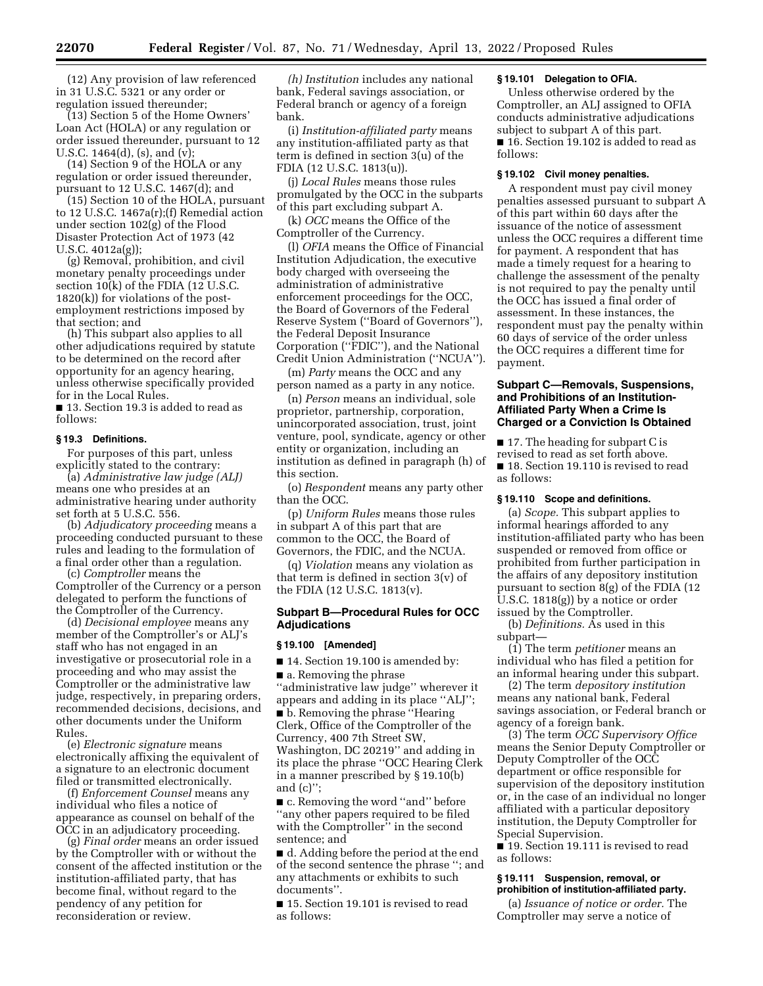(12) Any provision of law referenced in 31 U.S.C. 5321 or any order or regulation issued thereunder;

(13) Section 5 of the Home Owners' Loan Act (HOLA) or any regulation or order issued thereunder, pursuant to 12 U.S.C. 1464(d), (s), and (v);

(14) Section 9 of the HOLA or any regulation or order issued thereunder, pursuant to 12 U.S.C. 1467(d); and

(15) Section 10 of the HOLA, pursuant to 12 U.S.C. 1467a(r);(f) Remedial action under section 102(g) of the Flood Disaster Protection Act of 1973 (42 U.S.C. 4012a(g));

(g) Removal, prohibition, and civil monetary penalty proceedings under section  $10(k)$  of the FDIA (12 U.S.C. 1820(k)) for violations of the postemployment restrictions imposed by that section; and

(h) This subpart also applies to all other adjudications required by statute to be determined on the record after opportunity for an agency hearing, unless otherwise specifically provided for in the Local Rules.

■ 13. Section 19.3 is added to read as follows:

#### **§ 19.3 Definitions.**

For purposes of this part, unless explicitly stated to the contrary:

(a) *Administrative law judge (ALJ)*  means one who presides at an administrative hearing under authority set forth at 5 U.S.C. 556.

(b) *Adjudicatory proceeding* means a proceeding conducted pursuant to these rules and leading to the formulation of a final order other than a regulation.

(c) *Comptroller* means the Comptroller of the Currency or a person delegated to perform the functions of the Comptroller of the Currency.

(d) *Decisional employee* means any member of the Comptroller's or ALJ's staff who has not engaged in an investigative or prosecutorial role in a proceeding and who may assist the Comptroller or the administrative law judge, respectively, in preparing orders, recommended decisions, decisions, and other documents under the Uniform Rules.

(e) *Electronic signature* means electronically affixing the equivalent of a signature to an electronic document filed or transmitted electronically.

(f) *Enforcement Counsel* means any individual who files a notice of appearance as counsel on behalf of the OCC in an adjudicatory proceeding.

(g) *Final order* means an order issued by the Comptroller with or without the consent of the affected institution or the institution-affiliated party, that has become final, without regard to the pendency of any petition for reconsideration or review.

*(h) Institution* includes any national bank, Federal savings association, or Federal branch or agency of a foreign bank.

(i) *Institution-affiliated party* means any institution-affiliated party as that term is defined in section 3(u) of the FDIA (12 U.S.C. 1813(u)).

(j) *Local Rules* means those rules promulgated by the OCC in the subparts of this part excluding subpart A.

(k) *OCC* means the Office of the Comptroller of the Currency.

(l) *OFIA* means the Office of Financial Institution Adjudication, the executive body charged with overseeing the administration of administrative enforcement proceedings for the OCC, the Board of Governors of the Federal Reserve System (''Board of Governors''), the Federal Deposit Insurance Corporation (''FDIC''), and the National Credit Union Administration (''NCUA'').

(m) *Party* means the OCC and any person named as a party in any notice.

(n) *Person* means an individual, sole proprietor, partnership, corporation, unincorporated association, trust, joint venture, pool, syndicate, agency or other entity or organization, including an institution as defined in paragraph (h) of this section.

(o) *Respondent* means any party other than the OCC.

(p) *Uniform Rules* means those rules in subpart A of this part that are common to the OCC, the Board of Governors, the FDIC, and the NCUA.

(q) *Violation* means any violation as that term is defined in section 3(v) of the FDIA (12 U.S.C. 1813(v).

#### **Subpart B—Procedural Rules for OCC Adjudications**

#### **§ 19.100 [Amended]**

■ 14. Section 19.100 is amended by:

■ a. Removing the phrase ''administrative law judge'' wherever it

appears and adding in its place ''ALJ''; ■ b. Removing the phrase "Hearing Clerk, Office of the Comptroller of the Currency, 400 7th Street SW,

Washington, DC 20219'' and adding in its place the phrase ''OCC Hearing Clerk in a manner prescribed by § 19.10(b) and (c)'';

■ c. Removing the word "and" before ''any other papers required to be filed with the Comptroller'' in the second sentence; and

■ d. Adding before the period at the end of the second sentence the phrase ''; and any attachments or exhibits to such documents''.

■ 15. Section 19.101 is revised to read as follows:

#### **§ 19.101 Delegation to OFIA.**

Unless otherwise ordered by the Comptroller, an ALJ assigned to OFIA conducts administrative adjudications subject to subpart A of this part. ■ 16. Section 19.102 is added to read as follows:

#### **§ 19.102 Civil money penalties.**

A respondent must pay civil money penalties assessed pursuant to subpart A of this part within 60 days after the issuance of the notice of assessment unless the OCC requires a different time for payment. A respondent that has made a timely request for a hearing to challenge the assessment of the penalty is not required to pay the penalty until the OCC has issued a final order of assessment. In these instances, the respondent must pay the penalty within 60 days of service of the order unless the OCC requires a different time for payment.

#### **Subpart C—Removals, Suspensions, and Prohibitions of an Institution-Affiliated Party When a Crime Is Charged or a Conviction Is Obtained**

■ 17. The heading for subpart C is revised to read as set forth above. ■ 18. Section 19.110 is revised to read as follows:

#### **§ 19.110 Scope and definitions.**

(a) *Scope.* This subpart applies to informal hearings afforded to any institution-affiliated party who has been suspended or removed from office or prohibited from further participation in the affairs of any depository institution pursuant to section 8(g) of the FDIA (12 U.S.C. 1818(g)) by a notice or order issued by the Comptroller.

(b) *Definitions.* As used in this subpart—

(1) The term *petitioner* means an individual who has filed a petition for an informal hearing under this subpart.

(2) The term *depository institution*  means any national bank, Federal savings association, or Federal branch or agency of a foreign bank.

(3) The term *OCC Supervisory Office*  means the Senior Deputy Comptroller or Deputy Comptroller of the OCC department or office responsible for supervision of the depository institution or, in the case of an individual no longer affiliated with a particular depository institution, the Deputy Comptroller for Special Supervision.

■ 19. Section 19.111 is revised to read as follows:

#### **§ 19.111 Suspension, removal, or prohibition of institution-affiliated party.**

(a) *Issuance of notice or order.* The Comptroller may serve a notice of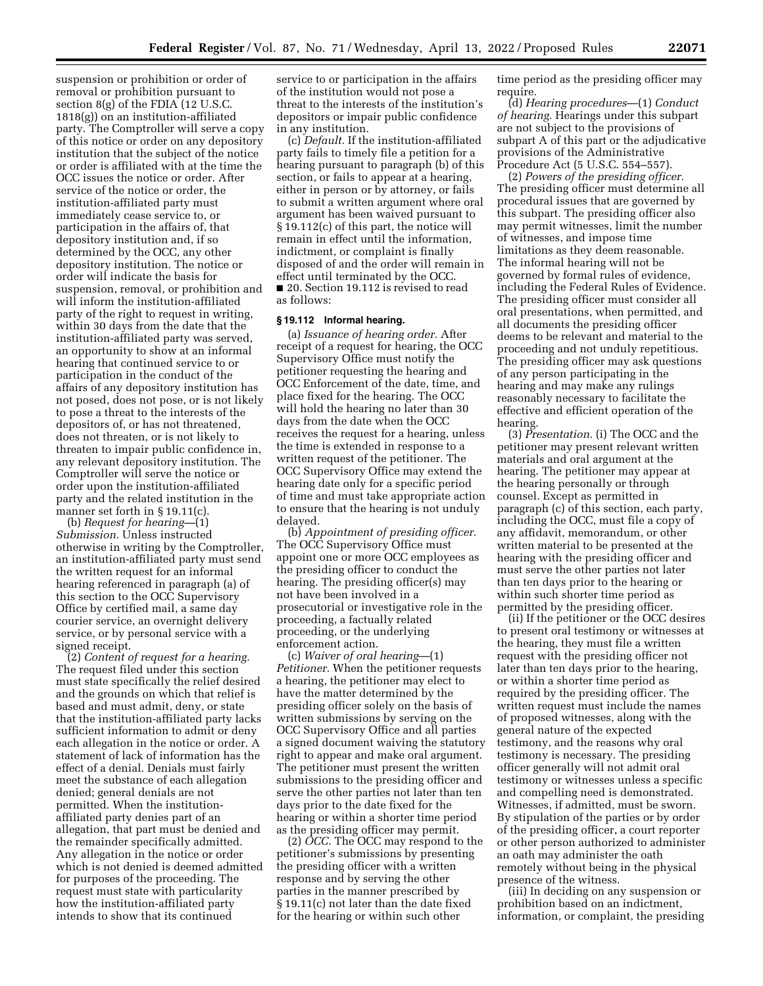suspension or prohibition or order of removal or prohibition pursuant to section 8(g) of the FDIA (12 U.S.C. 1818(g)) on an institution-affiliated party. The Comptroller will serve a copy of this notice or order on any depository institution that the subject of the notice or order is affiliated with at the time the OCC issues the notice or order. After service of the notice or order, the institution-affiliated party must immediately cease service to, or participation in the affairs of, that depository institution and, if so determined by the OCC, any other depository institution. The notice or order will indicate the basis for suspension, removal, or prohibition and will inform the institution-affiliated party of the right to request in writing, within 30 days from the date that the institution-affiliated party was served, an opportunity to show at an informal hearing that continued service to or participation in the conduct of the affairs of any depository institution has not posed, does not pose, or is not likely to pose a threat to the interests of the depositors of, or has not threatened, does not threaten, or is not likely to threaten to impair public confidence in, any relevant depository institution. The Comptroller will serve the notice or order upon the institution-affiliated party and the related institution in the manner set forth in § 19.11(c).

(b) *Request for hearing—*(1) *Submission.* Unless instructed otherwise in writing by the Comptroller, an institution-affiliated party must send the written request for an informal hearing referenced in paragraph (a) of this section to the OCC Supervisory Office by certified mail, a same day courier service, an overnight delivery service, or by personal service with a signed receipt.

(2) *Content of request for a hearing.*  The request filed under this section must state specifically the relief desired and the grounds on which that relief is based and must admit, deny, or state that the institution-affiliated party lacks sufficient information to admit or deny each allegation in the notice or order. A statement of lack of information has the effect of a denial. Denials must fairly meet the substance of each allegation denied; general denials are not permitted. When the institutionaffiliated party denies part of an allegation, that part must be denied and the remainder specifically admitted. Any allegation in the notice or order which is not denied is deemed admitted for purposes of the proceeding. The request must state with particularity how the institution-affiliated party intends to show that its continued

service to or participation in the affairs of the institution would not pose a threat to the interests of the institution's depositors or impair public confidence in any institution.

(c) *Default.* If the institution-affiliated party fails to timely file a petition for a hearing pursuant to paragraph (b) of this section, or fails to appear at a hearing, either in person or by attorney, or fails to submit a written argument where oral argument has been waived pursuant to § 19.112(c) of this part, the notice will remain in effect until the information, indictment, or complaint is finally disposed of and the order will remain in effect until terminated by the OCC. ■ 20. Section 19.112 is revised to read as follows:

#### **§ 19.112 Informal hearing.**

(a) *Issuance of hearing order.* After receipt of a request for hearing, the OCC Supervisory Office must notify the petitioner requesting the hearing and OCC Enforcement of the date, time, and place fixed for the hearing. The OCC will hold the hearing no later than 30 days from the date when the OCC receives the request for a hearing, unless the time is extended in response to a written request of the petitioner. The OCC Supervisory Office may extend the hearing date only for a specific period of time and must take appropriate action to ensure that the hearing is not unduly delayed.

(b) *Appointment of presiding officer.*  The OCC Supervisory Office must appoint one or more OCC employees as the presiding officer to conduct the hearing. The presiding officer(s) may not have been involved in a prosecutorial or investigative role in the proceeding, a factually related proceeding, or the underlying enforcement action.

(c) *Waiver of oral hearing*—(1) *Petitioner.* When the petitioner requests a hearing, the petitioner may elect to have the matter determined by the presiding officer solely on the basis of written submissions by serving on the OCC Supervisory Office and all parties a signed document waiving the statutory right to appear and make oral argument. The petitioner must present the written submissions to the presiding officer and serve the other parties not later than ten days prior to the date fixed for the hearing or within a shorter time period as the presiding officer may permit.

(2) *OCC.* The OCC may respond to the petitioner's submissions by presenting the presiding officer with a written response and by serving the other parties in the manner prescribed by § 19.11(c) not later than the date fixed for the hearing or within such other

time period as the presiding officer may require.

(d) *Hearing procedures*—(1) *Conduct of hearing.* Hearings under this subpart are not subject to the provisions of subpart A of this part or the adjudicative provisions of the Administrative Procedure Act (5 U.S.C. 554–557).

(2) *Powers of the presiding officer.*  The presiding officer must determine all procedural issues that are governed by this subpart. The presiding officer also may permit witnesses, limit the number of witnesses, and impose time limitations as they deem reasonable. The informal hearing will not be governed by formal rules of evidence, including the Federal Rules of Evidence. The presiding officer must consider all oral presentations, when permitted, and all documents the presiding officer deems to be relevant and material to the proceeding and not unduly repetitious. The presiding officer may ask questions of any person participating in the hearing and may make any rulings reasonably necessary to facilitate the effective and efficient operation of the hearing.

(3) *Presentation.* (i) The OCC and the petitioner may present relevant written materials and oral argument at the hearing. The petitioner may appear at the hearing personally or through counsel. Except as permitted in paragraph (c) of this section, each party, including the OCC, must file a copy of any affidavit, memorandum, or other written material to be presented at the hearing with the presiding officer and must serve the other parties not later than ten days prior to the hearing or within such shorter time period as permitted by the presiding officer.

(ii) If the petitioner or the OCC desires to present oral testimony or witnesses at the hearing, they must file a written request with the presiding officer not later than ten days prior to the hearing, or within a shorter time period as required by the presiding officer. The written request must include the names of proposed witnesses, along with the general nature of the expected testimony, and the reasons why oral testimony is necessary. The presiding officer generally will not admit oral testimony or witnesses unless a specific and compelling need is demonstrated. Witnesses, if admitted, must be sworn. By stipulation of the parties or by order of the presiding officer, a court reporter or other person authorized to administer an oath may administer the oath remotely without being in the physical presence of the witness.

(iii) In deciding on any suspension or prohibition based on an indictment, information, or complaint, the presiding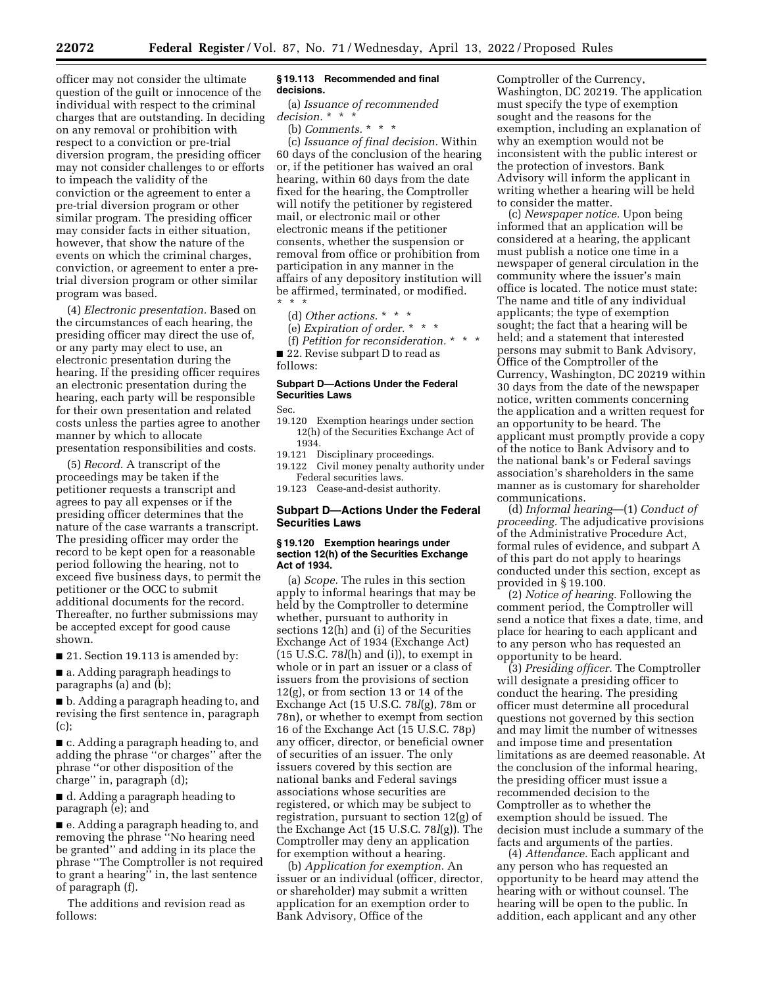officer may not consider the ultimate question of the guilt or innocence of the individual with respect to the criminal charges that are outstanding. In deciding on any removal or prohibition with respect to a conviction or pre-trial diversion program, the presiding officer may not consider challenges to or efforts to impeach the validity of the conviction or the agreement to enter a pre-trial diversion program or other similar program. The presiding officer may consider facts in either situation, however, that show the nature of the events on which the criminal charges, conviction, or agreement to enter a pretrial diversion program or other similar program was based.

(4) *Electronic presentation.* Based on the circumstances of each hearing, the presiding officer may direct the use of, or any party may elect to use, an electronic presentation during the hearing. If the presiding officer requires an electronic presentation during the hearing, each party will be responsible for their own presentation and related costs unless the parties agree to another manner by which to allocate presentation responsibilities and costs.

(5) *Record.* A transcript of the proceedings may be taken if the petitioner requests a transcript and agrees to pay all expenses or if the presiding officer determines that the nature of the case warrants a transcript. The presiding officer may order the record to be kept open for a reasonable period following the hearing, not to exceed five business days, to permit the petitioner or the OCC to submit additional documents for the record. Thereafter, no further submissions may be accepted except for good cause shown.

■ 21. Section 19.113 is amended by:

■ a. Adding paragraph headings to paragraphs (a) and (b);

■ b. Adding a paragraph heading to, and revising the first sentence in, paragraph (c);

■ c. Adding a paragraph heading to, and adding the phrase ''or charges'' after the phrase ''or other disposition of the charge'' in, paragraph (d);

■ d. Adding a paragraph heading to paragraph (e); and

■ e. Adding a paragraph heading to, and removing the phrase ''No hearing need be granted'' and adding in its place the phrase ''The Comptroller is not required to grant a hearing'' in, the last sentence of paragraph (f).

The additions and revision read as follows:

#### **§ 19.113 Recommended and final decisions.**

(a) *Issuance of recommended decision.* \* \* \*

(b) *Comments.* \* \* \*

(c) *Issuance of final decision.* Within 60 days of the conclusion of the hearing or, if the petitioner has waived an oral hearing, within 60 days from the date fixed for the hearing, the Comptroller will notify the petitioner by registered mail, or electronic mail or other electronic means if the petitioner consents, whether the suspension or removal from office or prohibition from participation in any manner in the affairs of any depository institution will be affirmed, terminated, or modified. \* \* \*

(d) *Other actions.* \* \* \* (e) *Expiration of order.* \* \* \* (f) *Petition for reconsideration.* \* \* \*

■ 22. Revise subpart D to read as follows:

#### **Subpart D—Actions Under the Federal Securities Laws**

Sec.

- 19.120 Exemption hearings under section 12(h) of the Securities Exchange Act of 1934.
- 19.121 Disciplinary proceedings.
- 19.122 Civil money penalty authority under Federal securities laws.

19.123 Cease-and-desist authority.

#### **Subpart D—Actions Under the Federal Securities Laws**

#### **§ 19.120 Exemption hearings under section 12(h) of the Securities Exchange Act of 1934.**

(a) *Scope.* The rules in this section apply to informal hearings that may be held by the Comptroller to determine whether, pursuant to authority in sections 12(h) and (i) of the Securities Exchange Act of 1934 (Exchange Act) (15 U.S.C. 78*l*(h) and (i)), to exempt in whole or in part an issuer or a class of issuers from the provisions of section 12(g), or from section 13 or 14 of the Exchange Act (15 U.S.C. 78*l*(g), 78m or 78n), or whether to exempt from section 16 of the Exchange Act (15 U.S.C. 78p) any officer, director, or beneficial owner of securities of an issuer. The only issuers covered by this section are national banks and Federal savings associations whose securities are registered, or which may be subject to registration, pursuant to section 12(g) of the Exchange Act (15 U.S.C. 78*l*(g)). The Comptroller may deny an application for exemption without a hearing.

(b) *Application for exemption.* An issuer or an individual (officer, director, or shareholder) may submit a written application for an exemption order to Bank Advisory, Office of the

Comptroller of the Currency, Washington, DC 20219. The application must specify the type of exemption sought and the reasons for the exemption, including an explanation of why an exemption would not be inconsistent with the public interest or the protection of investors. Bank Advisory will inform the applicant in writing whether a hearing will be held to consider the matter.

(c) *Newspaper notice.* Upon being informed that an application will be considered at a hearing, the applicant must publish a notice one time in a newspaper of general circulation in the community where the issuer's main office is located. The notice must state: The name and title of any individual applicants; the type of exemption sought; the fact that a hearing will be held; and a statement that interested persons may submit to Bank Advisory, Office of the Comptroller of the Currency, Washington, DC 20219 within 30 days from the date of the newspaper notice, written comments concerning the application and a written request for an opportunity to be heard. The applicant must promptly provide a copy of the notice to Bank Advisory and to the national bank's or Federal savings association's shareholders in the same manner as is customary for shareholder communications.

(d) *Informal hearing*—(1) *Conduct of proceeding.* The adjudicative provisions of the Administrative Procedure Act, formal rules of evidence, and subpart A of this part do not apply to hearings conducted under this section, except as provided in § 19.100.

(2) *Notice of hearing.* Following the comment period, the Comptroller will send a notice that fixes a date, time, and place for hearing to each applicant and to any person who has requested an opportunity to be heard.

(3) *Presiding officer.* The Comptroller will designate a presiding officer to conduct the hearing. The presiding officer must determine all procedural questions not governed by this section and may limit the number of witnesses and impose time and presentation limitations as are deemed reasonable. At the conclusion of the informal hearing, the presiding officer must issue a recommended decision to the Comptroller as to whether the exemption should be issued. The decision must include a summary of the facts and arguments of the parties.

(4) *Attendance.* Each applicant and any person who has requested an opportunity to be heard may attend the hearing with or without counsel. The hearing will be open to the public. In addition, each applicant and any other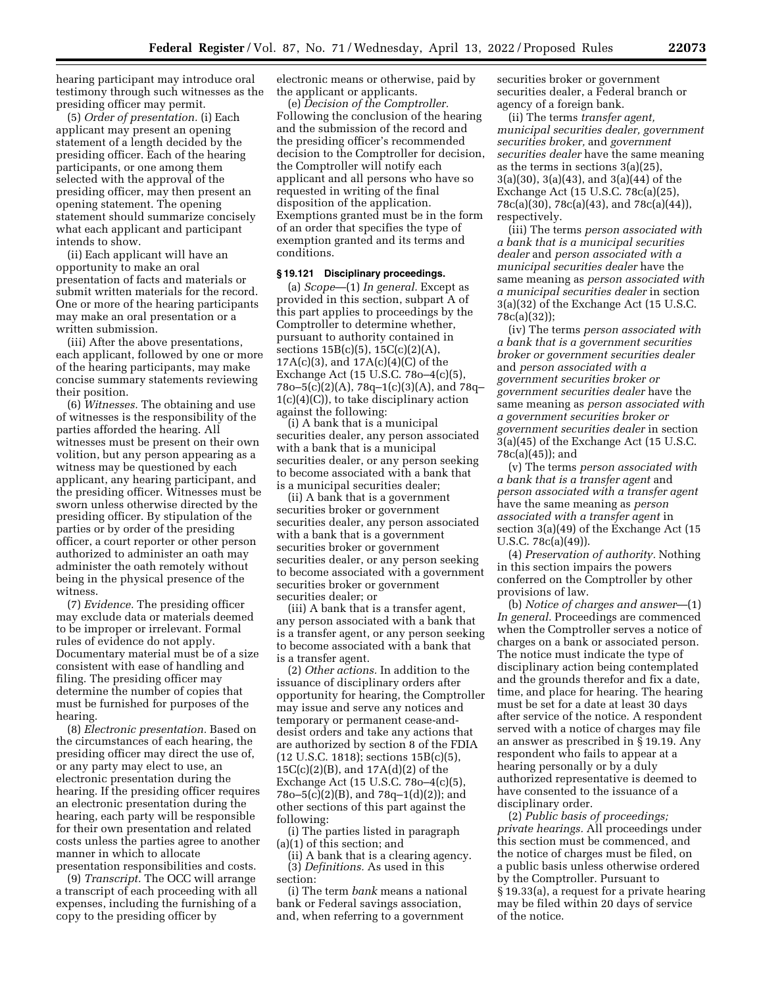hearing participant may introduce oral testimony through such witnesses as the presiding officer may permit.

(5) *Order of presentation.* (i) Each applicant may present an opening statement of a length decided by the presiding officer. Each of the hearing participants, or one among them selected with the approval of the presiding officer, may then present an opening statement. The opening statement should summarize concisely what each applicant and participant intends to show.

(ii) Each applicant will have an opportunity to make an oral presentation of facts and materials or submit written materials for the record. One or more of the hearing participants may make an oral presentation or a written submission.

(iii) After the above presentations, each applicant, followed by one or more of the hearing participants, may make concise summary statements reviewing their position.

(6) *Witnesses.* The obtaining and use of witnesses is the responsibility of the parties afforded the hearing. All witnesses must be present on their own volition, but any person appearing as a witness may be questioned by each applicant, any hearing participant, and the presiding officer. Witnesses must be sworn unless otherwise directed by the presiding officer. By stipulation of the parties or by order of the presiding officer, a court reporter or other person authorized to administer an oath may administer the oath remotely without being in the physical presence of the witness.

(7) *Evidence.* The presiding officer may exclude data or materials deemed to be improper or irrelevant. Formal rules of evidence do not apply. Documentary material must be of a size consistent with ease of handling and filing. The presiding officer may determine the number of copies that must be furnished for purposes of the hearing.

(8) *Electronic presentation.* Based on the circumstances of each hearing, the presiding officer may direct the use of, or any party may elect to use, an electronic presentation during the hearing. If the presiding officer requires an electronic presentation during the hearing, each party will be responsible for their own presentation and related costs unless the parties agree to another manner in which to allocate presentation responsibilities and costs.

(9) *Transcript.* The OCC will arrange a transcript of each proceeding with all expenses, including the furnishing of a copy to the presiding officer by

electronic means or otherwise, paid by the applicant or applicants.

(e) *Decision of the Comptroller.*  Following the conclusion of the hearing and the submission of the record and the presiding officer's recommended decision to the Comptroller for decision, the Comptroller will notify each applicant and all persons who have so requested in writing of the final disposition of the application. Exemptions granted must be in the form of an order that specifies the type of exemption granted and its terms and conditions.

#### **§ 19.121 Disciplinary proceedings.**

(a) *Scope*—(1) *In general.* Except as provided in this section, subpart A of this part applies to proceedings by the Comptroller to determine whether, pursuant to authority contained in sections 15B(c)(5), 15C(c)(2)(A), 17A(c)(3), and 17A(c)(4)(C) of the Exchange Act (15 U.S.C. 78o–4(c)(5), 78o–5(c)(2)(A), 78q–1(c)(3)(A), and 78q– 1(c)(4)(C)), to take disciplinary action against the following:

(i) A bank that is a municipal securities dealer, any person associated with a bank that is a municipal securities dealer, or any person seeking to become associated with a bank that is a municipal securities dealer;

(ii) A bank that is a government securities broker or government securities dealer, any person associated with a bank that is a government securities broker or government securities dealer, or any person seeking to become associated with a government securities broker or government securities dealer; or

(iii) A bank that is a transfer agent, any person associated with a bank that is a transfer agent, or any person seeking to become associated with a bank that is a transfer agent.

(2) *Other actions.* In addition to the issuance of disciplinary orders after opportunity for hearing, the Comptroller may issue and serve any notices and temporary or permanent cease-anddesist orders and take any actions that are authorized by section 8 of the FDIA (12 U.S.C. 1818); sections 15B(c)(5), 15C(c)(2)(B), and 17A(d)(2) of the Exchange Act (15 U.S.C. 78o–4(c)(5), 78o–5(c)(2)(B), and 78q–1(d)(2)); and other sections of this part against the following:

(i) The parties listed in paragraph (a)(1) of this section; and

(ii) A bank that is a clearing agency. (3) *Definitions.* As used in this section:

(i) The term *bank* means a national bank or Federal savings association, and, when referring to a government

securities broker or government securities dealer, a Federal branch or agency of a foreign bank.

(ii) The terms *transfer agent, municipal securities dealer, government securities broker,* and *government securities dealer* have the same meaning as the terms in sections  $3(a)(25)$ . 3(a)(30), 3(a)(43), and 3(a)(44) of the Exchange Act (15 U.S.C. 78c(a)(25), 78c(a)(30), 78c(a)(43), and 78c(a)(44)), respectively.

(iii) The terms *person associated with a bank that is a municipal securities dealer* and *person associated with a municipal securities dealer* have the same meaning as *person associated with a municipal securities dealer* in section 3(a)(32) of the Exchange Act (15 U.S.C. 78c(a)(32));

(iv) The terms *person associated with a bank that is a government securities broker or government securities dealer*  and *person associated with a government securities broker or government securities dealer* have the same meaning as *person associated with a government securities broker or government securities dealer* in section 3(a)(45) of the Exchange Act (15 U.S.C. 78c(a)(45)); and

(v) The terms *person associated with a bank that is a transfer agent* and *person associated with a transfer agent*  have the same meaning as *person associated with a transfer agent* in section 3(a)(49) of the Exchange Act (15 U.S.C. 78c(a)(49)).

(4) *Preservation of authority.* Nothing in this section impairs the powers conferred on the Comptroller by other provisions of law.

(b) *Notice of charges and answer*—(1) *In general.* Proceedings are commenced when the Comptroller serves a notice of charges on a bank or associated person. The notice must indicate the type of disciplinary action being contemplated and the grounds therefor and fix a date, time, and place for hearing. The hearing must be set for a date at least 30 days after service of the notice. A respondent served with a notice of charges may file an answer as prescribed in § 19.19. Any respondent who fails to appear at a hearing personally or by a duly authorized representative is deemed to have consented to the issuance of a disciplinary order.

(2) *Public basis of proceedings; private hearings.* All proceedings under this section must be commenced, and the notice of charges must be filed, on a public basis unless otherwise ordered by the Comptroller. Pursuant to § 19.33(a), a request for a private hearing may be filed within 20 days of service of the notice.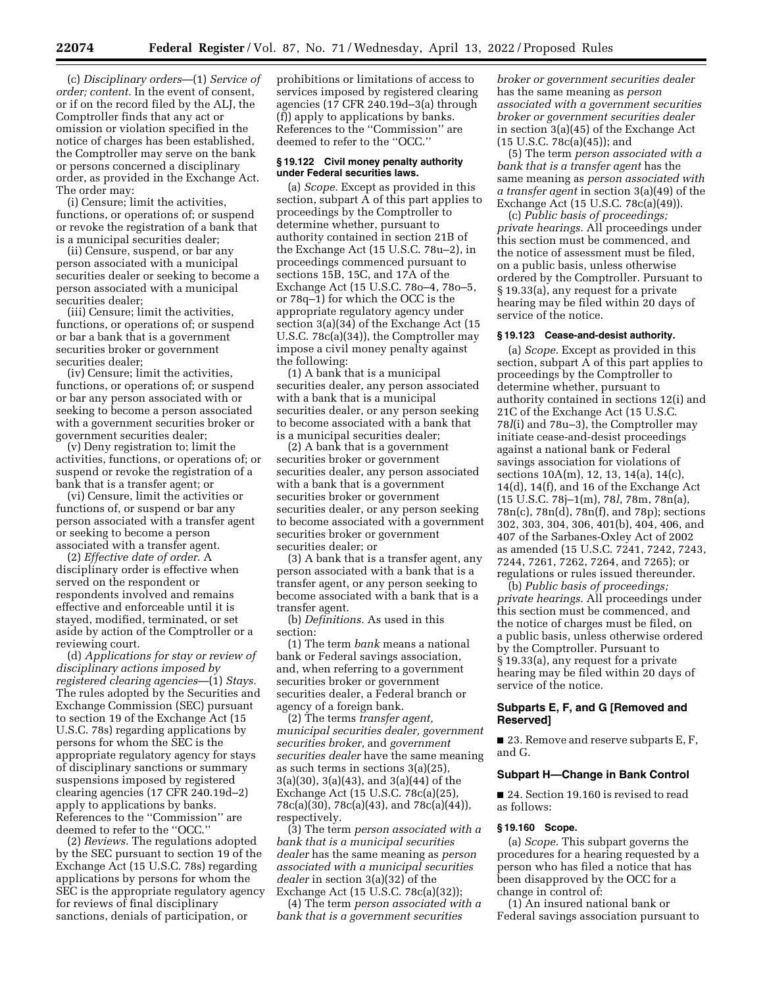(c) *Disciplinary orders*—(1) *Service of order; content.* In the event of consent, or if on the record filed by the ALJ, the Comptroller finds that any act or omission or violation specified in the notice of charges has been established, the Comptroller may serve on the bank or persons concerned a disciplinary order, as provided in the Exchange Act. The order may:

(i) Censure; limit the activities, functions, or operations of; or suspend or revoke the registration of a bank that is a municipal securities dealer;

(ii) Censure, suspend, or bar any person associated with a municipal securities dealer or seeking to become a person associated with a municipal securities dealer;

(iii) Censure; limit the activities, functions, or operations of; or suspend or bar a bank that is a government securities broker or government securities dealer;

(iv) Censure; limit the activities, functions, or operations of; or suspend or bar any person associated with or seeking to become a person associated with a government securities broker or government securities dealer;

(v) Deny registration to; limit the activities, functions, or operations of; or suspend or revoke the registration of a bank that is a transfer agent; or

(vi) Censure, limit the activities or functions of, or suspend or bar any person associated with a transfer agent or seeking to become a person associated with a transfer agent.

(2) *Effective date of order.* A disciplinary order is effective when served on the respondent or respondents involved and remains effective and enforceable until it is stayed, modified, terminated, or set aside by action of the Comptroller or a reviewing court.

(d) *Applications for stay or review of disciplinary actions imposed by registered clearing agencies*—(1) *Stays.*  The rules adopted by the Securities and Exchange Commission (SEC) pursuant to section 19 of the Exchange Act (15 U.S.C. 78s) regarding applications by persons for whom the SEC is the appropriate regulatory agency for stays of disciplinary sanctions or summary suspensions imposed by registered clearing agencies (17 CFR 240.19d–2) apply to applications by banks. References to the ''Commission'' are deemed to refer to the ''OCC.''

(2) *Reviews.* The regulations adopted by the SEC pursuant to section 19 of the Exchange Act (15 U.S.C. 78s) regarding applications by persons for whom the SEC is the appropriate regulatory agency for reviews of final disciplinary sanctions, denials of participation, or

prohibitions or limitations of access to services imposed by registered clearing agencies (17 CFR 240.19d–3(a) through (f)) apply to applications by banks. References to the ''Commission'' are deemed to refer to the ''OCC.''

#### **§ 19.122 Civil money penalty authority under Federal securities laws.**

(a) *Scope.* Except as provided in this section, subpart A of this part applies to proceedings by the Comptroller to determine whether, pursuant to authority contained in section 21B of the Exchange Act (15 U.S.C. 78u–2), in proceedings commenced pursuant to sections 15B, 15C, and 17A of the Exchange Act (15 U.S.C. 78o–4, 78o–5, or 78q–1) for which the OCC is the appropriate regulatory agency under section 3(a)(34) of the Exchange Act (15 U.S.C. 78c(a)(34)), the Comptroller may impose a civil money penalty against the following:

(1) A bank that is a municipal securities dealer, any person associated with a bank that is a municipal securities dealer, or any person seeking to become associated with a bank that is a municipal securities dealer;

(2) A bank that is a government securities broker or government securities dealer, any person associated with a bank that is a government securities broker or government securities dealer, or any person seeking to become associated with a government securities broker or government securities dealer; or

(3) A bank that is a transfer agent, any person associated with a bank that is a transfer agent, or any person seeking to become associated with a bank that is a transfer agent.

(b) *Definitions.* As used in this section:

(1) The term *bank* means a national bank or Federal savings association, and, when referring to a government securities broker or government securities dealer, a Federal branch or agency of a foreign bank.

(2) The terms *transfer agent, municipal securities dealer, government securities broker,* and *government securities dealer* have the same meaning as such terms in sections 3(a)(25), 3(a)(30), 3(a)(43), and 3(a)(44) of the Exchange Act (15 U.S.C. 78c(a)(25), 78c(a)(30), 78c(a)(43), and 78c(a)(44)), respectively.

(3) The term *person associated with a bank that is a municipal securities dealer* has the same meaning as *person associated with a municipal securities dealer* in section 3(a)(32) of the Exchange Act (15 U.S.C. 78c(a)(32));

(4) The term *person associated with a bank that is a government securities* 

*broker or government securities dealer*  has the same meaning as *person associated with a government securities broker or government securities dealer*  in section 3(a)(45) of the Exchange Act (15 U.S.C. 78c(a)(45)); and

(5) The term *person associated with a bank that is a transfer agent* has the same meaning as *person associated with a transfer agent* in section 3(a)(49) of the Exchange Act (15 U.S.C. 78c(a)(49)).

(c) *Public basis of proceedings; private hearings.* All proceedings under this section must be commenced, and the notice of assessment must be filed, on a public basis, unless otherwise ordered by the Comptroller. Pursuant to § 19.33(a), any request for a private hearing may be filed within 20 days of service of the notice.

#### **§ 19.123 Cease-and-desist authority.**

(a) *Scope.* Except as provided in this section, subpart  $\overline{A}$  of this part applies to proceedings by the Comptroller to determine whether, pursuant to authority contained in sections 12(i) and 21C of the Exchange Act (15 U.S.C. 78*l*(i) and 78u–3), the Comptroller may initiate cease-and-desist proceedings against a national bank or Federal savings association for violations of sections 10A(m), 12, 13, 14(a), 14(c), 14(d), 14(f), and 16 of the Exchange Act (15 U.S.C. 78j–1(m), 78*l,* 78m, 78n(a), 78n(c), 78n(d), 78n(f), and 78p); sections 302, 303, 304, 306, 401(b), 404, 406, and 407 of the Sarbanes-Oxley Act of 2002 as amended (15 U.S.C. 7241, 7242, 7243, 7244, 7261, 7262, 7264, and 7265); or regulations or rules issued thereunder.

(b) *Public basis of proceedings; private hearings.* All proceedings under this section must be commenced, and the notice of charges must be filed, on a public basis, unless otherwise ordered by the Comptroller. Pursuant to § 19.33(a), any request for a private hearing may be filed within 20 days of service of the notice.

#### **Subparts E, F, and G [Removed and Reserved]**

■ 23. Remove and reserve subparts E, F, and G.

#### **Subpart H—Change in Bank Control**

■ 24. Section 19.160 is revised to read as follows:

#### **§ 19.160 Scope.**

(a) *Scope.* This subpart governs the procedures for a hearing requested by a person who has filed a notice that has been disapproved by the OCC for a change in control of:

(1) An insured national bank or Federal savings association pursuant to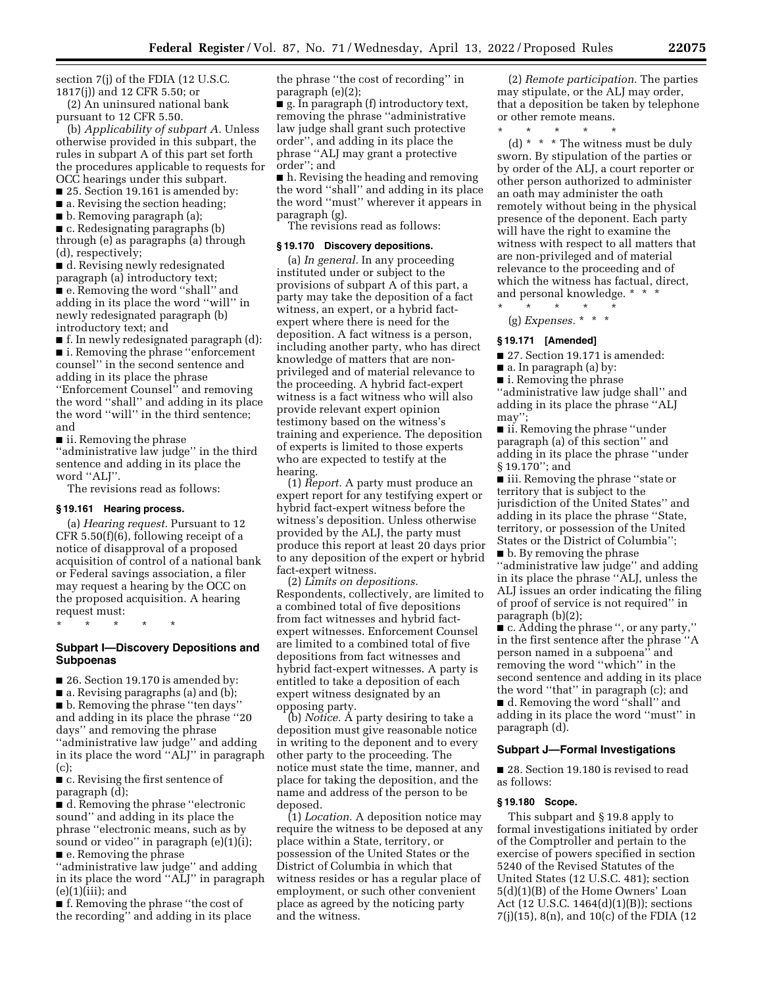section 7(j) of the FDIA (12 U.S.C. 1817(j)) and 12 CFR 5.50; or

(2) An uninsured national bank pursuant to 12 CFR 5.50.

(b) *Applicability of subpart A.* Unless otherwise provided in this subpart, the rules in subpart A of this part set forth the procedures applicable to requests for OCC hearings under this subpart.

■ 25. Section 19.161 is amended by:

 $\blacksquare$  a. Revising the section heading;

■ b. Removing paragraph (a);

■ c. Redesignating paragraphs (b) through (e) as paragraphs (a) through (d), respectively;

■ d. Revising newly redesignated paragraph (a) introductory text; ■ e. Removing the word "shall" and adding in its place the word ''will'' in newly redesignated paragraph (b) introductory text; and

■ f. In newly redesignated paragraph (d): ■ i. Removing the phrase ''enforcement counsel'' in the second sentence and adding in its place the phrase ''Enforcement Counsel'' and removing the word ''shall'' and adding in its place the word ''will'' in the third sentence; and

■ ii. Removing the phrase

''administrative law judge'' in the third sentence and adding in its place the word "ALJ".

The revisions read as follows:

#### **§ 19.161 Hearing process.**

(a) *Hearing request.* Pursuant to 12 CFR 5.50(f)(6), following receipt of a notice of disapproval of a proposed acquisition of control of a national bank or Federal savings association, a filer may request a hearing by the OCC on the proposed acquisition. A hearing request must:

\* \* \* \* \*

#### **Subpart I—Discovery Depositions and Subpoenas**

■ 26. Section 19.170 is amended by:

■ a. Revising paragraphs (a) and (b);

■ b. Removing the phrase ''ten days'' and adding in its place the phrase ''20 days'' and removing the phrase ''administrative law judge'' and adding in its place the word ''ALJ'' in paragraph (c);

■ c. Revising the first sentence of paragraph (d);

■ d. Removing the phrase "electronic sound'' and adding in its place the phrase ''electronic means, such as by sound or video" in paragraph (e)(1)(i); ■ e. Removing the phrase

''administrative law judge'' and adding in its place the word ''ALJ'' in paragraph  $(e)(1)(iii);$  and

■ f. Removing the phrase "the cost of the recording'' and adding in its place the phrase ''the cost of recording'' in paragraph (e)(2);

■ g. In paragraph (f) introductory text, removing the phrase ''administrative law judge shall grant such protective order'', and adding in its place the phrase ''ALJ may grant a protective order''; and

■ h. Revising the heading and removing the word ''shall'' and adding in its place the word ''must'' wherever it appears in paragraph (g).

The revisions read as follows:

#### **§ 19.170 Discovery depositions.**

(a) *In general.* In any proceeding instituted under or subject to the provisions of subpart A of this part, a party may take the deposition of a fact witness, an expert, or a hybrid factexpert where there is need for the deposition. A fact witness is a person, including another party, who has direct knowledge of matters that are nonprivileged and of material relevance to the proceeding. A hybrid fact-expert witness is a fact witness who will also provide relevant expert opinion testimony based on the witness's training and experience. The deposition of experts is limited to those experts who are expected to testify at the hearing.

(1) *Report.* A party must produce an expert report for any testifying expert or hybrid fact-expert witness before the witness's deposition. Unless otherwise provided by the ALJ, the party must produce this report at least 20 days prior to any deposition of the expert or hybrid fact-expert witness.

(2) *Limits on depositions.*  Respondents, collectively, are limited to a combined total of five depositions from fact witnesses and hybrid factexpert witnesses. Enforcement Counsel are limited to a combined total of five depositions from fact witnesses and hybrid fact-expert witnesses. A party is entitled to take a deposition of each expert witness designated by an opposing party.

(b) *Notice.* A party desiring to take a deposition must give reasonable notice in writing to the deponent and to every other party to the proceeding. The notice must state the time, manner, and place for taking the deposition, and the name and address of the person to be deposed.

(1) *Location.* A deposition notice may require the witness to be deposed at any place within a State, territory, or possession of the United States or the District of Columbia in which that witness resides or has a regular place of employment, or such other convenient place as agreed by the noticing party and the witness.

(2) *Remote participation.* The parties may stipulate, or the ALJ may order, that a deposition be taken by telephone or other remote means.

\* \* \* \* \*

(d) \* \* \* The witness must be duly sworn. By stipulation of the parties or by order of the ALJ, a court reporter or other person authorized to administer an oath may administer the oath remotely without being in the physical presence of the deponent. Each party will have the right to examine the witness with respect to all matters that are non-privileged and of material relevance to the proceeding and of which the witness has factual, direct, and personal knowledge. \* \* \*

-<br>\* \* \* \* (g) *Expenses.* \* \* \*

#### **§ 19.171 [Amended]**

■ 27. Section 19.171 is amended:

■ a. In paragraph (a) by:

■ i. Removing the phrase

''administrative law judge shall'' and adding in its place the phrase ''ALJ may'';

■ ii. Removing the phrase "under paragraph (a) of this section'' and adding in its place the phrase ''under § 19.170''; and

■ iii. Removing the phrase "state or territory that is subject to the jurisdiction of the United States'' and adding in its place the phrase ''State, territory, or possession of the United States or the District of Columbia'';

■ b. By removing the phrase ''administrative law judge'' and adding in its place the phrase ''ALJ, unless the ALJ issues an order indicating the filing of proof of service is not required'' in paragraph (b)(2);

■ c. Adding the phrase ", or any party," in the first sentence after the phrase ''A person named in a subpoena'' and removing the word ''which'' in the second sentence and adding in its place the word ''that'' in paragraph (c); and ■ d. Removing the word "shall" and adding in its place the word ''must'' in

#### **Subpart J—Formal Investigations**

■ 28. Section 19.180 is revised to read as follows:

#### **§ 19.180 Scope.**

paragraph (d).

This subpart and § 19.8 apply to formal investigations initiated by order of the Comptroller and pertain to the exercise of powers specified in section 5240 of the Revised Statutes of the United States (12 U.S.C. 481); section 5(d)(1)(B) of the Home Owners' Loan Act (12 U.S.C. 1464(d)(1)(B)); sections 7(j)(15), 8(n), and 10(c) of the FDIA (12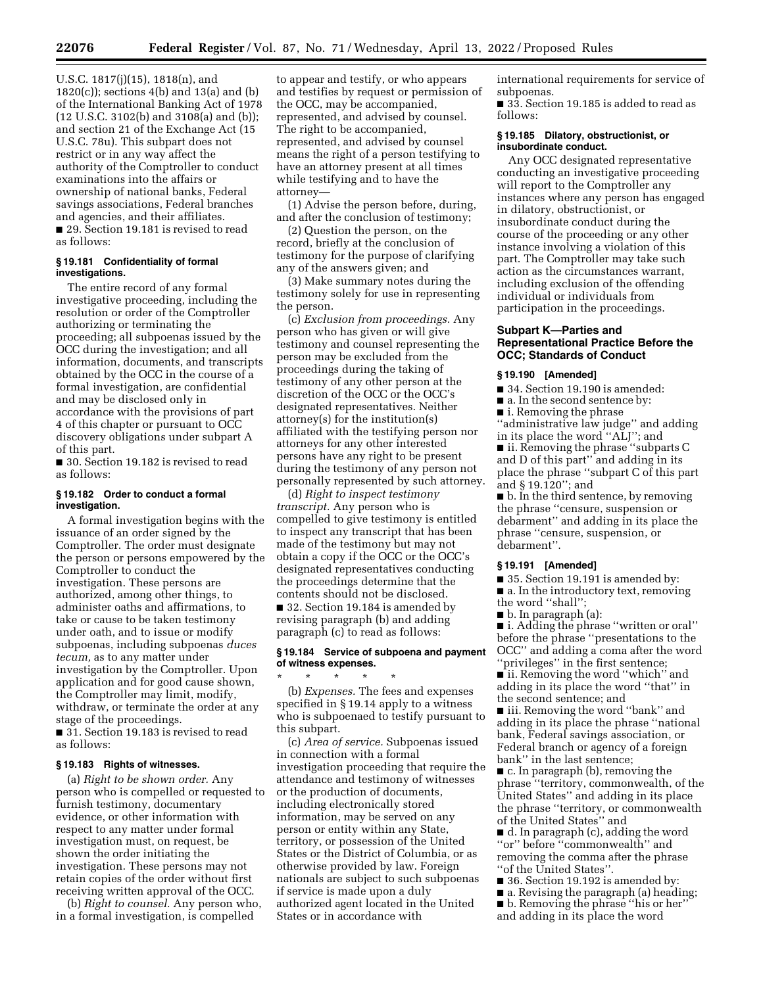U.S.C. 1817(j)(15), 1818(n), and 1820(c)); sections 4(b) and 13(a) and (b) of the International Banking Act of 1978 (12 U.S.C. 3102(b) and 3108(a) and (b)); and section 21 of the Exchange Act (15 U.S.C. 78u). This subpart does not restrict or in any way affect the authority of the Comptroller to conduct examinations into the affairs or ownership of national banks, Federal savings associations, Federal branches and agencies, and their affiliates. ■ 29. Section 19.181 is revised to read as follows:

#### **§ 19.181 Confidentiality of formal investigations.**

The entire record of any formal investigative proceeding, including the resolution or order of the Comptroller authorizing or terminating the proceeding; all subpoenas issued by the OCC during the investigation; and all information, documents, and transcripts obtained by the OCC in the course of a formal investigation, are confidential and may be disclosed only in accordance with the provisions of part 4 of this chapter or pursuant to OCC discovery obligations under subpart A of this part.

■ 30. Section 19.182 is revised to read as follows:

#### **§ 19.182 Order to conduct a formal investigation.**

A formal investigation begins with the issuance of an order signed by the Comptroller. The order must designate the person or persons empowered by the Comptroller to conduct the investigation. These persons are authorized, among other things, to administer oaths and affirmations, to take or cause to be taken testimony under oath, and to issue or modify subpoenas, including subpoenas *duces tecum,* as to any matter under investigation by the Comptroller. Upon application and for good cause shown, the Comptroller may limit, modify, withdraw, or terminate the order at any stage of the proceedings.

■ 31. Section 19.183 is revised to read as follows:

#### **§ 19.183 Rights of witnesses.**

(a) *Right to be shown order.* Any person who is compelled or requested to furnish testimony, documentary evidence, or other information with respect to any matter under formal investigation must, on request, be shown the order initiating the investigation. These persons may not retain copies of the order without first receiving written approval of the OCC.

(b) *Right to counsel.* Any person who, in a formal investigation, is compelled

to appear and testify, or who appears and testifies by request or permission of the OCC, may be accompanied, represented, and advised by counsel. The right to be accompanied, represented, and advised by counsel means the right of a person testifying to have an attorney present at all times while testifying and to have the attorney—

(1) Advise the person before, during, and after the conclusion of testimony;

(2) Question the person, on the record, briefly at the conclusion of testimony for the purpose of clarifying any of the answers given; and

(3) Make summary notes during the testimony solely for use in representing the person.

(c) *Exclusion from proceedings.* Any person who has given or will give testimony and counsel representing the person may be excluded from the proceedings during the taking of testimony of any other person at the discretion of the OCC or the OCC's designated representatives. Neither attorney(s) for the institution(s) affiliated with the testifying person nor attorneys for any other interested persons have any right to be present during the testimony of any person not personally represented by such attorney.

(d) *Right to inspect testimony transcript.* Any person who is compelled to give testimony is entitled to inspect any transcript that has been made of the testimony but may not obtain a copy if the OCC or the OCC's designated representatives conducting the proceedings determine that the contents should not be disclosed. ■ 32. Section 19.184 is amended by revising paragraph (b) and adding paragraph (c) to read as follows:

#### **§ 19.184 Service of subpoena and payment of witness expenses.**

\* \* \* \* \* (b) *Expenses.* The fees and expenses specified in § 19.14 apply to a witness who is subpoenaed to testify pursuant to this subpart.

(c) *Area of service.* Subpoenas issued in connection with a formal investigation proceeding that require the attendance and testimony of witnesses or the production of documents, including electronically stored information, may be served on any person or entity within any State, territory, or possession of the United States or the District of Columbia, or as otherwise provided by law. Foreign nationals are subject to such subpoenas if service is made upon a duly authorized agent located in the United States or in accordance with

international requirements for service of subpoenas.

■ 33. Section 19.185 is added to read as follows:

#### **§ 19.185 Dilatory, obstructionist, or insubordinate conduct.**

Any OCC designated representative conducting an investigative proceeding will report to the Comptroller any instances where any person has engaged in dilatory, obstructionist, or insubordinate conduct during the course of the proceeding or any other instance involving a violation of this part. The Comptroller may take such action as the circumstances warrant, including exclusion of the offending individual or individuals from participation in the proceedings.

#### **Subpart K—Parties and Representational Practice Before the OCC; Standards of Conduct**

#### **§ 19.190 [Amended]**

- 34. Section 19.190 is amended:
- a. In the second sentence by:
- i. Removing the phrase

''administrative law judge'' and adding in its place the word ''ALJ''; and

■ ii. Removing the phrase ''subparts C and D of this part'' and adding in its place the phrase ''subpart C of this part and § 19.120''; and

■ b. In the third sentence, by removing the phrase ''censure, suspension or debarment'' and adding in its place the phrase ''censure, suspension, or debarment''.

#### **§ 19.191 [Amended]**

■ 35. Section 19.191 is amended by: ■ a. In the introductory text, removing

- the word ''shall'';
- b. In paragraph (a):

■ i. Adding the phrase "written or oral" before the phrase ''presentations to the OCC'' and adding a coma after the word ''privileges'' in the first sentence;

■ ii. Removing the word "which" and adding in its place the word ''that'' in the second sentence; and

■ iii. Removing the word ''bank'' and adding in its place the phrase ''national bank, Federal savings association, or Federal branch or agency of a foreign bank'' in the last sentence;

■ c. In paragraph (b), removing the phrase ''territory, commonwealth, of the United States'' and adding in its place the phrase ''territory, or commonwealth of the United States'' and

■ d. In paragraph (c), adding the word ''or'' before ''commonwealth'' and removing the comma after the phrase ''of the United States''.

- 36. Section 19.192 is amended by:
- a. Revising the paragraph (a) heading;
- b. Removing the phrase "his or her" and adding in its place the word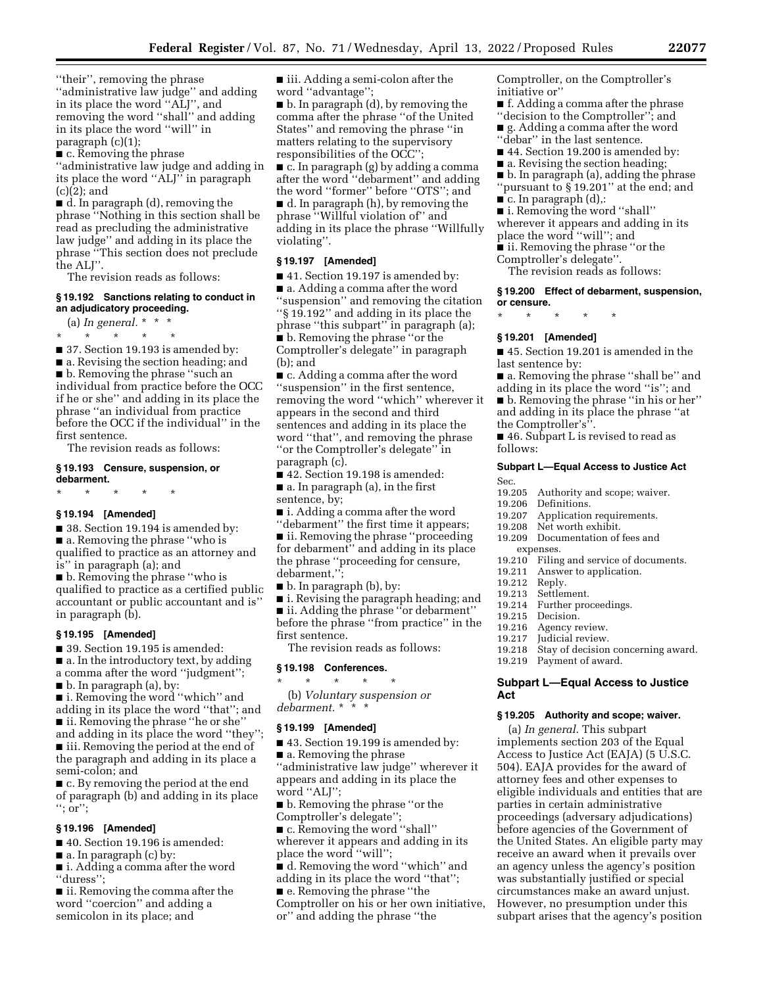''their'', removing the phrase ''administrative law judge'' and adding in its place the word ''ALJ'', and removing the word ''shall'' and adding in its place the word ''will'' in paragraph (c)(1);

■ c. Removing the phrase

''administrative law judge and adding in its place the word ''ALJ'' in paragraph (c)(2); and

■ d. In paragraph (d), removing the phrase ''Nothing in this section shall be read as precluding the administrative law judge'' and adding in its place the phrase ''This section does not preclude the ALJ''.

The revision reads as follows:

#### **§ 19.192 Sanctions relating to conduct in an adjudicatory proceeding.**

(a) *In general.* \* \* \*

\* \* \* \* \*

■ 37. Section 19.193 is amended by: ■ a. Revising the section heading; and ■ b. Removing the phrase "such an individual from practice before the OCC if he or she'' and adding in its place the phrase ''an individual from practice before the OCC if the individual'' in the first sentence.

The revision reads as follows:

#### **§ 19.193 Censure, suspension, or debarment.**

\* \* \* \* \*

#### **§ 19.194 [Amended]**

■ 38. Section 19.194 is amended by: ■ a. Removing the phrase "who is qualified to practice as an attorney and is'' in paragraph (a); and

■ b. Removing the phrase ''who is qualified to practice as a certified public accountant or public accountant and is'' in paragraph (b).

#### **§ 19.195 [Amended]**

■ 39. Section 19.195 is amended:

■ a. In the introductory text, by adding

- a comma after the word ''judgment'';
- b. In paragraph (a), by:

■ i. Removing the word "which" and adding in its place the word ''that''; and ■ ii. Removing the phrase "he or she"

and adding in its place the word ''they''; ■ iii. Removing the period at the end of

the paragraph and adding in its place a semi-colon; and

■ c. By removing the period at the end of paragraph (b) and adding in its place ''; or'';

#### **§ 19.196 [Amended]**

■ 40. Section 19.196 is amended:

■ a. In paragraph (c) by:

■ i. Adding a comma after the word ''duress'';

■ ii. Removing the comma after the word ''coercion'' and adding a semicolon in its place; and

■ iii. Adding a semi-colon after the word ''advantage'';

■ b. In paragraph (d), by removing the comma after the phrase ''of the United States'' and removing the phrase ''in matters relating to the supervisory responsibilities of the OCC'';

■ c. In paragraph (g) by adding a comma after the word ''debarment'' and adding the word ''former'' before ''OTS''; and ■ d. In paragraph (h), by removing the phrase ''Willful violation of'' and adding in its place the phrase ''Willfully violating''.

#### **§ 19.197 [Amended]**

■ 41. Section 19.197 is amended by: ■ a. Adding a comma after the word ''suspension'' and removing the citation ''§ 19.192'' and adding in its place the phrase ''this subpart'' in paragraph (a); ■ b. Removing the phrase "or the Comptroller's delegate'' in paragraph (b); and

■ c. Adding a comma after the word ''suspension'' in the first sentence, removing the word ''which'' wherever it appears in the second and third sentences and adding in its place the word ''that'', and removing the phrase ''or the Comptroller's delegate'' in paragraph (c).

■ 42. Section 19.198 is amended: ■ a. In paragraph (a), in the first

sentence, by;

■ i. Adding a comma after the word "debarment" the first time it appears;

■ ii. Removing the phrase "proceeding for debarment'' and adding in its place the phrase ''proceeding for censure, debarment,'';

■ b. In paragraph (b), by:

■ i. Revising the paragraph heading; and ■ ii. Adding the phrase "or debarment"

before the phrase ''from practice'' in the first sentence.

The revision reads as follows:

#### **§ 19.198 Conferences.**

\* \* \* \* \* (b) *Voluntary suspension or debarment.* \* \* \*

#### **§ 19.199 [Amended]**

■ 43. Section 19.199 is amended by:

■ a. Removing the phrase ''administrative law judge'' wherever it appears and adding in its place the

word "ALJ"; ■ b. Removing the phrase "or the

Comptroller's delegate'';

■ c. Removing the word "shall" wherever it appears and adding in its place the word ''will'';

■ d. Removing the word "which" and adding in its place the word ''that'';

■ e. Removing the phrase "the

Comptroller on his or her own initiative, or'' and adding the phrase ''the

Comptroller, on the Comptroller's initiative or''

- f. Adding a comma after the phrase ''decision to the Comptroller''; and
- g. Adding a comma after the word "debar" in the last sentence.
- 44. Section 19.200 is amended by:
- a. Revising the section heading;
- b. In paragraph (a), adding the phrase
- ''pursuant to § 19.201'' at the end; and ■ c. In paragraph (d),:
- i. Removing the word ''shall''

wherever it appears and adding in its place the word ''will''; and

- ii. Removing the phrase "or the
- Comptroller's delegate''.

The revision reads as follows:

#### **§ 19.200 Effect of debarment, suspension, or censure.**

\* \* \* \* \*

#### **§ 19.201 [Amended]**

■ 45. Section 19.201 is amended in the last sentence by:

- a. Removing the phrase "shall be" and
- adding in its place the word ''is''; and ■ b. Removing the phrase ''in his or her''
- and adding in its place the phrase ''at
- the Comptroller's''.

■ 46. Subpart L is revised to read as follows:

#### **Subpart L—Equal Access to Justice Act**

- Sec.<br>19.205 19.205 Authority and scope; waiver.<br>19.206 Definitions
- 
- 19.206 Definitions.<br>19.207 Application
- 19.207 Application requirements.<br>19.208 Net worth exhibit. Net worth exhibit.
- 19.209 Documentation of fees and expenses.
- 
- 19.210 Filing and service of documents.<br>19.211 Answer to application. Answer to application.<br>Reply.
	-
- 19.212<br>19.213
- 19.213 Settlement.<br>19.214 Further pro 19.214 Further proceedings.<br>19.215 Decision
- 
- 19.215 Decision.<br>19.216 Agency re
- 19.216 Agency review.<br>19.217 Judicial review.
- 19.217 Judicial review.<br>19.218 Stay of decision Stay of decision concerning award.
- 19.219 Payment of award.

#### **Subpart L—Equal Access to Justice Act**

#### **§ 19.205 Authority and scope; waiver.**

(a) *In general.* This subpart implements section 203 of the Equal Access to Justice Act (EAJA) (5 U.S.C. 504). EAJA provides for the award of attorney fees and other expenses to eligible individuals and entities that are parties in certain administrative proceedings (adversary adjudications) before agencies of the Government of the United States. An eligible party may receive an award when it prevails over an agency unless the agency's position was substantially justified or special circumstances make an award unjust. However, no presumption under this subpart arises that the agency's position

- -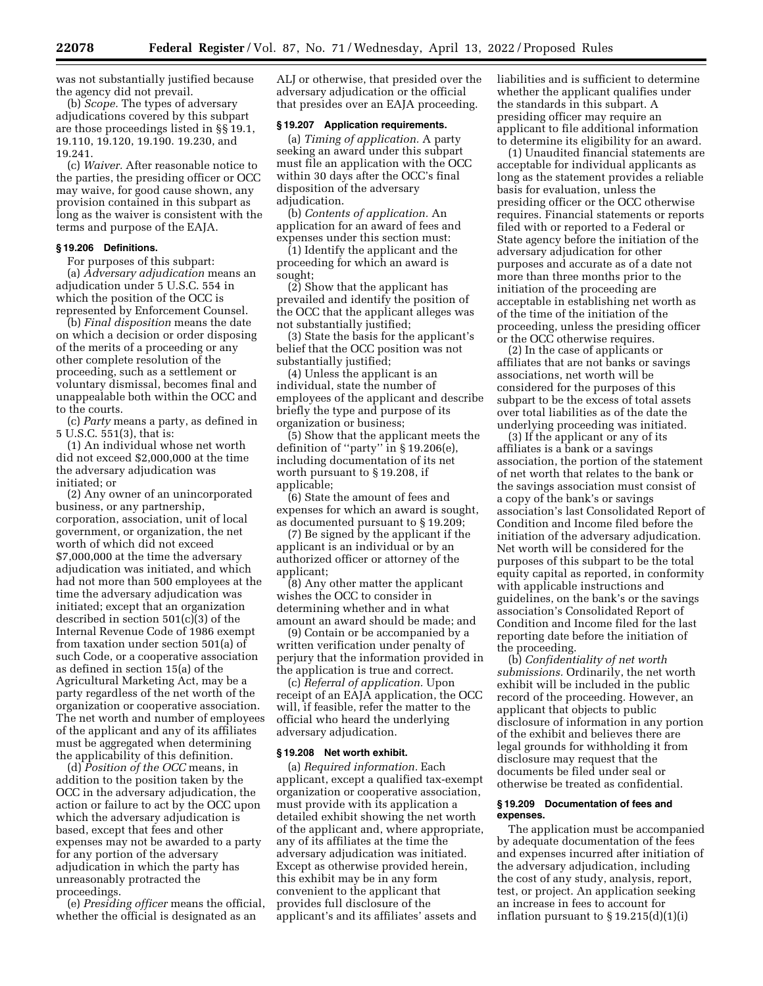was not substantially justified because the agency did not prevail.

(b) *Scope.* The types of adversary adjudications covered by this subpart are those proceedings listed in §§ 19.1, 19.110, 19.120, 19.190. 19.230, and 19.241.

(c) *Waiver.* After reasonable notice to the parties, the presiding officer or OCC may waive, for good cause shown, any provision contained in this subpart as long as the waiver is consistent with the terms and purpose of the EAJA.

#### **§ 19.206 Definitions.**

For purposes of this subpart: (a) *Adversary adjudication* means an adjudication under 5 U.S.C. 554 in which the position of the OCC is represented by Enforcement Counsel.

(b) *Final disposition* means the date on which a decision or order disposing of the merits of a proceeding or any other complete resolution of the proceeding, such as a settlement or voluntary dismissal, becomes final and unappealable both within the OCC and to the courts.

(c) *Party* means a party, as defined in 5 U.S.C. 551(3), that is:

(1) An individual whose net worth did not exceed \$2,000,000 at the time the adversary adjudication was initiated; or

(2) Any owner of an unincorporated business, or any partnership, corporation, association, unit of local government, or organization, the net worth of which did not exceed \$7,000,000 at the time the adversary adjudication was initiated, and which had not more than 500 employees at the time the adversary adjudication was initiated; except that an organization described in section 501(c)(3) of the Internal Revenue Code of 1986 exempt from taxation under section 501(a) of such Code, or a cooperative association as defined in section 15(a) of the Agricultural Marketing Act, may be a party regardless of the net worth of the organization or cooperative association. The net worth and number of employees of the applicant and any of its affiliates must be aggregated when determining the applicability of this definition.

(d) *Position of the OCC* means, in addition to the position taken by the OCC in the adversary adjudication, the action or failure to act by the OCC upon which the adversary adjudication is based, except that fees and other expenses may not be awarded to a party for any portion of the adversary adjudication in which the party has unreasonably protracted the proceedings.

(e) *Presiding officer* means the official, whether the official is designated as an

ALJ or otherwise, that presided over the adversary adjudication or the official that presides over an EAJA proceeding.

#### **§ 19.207 Application requirements.**

(a) *Timing of application.* A party seeking an award under this subpart must file an application with the OCC within 30 days after the OCC's final disposition of the adversary adjudication.

(b) *Contents of application.* An application for an award of fees and expenses under this section must:

(1) Identify the applicant and the proceeding for which an award is sought;

(2) Show that the applicant has prevailed and identify the position of the OCC that the applicant alleges was not substantially justified;

(3) State the basis for the applicant's belief that the OCC position was not substantially justified;

(4) Unless the applicant is an individual, state the number of employees of the applicant and describe briefly the type and purpose of its organization or business;

(5) Show that the applicant meets the definition of ''party'' in § 19.206(e), including documentation of its net worth pursuant to § 19.208, if applicable;

(6) State the amount of fees and expenses for which an award is sought, as documented pursuant to § 19.209;

(7) Be signed by the applicant if the applicant is an individual or by an authorized officer or attorney of the applicant;

(8) Any other matter the applicant wishes the OCC to consider in determining whether and in what amount an award should be made; and

(9) Contain or be accompanied by a written verification under penalty of perjury that the information provided in the application is true and correct.

(c) *Referral of application.* Upon receipt of an EAJA application, the OCC will, if feasible, refer the matter to the official who heard the underlying adversary adjudication.

#### **§ 19.208 Net worth exhibit.**

(a) *Required information.* Each applicant, except a qualified tax-exempt organization or cooperative association, must provide with its application a detailed exhibit showing the net worth of the applicant and, where appropriate, any of its affiliates at the time the adversary adjudication was initiated. Except as otherwise provided herein, this exhibit may be in any form convenient to the applicant that provides full disclosure of the applicant's and its affiliates' assets and

liabilities and is sufficient to determine whether the applicant qualifies under the standards in this subpart. A presiding officer may require an applicant to file additional information to determine its eligibility for an award.

(1) Unaudited financial statements are acceptable for individual applicants as long as the statement provides a reliable basis for evaluation, unless the presiding officer or the OCC otherwise requires. Financial statements or reports filed with or reported to a Federal or State agency before the initiation of the adversary adjudication for other purposes and accurate as of a date not more than three months prior to the initiation of the proceeding are acceptable in establishing net worth as of the time of the initiation of the proceeding, unless the presiding officer or the OCC otherwise requires.

(2) In the case of applicants or affiliates that are not banks or savings associations, net worth will be considered for the purposes of this subpart to be the excess of total assets over total liabilities as of the date the underlying proceeding was initiated.

(3) If the applicant or any of its affiliates is a bank or a savings association, the portion of the statement of net worth that relates to the bank or the savings association must consist of a copy of the bank's or savings association's last Consolidated Report of Condition and Income filed before the initiation of the adversary adjudication. Net worth will be considered for the purposes of this subpart to be the total equity capital as reported, in conformity with applicable instructions and guidelines, on the bank's or the savings association's Consolidated Report of Condition and Income filed for the last reporting date before the initiation of the proceeding.

(b) *Confidentiality of net worth submissions.* Ordinarily, the net worth exhibit will be included in the public record of the proceeding. However, an applicant that objects to public disclosure of information in any portion of the exhibit and believes there are legal grounds for withholding it from disclosure may request that the documents be filed under seal or otherwise be treated as confidential.

#### **§ 19.209 Documentation of fees and expenses.**

The application must be accompanied by adequate documentation of the fees and expenses incurred after initiation of the adversary adjudication, including the cost of any study, analysis, report, test, or project. An application seeking an increase in fees to account for inflation pursuant to  $\S 19.215(d)(1)(i)$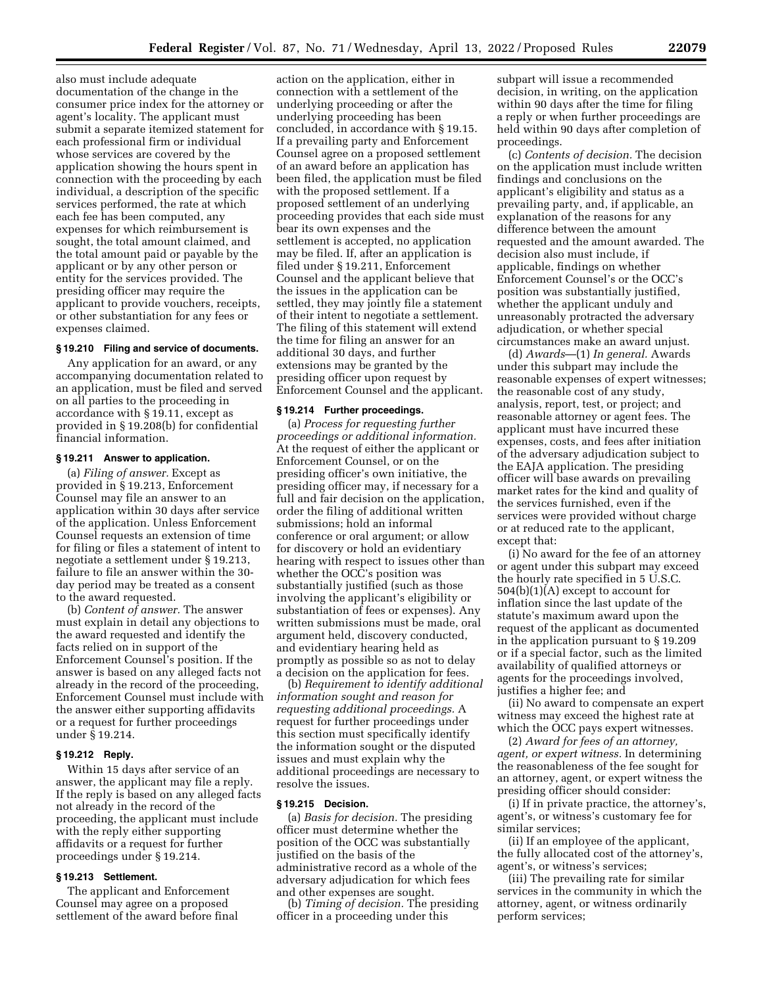also must include adequate documentation of the change in the consumer price index for the attorney or agent's locality. The applicant must submit a separate itemized statement for each professional firm or individual whose services are covered by the application showing the hours spent in connection with the proceeding by each individual, a description of the specific services performed, the rate at which each fee has been computed, any expenses for which reimbursement is sought, the total amount claimed, and the total amount paid or payable by the applicant or by any other person or entity for the services provided. The presiding officer may require the applicant to provide vouchers, receipts, or other substantiation for any fees or expenses claimed.

#### **§ 19.210 Filing and service of documents.**

Any application for an award, or any accompanying documentation related to an application, must be filed and served on all parties to the proceeding in accordance with § 19.11, except as provided in § 19.208(b) for confidential financial information.

#### **§ 19.211 Answer to application.**

(a) *Filing of answer.* Except as provided in § 19.213, Enforcement Counsel may file an answer to an application within 30 days after service of the application. Unless Enforcement Counsel requests an extension of time for filing or files a statement of intent to negotiate a settlement under § 19.213, failure to file an answer within the 30 day period may be treated as a consent to the award requested.

(b) *Content of answer.* The answer must explain in detail any objections to the award requested and identify the facts relied on in support of the Enforcement Counsel's position. If the answer is based on any alleged facts not already in the record of the proceeding, Enforcement Counsel must include with the answer either supporting affidavits or a request for further proceedings under § 19.214.

#### **§ 19.212 Reply.**

Within 15 days after service of an answer, the applicant may file a reply. If the reply is based on any alleged facts not already in the record of the proceeding, the applicant must include with the reply either supporting affidavits or a request for further proceedings under § 19.214.

#### **§ 19.213 Settlement.**

The applicant and Enforcement Counsel may agree on a proposed settlement of the award before final

action on the application, either in connection with a settlement of the underlying proceeding or after the underlying proceeding has been concluded, in accordance with § 19.15. If a prevailing party and Enforcement Counsel agree on a proposed settlement of an award before an application has been filed, the application must be filed with the proposed settlement. If a proposed settlement of an underlying proceeding provides that each side must bear its own expenses and the settlement is accepted, no application may be filed. If, after an application is filed under § 19.211, Enforcement Counsel and the applicant believe that the issues in the application can be settled, they may jointly file a statement of their intent to negotiate a settlement. The filing of this statement will extend the time for filing an answer for an additional 30 days, and further extensions may be granted by the presiding officer upon request by Enforcement Counsel and the applicant.

#### **§ 19.214 Further proceedings.**

(a) *Process for requesting further proceedings or additional information.*  At the request of either the applicant or Enforcement Counsel, or on the presiding officer's own initiative, the presiding officer may, if necessary for a full and fair decision on the application, order the filing of additional written submissions; hold an informal conference or oral argument; or allow for discovery or hold an evidentiary hearing with respect to issues other than whether the OCC's position was substantially justified (such as those involving the applicant's eligibility or substantiation of fees or expenses). Any written submissions must be made, oral argument held, discovery conducted, and evidentiary hearing held as promptly as possible so as not to delay a decision on the application for fees.

(b) *Requirement to identify additional information sought and reason for requesting additional proceedings.* A request for further proceedings under this section must specifically identify the information sought or the disputed issues and must explain why the additional proceedings are necessary to resolve the issues.

#### **§ 19.215 Decision.**

(a) *Basis for decision.* The presiding officer must determine whether the position of the OCC was substantially justified on the basis of the administrative record as a whole of the adversary adjudication for which fees and other expenses are sought.

(b) *Timing of decision.* The presiding officer in a proceeding under this

subpart will issue a recommended decision, in writing, on the application within 90 days after the time for filing a reply or when further proceedings are held within 90 days after completion of proceedings.

(c) *Contents of decision.* The decision on the application must include written findings and conclusions on the applicant's eligibility and status as a prevailing party, and, if applicable, an explanation of the reasons for any difference between the amount requested and the amount awarded. The decision also must include, if applicable, findings on whether Enforcement Counsel's or the OCC's position was substantially justified, whether the applicant unduly and unreasonably protracted the adversary adjudication, or whether special circumstances make an award unjust.

(d) *Awards*—(1) *In general.* Awards under this subpart may include the reasonable expenses of expert witnesses; the reasonable cost of any study, analysis, report, test, or project; and reasonable attorney or agent fees. The applicant must have incurred these expenses, costs, and fees after initiation of the adversary adjudication subject to the EAJA application. The presiding officer will base awards on prevailing market rates for the kind and quality of the services furnished, even if the services were provided without charge or at reduced rate to the applicant, except that:

(i) No award for the fee of an attorney or agent under this subpart may exceed the hourly rate specified in 5 U.S.C. 504(b)(1)(A) except to account for inflation since the last update of the statute's maximum award upon the request of the applicant as documented in the application pursuant to § 19.209 or if a special factor, such as the limited availability of qualified attorneys or agents for the proceedings involved, justifies a higher fee; and

(ii) No award to compensate an expert witness may exceed the highest rate at which the OCC pays expert witnesses.

(2) *Award for fees of an attorney, agent, or expert witness.* In determining the reasonableness of the fee sought for an attorney, agent, or expert witness the presiding officer should consider:

(i) If in private practice, the attorney's, agent's, or witness's customary fee for similar services;

(ii) If an employee of the applicant, the fully allocated cost of the attorney's, agent's, or witness's services;

(iii) The prevailing rate for similar services in the community in which the attorney, agent, or witness ordinarily perform services;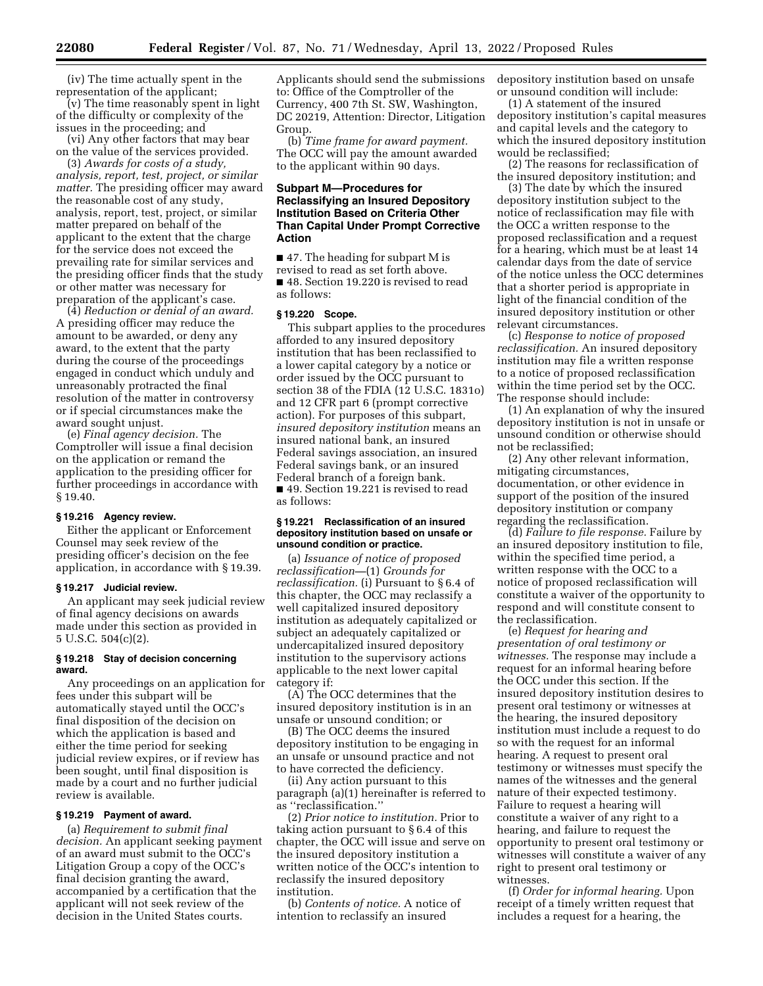(iv) The time actually spent in the representation of the applicant;

(v) The time reasonably spent in light of the difficulty or complexity of the issues in the proceeding; and

(vi) Any other factors that may bear on the value of the services provided.

(3) *Awards for costs of a study, analysis, report, test, project, or similar matter.* The presiding officer may award the reasonable cost of any study, analysis, report, test, project, or similar matter prepared on behalf of the applicant to the extent that the charge for the service does not exceed the prevailing rate for similar services and the presiding officer finds that the study or other matter was necessary for preparation of the applicant's case.

(4) *Reduction or denial of an award.*  A presiding officer may reduce the amount to be awarded, or deny any award, to the extent that the party during the course of the proceedings engaged in conduct which unduly and unreasonably protracted the final resolution of the matter in controversy or if special circumstances make the award sought unjust.

(e) *Final agency decision.* The Comptroller will issue a final decision on the application or remand the application to the presiding officer for further proceedings in accordance with § 19.40.

#### **§ 19.216 Agency review.**

Either the applicant or Enforcement Counsel may seek review of the presiding officer's decision on the fee application, in accordance with § 19.39.

#### **§ 19.217 Judicial review.**

An applicant may seek judicial review of final agency decisions on awards made under this section as provided in 5 U.S.C. 504(c)(2).

#### **§ 19.218 Stay of decision concerning award.**

Any proceedings on an application for fees under this subpart will be automatically stayed until the OCC's final disposition of the decision on which the application is based and either the time period for seeking judicial review expires, or if review has been sought, until final disposition is made by a court and no further judicial review is available.

#### **§ 19.219 Payment of award.**

(a) *Requirement to submit final decision.* An applicant seeking payment of an award must submit to the OCC's Litigation Group a copy of the OCC's final decision granting the award, accompanied by a certification that the applicant will not seek review of the decision in the United States courts.

Applicants should send the submissions to: Office of the Comptroller of the Currency, 400 7th St. SW, Washington, DC 20219, Attention: Director, Litigation Group.

(b) *Time frame for award payment.*  The OCC will pay the amount awarded to the applicant within 90 days.

#### **Subpart M—Procedures for Reclassifying an Insured Depository Institution Based on Criteria Other Than Capital Under Prompt Corrective Action**

■ 47. The heading for subpart M is revised to read as set forth above. ■ 48. Section 19.220 is revised to read as follows:

#### **§ 19.220 Scope.**

This subpart applies to the procedures afforded to any insured depository institution that has been reclassified to a lower capital category by a notice or order issued by the OCC pursuant to section 38 of the FDIA (12 U.S.C. 1831o) and 12 CFR part 6 (prompt corrective action). For purposes of this subpart, *insured depository institution* means an insured national bank, an insured Federal savings association, an insured Federal savings bank, or an insured Federal branch of a foreign bank. ■ 49. Section 19.221 is revised to read as follows:

#### **§ 19.221 Reclassification of an insured depository institution based on unsafe or unsound condition or practice.**

(a) *Issuance of notice of proposed reclassification—*(1) *Grounds for reclassification.* (i) Pursuant to § 6.4 of this chapter, the OCC may reclassify a well capitalized insured depository institution as adequately capitalized or subject an adequately capitalized or undercapitalized insured depository institution to the supervisory actions applicable to the next lower capital category if:

(A) The OCC determines that the insured depository institution is in an unsafe or unsound condition; or

(B) The OCC deems the insured depository institution to be engaging in an unsafe or unsound practice and not to have corrected the deficiency.

(ii) Any action pursuant to this paragraph (a)(1) hereinafter is referred to as ''reclassification.''

(2) *Prior notice to institution.* Prior to taking action pursuant to § 6.4 of this chapter, the OCC will issue and serve on the insured depository institution a written notice of the OCC's intention to reclassify the insured depository institution.

(b) *Contents of notice.* A notice of intention to reclassify an insured

depository institution based on unsafe or unsound condition will include:

(1) A statement of the insured depository institution's capital measures and capital levels and the category to which the insured depository institution would be reclassified;

(2) The reasons for reclassification of the insured depository institution; and

(3) The date by which the insured depository institution subject to the notice of reclassification may file with the OCC a written response to the proposed reclassification and a request for a hearing, which must be at least 14 calendar days from the date of service of the notice unless the OCC determines that a shorter period is appropriate in light of the financial condition of the insured depository institution or other relevant circumstances.

(c) *Response to notice of proposed reclassification.* An insured depository institution may file a written response to a notice of proposed reclassification within the time period set by the OCC. The response should include:

(1) An explanation of why the insured depository institution is not in unsafe or unsound condition or otherwise should not be reclassified;

(2) Any other relevant information, mitigating circumstances, documentation, or other evidence in support of the position of the insured depository institution or company regarding the reclassification.

(d) *Failure to file response.* Failure by an insured depository institution to file, within the specified time period, a written response with the OCC to a notice of proposed reclassification will constitute a waiver of the opportunity to respond and will constitute consent to the reclassification.

(e) *Request for hearing and presentation of oral testimony or witnesses.* The response may include a request for an informal hearing before the OCC under this section. If the insured depository institution desires to present oral testimony or witnesses at the hearing, the insured depository institution must include a request to do so with the request for an informal hearing. A request to present oral testimony or witnesses must specify the names of the witnesses and the general nature of their expected testimony. Failure to request a hearing will constitute a waiver of any right to a hearing, and failure to request the opportunity to present oral testimony or witnesses will constitute a waiver of any right to present oral testimony or witnesses.

(f) *Order for informal hearing.* Upon receipt of a timely written request that includes a request for a hearing, the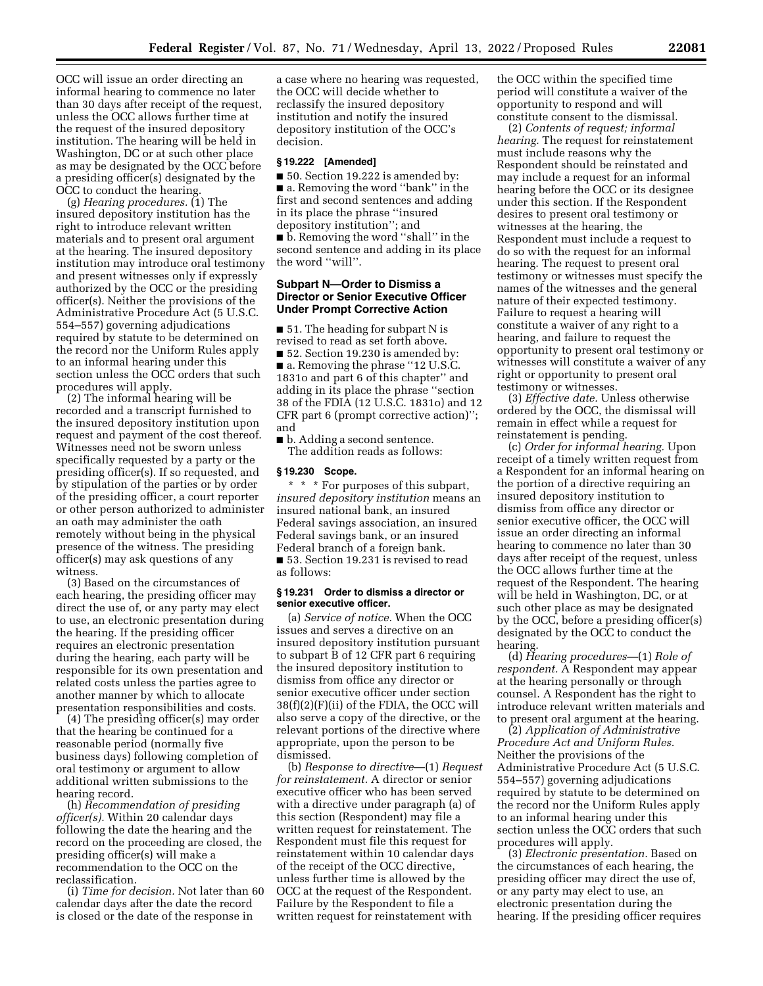OCC will issue an order directing an informal hearing to commence no later than 30 days after receipt of the request, unless the OCC allows further time at the request of the insured depository institution. The hearing will be held in Washington, DC or at such other place as may be designated by the OCC before a presiding officer(s) designated by the OCC to conduct the hearing.

(g) *Hearing procedures.* (1) The insured depository institution has the right to introduce relevant written materials and to present oral argument at the hearing. The insured depository institution may introduce oral testimony and present witnesses only if expressly authorized by the OCC or the presiding officer(s). Neither the provisions of the Administrative Procedure Act (5 U.S.C. 554–557) governing adjudications required by statute to be determined on the record nor the Uniform Rules apply to an informal hearing under this section unless the OCC orders that such procedures will apply.

(2) The informal hearing will be recorded and a transcript furnished to the insured depository institution upon request and payment of the cost thereof. Witnesses need not be sworn unless specifically requested by a party or the presiding officer(s). If so requested, and by stipulation of the parties or by order of the presiding officer, a court reporter or other person authorized to administer an oath may administer the oath remotely without being in the physical presence of the witness. The presiding officer(s) may ask questions of any witness.

(3) Based on the circumstances of each hearing, the presiding officer may direct the use of, or any party may elect to use, an electronic presentation during the hearing. If the presiding officer requires an electronic presentation during the hearing, each party will be responsible for its own presentation and related costs unless the parties agree to another manner by which to allocate presentation responsibilities and costs.

(4) The presiding officer(s) may order that the hearing be continued for a reasonable period (normally five business days) following completion of oral testimony or argument to allow additional written submissions to the hearing record.

(h) *Recommendation of presiding officer(s).* Within 20 calendar days following the date the hearing and the record on the proceeding are closed, the presiding officer(s) will make a recommendation to the OCC on the reclassification.

(i) *Time for decision.* Not later than 60 calendar days after the date the record is closed or the date of the response in

a case where no hearing was requested, the OCC will decide whether to reclassify the insured depository institution and notify the insured depository institution of the OCC's decision.

#### **§ 19.222 [Amended]**

■ 50. Section 19.222 is amended by: ■ a. Removing the word "bank" in the first and second sentences and adding in its place the phrase ''insured depository institution''; and ■ b. Removing the word ''shall'' in the second sentence and adding in its place the word ''will''.

#### **Subpart N—Order to Dismiss a Director or Senior Executive Officer Under Prompt Corrective Action**

■ 51. The heading for subpart N is revised to read as set forth above. ■ 52. Section 19.230 is amended by: ■ a. Removing the phrase "12 U.S.C. 1831o and part 6 of this chapter'' and adding in its place the phrase ''section 38 of the FDIA (12 U.S.C. 1831o) and 12 CFR part 6 (prompt corrective action)''; and

■ b. Adding a second sentence. The addition reads as follows:

#### **§ 19.230 Scope.**

\* \* \* For purposes of this subpart, *insured depository institution* means an insured national bank, an insured Federal savings association, an insured Federal savings bank, or an insured Federal branch of a foreign bank. ■ 53. Section 19.231 is revised to read as follows:

#### **§ 19.231 Order to dismiss a director or senior executive officer.**

(a) *Service of notice.* When the OCC issues and serves a directive on an insured depository institution pursuant to subpart B of 12 CFR part 6 requiring the insured depository institution to dismiss from office any director or senior executive officer under section 38(f)(2)(F)(ii) of the FDIA, the OCC will also serve a copy of the directive, or the relevant portions of the directive where appropriate, upon the person to be dismissed.

(b) *Response to directive*—(1) *Request for reinstatement.* A director or senior executive officer who has been served with a directive under paragraph (a) of this section (Respondent) may file a written request for reinstatement. The Respondent must file this request for reinstatement within 10 calendar days of the receipt of the OCC directive, unless further time is allowed by the OCC at the request of the Respondent. Failure by the Respondent to file a written request for reinstatement with

the OCC within the specified time period will constitute a waiver of the opportunity to respond and will constitute consent to the dismissal.

(2) *Contents of request; informal hearing.* The request for reinstatement must include reasons why the Respondent should be reinstated and may include a request for an informal hearing before the OCC or its designee under this section. If the Respondent desires to present oral testimony or witnesses at the hearing, the Respondent must include a request to do so with the request for an informal hearing. The request to present oral testimony or witnesses must specify the names of the witnesses and the general nature of their expected testimony. Failure to request a hearing will constitute a waiver of any right to a hearing, and failure to request the opportunity to present oral testimony or witnesses will constitute a waiver of any right or opportunity to present oral testimony or witnesses.

(3) *Effective date.* Unless otherwise ordered by the OCC, the dismissal will remain in effect while a request for reinstatement is pending.

(c) *Order for informal hearing.* Upon receipt of a timely written request from a Respondent for an informal hearing on the portion of a directive requiring an insured depository institution to dismiss from office any director or senior executive officer, the OCC will issue an order directing an informal hearing to commence no later than 30 days after receipt of the request, unless the OCC allows further time at the request of the Respondent. The hearing will be held in Washington, DC, or at such other place as may be designated by the OCC, before a presiding officer(s) designated by the OCC to conduct the hearing.

(d) *Hearing procedures—*(1) *Role of respondent.* A Respondent may appear at the hearing personally or through counsel. A Respondent has the right to introduce relevant written materials and to present oral argument at the hearing.

(2) *Application of Administrative Procedure Act and Uniform Rules.*  Neither the provisions of the Administrative Procedure Act (5 U.S.C. 554–557) governing adjudications required by statute to be determined on the record nor the Uniform Rules apply to an informal hearing under this section unless the OCC orders that such procedures will apply.

(3) *Electronic presentation.* Based on the circumstances of each hearing, the presiding officer may direct the use of, or any party may elect to use, an electronic presentation during the hearing. If the presiding officer requires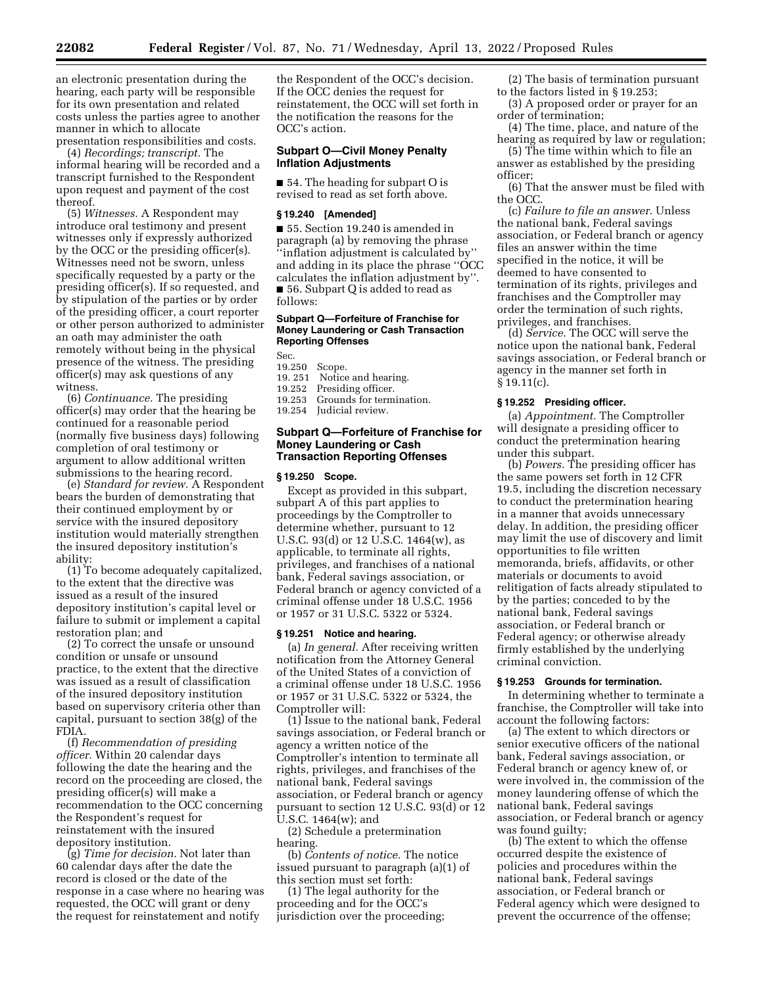an electronic presentation during the hearing, each party will be responsible for its own presentation and related costs unless the parties agree to another manner in which to allocate presentation responsibilities and costs.

(4) *Recordings; transcript.* The informal hearing will be recorded and a transcript furnished to the Respondent upon request and payment of the cost thereof.

(5) *Witnesses.* A Respondent may introduce oral testimony and present witnesses only if expressly authorized by the OCC or the presiding officer(s). Witnesses need not be sworn, unless specifically requested by a party or the presiding officer(s). If so requested, and by stipulation of the parties or by order of the presiding officer, a court reporter or other person authorized to administer an oath may administer the oath remotely without being in the physical presence of the witness. The presiding officer(s) may ask questions of any witness.

(6) *Continuance.* The presiding officer(s) may order that the hearing be continued for a reasonable period (normally five business days) following completion of oral testimony or argument to allow additional written submissions to the hearing record.

(e) *Standard for review.* A Respondent bears the burden of demonstrating that their continued employment by or service with the insured depository institution would materially strengthen the insured depository institution's ability:

(1) To become adequately capitalized, to the extent that the directive was issued as a result of the insured depository institution's capital level or failure to submit or implement a capital restoration plan; and

(2) To correct the unsafe or unsound condition or unsafe or unsound practice, to the extent that the directive was issued as a result of classification of the insured depository institution based on supervisory criteria other than capital, pursuant to section 38(g) of the FDIA.

(f) *Recommendation of presiding officer.* Within 20 calendar days following the date the hearing and the record on the proceeding are closed, the presiding officer(s) will make a recommendation to the OCC concerning the Respondent's request for reinstatement with the insured depository institution.

(g) *Time for decision.* Not later than 60 calendar days after the date the record is closed or the date of the response in a case where no hearing was requested, the OCC will grant or deny the request for reinstatement and notify

the Respondent of the OCC's decision. If the OCC denies the request for reinstatement, the OCC will set forth in the notification the reasons for the OCC's action.

#### **Subpart O—Civil Money Penalty Inflation Adjustments**

■ 54. The heading for subpart O is revised to read as set forth above.

#### **§ 19.240 [Amended]**

■ 55. Section 19.240 is amended in paragraph (a) by removing the phrase ''inflation adjustment is calculated by'' and adding in its place the phrase ''OCC calculates the inflation adjustment by''. ■ 56. Subpart Q is added to read as follows:

#### **Subpart Q—Forfeiture of Franchise for Money Laundering or Cash Transaction Reporting Offenses**

Sec.<br>19.250

- 19.250 Scope.<br>19.251 Notice
- Notice and hearing.
- 19.252 Presiding officer. 19.253 Grounds for termination.
- 19.254 Judicial review.

#### **Subpart Q—Forfeiture of Franchise for Money Laundering or Cash Transaction Reporting Offenses**

#### **§ 19.250 Scope.**

Except as provided in this subpart, subpart A of this part applies to proceedings by the Comptroller to determine whether, pursuant to 12 U.S.C. 93(d) or 12 U.S.C. 1464(w), as applicable, to terminate all rights, privileges, and franchises of a national bank, Federal savings association, or Federal branch or agency convicted of a criminal offense under 18 U.S.C. 1956 or 1957 or 31 U.S.C. 5322 or 5324.

#### **§ 19.251 Notice and hearing.**

(a) *In general.* After receiving written notification from the Attorney General of the United States of a conviction of a criminal offense under 18 U.S.C. 1956 or 1957 or 31 U.S.C. 5322 or 5324, the Comptroller will:

(1) Issue to the national bank, Federal savings association, or Federal branch or agency a written notice of the Comptroller's intention to terminate all rights, privileges, and franchises of the national bank, Federal savings association, or Federal branch or agency pursuant to section 12 U.S.C. 93(d) or 12 U.S.C. 1464(w); and

(2) Schedule a pretermination hearing.

(b) *Contents of notice.* The notice issued pursuant to paragraph (a)(1) of this section must set forth:

(1) The legal authority for the proceeding and for the OCC's jurisdiction over the proceeding;

(2) The basis of termination pursuant to the factors listed in § 19.253;

- (3) A proposed order or prayer for an order of termination;
- (4) The time, place, and nature of the hearing as required by law or regulation;

(5) The time within which to file an answer as established by the presiding officer;

(6) That the answer must be filed with the OCC.

(c) *Failure to file an answer.* Unless the national bank, Federal savings association, or Federal branch or agency files an answer within the time specified in the notice, it will be deemed to have consented to termination of its rights, privileges and franchises and the Comptroller may order the termination of such rights, privileges, and franchises.

(d) *Service.* The OCC will serve the notice upon the national bank, Federal savings association, or Federal branch or agency in the manner set forth in § 19.11(c).

#### **§ 19.252 Presiding officer.**

(a) *Appointment.* The Comptroller will designate a presiding officer to conduct the pretermination hearing under this subpart.

(b) *Powers.* The presiding officer has the same powers set forth in 12 CFR 19.5, including the discretion necessary to conduct the pretermination hearing in a manner that avoids unnecessary delay. In addition, the presiding officer may limit the use of discovery and limit opportunities to file written memoranda, briefs, affidavits, or other materials or documents to avoid relitigation of facts already stipulated to by the parties; conceded to by the national bank, Federal savings association, or Federal branch or Federal agency; or otherwise already firmly established by the underlying criminal conviction.

#### **§ 19.253 Grounds for termination.**

In determining whether to terminate a franchise, the Comptroller will take into account the following factors:

(a) The extent to which directors or senior executive officers of the national bank, Federal savings association, or Federal branch or agency knew of, or were involved in, the commission of the money laundering offense of which the national bank, Federal savings association, or Federal branch or agency was found guilty;

(b) The extent to which the offense occurred despite the existence of policies and procedures within the national bank, Federal savings association, or Federal branch or Federal agency which were designed to prevent the occurrence of the offense;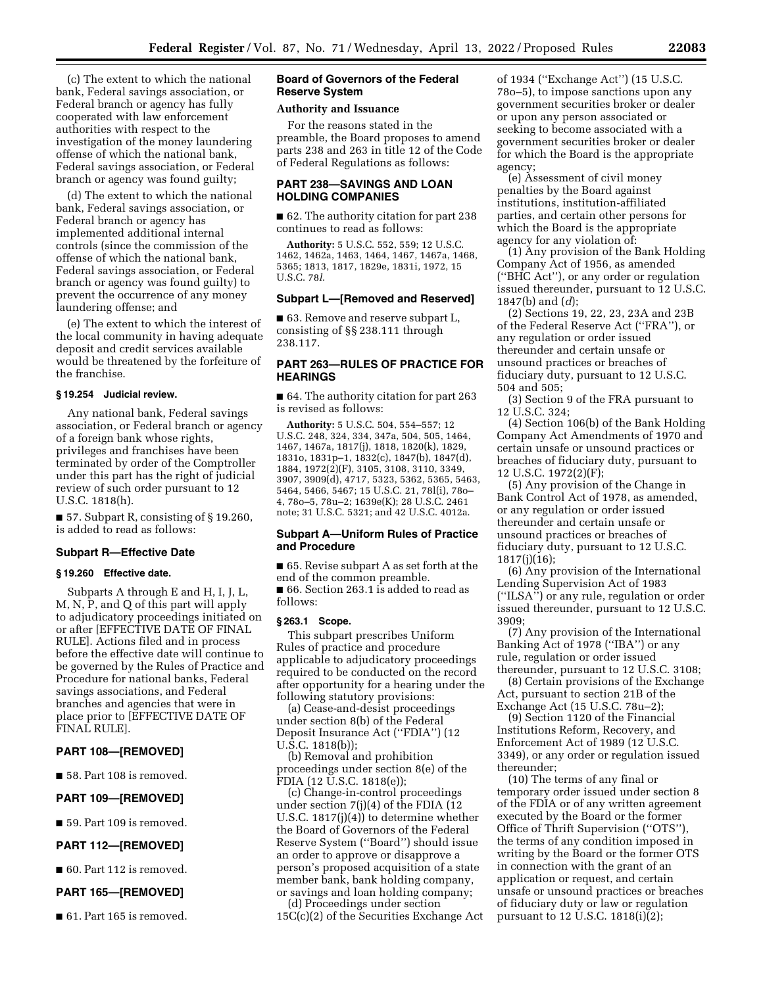(c) The extent to which the national bank, Federal savings association, or Federal branch or agency has fully cooperated with law enforcement authorities with respect to the investigation of the money laundering offense of which the national bank, Federal savings association, or Federal branch or agency was found guilty;

(d) The extent to which the national bank, Federal savings association, or Federal branch or agency has implemented additional internal controls (since the commission of the offense of which the national bank, Federal savings association, or Federal branch or agency was found guilty) to prevent the occurrence of any money laundering offense; and

(e) The extent to which the interest of the local community in having adequate deposit and credit services available would be threatened by the forfeiture of the franchise.

#### **§ 19.254 Judicial review.**

Any national bank, Federal savings association, or Federal branch or agency of a foreign bank whose rights, privileges and franchises have been terminated by order of the Comptroller under this part has the right of judicial review of such order pursuant to 12 U.S.C. 1818(h).

■ 57. Subpart R, consisting of § 19.260, is added to read as follows:

#### **Subpart R—Effective Date**

#### **§ 19.260 Effective date.**

Subparts A through E and H, I, J, L, M, N, P, and Q of this part will apply to adjudicatory proceedings initiated on or after [EFFECTIVE DATE OF FINAL RULE]. Actions filed and in process before the effective date will continue to be governed by the Rules of Practice and Procedure for national banks, Federal savings associations, and Federal branches and agencies that were in place prior to [EFFECTIVE DATE OF FINAL RULE].

#### **PART 108—[REMOVED]**

■ 58. Part 108 is removed.

#### **PART 109—[REMOVED]**

■ 59. Part 109 is removed.

#### **PART 112—[REMOVED]**

■ 60. Part 112 is removed.

#### **PART 165—[REMOVED]**

■ 61. Part 165 is removed.

#### **Board of Governors of the Federal Reserve System**

#### **Authority and Issuance**

For the reasons stated in the preamble, the Board proposes to amend parts 238 and 263 in title 12 of the Code of Federal Regulations as follows:

#### **PART 238—SAVINGS AND LOAN HOLDING COMPANIES**

■ 62. The authority citation for part 238 continues to read as follows:

**Authority:** 5 U.S.C. 552, 559; 12 U.S.C. 1462, 1462a, 1463, 1464, 1467, 1467a, 1468, 5365; 1813, 1817, 1829e, 1831i, 1972, 15 U.S.C. 78*l*.

#### **Subpart L—[Removed and Reserved]**

■ 63. Remove and reserve subpart L, consisting of §§ 238.111 through 238.117.

#### **PART 263—RULES OF PRACTICE FOR HEARINGS**

■ 64. The authority citation for part 263 is revised as follows:

**Authority:** 5 U.S.C. 504, 554–557; 12 U.S.C. 248, 324, 334, 347a, 504, 505, 1464, 1467, 1467a, 1817(j), 1818, 1820(k), 1829, 1831o, 1831p–1, 1832(c), 1847(b), 1847(d), 1884, 1972(2)(F), 3105, 3108, 3110, 3349, 3907, 3909(d), 4717, 5323, 5362, 5365, 5463, 5464, 5466, 5467; 15 U.S.C. 21, 78l(i), 78o– 4, 78o–5, 78u–2; 1639e(K); 28 U.S.C. 2461 note; 31 U.S.C. 5321; and 42 U.S.C. 4012a.

#### **Subpart A—Uniform Rules of Practice and Procedure**

■ 65. Revise subpart A as set forth at the end of the common preamble. ■ 66. Section 263.1 is added to read as follows:

#### **§ 263.1 Scope.**

This subpart prescribes Uniform Rules of practice and procedure applicable to adjudicatory proceedings required to be conducted on the record after opportunity for a hearing under the following statutory provisions:

(a) Cease-and-desist proceedings under section 8(b) of the Federal Deposit Insurance Act (''FDIA'') (12 U.S.C. 1818(b));

(b) Removal and prohibition proceedings under section 8(e) of the FDIA (12 U.S.C. 1818(e));

(c) Change-in-control proceedings under section 7(j)(4) of the FDIA (12 U.S.C. 1817(j)(4)) to determine whether the Board of Governors of the Federal Reserve System (''Board'') should issue an order to approve or disapprove a person's proposed acquisition of a state member bank, bank holding company, or savings and loan holding company;

(d) Proceedings under section 15C(c)(2) of the Securities Exchange Act of 1934 (''Exchange Act'') (15 U.S.C. 78o–5), to impose sanctions upon any government securities broker or dealer or upon any person associated or seeking to become associated with a government securities broker or dealer for which the Board is the appropriate agency;

(e) Assessment of civil money penalties by the Board against institutions, institution-affiliated parties, and certain other persons for which the Board is the appropriate agency for any violation of:

(1) Any provision of the Bank Holding Company Act of 1956, as amended (''BHC Act''), or any order or regulation issued thereunder, pursuant to 12 U.S.C. 1847(b) and (*d*);

(2) Sections 19, 22, 23, 23A and 23B of the Federal Reserve Act (''FRA''), or any regulation or order issued thereunder and certain unsafe or unsound practices or breaches of fiduciary duty, pursuant to 12 U.S.C. 504 and 505;

(3) Section 9 of the FRA pursuant to 12 U.S.C. 324;

(4) Section 106(b) of the Bank Holding Company Act Amendments of 1970 and certain unsafe or unsound practices or breaches of fiduciary duty, pursuant to 12 U.S.C. 1972(2)(F);

(5) Any provision of the Change in Bank Control Act of 1978, as amended, or any regulation or order issued thereunder and certain unsafe or unsound practices or breaches of fiduciary duty, pursuant to 12 U.S.C. 1817(j)(16);

(6) Any provision of the International Lending Supervision Act of 1983 (''ILSA'') or any rule, regulation or order issued thereunder, pursuant to 12 U.S.C. 3909;

(7) Any provision of the International Banking Act of 1978 (''IBA'') or any rule, regulation or order issued thereunder, pursuant to 12 U.S.C. 3108;

(8) Certain provisions of the Exchange Act, pursuant to section 21B of the Exchange Act (15 U.S.C. 78u–2);

(9) Section 1120 of the Financial Institutions Reform, Recovery, and Enforcement Act of 1989 (12 U.S.C. 3349), or any order or regulation issued thereunder;

(10) The terms of any final or temporary order issued under section 8 of the FDIA or of any written agreement executed by the Board or the former Office of Thrift Supervision (''OTS''), the terms of any condition imposed in writing by the Board or the former OTS in connection with the grant of an application or request, and certain unsafe or unsound practices or breaches of fiduciary duty or law or regulation pursuant to 12 U.S.C. 1818(i)(2);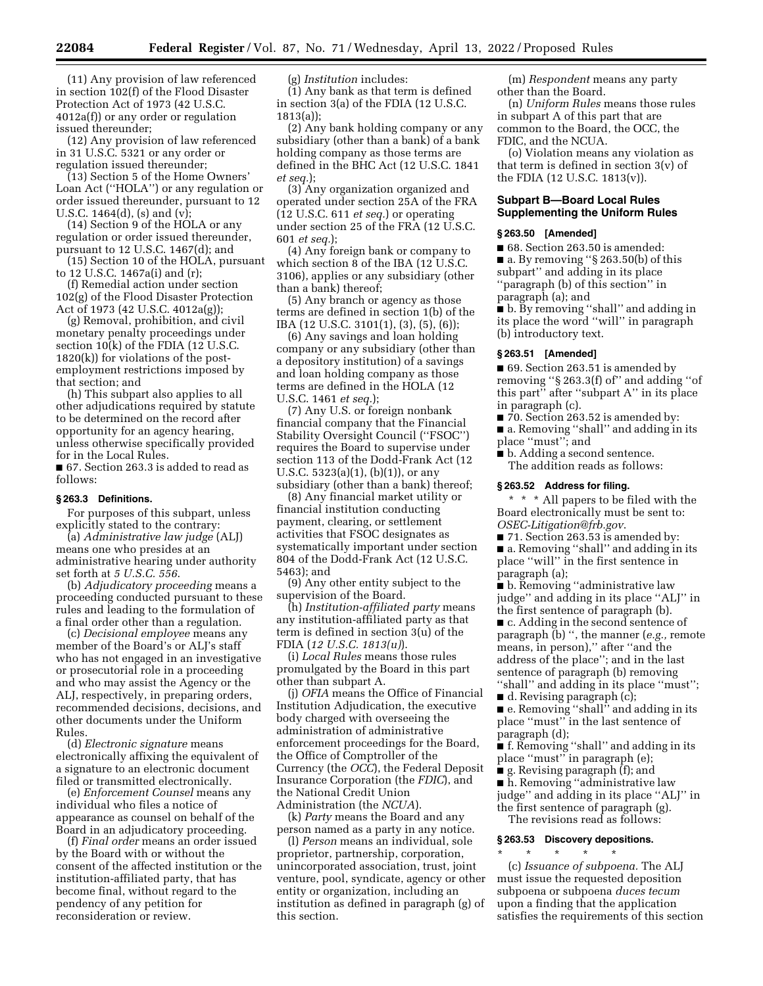(11) Any provision of law referenced in section 102(f) of the Flood Disaster Protection Act of 1973 (42 U.S.C. 4012a(f)) or any order or regulation issued thereunder;

(12) Any provision of law referenced in 31 U.S.C. 5321 or any order or regulation issued thereunder;

(13) Section 5 of the Home Owners' Loan Act (''HOLA'') or any regulation or order issued thereunder, pursuant to 12 U.S.C. 1464(d), (s) and (v);

(14) Section 9 of the HOLA or any regulation or order issued thereunder, pursuant to 12 U.S.C. 1467(d); and

(15) Section 10 of the HOLA, pursuant to 12 U.S.C. 1467a(i) and (r);

(f) Remedial action under section 102(g) of the Flood Disaster Protection Act of 1973 (42 U.S.C. 4012a(g));

(g) Removal, prohibition, and civil monetary penalty proceedings under section 10(k) of the FDIA (12 U.S.C. 1820(k)) for violations of the postemployment restrictions imposed by that section; and

(h) This subpart also applies to all other adjudications required by statute to be determined on the record after opportunity for an agency hearing, unless otherwise specifically provided for in the Local Rules.

■ 67. Section 263.3 is added to read as follows:

#### **§ 263.3 Definitions.**

For purposes of this subpart, unless explicitly stated to the contrary:

(a) *Administrative law judge* (ALJ) means one who presides at an administrative hearing under authority set forth at *5 U.S.C. 556*.

(b) *Adjudicatory proceeding* means a proceeding conducted pursuant to these rules and leading to the formulation of a final order other than a regulation.

(c) *Decisional employee* means any member of the Board's or ALJ's staff who has not engaged in an investigative or prosecutorial role in a proceeding and who may assist the Agency or the ALJ, respectively, in preparing orders, recommended decisions, decisions, and other documents under the Uniform Rules.

(d) *Electronic signature* means electronically affixing the equivalent of a signature to an electronic document filed or transmitted electronically.

(e) *Enforcement Counsel* means any individual who files a notice of appearance as counsel on behalf of the Board in an adjudicatory proceeding.

(f) *Final order* means an order issued by the Board with or without the consent of the affected institution or the institution-affiliated party, that has become final, without regard to the pendency of any petition for reconsideration or review.

(g) *Institution* includes:

 $(1)$  Any bank as that term is defined in section 3(a) of the FDIA (12 U.S.C. 1813(a));

(2) Any bank holding company or any subsidiary (other than a bank) of a bank holding company as those terms are defined in the BHC Act (12 U.S.C. 1841 *et seq.*);

(3) Any organization organized and operated under section 25A of the FRA (12 U.S.C. 611 *et seq.*) or operating under section 25 of the FRA (12 U.S.C. 601 *et seq.*);

(4) Any foreign bank or company to which section 8 of the IBA (12 U.S.C. 3106), applies or any subsidiary (other than a bank) thereof;

(5) Any branch or agency as those terms are defined in section 1(b) of the IBA (12 U.S.C. 3101(1), (3), (5), (6));

(6) Any savings and loan holding company or any subsidiary (other than a depository institution) of a savings and loan holding company as those terms are defined in the HOLA (12 U.S.C. 1461 *et seq.*);

(7) Any U.S. or foreign nonbank financial company that the Financial Stability Oversight Council ("FSOC") requires the Board to supervise under section 113 of the Dodd-Frank Act (12 U.S.C. 5323(a)(1), (b)(1)), or any subsidiary (other than a bank) thereof;

(8) Any financial market utility or financial institution conducting payment, clearing, or settlement activities that FSOC designates as systematically important under section 804 of the Dodd-Frank Act (12 U.S.C. 5463); and

(9) Any other entity subject to the supervision of the Board.

(h) *Institution-affiliated party* means any institution-affiliated party as that term is defined in section 3(u) of the FDIA (*12 U.S.C. 1813(u)*).

(i) *Local Rules* means those rules promulgated by the Board in this part other than subpart A.

(j) *OFIA* means the Office of Financial Institution Adjudication, the executive body charged with overseeing the administration of administrative enforcement proceedings for the Board, the Office of Comptroller of the Currency (the *OCC*), the Federal Deposit Insurance Corporation (the *FDIC*), and the National Credit Union Administration (the *NCUA*).

(k) *Party* means the Board and any person named as a party in any notice.

(l) *Person* means an individual, sole proprietor, partnership, corporation, unincorporated association, trust, joint venture, pool, syndicate, agency or other entity or organization, including an institution as defined in paragraph (g) of this section.

(m) *Respondent* means any party other than the Board.

(n) *Uniform Rules* means those rules in subpart A of this part that are common to the Board, the OCC, the FDIC, and the NCUA.

(o) Violation means any violation as that term is defined in section 3(v) of the FDIA (12 U.S.C. 1813(v)).

#### **Subpart B—Board Local Rules Supplementing the Uniform Rules**

#### **§ 263.50 [Amended]**

■ 68. Section 263.50 is amended: ■ a. By removing "§ 263.50(b) of this subpart'' and adding in its place ''paragraph (b) of this section'' in paragraph (a); and

■ b. By removing ''shall'' and adding in its place the word ''will'' in paragraph (b) introductory text.

#### **§ 263.51 [Amended]**

■ 69. Section 263.51 is amended by removing ''§ 263.3(f) of'' and adding ''of this part'' after ''subpart A'' in its place in paragraph (c).

■ 70. Section 263.52 is amended by: ■ a. Removing ''shall'' and adding in its place ''must''; and

■ b. Adding a second sentence. The addition reads as follows:

#### **§ 263.52 Address for filing.**

\* \* \* All papers to be filed with the Board electronically must be sent to: *[OSEC-Litigation@frb.gov](mailto:OSEC-Litigation@frb.gov)*.

■ 71. Section 263.53 is amended by:

■ a. Removing "shall" and adding in its place ''will'' in the first sentence in paragraph (a);

■ b. Removing "administrative law judge'' and adding in its place ''ALJ'' in the first sentence of paragraph (b).

■ c. Adding in the second sentence of paragraph (b) '', the manner (*e.g.,* remote means, in person),'' after ''and the address of the place''; and in the last sentence of paragraph (b) removing "shall" and adding in its place "must";

 $\blacksquare$  d. Revising paragraph  $(c)$ ;

■ e. Removing "shall" and adding in its place ''must'' in the last sentence of paragraph (d);

■ f. Removing "shall" and adding in its place ''must'' in paragraph (e);

■ g. Revising paragraph (f); and

■ h. Removing "administrative law judge'' and adding in its place ''ALJ'' in the first sentence of paragraph (g).

The revisions read as follows:

#### **§ 263.53 Discovery depositions.**

\* \* \* \* \* (c) *Issuance of subpoena.* The ALJ must issue the requested deposition subpoena or subpoena *duces tecum*  upon a finding that the application satisfies the requirements of this section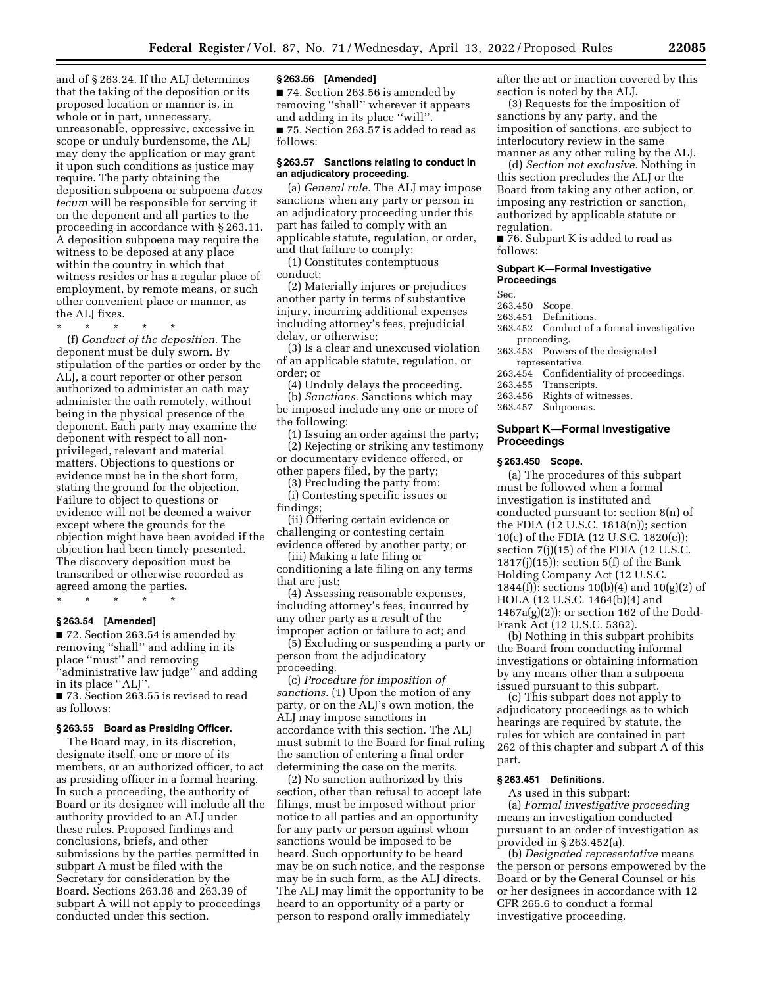and of § 263.24. If the ALJ determines that the taking of the deposition or its proposed location or manner is, in whole or in part, unnecessary, unreasonable, oppressive, excessive in scope or unduly burdensome, the ALJ may deny the application or may grant it upon such conditions as justice may require. The party obtaining the deposition subpoena or subpoena *duces tecum* will be responsible for serving it on the deponent and all parties to the proceeding in accordance with § 263.11. A deposition subpoena may require the witness to be deposed at any place within the country in which that witness resides or has a regular place of employment, by remote means, or such other convenient place or manner, as the ALJ fixes.

\* \* \* \* \*

(f) *Conduct of the deposition.* The deponent must be duly sworn. By stipulation of the parties or order by the ALJ, a court reporter or other person authorized to administer an oath may administer the oath remotely, without being in the physical presence of the deponent. Each party may examine the deponent with respect to all nonprivileged, relevant and material matters. Objections to questions or evidence must be in the short form, stating the ground for the objection. Failure to object to questions or evidence will not be deemed a waiver except where the grounds for the objection might have been avoided if the objection had been timely presented. The discovery deposition must be transcribed or otherwise recorded as agreed among the parties.

\* \* \* \* \*

#### **§ 263.54 [Amended]**

■ 72. Section 263.54 is amended by removing ''shall'' and adding in its place ''must'' and removing ''administrative law judge'' and adding in its place ''ALJ''.

■ 73. Section 263.55 is revised to read as follows:

#### **§ 263.55 Board as Presiding Officer.**

The Board may, in its discretion, designate itself, one or more of its members, or an authorized officer, to act as presiding officer in a formal hearing. In such a proceeding, the authority of Board or its designee will include all the authority provided to an ALJ under these rules. Proposed findings and conclusions, briefs, and other submissions by the parties permitted in subpart A must be filed with the Secretary for consideration by the Board. Sections 263.38 and 263.39 of subpart A will not apply to proceedings conducted under this section.

#### **§ 263.56 [Amended]**

■ 74. Section 263.56 is amended by removing ''shall'' wherever it appears and adding in its place ''will''. ■ 75. Section 263.57 is added to read as follows:

#### **§ 263.57 Sanctions relating to conduct in an adjudicatory proceeding.**

(a) *General rule.* The ALJ may impose sanctions when any party or person in an adjudicatory proceeding under this part has failed to comply with an applicable statute, regulation, or order, and that failure to comply:

(1) Constitutes contemptuous conduct;

(2) Materially injures or prejudices another party in terms of substantive injury, incurring additional expenses including attorney's fees, prejudicial delay, or otherwise;

(3) Is a clear and unexcused violation of an applicable statute, regulation, or order; or

(4) Unduly delays the proceeding.

(b) *Sanctions.* Sanctions which may be imposed include any one or more of the following:

(1) Issuing an order against the party; (2) Rejecting or striking any testimony or documentary evidence offered, or other papers filed, by the party;

(3) Precluding the party from:

(i) Contesting specific issues or findings;

(ii) Offering certain evidence or challenging or contesting certain evidence offered by another party; or

(iii) Making a late filing or conditioning a late filing on any terms that are just:

(4) Assessing reasonable expenses, including attorney's fees, incurred by any other party as a result of the improper action or failure to act; and

(5) Excluding or suspending a party or person from the adjudicatory proceeding.

(c) *Procedure for imposition of sanctions.* (1) Upon the motion of any party, or on the ALJ's own motion, the ALJ may impose sanctions in accordance with this section. The ALJ must submit to the Board for final ruling the sanction of entering a final order determining the case on the merits.

(2) No sanction authorized by this section, other than refusal to accept late filings, must be imposed without prior notice to all parties and an opportunity for any party or person against whom sanctions would be imposed to be heard. Such opportunity to be heard may be on such notice, and the response may be in such form, as the ALJ directs. The ALJ may limit the opportunity to be heard to an opportunity of a party or person to respond orally immediately

after the act or inaction covered by this section is noted by the ALJ.

(3) Requests for the imposition of sanctions by any party, and the imposition of sanctions, are subject to interlocutory review in the same manner as any other ruling by the ALJ.

(d) *Section not exclusive.* Nothing in this section precludes the ALJ or the Board from taking any other action, or imposing any restriction or sanction, authorized by applicable statute or regulation.

■ 76. Subpart K is added to read as follows:

#### **Subpart K—Formal Investigative Proceedings**

Sec.

- 263.450 Scope.
- 263.451 Definitions.<br>263.452 Conduct of
- Conduct of a formal investigative proceeding.
- 263.453 Powers of the designated representative.
- 263.454 Confidentiality of proceedings.
- 
- 263.455 Transcripts.<br>263.456 Rights of wi Rights of witnesses.
- 263.457 Subpoenas.

#### **Subpart K—Formal Investigative Proceedings**

#### **§ 263.450 Scope.**

(a) The procedures of this subpart must be followed when a formal investigation is instituted and conducted pursuant to: section 8(n) of the FDIA (12 U.S.C. 1818(n)); section 10(c) of the FDIA (12 U.S.C. 1820(c)); section 7(j)(15) of the FDIA (12 U.S.C.  $1817(j)(15)$ ; section 5(f) of the Bank Holding Company Act (12 U.S.C. 1844(f)); sections  $10(b)(4)$  and  $10(g)(2)$  of HOLA (12 U.S.C. 1464(b)(4) and  $1467a(g)(2)$ ; or section 162 of the Dodd-Frank Act (12 U.S.C. 5362).

(b) Nothing in this subpart prohibits the Board from conducting informal investigations or obtaining information by any means other than a subpoena issued pursuant to this subpart.

(c) This subpart does not apply to adjudicatory proceedings as to which hearings are required by statute, the rules for which are contained in part 262 of this chapter and subpart A of this part.

#### **§ 263.451 Definitions.**

As used in this subpart:

(a) *Formal investigative proceeding*  means an investigation conducted pursuant to an order of investigation as provided in § 263.452(a).

(b) *Designated representative* means the person or persons empowered by the Board or by the General Counsel or his or her designees in accordance with 12 CFR 265.6 to conduct a formal investigative proceeding.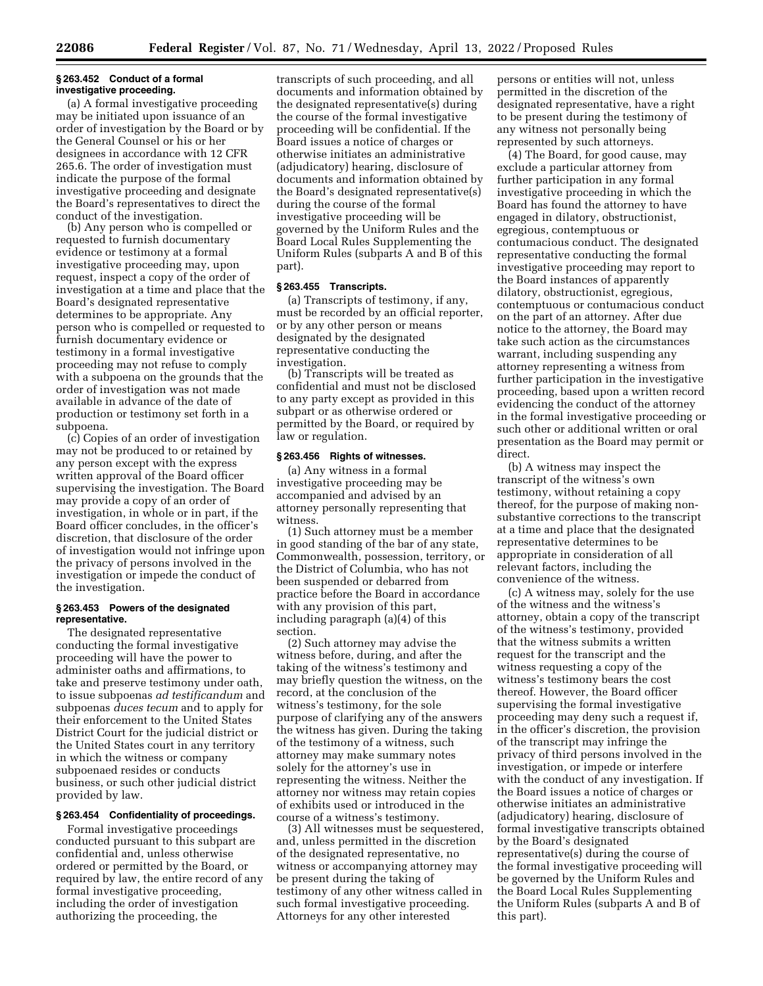#### **§ 263.452 Conduct of a formal investigative proceeding.**

(a) A formal investigative proceeding may be initiated upon issuance of an order of investigation by the Board or by the General Counsel or his or her designees in accordance with 12 CFR 265.6. The order of investigation must indicate the purpose of the formal investigative proceeding and designate the Board's representatives to direct the conduct of the investigation.

(b) Any person who is compelled or requested to furnish documentary evidence or testimony at a formal investigative proceeding may, upon request, inspect a copy of the order of investigation at a time and place that the Board's designated representative determines to be appropriate. Any person who is compelled or requested to furnish documentary evidence or testimony in a formal investigative proceeding may not refuse to comply with a subpoena on the grounds that the order of investigation was not made available in advance of the date of production or testimony set forth in a subpoena.

(c) Copies of an order of investigation may not be produced to or retained by any person except with the express written approval of the Board officer supervising the investigation. The Board may provide a copy of an order of investigation, in whole or in part, if the Board officer concludes, in the officer's discretion, that disclosure of the order of investigation would not infringe upon the privacy of persons involved in the investigation or impede the conduct of the investigation.

#### **§ 263.453 Powers of the designated representative.**

The designated representative conducting the formal investigative proceeding will have the power to administer oaths and affirmations, to take and preserve testimony under oath, to issue subpoenas *ad testificandum* and subpoenas *duces tecum* and to apply for their enforcement to the United States District Court for the judicial district or the United States court in any territory in which the witness or company subpoenaed resides or conducts business, or such other judicial district provided by law.

#### **§ 263.454 Confidentiality of proceedings.**

Formal investigative proceedings conducted pursuant to this subpart are confidential and, unless otherwise ordered or permitted by the Board, or required by law, the entire record of any formal investigative proceeding, including the order of investigation authorizing the proceeding, the

transcripts of such proceeding, and all documents and information obtained by the designated representative(s) during the course of the formal investigative proceeding will be confidential. If the Board issues a notice of charges or otherwise initiates an administrative (adjudicatory) hearing, disclosure of documents and information obtained by the Board's designated representative(s) during the course of the formal investigative proceeding will be governed by the Uniform Rules and the Board Local Rules Supplementing the Uniform Rules (subparts A and B of this part).

## **§ 263.455 Transcripts.**

(a) Transcripts of testimony, if any, must be recorded by an official reporter, or by any other person or means designated by the designated representative conducting the investigation.

(b) Transcripts will be treated as confidential and must not be disclosed to any party except as provided in this subpart or as otherwise ordered or permitted by the Board, or required by law or regulation.

#### **§ 263.456 Rights of witnesses.**

(a) Any witness in a formal investigative proceeding may be accompanied and advised by an attorney personally representing that witness.

(1) Such attorney must be a member in good standing of the bar of any state, Commonwealth, possession, territory, or the District of Columbia, who has not been suspended or debarred from practice before the Board in accordance with any provision of this part, including paragraph (a)(4) of this section.

(2) Such attorney may advise the witness before, during, and after the taking of the witness's testimony and may briefly question the witness, on the record, at the conclusion of the witness's testimony, for the sole purpose of clarifying any of the answers the witness has given. During the taking of the testimony of a witness, such attorney may make summary notes solely for the attorney's use in representing the witness. Neither the attorney nor witness may retain copies of exhibits used or introduced in the course of a witness's testimony.

(3) All witnesses must be sequestered, and, unless permitted in the discretion of the designated representative, no witness or accompanying attorney may be present during the taking of testimony of any other witness called in such formal investigative proceeding. Attorneys for any other interested

persons or entities will not, unless permitted in the discretion of the designated representative, have a right to be present during the testimony of any witness not personally being represented by such attorneys.

(4) The Board, for good cause, may exclude a particular attorney from further participation in any formal investigative proceeding in which the Board has found the attorney to have engaged in dilatory, obstructionist, egregious, contemptuous or contumacious conduct. The designated representative conducting the formal investigative proceeding may report to the Board instances of apparently dilatory, obstructionist, egregious, contemptuous or contumacious conduct on the part of an attorney. After due notice to the attorney, the Board may take such action as the circumstances warrant, including suspending any attorney representing a witness from further participation in the investigative proceeding, based upon a written record evidencing the conduct of the attorney in the formal investigative proceeding or such other or additional written or oral presentation as the Board may permit or direct.

(b) A witness may inspect the transcript of the witness's own testimony, without retaining a copy thereof, for the purpose of making nonsubstantive corrections to the transcript at a time and place that the designated representative determines to be appropriate in consideration of all relevant factors, including the convenience of the witness.

(c) A witness may, solely for the use of the witness and the witness's attorney, obtain a copy of the transcript of the witness's testimony, provided that the witness submits a written request for the transcript and the witness requesting a copy of the witness's testimony bears the cost thereof. However, the Board officer supervising the formal investigative proceeding may deny such a request if, in the officer's discretion, the provision of the transcript may infringe the privacy of third persons involved in the investigation, or impede or interfere with the conduct of any investigation. If the Board issues a notice of charges or otherwise initiates an administrative (adjudicatory) hearing, disclosure of formal investigative transcripts obtained by the Board's designated representative(s) during the course of the formal investigative proceeding will be governed by the Uniform Rules and the Board Local Rules Supplementing the Uniform Rules (subparts A and B of this part).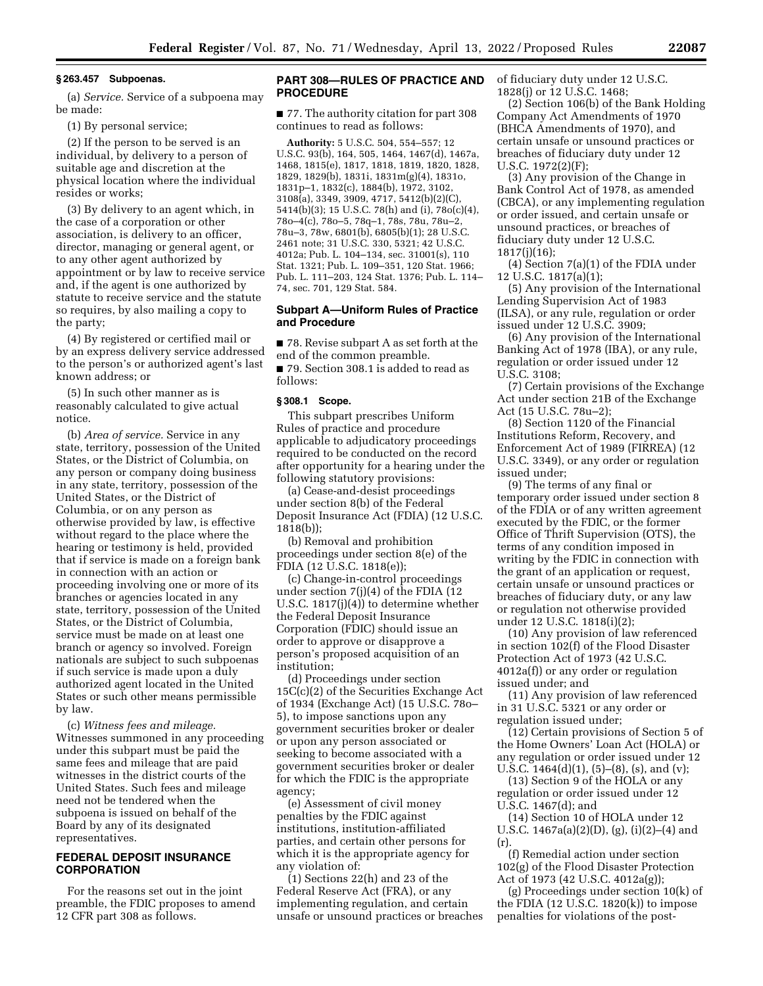#### **§ 263.457 Subpoenas.**

(a) *Service.* Service of a subpoena may be made:

(1) By personal service;

(2) If the person to be served is an individual, by delivery to a person of suitable age and discretion at the physical location where the individual resides or works;

(3) By delivery to an agent which, in the case of a corporation or other association, is delivery to an officer, director, managing or general agent, or to any other agent authorized by appointment or by law to receive service and, if the agent is one authorized by statute to receive service and the statute so requires, by also mailing a copy to the party;

(4) By registered or certified mail or by an express delivery service addressed to the person's or authorized agent's last known address; or

(5) In such other manner as is reasonably calculated to give actual notice.

(b) *Area of service.* Service in any state, territory, possession of the United States, or the District of Columbia, on any person or company doing business in any state, territory, possession of the United States, or the District of Columbia, or on any person as otherwise provided by law, is effective without regard to the place where the hearing or testimony is held, provided that if service is made on a foreign bank in connection with an action or proceeding involving one or more of its branches or agencies located in any state, territory, possession of the United States, or the District of Columbia, service must be made on at least one branch or agency so involved. Foreign nationals are subject to such subpoenas if such service is made upon a duly authorized agent located in the United States or such other means permissible by law.

(c) *Witness fees and mileage.*  Witnesses summoned in any proceeding under this subpart must be paid the same fees and mileage that are paid witnesses in the district courts of the United States. Such fees and mileage need not be tendered when the subpoena is issued on behalf of the Board by any of its designated representatives.

#### **FEDERAL DEPOSIT INSURANCE CORPORATION**

For the reasons set out in the joint preamble, the FDIC proposes to amend 12 CFR part 308 as follows.

#### **PART 308—RULES OF PRACTICE AND PROCEDURE**

■ 77. The authority citation for part 308 continues to read as follows:

**Authority:** 5 U.S.C. 504, 554–557; 12 U.S.C. 93(b), 164, 505, 1464, 1467(d), 1467a, 1468, 1815(e), 1817, 1818, 1819, 1820, 1828, 1829, 1829(b), 1831i, 1831m(g)(4), 1831o, 1831p–1, 1832(c), 1884(b), 1972, 3102, 3108(a), 3349, 3909, 4717, 5412(b)(2)(C), 5414(b)(3); 15 U.S.C. 78(h) and (i), 78o(c)(4), 78o–4(c), 78o–5, 78q–1, 78s, 78u, 78u–2, 78u–3, 78w, 6801(b), 6805(b)(1); 28 U.S.C. 2461 note; 31 U.S.C. 330, 5321; 42 U.S.C. 4012a; Pub. L. 104–134, sec. 31001(s), 110 Stat. 1321; Pub. L. 109–351, 120 Stat. 1966; Pub. L. 111–203, 124 Stat. 1376; Pub. L. 114– 74, sec. 701, 129 Stat. 584.

#### **Subpart A—Uniform Rules of Practice and Procedure**

■ 78. Revise subpart A as set forth at the end of the common preamble. ■ 79. Section 308.1 is added to read as follows:

#### **§ 308.1 Scope.**

This subpart prescribes Uniform Rules of practice and procedure applicable to adjudicatory proceedings required to be conducted on the record after opportunity for a hearing under the following statutory provisions:

(a) Cease-and-desist proceedings under section 8(b) of the Federal Deposit Insurance Act (FDIA) (12 U.S.C. 1818(b));

(b) Removal and prohibition proceedings under section 8(e) of the FDIA (12 U.S.C. 1818(e));

(c) Change-in-control proceedings under section 7(j)(4) of the FDIA (12 U.S.C. 1817(j)(4)) to determine whether the Federal Deposit Insurance Corporation (FDIC) should issue an order to approve or disapprove a person's proposed acquisition of an institution;

(d) Proceedings under section 15C(c)(2) of the Securities Exchange Act of 1934 (Exchange Act) (15 U.S.C. 78o– 5), to impose sanctions upon any government securities broker or dealer or upon any person associated or seeking to become associated with a government securities broker or dealer for which the FDIC is the appropriate agency;

(e) Assessment of civil money penalties by the FDIC against institutions, institution-affiliated parties, and certain other persons for which it is the appropriate agency for any violation of:

(1) Sections 22(h) and 23 of the Federal Reserve Act (FRA), or any implementing regulation, and certain unsafe or unsound practices or breaches of fiduciary duty under 12 U.S.C. 1828(j) or 12 U.S.C. 1468;

(2) Section 106(b) of the Bank Holding Company Act Amendments of 1970 (BHCA Amendments of 1970), and certain unsafe or unsound practices or breaches of fiduciary duty under 12 U.S.C. 1972(2)(F);

(3) Any provision of the Change in Bank Control Act of 1978, as amended (CBCA), or any implementing regulation or order issued, and certain unsafe or unsound practices, or breaches of fiduciary duty under 12 U.S.C. 1817(j)(16);

(4) Section 7(a)(1) of the FDIA under 12 U.S.C. 1817(a)(1);

(5) Any provision of the International Lending Supervision Act of 1983 (ILSA), or any rule, regulation or order issued under 12 U.S.C. 3909;

(6) Any provision of the International Banking Act of 1978 (IBA), or any rule, regulation or order issued under 12 U.S.C. 3108;

(7) Certain provisions of the Exchange Act under section 21B of the Exchange Act (15 U.S.C. 78u–2);

(8) Section 1120 of the Financial Institutions Reform, Recovery, and Enforcement Act of 1989 (FIRREA) (12 U.S.C. 3349), or any order or regulation issued under;

(9) The terms of any final or temporary order issued under section 8 of the FDIA or of any written agreement executed by the FDIC, or the former Office of Thrift Supervision (OTS), the terms of any condition imposed in writing by the FDIC in connection with the grant of an application or request, certain unsafe or unsound practices or breaches of fiduciary duty, or any law or regulation not otherwise provided under 12 U.S.C. 1818(i)(2);

(10) Any provision of law referenced in section 102(f) of the Flood Disaster Protection Act of 1973 (42 U.S.C. 4012a(f)) or any order or regulation issued under; and

(11) Any provision of law referenced in 31 U.S.C. 5321 or any order or regulation issued under;

(12) Certain provisions of Section 5 of the Home Owners' Loan Act (HOLA) or any regulation or order issued under 12 U.S.C. 1464(d)(1), (5)–(8), (s), and (v);

(13) Section 9 of the HOLA or any regulation or order issued under 12 U.S.C. 1467(d); and

(14) Section 10 of HOLA under 12 U.S.C. 1467a(a)(2)(D), (g), (i)(2)–(4) and (r).

(f) Remedial action under section 102(g) of the Flood Disaster Protection Act of 1973 (42 U.S.C. 4012a(g));

(g) Proceedings under section 10(k) of the FDIA  $(12 \text{ U.S.C. } 1820(k))$  to impose penalties for violations of the post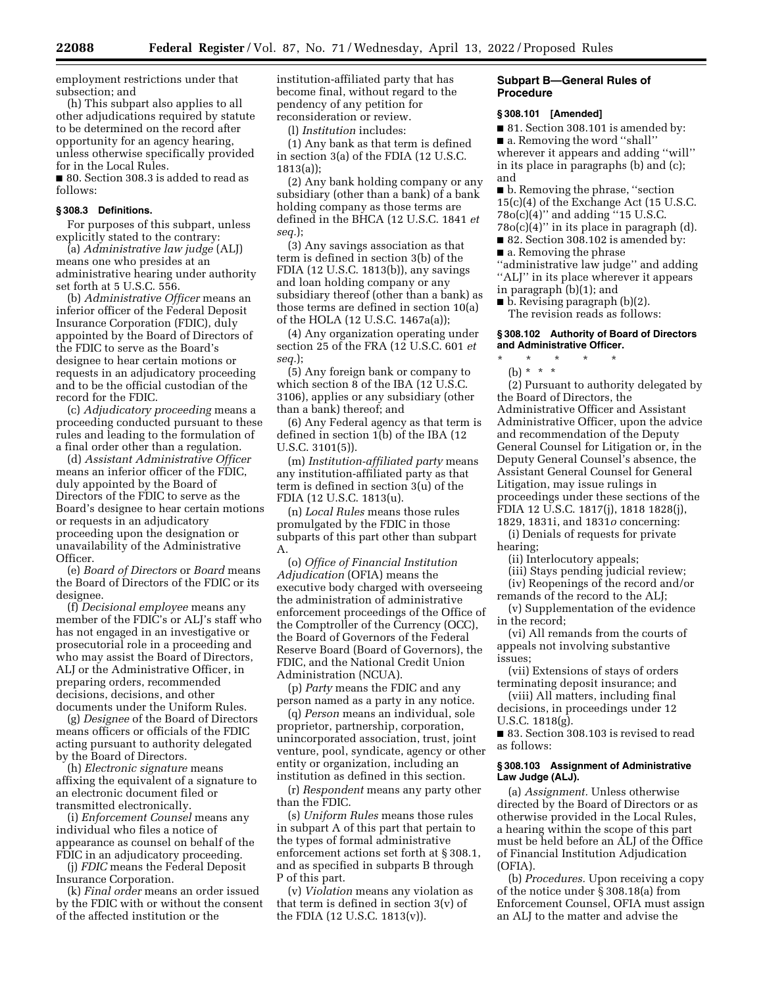employment restrictions under that subsection; and

(h) This subpart also applies to all other adjudications required by statute to be determined on the record after opportunity for an agency hearing, unless otherwise specifically provided for in the Local Rules.

■ 80. Section 308.3 is added to read as follows:

#### **§ 308.3 Definitions.**

For purposes of this subpart, unless explicitly stated to the contrary:

(a) *Administrative law judge* (ALJ) means one who presides at an administrative hearing under authority set forth at 5 U.S.C. 556.

(b) *Administrative Officer* means an inferior officer of the Federal Deposit Insurance Corporation (FDIC), duly appointed by the Board of Directors of the FDIC to serve as the Board's designee to hear certain motions or requests in an adjudicatory proceeding and to be the official custodian of the record for the FDIC.

(c) *Adjudicatory proceeding* means a proceeding conducted pursuant to these rules and leading to the formulation of a final order other than a regulation.

(d) *Assistant Administrative Officer*  means an inferior officer of the FDIC, duly appointed by the Board of Directors of the FDIC to serve as the Board's designee to hear certain motions or requests in an adjudicatory proceeding upon the designation or unavailability of the Administrative Officer.

(e) *Board of Directors* or *Board* means the Board of Directors of the FDIC or its designee.

(f) *Decisional employee* means any member of the FDIC's or ALJ's staff who has not engaged in an investigative or prosecutorial role in a proceeding and who may assist the Board of Directors, ALJ or the Administrative Officer, in preparing orders, recommended decisions, decisions, and other documents under the Uniform Rules.

(g) *Designee* of the Board of Directors means officers or officials of the FDIC acting pursuant to authority delegated by the Board of Directors.

(h) *Electronic signature* means affixing the equivalent of a signature to an electronic document filed or transmitted electronically.

(i) *Enforcement Counsel* means any individual who files a notice of appearance as counsel on behalf of the FDIC in an adjudicatory proceeding.

(j) *FDIC* means the Federal Deposit Insurance Corporation.

(k) *Final order* means an order issued by the FDIC with or without the consent of the affected institution or the

institution-affiliated party that has become final, without regard to the pendency of any petition for reconsideration or review.

(l) *Institution* includes:

(1) Any bank as that term is defined in section 3(a) of the FDIA (12 U.S.C. 1813(a));

(2) Any bank holding company or any subsidiary (other than a bank) of a bank holding company as those terms are defined in the BHCA (12 U.S.C. 1841 *et seq.*);

(3) Any savings association as that term is defined in section 3(b) of the FDIA (12 U.S.C. 1813(b)), any savings and loan holding company or any subsidiary thereof (other than a bank) as those terms are defined in section 10(a) of the HOLA (12 U.S.C. 1467a(a));

(4) Any organization operating under section 25 of the FRA (12 U.S.C. 601 *et seq.*);

(5) Any foreign bank or company to which section 8 of the IBA (12 U.S.C. 3106), applies or any subsidiary (other than a bank) thereof; and

(6) Any Federal agency as that term is defined in section 1(b) of the IBA (12 U.S.C. 3101(5)).

(m) *Institution-affiliated party* means any institution-affiliated party as that term is defined in section 3(u) of the FDIA (12 U.S.C. 1813(u).

(n) *Local Rules* means those rules promulgated by the FDIC in those subparts of this part other than subpart A.

(o) *Office of Financial Institution Adjudication* (OFIA) means the executive body charged with overseeing the administration of administrative enforcement proceedings of the Office of the Comptroller of the Currency (OCC), the Board of Governors of the Federal Reserve Board (Board of Governors), the FDIC, and the National Credit Union Administration (NCUA).

(p) *Party* means the FDIC and any person named as a party in any notice.

(q) *Person* means an individual, sole proprietor, partnership, corporation, unincorporated association, trust, joint venture, pool, syndicate, agency or other entity or organization, including an institution as defined in this section.

(r) *Respondent* means any party other than the FDIC.

(s) *Uniform Rules* means those rules in subpart A of this part that pertain to the types of formal administrative enforcement actions set forth at § 308.1, and as specified in subparts B through P of this part.

(v) *Violation* means any violation as that term is defined in section 3(v) of the FDIA (12 U.S.C. 1813(v)).

#### **Subpart B—General Rules of Procedure**

#### **§ 308.101 [Amended]**

■ 81. Section 308.101 is amended by: ■ a. Removing the word "shall" wherever it appears and adding ''will'' in its place in paragraphs (b) and (c); and

■ b. Removing the phrase, "section 15(c)(4) of the Exchange Act (15 U.S.C. 78o(c)(4)'' and adding ''15 U.S.C.  $78o(c)(4)$ " in its place in paragraph (d).

■ 82. Section 308.102 is amended by:

■ a. Removing the phrase

''administrative law judge'' and adding "ALJ" in its place wherever it appears in paragraph (b)(1); and

■ b. Revising paragraph (b)(2).

The revision reads as follows:

#### **§ 308.102 Authority of Board of Directors and Administrative Officer.**

\* \* \* \* \* (b) \* \* \*

(2) Pursuant to authority delegated by the Board of Directors, the Administrative Officer and Assistant Administrative Officer, upon the advice and recommendation of the Deputy General Counsel for Litigation or, in the Deputy General Counsel's absence, the Assistant General Counsel for General Litigation, may issue rulings in proceedings under these sections of the FDIA 12 U.S.C. 1817(j), 1818 1828(j), 1829, 1831i, and 1831*o* concerning:

(i) Denials of requests for private hearing;

(ii) Interlocutory appeals;

(iii) Stays pending judicial review;

(iv) Reopenings of the record and/or remands of the record to the ALJ;

(v) Supplementation of the evidence in the record;

(vi) All remands from the courts of appeals not involving substantive issues;

(vii) Extensions of stays of orders terminating deposit insurance; and

(viii) All matters, including final decisions, in proceedings under 12 U.S.C. 1818(g).

■ 83. Section 308.103 is revised to read as follows:

#### **§ 308.103 Assignment of Administrative Law Judge (ALJ).**

(a) *Assignment.* Unless otherwise directed by the Board of Directors or as otherwise provided in the Local Rules, a hearing within the scope of this part must be held before an ALJ of the Office of Financial Institution Adjudication (OFIA).

(b) *Procedures.* Upon receiving a copy of the notice under § 308.18(a) from Enforcement Counsel, OFIA must assign an ALJ to the matter and advise the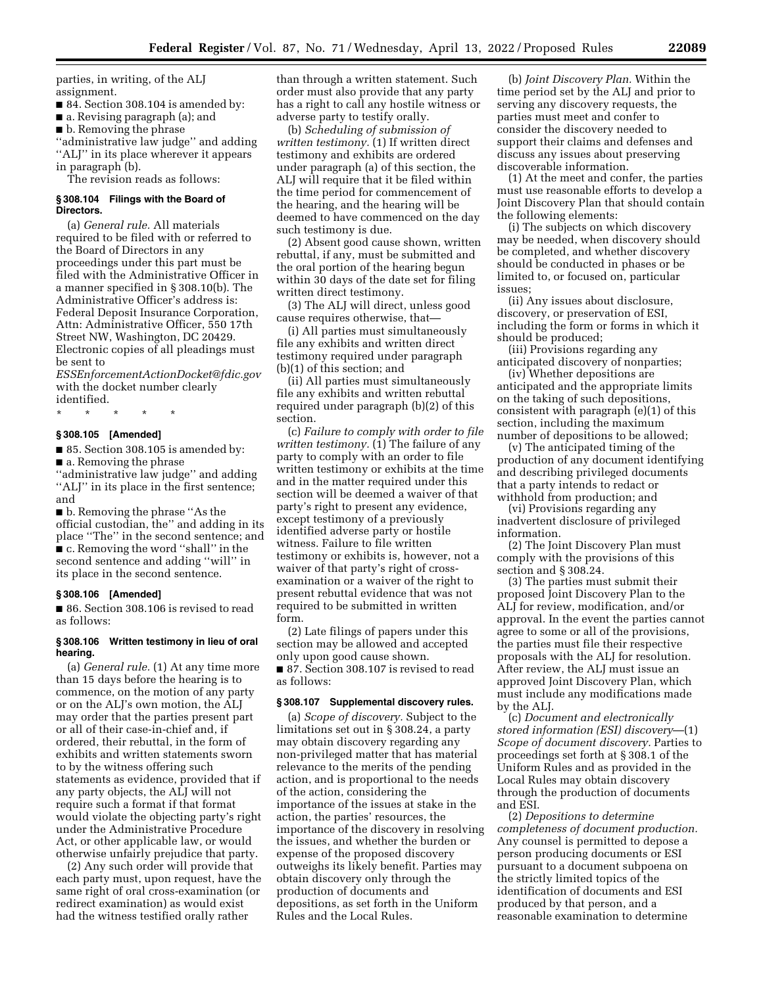parties, in writing, of the ALJ assignment.

■ 84. Section 308.104 is amended by:

■ a. Revising paragraph (a); and

■ b. Removing the phrase

''administrative law judge'' and adding "ALJ" in its place wherever it appears in paragraph (b).

The revision reads as follows:

#### **§ 308.104 Filings with the Board of Directors.**

(a) *General rule.* All materials required to be filed with or referred to the Board of Directors in any proceedings under this part must be filed with the Administrative Officer in a manner specified in § 308.10(b). The Administrative Officer's address is: Federal Deposit Insurance Corporation, Attn: Administrative Officer, 550 17th Street NW, Washington, DC 20429. Electronic copies of all pleadings must be sent to

*[ESSEnforcementActionDocket@fdic.gov](mailto:ESSEnforcementActionDocket@fdic.gov)*  with the docket number clearly identified.

\* \* \* \* \*

#### **§ 308.105 [Amended]**

■ 85. Section 308.105 is amended by:

■ a. Removing the phrase

''administrative law judge'' and adding "ALJ" in its place in the first sentence; and

■ b. Removing the phrase "As the official custodian, the'' and adding in its place ''The'' in the second sentence; and ■ c. Removing the word "shall" in the second sentence and adding ''will'' in its place in the second sentence.

#### **§ 308.106 [Amended]**

■ 86. Section 308.106 is revised to read as follows:

#### **§ 308.106 Written testimony in lieu of oral hearing.**

(a) *General rule.* (1) At any time more than 15 days before the hearing is to commence, on the motion of any party or on the ALJ's own motion, the ALJ may order that the parties present part or all of their case-in-chief and, if ordered, their rebuttal, in the form of exhibits and written statements sworn to by the witness offering such statements as evidence, provided that if any party objects, the ALJ will not require such a format if that format would violate the objecting party's right under the Administrative Procedure Act, or other applicable law, or would otherwise unfairly prejudice that party.

(2) Any such order will provide that each party must, upon request, have the same right of oral cross-examination (or redirect examination) as would exist had the witness testified orally rather

than through a written statement. Such order must also provide that any party has a right to call any hostile witness or adverse party to testify orally.

(b) *Scheduling of submission of written testimony.* (1) If written direct testimony and exhibits are ordered under paragraph (a) of this section, the ALJ will require that it be filed within the time period for commencement of the hearing, and the hearing will be deemed to have commenced on the day such testimony is due.

(2) Absent good cause shown, written rebuttal, if any, must be submitted and the oral portion of the hearing begun within 30 days of the date set for filing written direct testimony.

(3) The ALJ will direct, unless good cause requires otherwise, that—

(i) All parties must simultaneously file any exhibits and written direct testimony required under paragraph (b)(1) of this section; and

(ii) All parties must simultaneously file any exhibits and written rebuttal required under paragraph (b)(2) of this section.

(c) *Failure to comply with order to file*  written testimony. (1) The failure of any party to comply with an order to file written testimony or exhibits at the time and in the matter required under this section will be deemed a waiver of that party's right to present any evidence, except testimony of a previously identified adverse party or hostile witness. Failure to file written testimony or exhibits is, however, not a waiver of that party's right of crossexamination or a waiver of the right to present rebuttal evidence that was not required to be submitted in written form.

(2) Late filings of papers under this section may be allowed and accepted only upon good cause shown. ■ 87. Section 308.107 is revised to read as follows:

#### **§ 308.107 Supplemental discovery rules.**

(a) *Scope of discovery.* Subject to the limitations set out in § 308.24, a party may obtain discovery regarding any non-privileged matter that has material relevance to the merits of the pending action, and is proportional to the needs of the action, considering the importance of the issues at stake in the action, the parties' resources, the importance of the discovery in resolving the issues, and whether the burden or expense of the proposed discovery outweighs its likely benefit. Parties may obtain discovery only through the production of documents and depositions, as set forth in the Uniform Rules and the Local Rules.

(b) *Joint Discovery Plan.* Within the time period set by the ALJ and prior to serving any discovery requests, the parties must meet and confer to consider the discovery needed to support their claims and defenses and discuss any issues about preserving discoverable information.

(1) At the meet and confer, the parties must use reasonable efforts to develop a Joint Discovery Plan that should contain the following elements:

(i) The subjects on which discovery may be needed, when discovery should be completed, and whether discovery should be conducted in phases or be limited to, or focused on, particular issues;

(ii) Any issues about disclosure, discovery, or preservation of ESI, including the form or forms in which it should be produced;

(iii) Provisions regarding any anticipated discovery of nonparties;

(iv) Whether depositions are anticipated and the appropriate limits on the taking of such depositions, consistent with paragraph (e)(1) of this section, including the maximum number of depositions to be allowed;

(v) The anticipated timing of the production of any document identifying and describing privileged documents that a party intends to redact or withhold from production; and

(vi) Provisions regarding any inadvertent disclosure of privileged information.

(2) The Joint Discovery Plan must comply with the provisions of this section and § 308.24.

(3) The parties must submit their proposed Joint Discovery Plan to the ALJ for review, modification, and/or approval. In the event the parties cannot agree to some or all of the provisions, the parties must file their respective proposals with the ALJ for resolution. After review, the ALJ must issue an approved Joint Discovery Plan, which must include any modifications made by the ALJ.

(c) *Document and electronically stored information (ESI) discovery*—(1) *Scope of document discovery.* Parties to proceedings set forth at § 308.1 of the Uniform Rules and as provided in the Local Rules may obtain discovery through the production of documents and ESI.

(2) *Depositions to determine completeness of document production.*  Any counsel is permitted to depose a person producing documents or ESI pursuant to a document subpoena on the strictly limited topics of the identification of documents and ESI produced by that person, and a reasonable examination to determine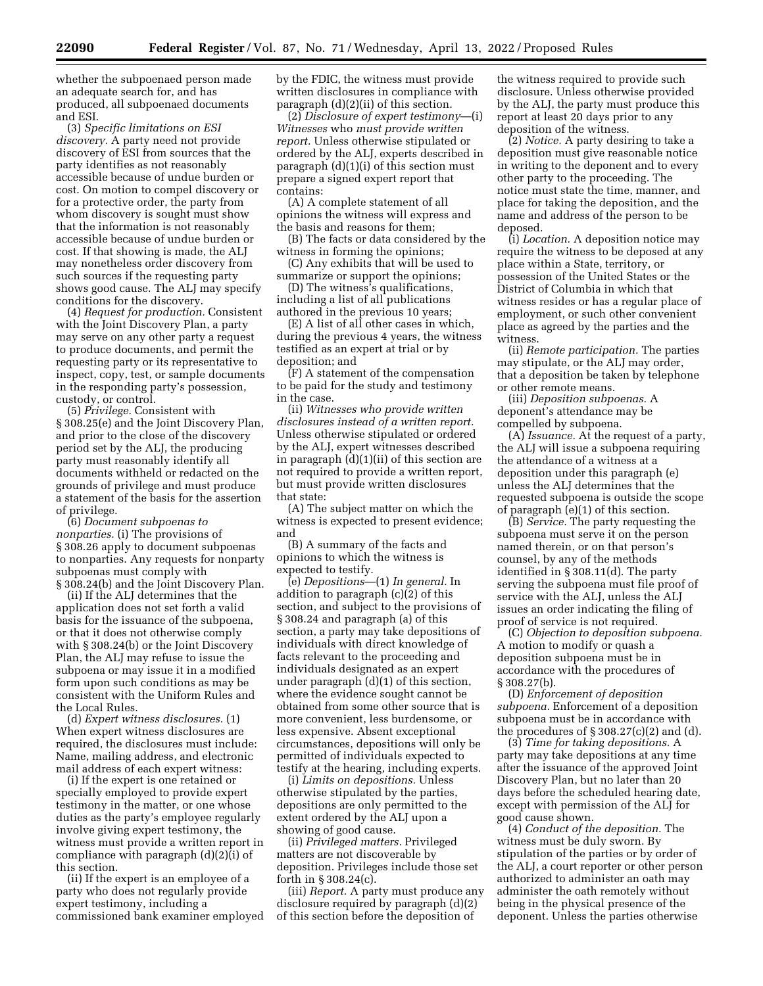whether the subpoenaed person made an adequate search for, and has produced, all subpoenaed documents and ESI.

(3) *Specific limitations on ESI discovery.* A party need not provide discovery of ESI from sources that the party identifies as not reasonably accessible because of undue burden or cost. On motion to compel discovery or for a protective order, the party from whom discovery is sought must show that the information is not reasonably accessible because of undue burden or cost. If that showing is made, the ALJ may nonetheless order discovery from such sources if the requesting party shows good cause. The ALJ may specify conditions for the discovery.

(4) *Request for production.* Consistent with the Joint Discovery Plan, a party may serve on any other party a request to produce documents, and permit the requesting party or its representative to inspect, copy, test, or sample documents in the responding party's possession, custody, or control.

(5) *Privilege.* Consistent with § 308.25(e) and the Joint Discovery Plan, and prior to the close of the discovery period set by the ALJ, the producing party must reasonably identify all documents withheld or redacted on the grounds of privilege and must produce a statement of the basis for the assertion of privilege.

(6) *Document subpoenas to nonparties.* (i) The provisions of § 308.26 apply to document subpoenas to nonparties. Any requests for nonparty subpoenas must comply with § 308.24(b) and the Joint Discovery Plan.

(ii) If the ALJ determines that the application does not set forth a valid basis for the issuance of the subpoena, or that it does not otherwise comply with § 308.24(b) or the Joint Discovery Plan, the ALJ may refuse to issue the subpoena or may issue it in a modified form upon such conditions as may be consistent with the Uniform Rules and the Local Rules.

(d) *Expert witness disclosures.* (1) When expert witness disclosures are required, the disclosures must include: Name, mailing address, and electronic mail address of each expert witness:

(i) If the expert is one retained or specially employed to provide expert testimony in the matter, or one whose duties as the party's employee regularly involve giving expert testimony, the witness must provide a written report in compliance with paragraph (d)(2)(i) of this section.

(ii) If the expert is an employee of a party who does not regularly provide expert testimony, including a commissioned bank examiner employed by the FDIC, the witness must provide written disclosures in compliance with paragraph (d)(2)(ii) of this section.

(2) *Disclosure of expert testimony*—(i) *Witnesses* who *must provide written report.* Unless otherwise stipulated or ordered by the ALJ, experts described in paragraph (d)(1)(i) of this section must prepare a signed expert report that contains:

(A) A complete statement of all opinions the witness will express and the basis and reasons for them;

(B) The facts or data considered by the witness in forming the opinions;

(C) Any exhibits that will be used to summarize or support the opinions;

(D) The witness's qualifications, including a list of all publications authored in the previous 10 years;

(E) A list of all other cases in which, during the previous 4 years, the witness testified as an expert at trial or by deposition; and

(F) A statement of the compensation to be paid for the study and testimony in the case.

(ii) *Witnesses who provide written disclosures instead of a written report.*  Unless otherwise stipulated or ordered by the ALJ, expert witnesses described in paragraph (d)(1)(ii) of this section are not required to provide a written report, but must provide written disclosures that state:

(A) The subject matter on which the witness is expected to present evidence; and

(B) A summary of the facts and opinions to which the witness is expected to testify.

(e) *Depositions*—(1) *In general.* In addition to paragraph (c)(2) of this section, and subject to the provisions of § 308.24 and paragraph (a) of this section, a party may take depositions of individuals with direct knowledge of facts relevant to the proceeding and individuals designated as an expert under paragraph (d)(1) of this section, where the evidence sought cannot be obtained from some other source that is more convenient, less burdensome, or less expensive. Absent exceptional circumstances, depositions will only be permitted of individuals expected to testify at the hearing, including experts.

(i) *Limits on depositions.* Unless otherwise stipulated by the parties, depositions are only permitted to the extent ordered by the ALJ upon a showing of good cause.

(ii) *Privileged matters.* Privileged matters are not discoverable by deposition. Privileges include those set forth in § 308.24(c).

(iii) *Report.* A party must produce any disclosure required by paragraph (d)(2) of this section before the deposition of

the witness required to provide such disclosure. Unless otherwise provided by the ALJ, the party must produce this report at least 20 days prior to any deposition of the witness.

(2) *Notice.* A party desiring to take a deposition must give reasonable notice in writing to the deponent and to every other party to the proceeding. The notice must state the time, manner, and place for taking the deposition, and the name and address of the person to be deposed.

(i) *Location.* A deposition notice may require the witness to be deposed at any place within a State, territory, or possession of the United States or the District of Columbia in which that witness resides or has a regular place of employment, or such other convenient place as agreed by the parties and the witness.

(ii) *Remote participation.* The parties may stipulate, or the ALJ may order, that a deposition be taken by telephone or other remote means.

(iii) *Deposition subpoenas.* A deponent's attendance may be compelled by subpoena.

(A) *Issuance.* At the request of a party, the ALJ will issue a subpoena requiring the attendance of a witness at a deposition under this paragraph (e) unless the ALJ determines that the requested subpoena is outside the scope of paragraph (e)(1) of this section.

(B) *Service.* The party requesting the subpoena must serve it on the person named therein, or on that person's counsel, by any of the methods identified in § 308.11(d). The party serving the subpoena must file proof of service with the ALJ, unless the ALJ issues an order indicating the filing of proof of service is not required.

(C) *Objection to deposition subpoena.*  A motion to modify or quash a deposition subpoena must be in accordance with the procedures of § 308.27(b).

(D) *Enforcement of deposition subpoena.* Enforcement of a deposition subpoena must be in accordance with the procedures of  $\S 308.27(c)(2)$  and (d).

(3) *Time for taking depositions.* A party may take depositions at any time after the issuance of the approved Joint Discovery Plan, but no later than 20 days before the scheduled hearing date, except with permission of the ALJ for good cause shown.

(4) *Conduct of the deposition.* The witness must be duly sworn. By stipulation of the parties or by order of the ALJ, a court reporter or other person authorized to administer an oath may administer the oath remotely without being in the physical presence of the deponent. Unless the parties otherwise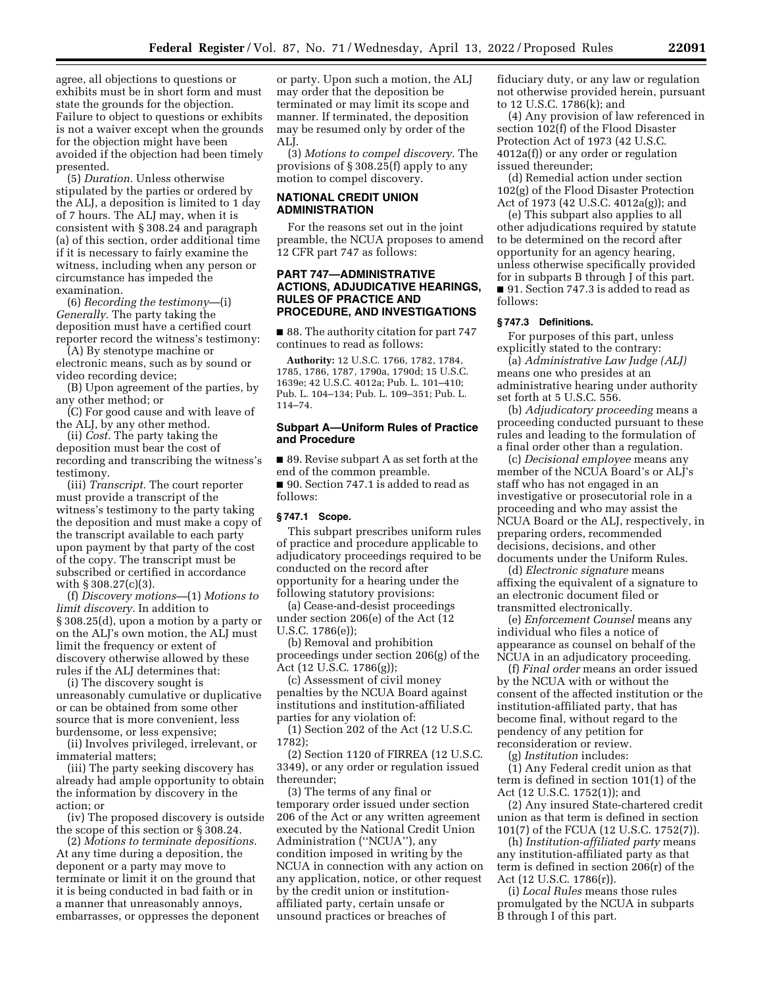agree, all objections to questions or exhibits must be in short form and must state the grounds for the objection. Failure to object to questions or exhibits is not a waiver except when the grounds for the objection might have been avoided if the objection had been timely presented.

(5) *Duration.* Unless otherwise stipulated by the parties or ordered by the ALJ, a deposition is limited to 1 day of 7 hours. The ALJ may, when it is consistent with § 308.24 and paragraph (a) of this section, order additional time if it is necessary to fairly examine the witness, including when any person or circumstance has impeded the examination.

(6) *Recording the testimony*—(i) *Generally.* The party taking the deposition must have a certified court reporter record the witness's testimony:

(A) By stenotype machine or electronic means, such as by sound or video recording device;

(B) Upon agreement of the parties, by any other method; or

(C) For good cause and with leave of the ALJ, by any other method.

(ii) *Cost.* The party taking the deposition must bear the cost of recording and transcribing the witness's testimony.

(iii) *Transcript.* The court reporter must provide a transcript of the witness's testimony to the party taking the deposition and must make a copy of the transcript available to each party upon payment by that party of the cost of the copy. The transcript must be subscribed or certified in accordance with § 308.27(c)(3).

(f) *Discovery motions—*(1) *Motions to limit discovery.* In addition to § 308.25(d), upon a motion by a party or on the ALJ's own motion, the ALJ must limit the frequency or extent of discovery otherwise allowed by these rules if the ALJ determines that:

(i) The discovery sought is unreasonably cumulative or duplicative or can be obtained from some other source that is more convenient, less burdensome, or less expensive;

(ii) Involves privileged, irrelevant, or immaterial matters;

(iii) The party seeking discovery has already had ample opportunity to obtain the information by discovery in the action; or

(iv) The proposed discovery is outside the scope of this section or § 308.24.

(2) *Motions to terminate depositions.*  At any time during a deposition, the deponent or a party may move to terminate or limit it on the ground that it is being conducted in bad faith or in a manner that unreasonably annoys, embarrasses, or oppresses the deponent

or party. Upon such a motion, the ALJ may order that the deposition be terminated or may limit its scope and manner. If terminated, the deposition may be resumed only by order of the ALJ.

(3) *Motions to compel discovery.* The provisions of § 308.25(f) apply to any motion to compel discovery.

#### **NATIONAL CREDIT UNION ADMINISTRATION**

For the reasons set out in the joint preamble, the NCUA proposes to amend 12 CFR part 747 as follows:

#### **PART 747—ADMINISTRATIVE ACTIONS, ADJUDICATIVE HEARINGS, RULES OF PRACTICE AND PROCEDURE, AND INVESTIGATIONS**

■ 88. The authority citation for part 747 continues to read as follows:

**Authority:** 12 U.S.C. 1766, 1782, 1784, 1785, 1786, 1787, 1790a, 1790d; 15 U.S.C. 1639e; 42 U.S.C. 4012a; Pub. L. 101–410; Pub. L. 104–134; Pub. L. 109–351; Pub. L. 114–74.

#### **Subpart A—Uniform Rules of Practice and Procedure**

■ 89. Revise subpart A as set forth at the end of the common preamble. ■ 90. Section 747.1 is added to read as follows:

#### **§ 747.1 Scope.**

This subpart prescribes uniform rules of practice and procedure applicable to adjudicatory proceedings required to be conducted on the record after opportunity for a hearing under the following statutory provisions:

(a) Cease-and-desist proceedings under section 206(e) of the Act (12 U.S.C. 1786(e));

(b) Removal and prohibition proceedings under section 206(g) of the Act (12 U.S.C. 1786(g));

(c) Assessment of civil money penalties by the NCUA Board against institutions and institution-affiliated parties for any violation of:

(1) Section 202 of the Act (12 U.S.C. 1782);

(2) Section 1120 of FIRREA (12 U.S.C. 3349), or any order or regulation issued thereunder;

(3) The terms of any final or temporary order issued under section 206 of the Act or any written agreement executed by the National Credit Union Administration (''NCUA''), any condition imposed in writing by the NCUA in connection with any action on any application, notice, or other request by the credit union or institutionaffiliated party, certain unsafe or unsound practices or breaches of

fiduciary duty, or any law or regulation not otherwise provided herein, pursuant to 12 U.S.C. 1786(k); and

(4) Any provision of law referenced in section 102(f) of the Flood Disaster Protection Act of 1973 (42 U.S.C. 4012a(f)) or any order or regulation issued thereunder;

(d) Remedial action under section 102(g) of the Flood Disaster Protection Act of 1973 (42 U.S.C. 4012a(g)); and

(e) This subpart also applies to all other adjudications required by statute to be determined on the record after opportunity for an agency hearing, unless otherwise specifically provided for in subparts B through J of this part. ■ 91. Section 747.3 is added to read as follows:

#### **§ 747.3 Definitions.**

For purposes of this part, unless explicitly stated to the contrary:

(a) *Administrative Law Judge (ALJ)*  means one who presides at an administrative hearing under authority set forth at 5 U.S.C. 556.

(b) *Adjudicatory proceeding* means a proceeding conducted pursuant to these rules and leading to the formulation of a final order other than a regulation.

(c) *Decisional employee* means any member of the NCUA Board's or ALJ's staff who has not engaged in an investigative or prosecutorial role in a proceeding and who may assist the NCUA Board or the ALJ, respectively, in preparing orders, recommended decisions, decisions, and other documents under the Uniform Rules.

(d) *Electronic signature* means affixing the equivalent of a signature to an electronic document filed or transmitted electronically.

(e) *Enforcement Counsel* means any individual who files a notice of appearance as counsel on behalf of the NCUA in an adjudicatory proceeding.

(f) *Final order* means an order issued by the NCUA with or without the consent of the affected institution or the institution-affiliated party, that has become final, without regard to the pendency of any petition for reconsideration or review.

(g) *Institution* includes:

(1) Any Federal credit union as that term is defined in section 101(1) of the Act (12 U.S.C. 1752(1)); and

(2) Any insured State-chartered credit union as that term is defined in section 101(7) of the FCUA (12 U.S.C. 1752(7)).

(h) *Institution-affiliated party* means any institution-affiliated party as that term is defined in section 206(r) of the Act (12 U.S.C. 1786(r)).

(i) *Local Rules* means those rules promulgated by the NCUA in subparts B through I of this part.